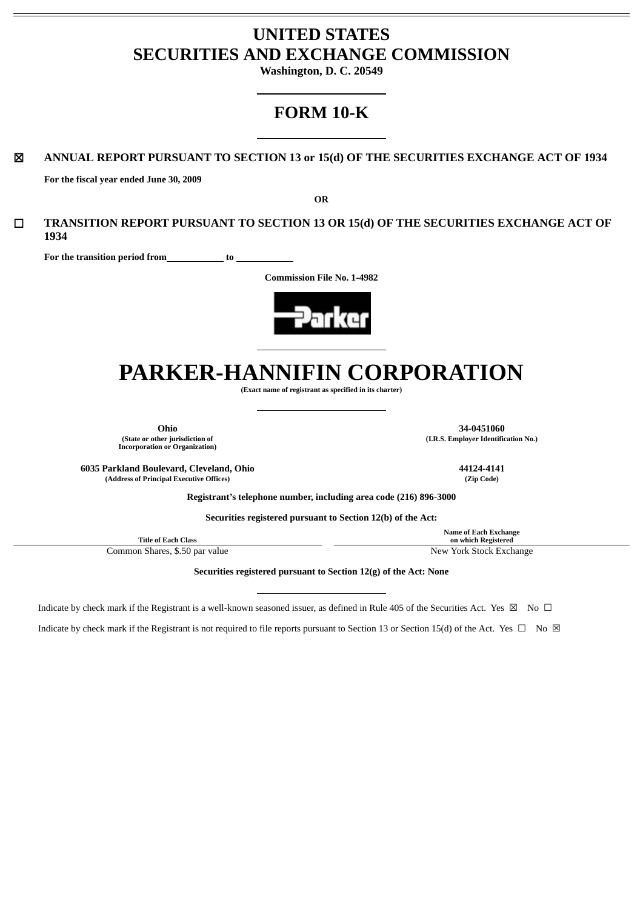# **UNITED STATES SECURITIES AND EXCHANGE COMMISSION**

**Washington, D. C. 20549**

# **FORM 10-K**

# ☒ **ANNUAL REPORT PURSUANT TO SECTION 13 or 15(d) OF THE SECURITIES EXCHANGE ACT OF 1934**

**For the fiscal year ended June 30, 2009**

**OR**

☐ **TRANSITION REPORT PURSUANT TO SECTION 13 OR 15(d) OF THE SECURITIES EXCHANGE ACT OF 1934**

**For the transition period from to** 

**Commission File No. 1-4982**



# **PARKER-HANNIFIN CORPORATION**

**(Exact name of registrant as specified in its charter)**

**(State or other jurisdiction of Incorporation or Organization)**

**6035 Parkland Boulevard, Cleveland, Ohio 44124-4141 (Address of Principal Executive Offices) (Zip Code)**

**Ohio 34-0451060 (I.R.S. Employer Identification No.)**

**Registrant's telephone number, including area code (216) 896-3000**

**Securities registered pursuant to Section 12(b) of the Act:**

**Title of Each Class Name of Each Exchange on which Registered** Common Shares, \$.50 par value  $\blacksquare$  New York Stock Exchange

**Securities registered pursuant to Section 12(g) of the Act: None**

Indicate by check mark if the Registrant is a well-known seasoned issuer, as defined in Rule 405 of the Securities Act. Yes  $\boxtimes$  No  $\Box$ 

Indicate by check mark if the Registrant is not required to file reports pursuant to Section 13 or Section 15(d) of the Act. Yes  $\Box$  No  $\boxtimes$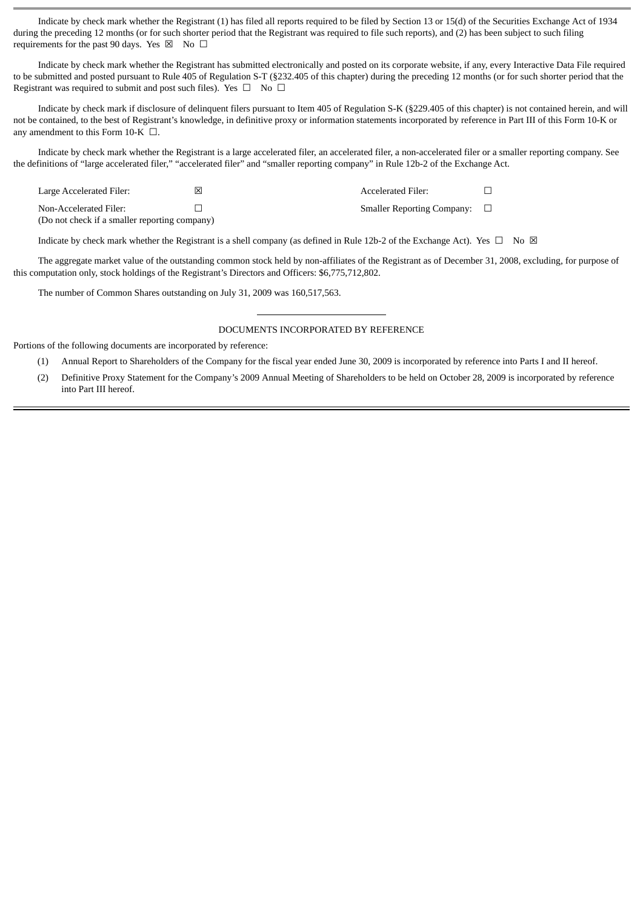Indicate by check mark whether the Registrant (1) has filed all reports required to be filed by Section 13 or 15(d) of the Securities Exchange Act of 1934 during the preceding 12 months (or for such shorter period that the Registrant was required to file such reports), and (2) has been subject to such filing requirements for the past 90 days. Yes  $\boxtimes$  No  $\Box$ 

Indicate by check mark whether the Registrant has submitted electronically and posted on its corporate website, if any, every Interactive Data File required to be submitted and posted pursuant to Rule 405 of Regulation S-T (§232.405 of this chapter) during the preceding 12 months (or for such shorter period that the Registrant was required to submit and post such files). Yes  $\Box$  No  $\Box$ 

Indicate by check mark if disclosure of delinquent filers pursuant to Item 405 of Regulation S-K (§229.405 of this chapter) is not contained herein, and will not be contained, to the best of Registrant's knowledge, in definitive proxy or information statements incorporated by reference in Part III of this Form 10-K or any amendment to this Form 10-K  $\Box$ .

Indicate by check mark whether the Registrant is a large accelerated filer, an accelerated filer, a non-accelerated filer or a smaller reporting company. See the definitions of "large accelerated filer," "accelerated filer" and "smaller reporting company" in Rule 12b-2 of the Exchange Act.

| Large Accelerated Filer:                      | Ι× | Accelerated Filer:                |  |
|-----------------------------------------------|----|-----------------------------------|--|
| Non-Accelerated Filer:                        |    | Smaller Reporting Company: $\Box$ |  |
| (Do not check if a smaller reporting company) |    |                                   |  |

Indicate by check mark whether the Registrant is a shell company (as defined in Rule 12b-2 of the Exchange Act). Yes  $\Box$  No  $\boxtimes$ 

The aggregate market value of the outstanding common stock held by non-affiliates of the Registrant as of December 31, 2008, excluding, for purpose of this computation only, stock holdings of the Registrant's Directors and Officers: \$6,775,712,802.

The number of Common Shares outstanding on July 31, 2009 was 160,517,563.

#### DOCUMENTS INCORPORATED BY REFERENCE

Portions of the following documents are incorporated by reference:

- (1) Annual Report to Shareholders of the Company for the fiscal year ended June 30, 2009 is incorporated by reference into Parts I and II hereof.
- (2) Definitive Proxy Statement for the Company's 2009 Annual Meeting of Shareholders to be held on October 28, 2009 is incorporated by reference into Part III hereof.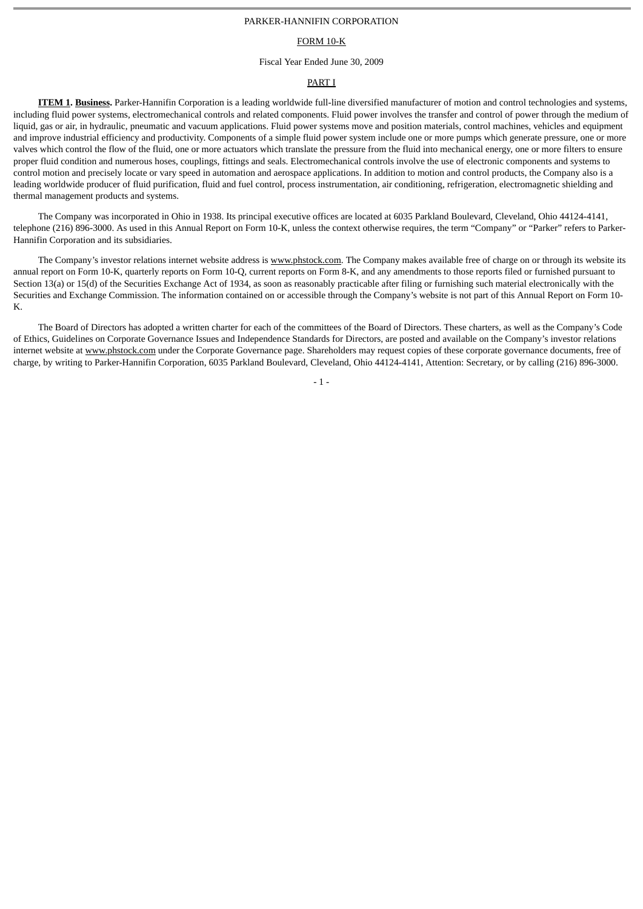#### PARKER-HANNIFIN CORPORATION

#### FORM 10-K

#### Fiscal Year Ended June 30, 2009

# PART I

**ITEM 1. Business.** Parker-Hannifin Corporation is a leading worldwide full-line diversified manufacturer of motion and control technologies and systems, including fluid power systems, electromechanical controls and related components. Fluid power involves the transfer and control of power through the medium of liquid, gas or air, in hydraulic, pneumatic and vacuum applications. Fluid power systems move and position materials, control machines, vehicles and equipment and improve industrial efficiency and productivity. Components of a simple fluid power system include one or more pumps which generate pressure, one or more valves which control the flow of the fluid, one or more actuators which translate the pressure from the fluid into mechanical energy, one or more filters to ensure proper fluid condition and numerous hoses, couplings, fittings and seals. Electromechanical controls involve the use of electronic components and systems to control motion and precisely locate or vary speed in automation and aerospace applications. In addition to motion and control products, the Company also is a leading worldwide producer of fluid purification, fluid and fuel control, process instrumentation, air conditioning, refrigeration, electromagnetic shielding and thermal management products and systems.

The Company was incorporated in Ohio in 1938. Its principal executive offices are located at 6035 Parkland Boulevard, Cleveland, Ohio 44124-4141, telephone (216) 896-3000. As used in this Annual Report on Form 10-K, unless the context otherwise requires, the term "Company" or "Parker" refers to Parker-Hannifin Corporation and its subsidiaries.

The Company's investor relations internet website address is www.phstock.com. The Company makes available free of charge on or through its website its annual report on Form 10-K, quarterly reports on Form 10-Q, current reports on Form 8-K, and any amendments to those reports filed or furnished pursuant to Section 13(a) or 15(d) of the Securities Exchange Act of 1934, as soon as reasonably practicable after filing or furnishing such material electronically with the Securities and Exchange Commission. The information contained on or accessible through the Company's website is not part of this Annual Report on Form 10- K.

The Board of Directors has adopted a written charter for each of the committees of the Board of Directors. These charters, as well as the Company's Code of Ethics, Guidelines on Corporate Governance Issues and Independence Standards for Directors, are posted and available on the Company's investor relations internet website at www.phstock.com under the Corporate Governance page. Shareholders may request copies of these corporate governance documents, free of charge, by writing to Parker-Hannifin Corporation, 6035 Parkland Boulevard, Cleveland, Ohio 44124-4141, Attention: Secretary, or by calling (216) 896-3000.

- 1 -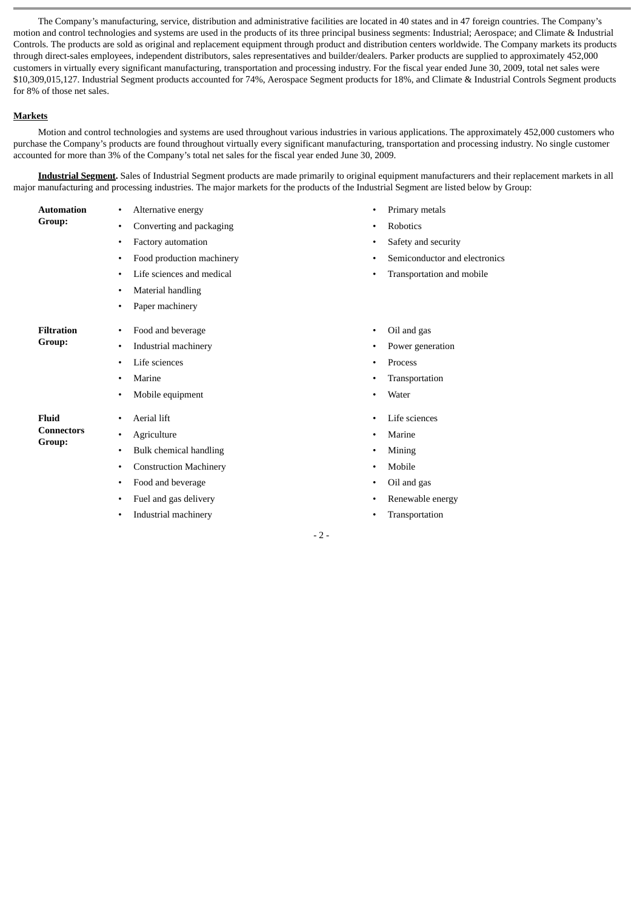The Company's manufacturing, service, distribution and administrative facilities are located in 40 states and in 47 foreign countries. The Company's motion and control technologies and systems are used in the products of its three principal business segments: Industrial; Aerospace; and Climate & Industrial Controls. The products are sold as original and replacement equipment through product and distribution centers worldwide. The Company markets its products through direct-sales employees, independent distributors, sales representatives and builder/dealers. Parker products are supplied to approximately 452,000 customers in virtually every significant manufacturing, transportation and processing industry. For the fiscal year ended June 30, 2009, total net sales were \$10,309,015,127. Industrial Segment products accounted for 74%, Aerospace Segment products for 18%, and Climate & Industrial Controls Segment products for 8% of those net sales.

# **Markets**

Motion and control technologies and systems are used throughout various industries in various applications. The approximately 452,000 customers who purchase the Company's products are found throughout virtually every significant manufacturing, transportation and processing industry. No single customer accounted for more than 3% of the Company's total net sales for the fiscal year ended June 30, 2009.

**Industrial Segment.** Sales of Industrial Segment products are made primarily to original equipment manufacturers and their replacement markets in all major manufacturing and processing industries. The major markets for the products of the Industrial Segment are listed below by Group:

| <b>Automation</b> | Alternative energy                         | Primary metals<br>$\bullet$            |
|-------------------|--------------------------------------------|----------------------------------------|
| Group:            | Converting and packaging<br>$\bullet$      | <b>Robotics</b><br>$\bullet$           |
|                   | Factory automation<br>٠                    | Safety and security<br>٠               |
|                   | Food production machinery<br>٠             | Semiconductor and electronics<br>٠     |
|                   | Life sciences and medical<br>$\bullet$     | Transportation and mobile<br>$\bullet$ |
|                   | Material handling<br>$\bullet$             |                                        |
|                   | Paper machinery<br>$\bullet$               |                                        |
| <b>Filtration</b> | Food and beverage<br>٠                     | Oil and gas<br>$\bullet$               |
| Group:            | Industrial machinery<br>$\bullet$          | Power generation<br>٠                  |
|                   | Life sciences<br>$\bullet$                 | Process<br>$\bullet$                   |
|                   | Marine<br>$\bullet$                        | Transportation<br>٠                    |
|                   | Mobile equipment<br>٠                      | Water                                  |
| <b>Fluid</b>      | Aerial lift                                | Life sciences<br>٠                     |
| <b>Connectors</b> | Agriculture<br>$\bullet$                   | Marine<br>٠                            |
| Group:            | Bulk chemical handling<br>$\bullet$        | Mining<br>٠                            |
|                   | <b>Construction Machinery</b><br>$\bullet$ | Mobile<br>$\bullet$                    |
|                   | Food and beverage<br>$\bullet$             | Oil and gas<br>$\bullet$               |
|                   | Fuel and gas delivery<br>٠                 | Renewable energy<br>٠                  |
|                   | Industrial machinery<br>٠                  | Transportation<br>٠                    |
|                   |                                            |                                        |

- 2 -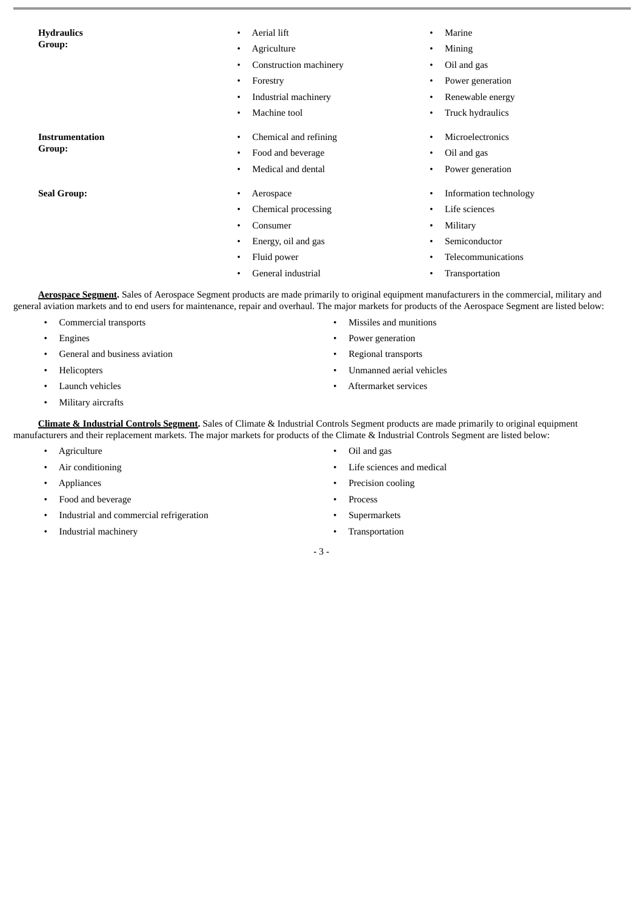| <b>Hydraulics</b>      | Aerial lift<br>٠                  | Marine<br>٠                 |
|------------------------|-----------------------------------|-----------------------------|
| Group:                 | Agriculture<br>$\bullet$          | Mining<br>٠                 |
|                        | Construction machinery<br>٠       | Oil and gas<br>٠            |
|                        | Forestry<br>٠                     | Power generation<br>٠       |
|                        | Industrial machinery<br>$\bullet$ | Renewable energy<br>٠       |
|                        | Machine tool<br>٠                 | Truck hydraulics<br>٠       |
| <b>Instrumentation</b> | Chemical and refining<br>٠        | Microelectronics<br>٠       |
| Group:                 | Food and beverage<br>$\bullet$    | Oil and gas<br>٠            |
|                        | Medical and dental<br>٠           | Power generation<br>٠       |
| <b>Seal Group:</b>     | Aerospace<br>٠                    | Information technology<br>٠ |
|                        | Chemical processing<br>٠          | Life sciences<br>$\bullet$  |
|                        | Consumer<br>$\bullet$             | Military<br>$\bullet$       |
|                        | Energy, oil and gas<br>٠          | Semiconductor               |
|                        | Fluid power<br>$\bullet$          | Telecommunications<br>٠     |
|                        | General industrial<br>٠           | Transportation              |

**Aerospace Segment.** Sales of Aerospace Segment products are made primarily to original equipment manufacturers in the commercial, military and general aviation markets and to end users for maintenance, repair and overhaul. The major markets for products of the Aerospace Segment are listed below:

- Commercial transports
- Engines
- General and business aviation
- Helicopters
- Launch vehicles
- Military aircrafts
- **Climate & Industrial Controls Segment.** Sales of Climate & Industrial Controls Segment products are made primarily to original equipment manufacturers and their replacement markets. The major markets for products of the Climate & Industrial Controls Segment are listed below:
	- Agriculture
		- Air conditioning
	- Appliances
	- Food and beverage
	- Industrial and commercial refrigeration
	- Industrial machinery
- Oil and gas
- Life sciences and medical

• Missiles and munitions Power generation • Regional transports

> • Unmanned aerial vehicles • Aftermarket services

- Precision cooling
- Process
- Supermarkets
- Transportation

- 3 -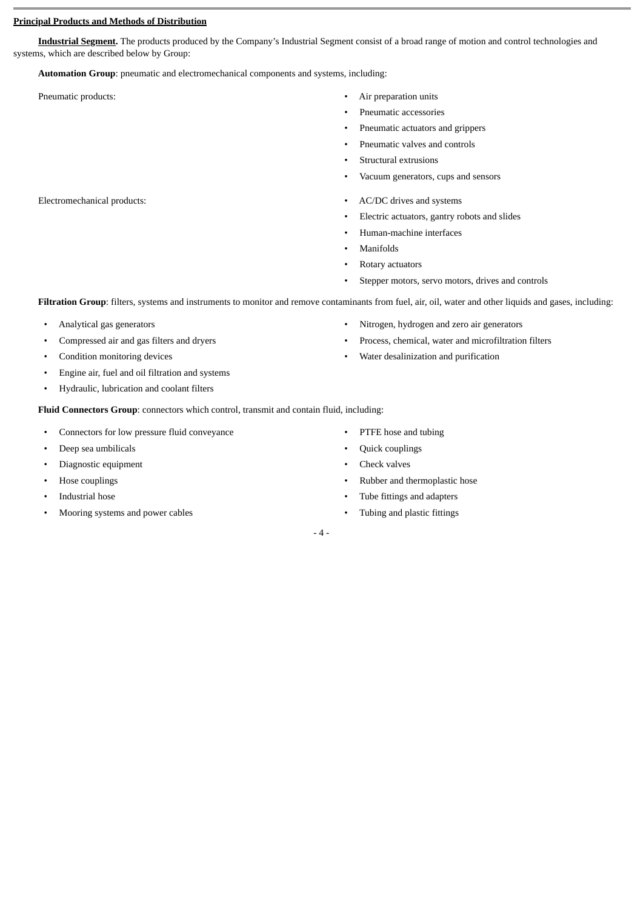# **Principal Products and Methods of Distribution**

**Industrial Segment.** The products produced by the Company's Industrial Segment consist of a broad range of motion and control technologies and systems, which are described below by Group:

**Automation Group**: pneumatic and electromechanical components and systems, including:

Pneumatic products:

- Air preparation units
- Pneumatic accessories
- Pneumatic actuators and grippers
- Pneumatic valves and controls
- Structural extrusions
- Vacuum generators, cups and sensors
- AC/DC drives and systems
- Electric actuators, gantry robots and slides
- Human-machine interfaces
- **Manifolds**
- Rotary actuators
- Stepper motors, servo motors, drives and controls

Filtration Group: filters, systems and instruments to monitor and remove contaminants from fuel, air, oil, water and other liquids and gases, including:

- Analytical gas generators
- Compressed air and gas filters and dryers
- Condition monitoring devices
- Engine air, fuel and oil filtration and systems
- Hydraulic, lubrication and coolant filters

**Fluid Connectors Group**: connectors which control, transmit and contain fluid, including:

- Connectors for low pressure fluid conveyance
- Deep sea umbilicals
- Diagnostic equipment
- Hose couplings
- Industrial hose
- Mooring systems and power cables
- Nitrogen, hydrogen and zero air generators
- Process, chemical, water and microfiltration filters
- Water desalinization and purification
- PTFE hose and tubing
- Quick couplings
- Check valves
- Rubber and thermoplastic hose
- Tube fittings and adapters
- Tubing and plastic fittings

- 4 -

Electromechanical products: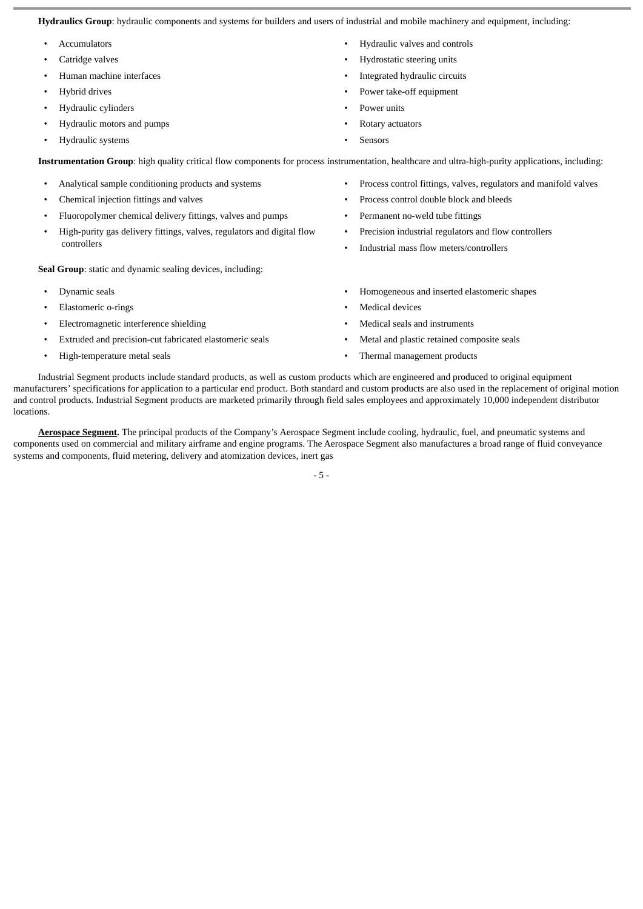**Hydraulics Group**: hydraulic components and systems for builders and users of industrial and mobile machinery and equipment, including:

- **Accumulators**
- Catridge valves
- Human machine interfaces
- Hybrid drives
- Hydraulic cylinders
- Hydraulic motors and pumps
- Hydraulic systems
- Hydraulic valves and controls
- Hydrostatic steering units
- Integrated hydraulic circuits
- Power take-off equipment
- Power units
- Rotary actuators
- **Sensors**

**Instrumentation Group**: high quality critical flow components for process instrumentation, healthcare and ultra-high-purity applications, including:

- Analytical sample conditioning products and systems
- Chemical injection fittings and valves
- Fluoropolymer chemical delivery fittings, valves and pumps
- High-purity gas delivery fittings, valves, regulators and digital flow controllers

**Seal Group**: static and dynamic sealing devices, including:

- Dynamic seals
- Elastomeric o-rings
- Electromagnetic interference shielding
- Extruded and precision-cut fabricated elastomeric seals
- High-temperature metal seals
- Process control fittings, valves, regulators and manifold valves
- Process control double block and bleeds
- Permanent no-weld tube fittings
- Precision industrial regulators and flow controllers
- Industrial mass flow meters/controllers
- Homogeneous and inserted elastomeric shapes
- **Medical devices**
- Medical seals and instruments
- Metal and plastic retained composite seals
- Thermal management products

Industrial Segment products include standard products, as well as custom products which are engineered and produced to original equipment manufacturers' specifications for application to a particular end product. Both standard and custom products are also used in the replacement of original motion and control products. Industrial Segment products are marketed primarily through field sales employees and approximately 10,000 independent distributor locations.

**Aerospace Segment.** The principal products of the Company's Aerospace Segment include cooling, hydraulic, fuel, and pneumatic systems and components used on commercial and military airframe and engine programs. The Aerospace Segment also manufactures a broad range of fluid conveyance systems and components, fluid metering, delivery and atomization devices, inert gas

- 5 -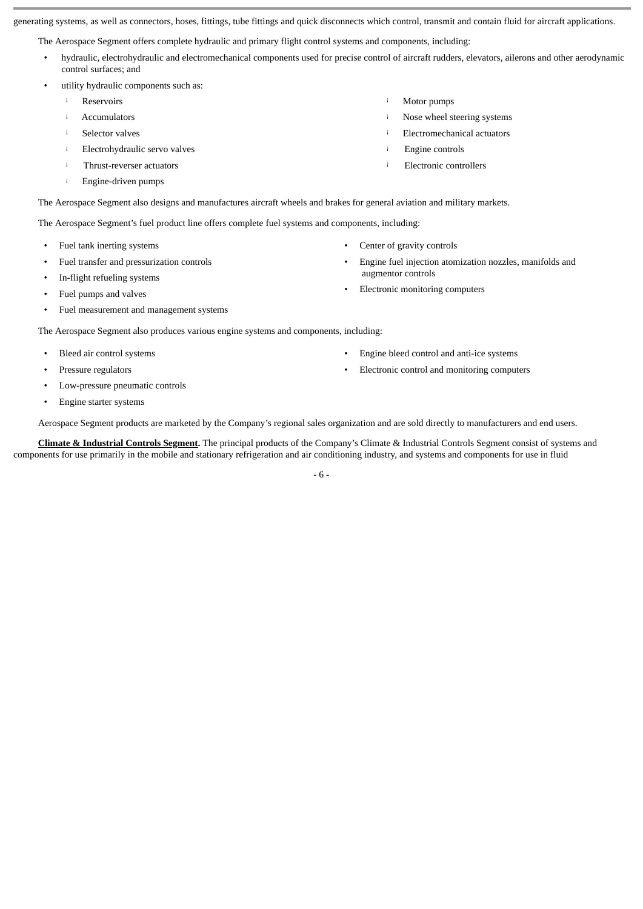generating systems, as well as connectors, hoses, fittings, tube fittings and quick disconnects which control, transmit and contain fluid for aircraft applications.

The Aerospace Segment offers complete hydraulic and primary flight control systems and components, including:

- hydraulic, electrohydraulic and electromechanical components used for precise control of aircraft rudders, elevators, ailerons and other aerodynamic control surfaces; and
- utility hydraulic components such as:
	- Reservoirs ¡
	- Accumulators ¡
	- Selector valves ¡
	- Electrohydraulic servo valves ¡
	- Thrust-reverser actuators ¡
	- Engine-driven pumps ¡

The Aerospace Segment also designs and manufactures aircraft wheels and brakes for general aviation and military markets.

The Aerospace Segment's fuel product line offers complete fuel systems and components, including:

- Fuel tank inerting systems
- Fuel transfer and pressurization controls
- In-flight refueling systems
- Fuel pumps and valves
- Fuel measurement and management systems

The Aerospace Segment also produces various engine systems and components, including:

- Bleed air control systems
- Pressure regulators
- Low-pressure pneumatic controls
- Engine starter systems

Aerospace Segment products are marketed by the Company's regional sales organization and are sold directly to manufacturers and end users.

**Climate & Industrial Controls Segment.** The principal products of the Company's Climate & Industrial Controls Segment consist of systems and components for use primarily in the mobile and stationary refrigeration and air conditioning industry, and systems and components for use in fluid

#### $-6-$

- Motor pumps ¡
- Nose wheel steering systems ¡
- Electromechanical actuators ¡

• Engine fuel injection atomization nozzles, manifolds and

- Engine controls ¡
- Electronic controllers ¡

• Electronic monitoring computers

• Center of gravity controls

augmentor controls

- Engine bleed control and anti-ice systems
- Electronic control and monitoring computers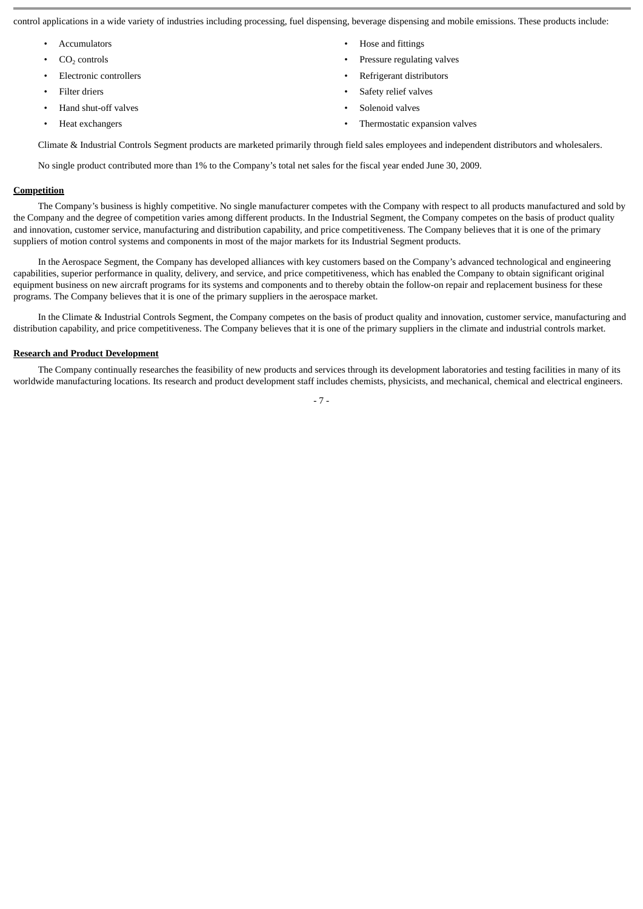control applications in a wide variety of industries including processing, fuel dispensing, beverage dispensing and mobile emissions. These products include:

- **Accumulators**
- $CO<sub>2</sub>$  controls
- Electronic controllers
- Filter driers
- Hand shut-off valves
- Heat exchangers
- Hose and fittings
- Pressure regulating valves
- Refrigerant distributors
- Safety relief valves
- Solenoid valves
- Thermostatic expansion valves

Climate & Industrial Controls Segment products are marketed primarily through field sales employees and independent distributors and wholesalers.

No single product contributed more than 1% to the Company's total net sales for the fiscal year ended June 30, 2009.

#### **Competition**

The Company's business is highly competitive. No single manufacturer competes with the Company with respect to all products manufactured and sold by the Company and the degree of competition varies among different products. In the Industrial Segment, the Company competes on the basis of product quality and innovation, customer service, manufacturing and distribution capability, and price competitiveness. The Company believes that it is one of the primary suppliers of motion control systems and components in most of the major markets for its Industrial Segment products.

In the Aerospace Segment, the Company has developed alliances with key customers based on the Company's advanced technological and engineering capabilities, superior performance in quality, delivery, and service, and price competitiveness, which has enabled the Company to obtain significant original equipment business on new aircraft programs for its systems and components and to thereby obtain the follow-on repair and replacement business for these programs. The Company believes that it is one of the primary suppliers in the aerospace market.

In the Climate & Industrial Controls Segment, the Company competes on the basis of product quality and innovation, customer service, manufacturing and distribution capability, and price competitiveness. The Company believes that it is one of the primary suppliers in the climate and industrial controls market.

#### **Research and Product Development**

The Company continually researches the feasibility of new products and services through its development laboratories and testing facilities in many of its worldwide manufacturing locations. Its research and product development staff includes chemists, physicists, and mechanical, chemical and electrical engineers.

 $-7$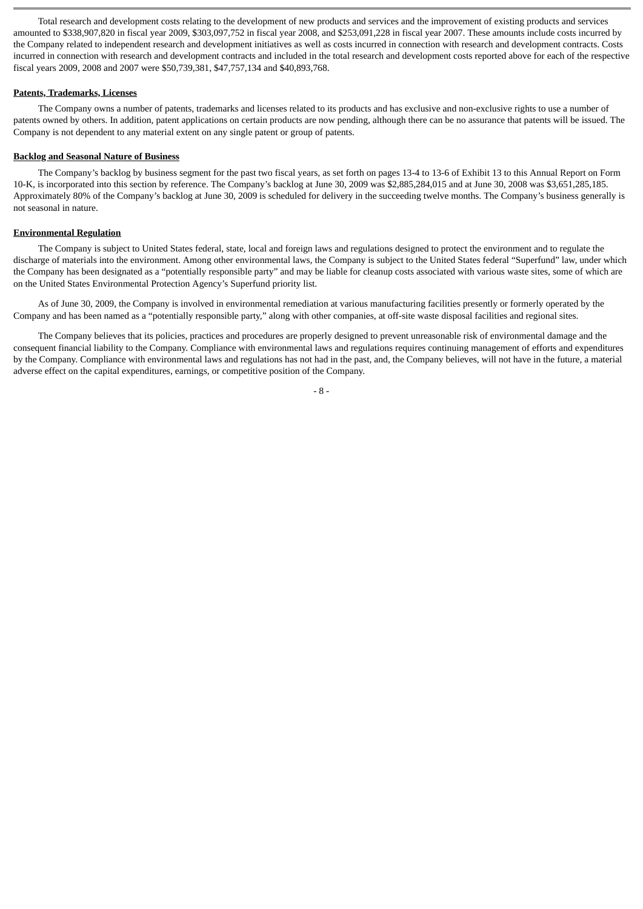Total research and development costs relating to the development of new products and services and the improvement of existing products and services amounted to \$338,907,820 in fiscal year 2009, \$303,097,752 in fiscal year 2008, and \$253,091,228 in fiscal year 2007. These amounts include costs incurred by the Company related to independent research and development initiatives as well as costs incurred in connection with research and development contracts. Costs incurred in connection with research and development contracts and included in the total research and development costs reported above for each of the respective fiscal years 2009, 2008 and 2007 were \$50,739,381, \$47,757,134 and \$40,893,768.

#### **Patents, Trademarks, Licenses**

The Company owns a number of patents, trademarks and licenses related to its products and has exclusive and non-exclusive rights to use a number of patents owned by others. In addition, patent applications on certain products are now pending, although there can be no assurance that patents will be issued. The Company is not dependent to any material extent on any single patent or group of patents.

#### **Backlog and Seasonal Nature of Business**

The Company's backlog by business segment for the past two fiscal years, as set forth on pages 13-4 to 13-6 of Exhibit 13 to this Annual Report on Form 10-K, is incorporated into this section by reference. The Company's backlog at June 30, 2009 was \$2,885,284,015 and at June 30, 2008 was \$3,651,285,185. Approximately 80% of the Company's backlog at June 30, 2009 is scheduled for delivery in the succeeding twelve months. The Company's business generally is not seasonal in nature.

#### **Environmental Regulation**

The Company is subject to United States federal, state, local and foreign laws and regulations designed to protect the environment and to regulate the discharge of materials into the environment. Among other environmental laws, the Company is subject to the United States federal "Superfund" law, under which the Company has been designated as a "potentially responsible party" and may be liable for cleanup costs associated with various waste sites, some of which are on the United States Environmental Protection Agency's Superfund priority list.

As of June 30, 2009, the Company is involved in environmental remediation at various manufacturing facilities presently or formerly operated by the Company and has been named as a "potentially responsible party," along with other companies, at off-site waste disposal facilities and regional sites.

The Company believes that its policies, practices and procedures are properly designed to prevent unreasonable risk of environmental damage and the consequent financial liability to the Company. Compliance with environmental laws and regulations requires continuing management of efforts and expenditures by the Company. Compliance with environmental laws and regulations has not had in the past, and, the Company believes, will not have in the future, a material adverse effect on the capital expenditures, earnings, or competitive position of the Company.

- 8 -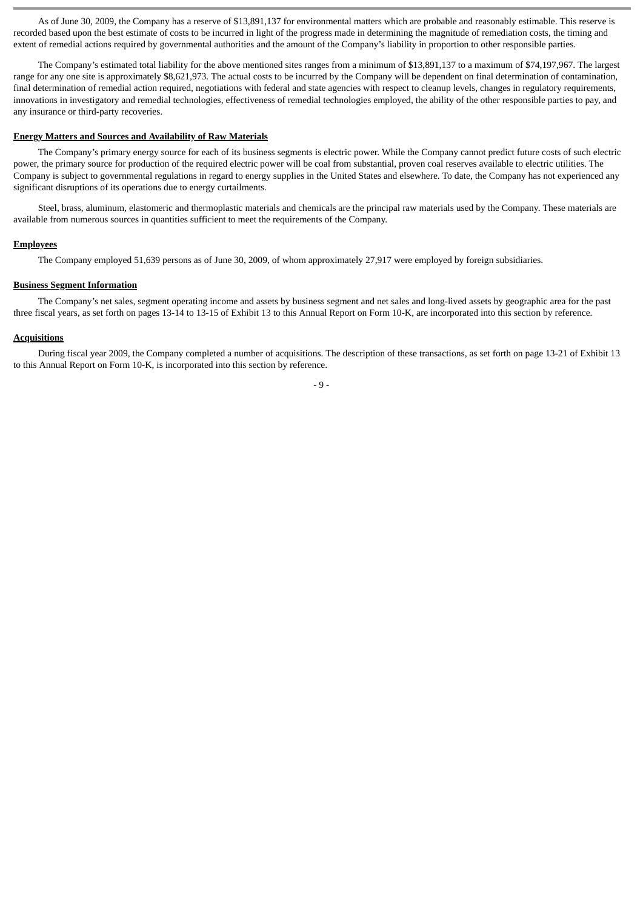As of June 30, 2009, the Company has a reserve of \$13,891,137 for environmental matters which are probable and reasonably estimable. This reserve is recorded based upon the best estimate of costs to be incurred in light of the progress made in determining the magnitude of remediation costs, the timing and extent of remedial actions required by governmental authorities and the amount of the Company's liability in proportion to other responsible parties.

The Company's estimated total liability for the above mentioned sites ranges from a minimum of \$13,891,137 to a maximum of \$74,197,967. The largest range for any one site is approximately \$8,621,973. The actual costs to be incurred by the Company will be dependent on final determination of contamination, final determination of remedial action required, negotiations with federal and state agencies with respect to cleanup levels, changes in regulatory requirements, innovations in investigatory and remedial technologies, effectiveness of remedial technologies employed, the ability of the other responsible parties to pay, and any insurance or third-party recoveries.

#### **Energy Matters and Sources and Availability of Raw Materials**

The Company's primary energy source for each of its business segments is electric power. While the Company cannot predict future costs of such electric power, the primary source for production of the required electric power will be coal from substantial, proven coal reserves available to electric utilities. The Company is subject to governmental regulations in regard to energy supplies in the United States and elsewhere. To date, the Company has not experienced any significant disruptions of its operations due to energy curtailments.

Steel, brass, aluminum, elastomeric and thermoplastic materials and chemicals are the principal raw materials used by the Company. These materials are available from numerous sources in quantities sufficient to meet the requirements of the Company.

#### **Employees**

The Company employed 51,639 persons as of June 30, 2009, of whom approximately 27,917 were employed by foreign subsidiaries.

#### **Business Segment Information**

The Company's net sales, segment operating income and assets by business segment and net sales and long-lived assets by geographic area for the past three fiscal years, as set forth on pages 13-14 to 13-15 of Exhibit 13 to this Annual Report on Form 10-K, are incorporated into this section by reference.

#### **Acquisitions**

During fiscal year 2009, the Company completed a number of acquisitions. The description of these transactions, as set forth on page 13-21 of Exhibit 13 to this Annual Report on Form 10-K, is incorporated into this section by reference.

- 9 -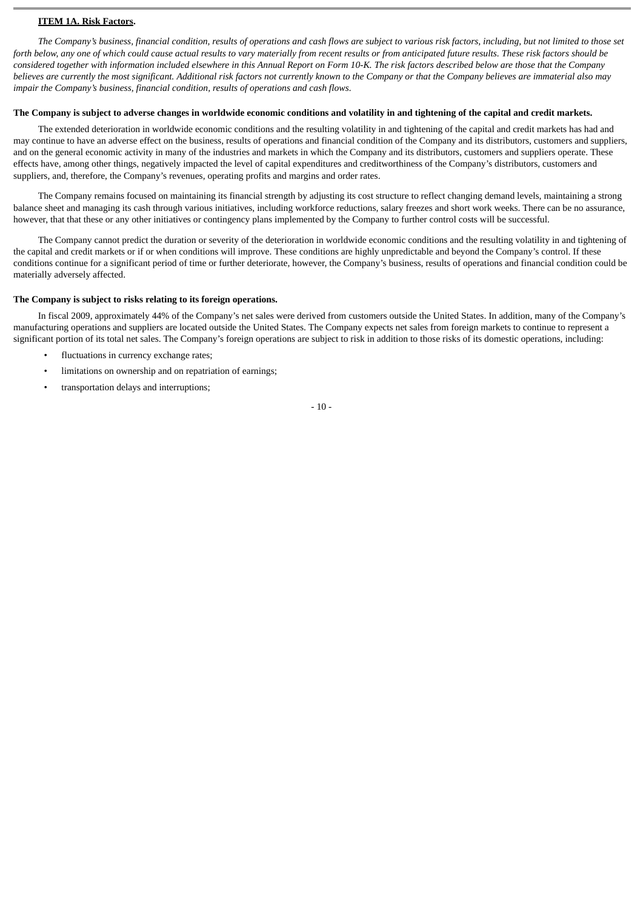#### **ITEM 1A. Risk Factors.**

*The Company's business, financial condition, results of operations and cash flows are subject to various risk factors, including, but not limited to those set forth below, any one of which could cause actual results to vary materially from recent results or from anticipated future results. These risk factors should be considered together with information included elsewhere in this Annual Report on Form 10-K. The risk factors described below are those that the Company believes are currently the most significant. Additional risk factors not currently known to the Company or that the Company believes are immaterial also may impair the Company's business, financial condition, results of operations and cash flows.*

# **The Company is subject to adverse changes in worldwide economic conditions and volatility in and tightening of the capital and credit markets.**

The extended deterioration in worldwide economic conditions and the resulting volatility in and tightening of the capital and credit markets has had and may continue to have an adverse effect on the business, results of operations and financial condition of the Company and its distributors, customers and suppliers, and on the general economic activity in many of the industries and markets in which the Company and its distributors, customers and suppliers operate. These effects have, among other things, negatively impacted the level of capital expenditures and creditworthiness of the Company's distributors, customers and suppliers, and, therefore, the Company's revenues, operating profits and margins and order rates.

The Company remains focused on maintaining its financial strength by adjusting its cost structure to reflect changing demand levels, maintaining a strong balance sheet and managing its cash through various initiatives, including workforce reductions, salary freezes and short work weeks. There can be no assurance, however, that that these or any other initiatives or contingency plans implemented by the Company to further control costs will be successful.

The Company cannot predict the duration or severity of the deterioration in worldwide economic conditions and the resulting volatility in and tightening of the capital and credit markets or if or when conditions will improve. These conditions are highly unpredictable and beyond the Company's control. If these conditions continue for a significant period of time or further deteriorate, however, the Company's business, results of operations and financial condition could be materially adversely affected.

#### **The Company is subject to risks relating to its foreign operations.**

In fiscal 2009, approximately 44% of the Company's net sales were derived from customers outside the United States. In addition, many of the Company's manufacturing operations and suppliers are located outside the United States. The Company expects net sales from foreign markets to continue to represent a significant portion of its total net sales. The Company's foreign operations are subject to risk in addition to those risks of its domestic operations, including:

- fluctuations in currency exchange rates;
- limitations on ownership and on repatriation of earnings;
- transportation delays and interruptions;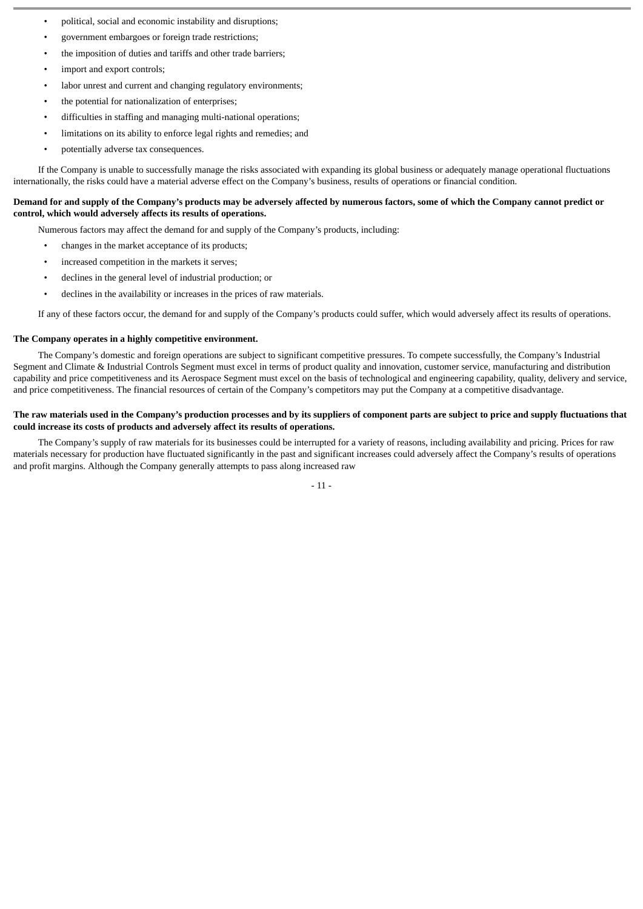- political, social and economic instability and disruptions;
- government embargoes or foreign trade restrictions;
- the imposition of duties and tariffs and other trade barriers;
- import and export controls;
- labor unrest and current and changing regulatory environments;
- the potential for nationalization of enterprises;
- difficulties in staffing and managing multi-national operations;
- limitations on its ability to enforce legal rights and remedies; and
- potentially adverse tax consequences.

If the Company is unable to successfully manage the risks associated with expanding its global business or adequately manage operational fluctuations internationally, the risks could have a material adverse effect on the Company's business, results of operations or financial condition.

#### **Demand for and supply of the Company's products may be adversely affected by numerous factors, some of which the Company cannot predict or control, which would adversely affects its results of operations.**

Numerous factors may affect the demand for and supply of the Company's products, including:

- changes in the market acceptance of its products;
- increased competition in the markets it serves;
- declines in the general level of industrial production; or
- declines in the availability or increases in the prices of raw materials.

If any of these factors occur, the demand for and supply of the Company's products could suffer, which would adversely affect its results of operations.

#### **The Company operates in a highly competitive environment.**

The Company's domestic and foreign operations are subject to significant competitive pressures. To compete successfully, the Company's Industrial Segment and Climate & Industrial Controls Segment must excel in terms of product quality and innovation, customer service, manufacturing and distribution capability and price competitiveness and its Aerospace Segment must excel on the basis of technological and engineering capability, quality, delivery and service, and price competitiveness. The financial resources of certain of the Company's competitors may put the Company at a competitive disadvantage.

#### **The raw materials used in the Company's production processes and by its suppliers of component parts are subject to price and supply fluctuations that could increase its costs of products and adversely affect its results of operations.**

The Company's supply of raw materials for its businesses could be interrupted for a variety of reasons, including availability and pricing. Prices for raw materials necessary for production have fluctuated significantly in the past and significant increases could adversely affect the Company's results of operations and profit margins. Although the Company generally attempts to pass along increased raw

- 11 -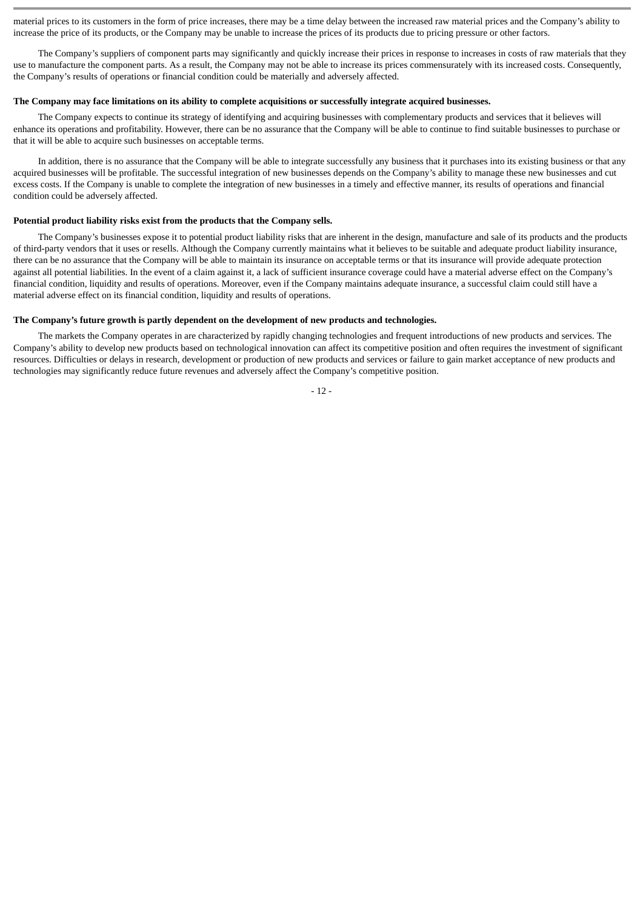material prices to its customers in the form of price increases, there may be a time delay between the increased raw material prices and the Company's ability to increase the price of its products, or the Company may be unable to increase the prices of its products due to pricing pressure or other factors.

The Company's suppliers of component parts may significantly and quickly increase their prices in response to increases in costs of raw materials that they use to manufacture the component parts. As a result, the Company may not be able to increase its prices commensurately with its increased costs. Consequently, the Company's results of operations or financial condition could be materially and adversely affected.

#### **The Company may face limitations on its ability to complete acquisitions or successfully integrate acquired businesses.**

The Company expects to continue its strategy of identifying and acquiring businesses with complementary products and services that it believes will enhance its operations and profitability. However, there can be no assurance that the Company will be able to continue to find suitable businesses to purchase or that it will be able to acquire such businesses on acceptable terms.

In addition, there is no assurance that the Company will be able to integrate successfully any business that it purchases into its existing business or that any acquired businesses will be profitable. The successful integration of new businesses depends on the Company's ability to manage these new businesses and cut excess costs. If the Company is unable to complete the integration of new businesses in a timely and effective manner, its results of operations and financial condition could be adversely affected.

#### **Potential product liability risks exist from the products that the Company sells.**

The Company's businesses expose it to potential product liability risks that are inherent in the design, manufacture and sale of its products and the products of third-party vendors that it uses or resells. Although the Company currently maintains what it believes to be suitable and adequate product liability insurance, there can be no assurance that the Company will be able to maintain its insurance on acceptable terms or that its insurance will provide adequate protection against all potential liabilities. In the event of a claim against it, a lack of sufficient insurance coverage could have a material adverse effect on the Company's financial condition, liquidity and results of operations. Moreover, even if the Company maintains adequate insurance, a successful claim could still have a material adverse effect on its financial condition, liquidity and results of operations.

#### **The Company's future growth is partly dependent on the development of new products and technologies.**

The markets the Company operates in are characterized by rapidly changing technologies and frequent introductions of new products and services. The Company's ability to develop new products based on technological innovation can affect its competitive position and often requires the investment of significant resources. Difficulties or delays in research, development or production of new products and services or failure to gain market acceptance of new products and technologies may significantly reduce future revenues and adversely affect the Company's competitive position.

- 12 -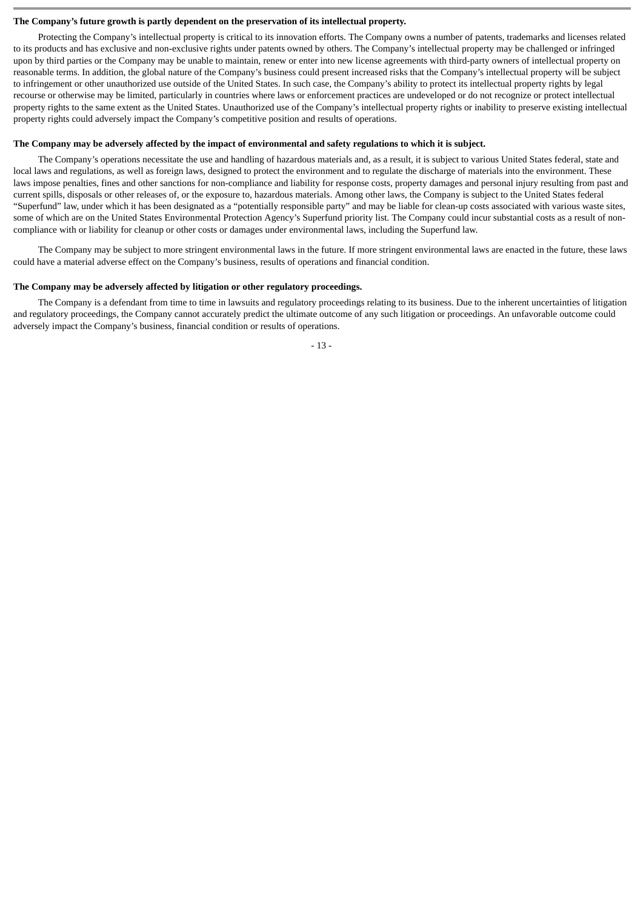#### **The Company's future growth is partly dependent on the preservation of its intellectual property.**

Protecting the Company's intellectual property is critical to its innovation efforts. The Company owns a number of patents, trademarks and licenses related to its products and has exclusive and non-exclusive rights under patents owned by others. The Company's intellectual property may be challenged or infringed upon by third parties or the Company may be unable to maintain, renew or enter into new license agreements with third-party owners of intellectual property on reasonable terms. In addition, the global nature of the Company's business could present increased risks that the Company's intellectual property will be subject to infringement or other unauthorized use outside of the United States. In such case, the Company's ability to protect its intellectual property rights by legal recourse or otherwise may be limited, particularly in countries where laws or enforcement practices are undeveloped or do not recognize or protect intellectual property rights to the same extent as the United States. Unauthorized use of the Company's intellectual property rights or inability to preserve existing intellectual property rights could adversely impact the Company's competitive position and results of operations.

#### **The Company may be adversely affected by the impact of environmental and safety regulations to which it is subject.**

The Company's operations necessitate the use and handling of hazardous materials and, as a result, it is subject to various United States federal, state and local laws and regulations, as well as foreign laws, designed to protect the environment and to regulate the discharge of materials into the environment. These laws impose penalties, fines and other sanctions for non-compliance and liability for response costs, property damages and personal injury resulting from past and current spills, disposals or other releases of, or the exposure to, hazardous materials. Among other laws, the Company is subject to the United States federal "Superfund" law, under which it has been designated as a "potentially responsible party" and may be liable for clean-up costs associated with various waste sites, some of which are on the United States Environmental Protection Agency's Superfund priority list. The Company could incur substantial costs as a result of noncompliance with or liability for cleanup or other costs or damages under environmental laws, including the Superfund law.

The Company may be subject to more stringent environmental laws in the future. If more stringent environmental laws are enacted in the future, these laws could have a material adverse effect on the Company's business, results of operations and financial condition.

#### **The Company may be adversely affected by litigation or other regulatory proceedings.**

The Company is a defendant from time to time in lawsuits and regulatory proceedings relating to its business. Due to the inherent uncertainties of litigation and regulatory proceedings, the Company cannot accurately predict the ultimate outcome of any such litigation or proceedings. An unfavorable outcome could adversely impact the Company's business, financial condition or results of operations.

- 13 -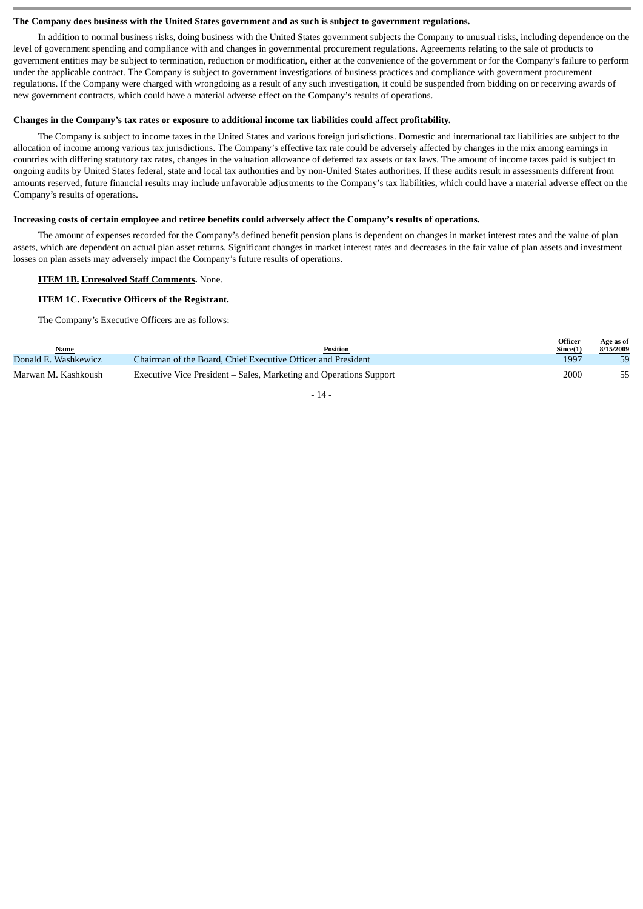#### **The Company does business with the United States government and as such is subject to government regulations.**

In addition to normal business risks, doing business with the United States government subjects the Company to unusual risks, including dependence on the level of government spending and compliance with and changes in governmental procurement regulations. Agreements relating to the sale of products to government entities may be subject to termination, reduction or modification, either at the convenience of the government or for the Company's failure to perform under the applicable contract. The Company is subject to government investigations of business practices and compliance with government procurement regulations. If the Company were charged with wrongdoing as a result of any such investigation, it could be suspended from bidding on or receiving awards of new government contracts, which could have a material adverse effect on the Company's results of operations.

#### **Changes in the Company's tax rates or exposure to additional income tax liabilities could affect profitability.**

The Company is subject to income taxes in the United States and various foreign jurisdictions. Domestic and international tax liabilities are subject to the allocation of income among various tax jurisdictions. The Company's effective tax rate could be adversely affected by changes in the mix among earnings in countries with differing statutory tax rates, changes in the valuation allowance of deferred tax assets or tax laws. The amount of income taxes paid is subject to ongoing audits by United States federal, state and local tax authorities and by non-United States authorities. If these audits result in assessments different from amounts reserved, future financial results may include unfavorable adjustments to the Company's tax liabilities, which could have a material adverse effect on the Company's results of operations.

#### **Increasing costs of certain employee and retiree benefits could adversely affect the Company's results of operations.**

The amount of expenses recorded for the Company's defined benefit pension plans is dependent on changes in market interest rates and the value of plan assets, which are dependent on actual plan asset returns. Significant changes in market interest rates and decreases in the fair value of plan assets and investment losses on plan assets may adversely impact the Company's future results of operations.

#### **ITEM 1B. Unresolved Staff Comments.** None.

#### **ITEM 1C. Executive Officers of the Registrant.**

The Company's Executive Officers are as follows:

|                      |                                                                    | Officer  | Age as of |
|----------------------|--------------------------------------------------------------------|----------|-----------|
| Name                 | Position                                                           | Since(1` | 8/15/2009 |
| Donald E. Washkewicz | Chairman of the Board. Chief Executive Officer and President       | 1997     | 59        |
| Marwan M. Kashkoush- | Executive Vice President – Sales, Marketing and Operations Support | 2000     | 55        |

#### - 14 -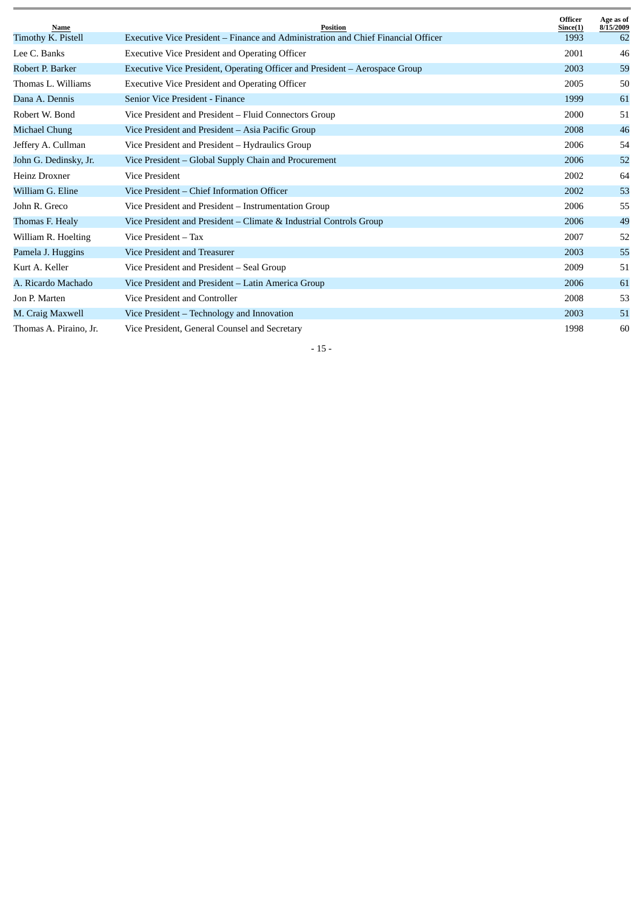| Name                   | <b>Position</b>                                                                   | <b>Officer</b><br>Since(1) | Age as of<br>8/15/2009 |
|------------------------|-----------------------------------------------------------------------------------|----------------------------|------------------------|
| Timothy K. Pistell     | Executive Vice President – Finance and Administration and Chief Financial Officer | 1993                       | 62                     |
| Lee C. Banks           | <b>Executive Vice President and Operating Officer</b>                             | 2001                       | 46                     |
| Robert P. Barker       | Executive Vice President, Operating Officer and President – Aerospace Group       | 2003                       | 59                     |
| Thomas L. Williams     | <b>Executive Vice President and Operating Officer</b>                             | 2005                       | 50                     |
| Dana A. Dennis         | Senior Vice President - Finance                                                   | 1999                       | 61                     |
| Robert W. Bond         | Vice President and President - Fluid Connectors Group                             | 2000                       | 51                     |
| Michael Chung          | Vice President and President - Asia Pacific Group                                 | 2008                       | 46                     |
| Jeffery A. Cullman     | Vice President and President – Hydraulics Group                                   | 2006                       | 54                     |
| John G. Dedinsky, Jr.  | Vice President - Global Supply Chain and Procurement                              | 2006                       | 52                     |
| Heinz Droxner          | Vice President                                                                    | 2002                       | 64                     |
| William G. Eline       | Vice President – Chief Information Officer                                        | 2002                       | 53                     |
| John R. Greco          | Vice President and President - Instrumentation Group                              | 2006                       | 55                     |
| Thomas F. Healy        | Vice President and President – Climate & Industrial Controls Group                | 2006                       | 49                     |
| William R. Hoelting    | Vice President - Tax                                                              | 2007                       | 52                     |
| Pamela J. Huggins      | Vice President and Treasurer                                                      | 2003                       | 55                     |
| Kurt A. Keller         | Vice President and President - Seal Group                                         | 2009                       | 51                     |
| A. Ricardo Machado     | Vice President and President - Latin America Group                                | 2006                       | 61                     |
| Jon P. Marten          | Vice President and Controller                                                     | 2008                       | 53                     |
| M. Craig Maxwell       | Vice President - Technology and Innovation                                        | 2003                       | 51                     |
| Thomas A. Piraino, Jr. | Vice President, General Counsel and Secretary                                     | 1998                       | 60                     |

- 15 -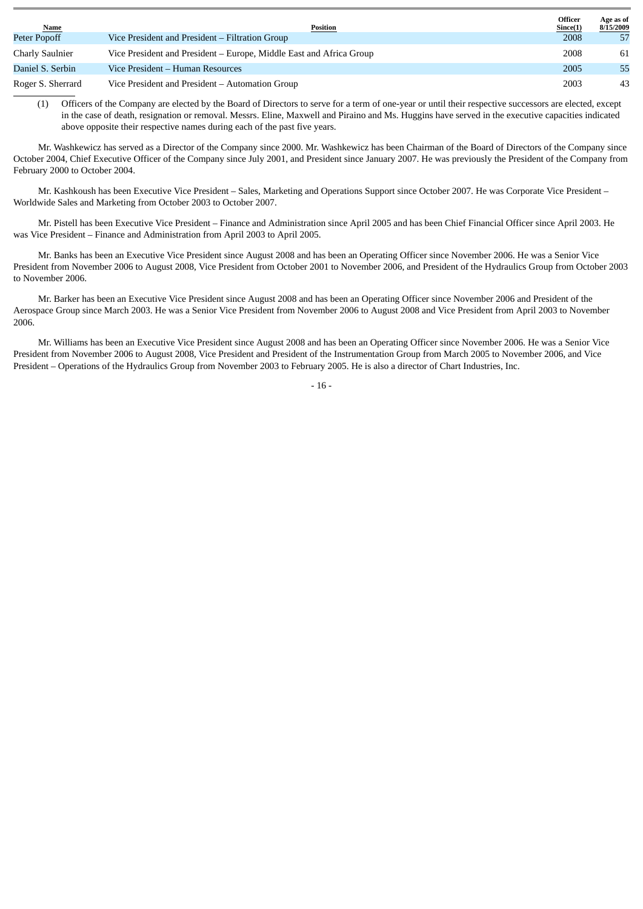| <b>Name</b>       | <b>Position</b>                                                     | Officer<br>Since(1)<br>2008 | Age as of<br>8/15/2009 |
|-------------------|---------------------------------------------------------------------|-----------------------------|------------------------|
| Peter Popoff      | Vice President and President – Filtration Group                     |                             | 57                     |
| Charly Saulnier   | Vice President and President - Europe, Middle East and Africa Group | 2008                        | 61                     |
| Daniel S. Serbin  | Vice President – Human Resources                                    | 2005                        | 55                     |
| Roger S. Sherrard | Vice President and President – Automation Group                     | 2003                        | 43                     |

(1) Officers of the Company are elected by the Board of Directors to serve for a term of one-year or until their respective successors are elected, except in the case of death, resignation or removal. Messrs. Eline, Maxwell and Piraino and Ms. Huggins have served in the executive capacities indicated above opposite their respective names during each of the past five years.

Mr. Washkewicz has served as a Director of the Company since 2000. Mr. Washkewicz has been Chairman of the Board of Directors of the Company since October 2004, Chief Executive Officer of the Company since July 2001, and President since January 2007. He was previously the President of the Company from February 2000 to October 2004.

Mr. Kashkoush has been Executive Vice President – Sales, Marketing and Operations Support since October 2007. He was Corporate Vice President – Worldwide Sales and Marketing from October 2003 to October 2007.

Mr. Pistell has been Executive Vice President – Finance and Administration since April 2005 and has been Chief Financial Officer since April 2003. He was Vice President – Finance and Administration from April 2003 to April 2005.

Mr. Banks has been an Executive Vice President since August 2008 and has been an Operating Officer since November 2006. He was a Senior Vice President from November 2006 to August 2008, Vice President from October 2001 to November 2006, and President of the Hydraulics Group from October 2003 to November 2006.

Mr. Barker has been an Executive Vice President since August 2008 and has been an Operating Officer since November 2006 and President of the Aerospace Group since March 2003. He was a Senior Vice President from November 2006 to August 2008 and Vice President from April 2003 to November 2006.

Mr. Williams has been an Executive Vice President since August 2008 and has been an Operating Officer since November 2006. He was a Senior Vice President from November 2006 to August 2008, Vice President and President of the Instrumentation Group from March 2005 to November 2006, and Vice President – Operations of the Hydraulics Group from November 2003 to February 2005. He is also a director of Chart Industries, Inc.

- 16 -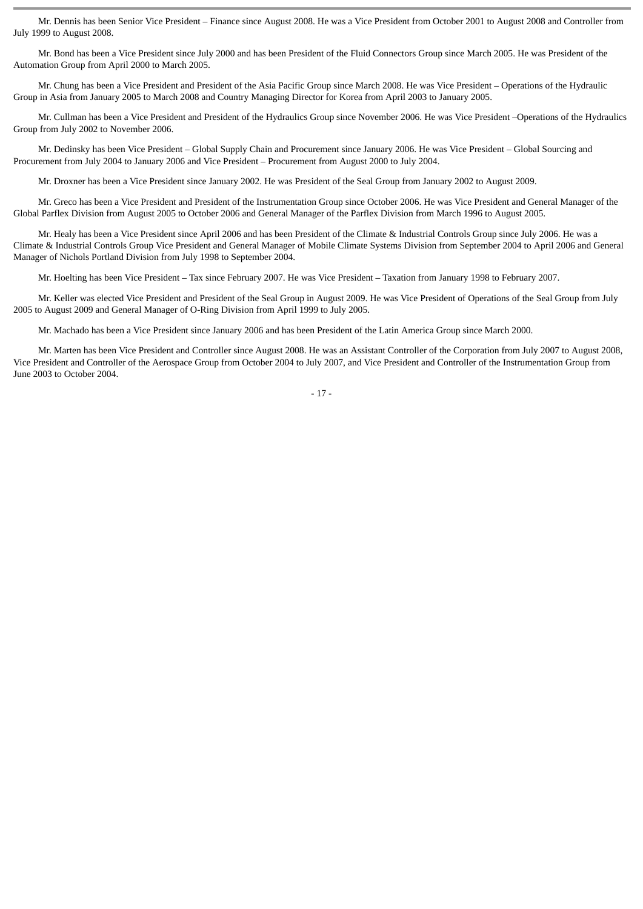Mr. Dennis has been Senior Vice President – Finance since August 2008. He was a Vice President from October 2001 to August 2008 and Controller from July 1999 to August 2008.

Mr. Bond has been a Vice President since July 2000 and has been President of the Fluid Connectors Group since March 2005. He was President of the Automation Group from April 2000 to March 2005.

Mr. Chung has been a Vice President and President of the Asia Pacific Group since March 2008. He was Vice President – Operations of the Hydraulic Group in Asia from January 2005 to March 2008 and Country Managing Director for Korea from April 2003 to January 2005.

Mr. Cullman has been a Vice President and President of the Hydraulics Group since November 2006. He was Vice President –Operations of the Hydraulics Group from July 2002 to November 2006.

Mr. Dedinsky has been Vice President – Global Supply Chain and Procurement since January 2006. He was Vice President – Global Sourcing and Procurement from July 2004 to January 2006 and Vice President – Procurement from August 2000 to July 2004.

Mr. Droxner has been a Vice President since January 2002. He was President of the Seal Group from January 2002 to August 2009.

Mr. Greco has been a Vice President and President of the Instrumentation Group since October 2006. He was Vice President and General Manager of the Global Parflex Division from August 2005 to October 2006 and General Manager of the Parflex Division from March 1996 to August 2005.

Mr. Healy has been a Vice President since April 2006 and has been President of the Climate & Industrial Controls Group since July 2006. He was a Climate & Industrial Controls Group Vice President and General Manager of Mobile Climate Systems Division from September 2004 to April 2006 and General Manager of Nichols Portland Division from July 1998 to September 2004.

Mr. Hoelting has been Vice President – Tax since February 2007. He was Vice President – Taxation from January 1998 to February 2007.

Mr. Keller was elected Vice President and President of the Seal Group in August 2009. He was Vice President of Operations of the Seal Group from July 2005 to August 2009 and General Manager of O-Ring Division from April 1999 to July 2005.

Mr. Machado has been a Vice President since January 2006 and has been President of the Latin America Group since March 2000.

Mr. Marten has been Vice President and Controller since August 2008. He was an Assistant Controller of the Corporation from July 2007 to August 2008, Vice President and Controller of the Aerospace Group from October 2004 to July 2007, and Vice President and Controller of the Instrumentation Group from June 2003 to October 2004.

- 17 -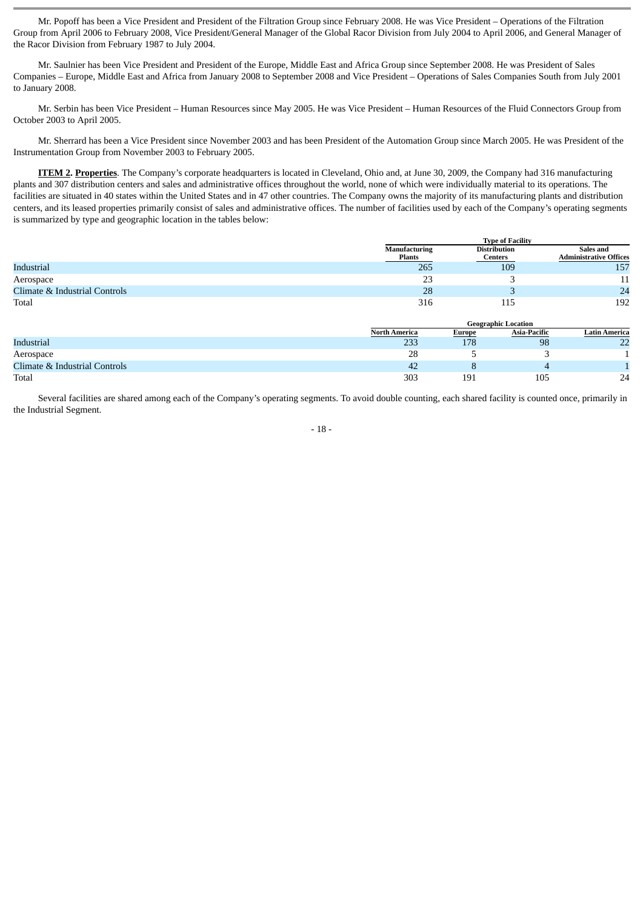Mr. Popoff has been a Vice President and President of the Filtration Group since February 2008. He was Vice President – Operations of the Filtration Group from April 2006 to February 2008, Vice President/General Manager of the Global Racor Division from July 2004 to April 2006, and General Manager of the Racor Division from February 1987 to July 2004.

Mr. Saulnier has been Vice President and President of the Europe, Middle East and Africa Group since September 2008. He was President of Sales Companies – Europe, Middle East and Africa from January 2008 to September 2008 and Vice President – Operations of Sales Companies South from July 2001 to January 2008.

Mr. Serbin has been Vice President – Human Resources since May 2005. He was Vice President – Human Resources of the Fluid Connectors Group from October 2003 to April 2005.

Mr. Sherrard has been a Vice President since November 2003 and has been President of the Automation Group since March 2005. He was President of the Instrumentation Group from November 2003 to February 2005.

**ITEM 2. Properties**. The Company's corporate headquarters is located in Cleveland, Ohio and, at June 30, 2009, the Company had 316 manufacturing plants and 307 distribution centers and sales and administrative offices throughout the world, none of which were individually material to its operations. The facilities are situated in 40 states within the United States and in 47 other countries. The Company owns the majority of its manufacturing plants and distribution centers, and its leased properties primarily consist of sales and administrative offices. The number of facilities used by each of the Company's operating segments is summarized by type and geographic location in the tables below:

|                               |                                | <b>Type of Facility</b>               |                                            |
|-------------------------------|--------------------------------|---------------------------------------|--------------------------------------------|
|                               | Manufacturing<br><b>Plants</b> | <b>Distribution</b><br><b>Centers</b> | Sales and<br><b>Administrative Offices</b> |
| <b>Industrial</b>             | 265                            | 109                                   | 157                                        |
| Aerospace                     | 23                             |                                       | 11                                         |
| Climate & Industrial Controls | 28                             |                                       | 24                                         |
| Total                         | 316                            | 115                                   | 192                                        |

|                               |                      | <b>Geographic Location</b> |                     |                      |  |
|-------------------------------|----------------------|----------------------------|---------------------|----------------------|--|
|                               | <b>North America</b> | Europe                     | <b>Asia-Pacific</b> | <b>Latin America</b> |  |
| Industrial                    | 233                  | 178                        | 98                  | 22                   |  |
| Aerospace                     | 28                   |                            |                     |                      |  |
| Climate & Industrial Controls | 42                   |                            |                     |                      |  |
| Total                         | 303                  | 191                        | 105                 | 24                   |  |

Several facilities are shared among each of the Company's operating segments. To avoid double counting, each shared facility is counted once, primarily in the Industrial Segment.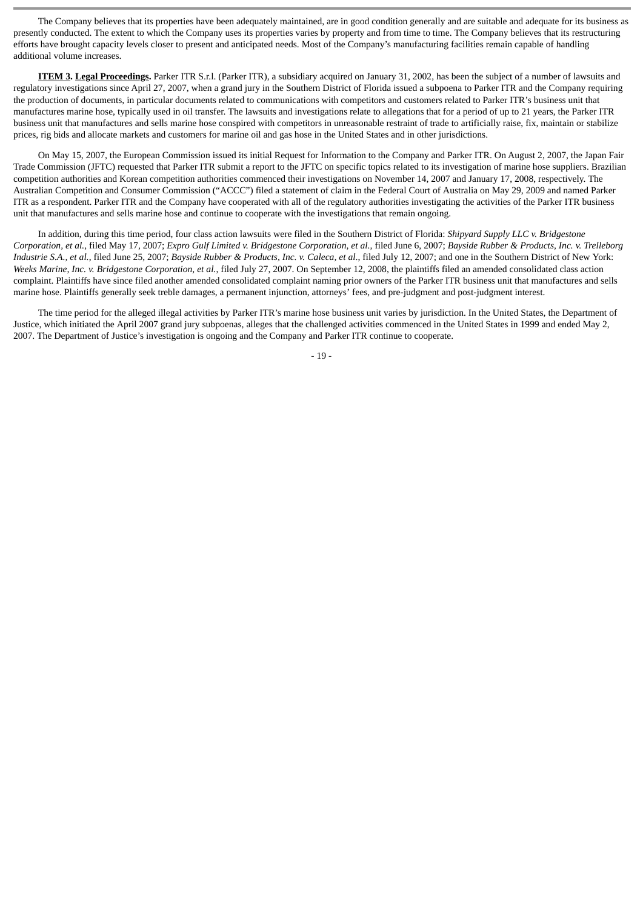The Company believes that its properties have been adequately maintained, are in good condition generally and are suitable and adequate for its business as presently conducted. The extent to which the Company uses its properties varies by property and from time to time. The Company believes that its restructuring efforts have brought capacity levels closer to present and anticipated needs. Most of the Company's manufacturing facilities remain capable of handling additional volume increases.

**ITEM 3. Legal Proceedings.** Parker ITR S.r.l. (Parker ITR), a subsidiary acquired on January 31, 2002, has been the subject of a number of lawsuits and regulatory investigations since April 27, 2007, when a grand jury in the Southern District of Florida issued a subpoena to Parker ITR and the Company requiring the production of documents, in particular documents related to communications with competitors and customers related to Parker ITR's business unit that manufactures marine hose, typically used in oil transfer. The lawsuits and investigations relate to allegations that for a period of up to 21 years, the Parker ITR business unit that manufactures and sells marine hose conspired with competitors in unreasonable restraint of trade to artificially raise, fix, maintain or stabilize prices, rig bids and allocate markets and customers for marine oil and gas hose in the United States and in other jurisdictions.

On May 15, 2007, the European Commission issued its initial Request for Information to the Company and Parker ITR. On August 2, 2007, the Japan Fair Trade Commission (JFTC) requested that Parker ITR submit a report to the JFTC on specific topics related to its investigation of marine hose suppliers. Brazilian competition authorities and Korean competition authorities commenced their investigations on November 14, 2007 and January 17, 2008, respectively. The Australian Competition and Consumer Commission ("ACCC") filed a statement of claim in the Federal Court of Australia on May 29, 2009 and named Parker ITR as a respondent. Parker ITR and the Company have cooperated with all of the regulatory authorities investigating the activities of the Parker ITR business unit that manufactures and sells marine hose and continue to cooperate with the investigations that remain ongoing.

In addition, during this time period, four class action lawsuits were filed in the Southern District of Florida: *Shipyard Supply LLC v. Bridgestone Corporation, et al.*, filed May 17, 2007; *Expro Gulf Limited v. Bridgestone Corporation, et al.*, filed June 6, 2007; *Bayside Rubber & Products, Inc. v. Trelleborg Industrie S.A., et al.*, filed June 25, 2007; *Bayside Rubber & Products, Inc. v. Caleca, et al*., filed July 12, 2007; and one in the Southern District of New York: *Weeks Marine, Inc. v. Bridgestone Corporation, et al.*, filed July 27, 2007. On September 12, 2008, the plaintiffs filed an amended consolidated class action complaint. Plaintiffs have since filed another amended consolidated complaint naming prior owners of the Parker ITR business unit that manufactures and sells marine hose. Plaintiffs generally seek treble damages, a permanent injunction, attorneys' fees, and pre-judgment and post-judgment interest.

The time period for the alleged illegal activities by Parker ITR's marine hose business unit varies by jurisdiction. In the United States, the Department of Justice, which initiated the April 2007 grand jury subpoenas, alleges that the challenged activities commenced in the United States in 1999 and ended May 2, 2007. The Department of Justice's investigation is ongoing and the Company and Parker ITR continue to cooperate.

- 19 -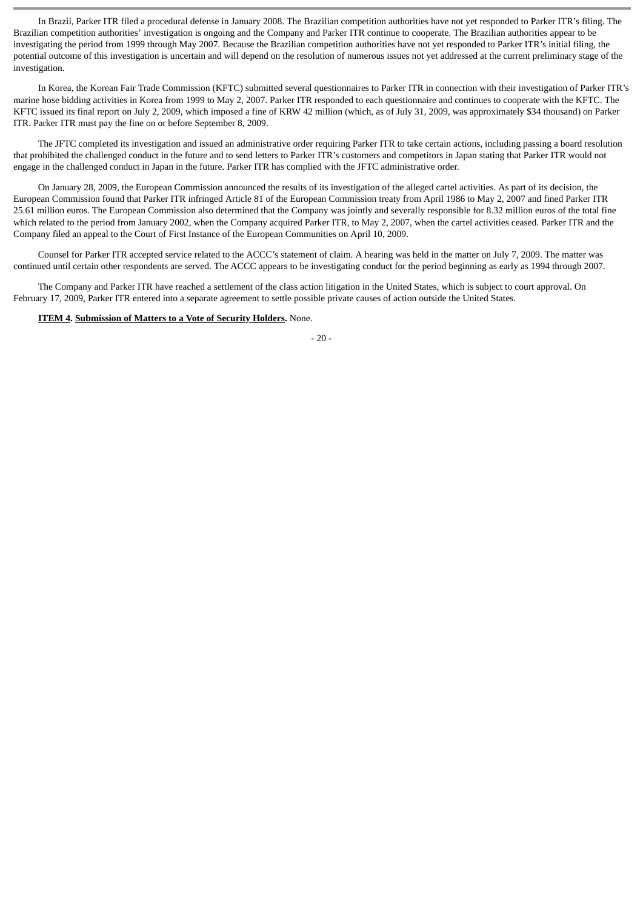In Brazil, Parker ITR filed a procedural defense in January 2008. The Brazilian competition authorities have not yet responded to Parker ITR's filing. The Brazilian competition authorities' investigation is ongoing and the Company and Parker ITR continue to cooperate. The Brazilian authorities appear to be investigating the period from 1999 through May 2007. Because the Brazilian competition authorities have not yet responded to Parker ITR's initial filing, the potential outcome of this investigation is uncertain and will depend on the resolution of numerous issues not yet addressed at the current preliminary stage of the investigation.

In Korea, the Korean Fair Trade Commission (KFTC) submitted several questionnaires to Parker ITR in connection with their investigation of Parker ITR's marine hose bidding activities in Korea from 1999 to May 2, 2007. Parker ITR responded to each questionnaire and continues to cooperate with the KFTC. The KFTC issued its final report on July 2, 2009, which imposed a fine of KRW 42 million (which, as of July 31, 2009, was approximately \$34 thousand) on Parker ITR. Parker ITR must pay the fine on or before September 8, 2009.

The JFTC completed its investigation and issued an administrative order requiring Parker ITR to take certain actions, including passing a board resolution that prohibited the challenged conduct in the future and to send letters to Parker ITR's customers and competitors in Japan stating that Parker ITR would not engage in the challenged conduct in Japan in the future. Parker ITR has complied with the JFTC administrative order.

On January 28, 2009, the European Commission announced the results of its investigation of the alleged cartel activities. As part of its decision, the European Commission found that Parker ITR infringed Article 81 of the European Commission treaty from April 1986 to May 2, 2007 and fined Parker ITR 25.61 million euros. The European Commission also determined that the Company was jointly and severally responsible for 8.32 million euros of the total fine which related to the period from January 2002, when the Company acquired Parker ITR, to May 2, 2007, when the cartel activities ceased. Parker ITR and the Company filed an appeal to the Court of First Instance of the European Communities on April 10, 2009.

Counsel for Parker ITR accepted service related to the ACCC's statement of claim. A hearing was held in the matter on July 7, 2009. The matter was continued until certain other respondents are served. The ACCC appears to be investigating conduct for the period beginning as early as 1994 through 2007.

The Company and Parker ITR have reached a settlement of the class action litigation in the United States, which is subject to court approval. On February 17, 2009, Parker ITR entered into a separate agreement to settle possible private causes of action outside the United States.

**ITEM 4. Submission of Matters to a Vote of Security Holders.** None.

- 20 -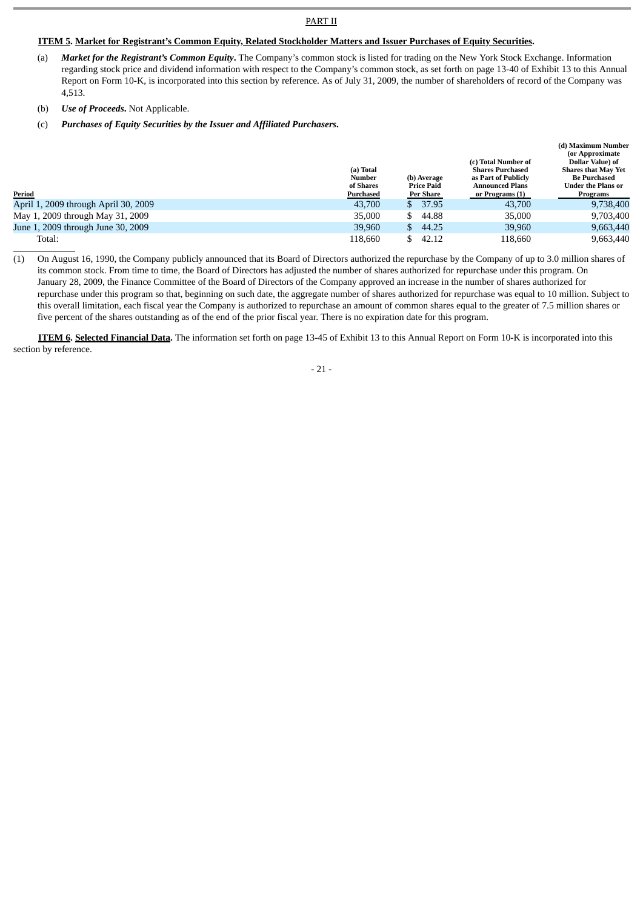#### PART II

# **ITEM 5. Market for Registrant's Common Equity, Related Stockholder Matters and Issuer Purchases of Equity Securities.**

- (a) *Market for the Registrant's Common Equity***.** The Company's common stock is listed for trading on the New York Stock Exchange. Information regarding stock price and dividend information with respect to the Company's common stock, as set forth on page 13-40 of Exhibit 13 to this Annual Report on Form 10-K, is incorporated into this section by reference. As of July 31, 2009, the number of shareholders of record of the Company was 4,513.
- (b) *Use of Proceeds***.** Not Applicable.
- (c) *Purchases of Equity Securities by the Issuer and Affiliated Purchasers***.**

|                                      | (a) Total<br>Number<br>of Shares | (b) Average<br><b>Price Paid</b> | (c) Total Number of<br><b>Shares Purchased</b><br>as Part of Publicly<br><b>Announced Plans</b> | (d) Maximum Number<br>(or Approximate)<br>Dollar Value) of<br><b>Shares that May Yet</b><br><b>Be Purchased</b><br><b>Under the Plans or</b> |
|--------------------------------------|----------------------------------|----------------------------------|-------------------------------------------------------------------------------------------------|----------------------------------------------------------------------------------------------------------------------------------------------|
| Period                               | Purchased                        | Per Share                        | or Programs (1)                                                                                 | Programs                                                                                                                                     |
| April 1, 2009 through April 30, 2009 | 43,700                           | \$37.95                          | 43,700                                                                                          | 9,738,400                                                                                                                                    |
| May 1, 2009 through May 31, 2009     | 35,000                           | 44.88<br>S.                      | 35,000                                                                                          | 9,703,400                                                                                                                                    |
| June 1, 2009 through June 30, 2009   | 39,960                           | \$44.25                          | 39,960                                                                                          | 9,663,440                                                                                                                                    |
| Total:                               | 118,660                          | 42.12<br>S.                      | 118,660                                                                                         | 9.663.440                                                                                                                                    |

(1) On August 16, 1990, the Company publicly announced that its Board of Directors authorized the repurchase by the Company of up to 3.0 million shares of its common stock. From time to time, the Board of Directors has adjusted the number of shares authorized for repurchase under this program. On January 28, 2009, the Finance Committee of the Board of Directors of the Company approved an increase in the number of shares authorized for repurchase under this program so that, beginning on such date, the aggregate number of shares authorized for repurchase was equal to 10 million. Subject to this overall limitation, each fiscal year the Company is authorized to repurchase an amount of common shares equal to the greater of 7.5 million shares or five percent of the shares outstanding as of the end of the prior fiscal year. There is no expiration date for this program.

**ITEM 6. Selected Financial Data.** The information set forth on page 13-45 of Exhibit 13 to this Annual Report on Form 10-K is incorporated into this section by reference.

- 21 -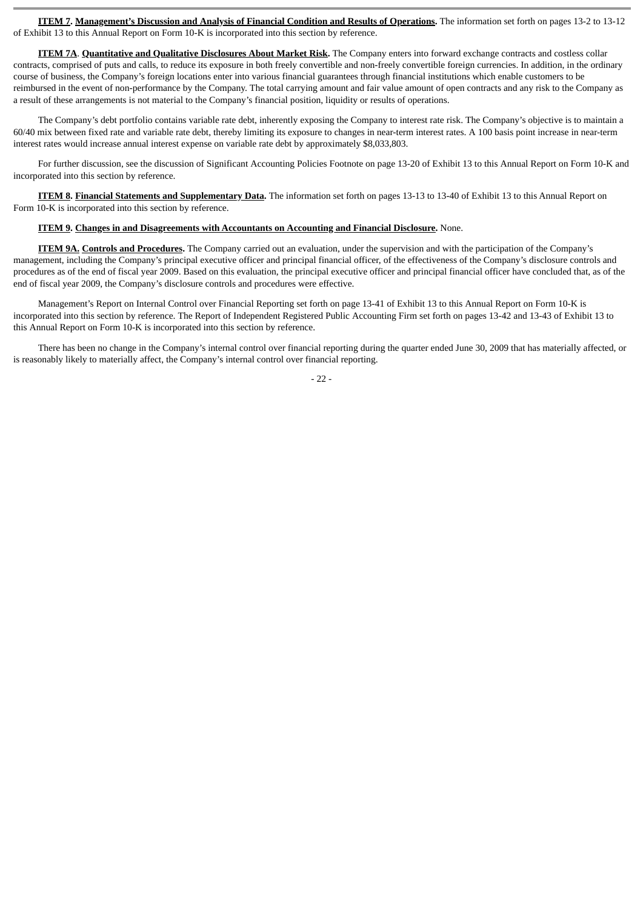**ITEM 7. Management's Discussion and Analysis of Financial Condition and Results of Operations.** The information set forth on pages 13-2 to 13-12 of Exhibit 13 to this Annual Report on Form 10-K is incorporated into this section by reference.

**ITEM 7A**. **Quantitative and Qualitative Disclosures About Market Risk.** The Company enters into forward exchange contracts and costless collar contracts, comprised of puts and calls, to reduce its exposure in both freely convertible and non-freely convertible foreign currencies. In addition, in the ordinary course of business, the Company's foreign locations enter into various financial guarantees through financial institutions which enable customers to be reimbursed in the event of non-performance by the Company. The total carrying amount and fair value amount of open contracts and any risk to the Company as a result of these arrangements is not material to the Company's financial position, liquidity or results of operations.

The Company's debt portfolio contains variable rate debt, inherently exposing the Company to interest rate risk. The Company's objective is to maintain a 60/40 mix between fixed rate and variable rate debt, thereby limiting its exposure to changes in near-term interest rates. A 100 basis point increase in near-term interest rates would increase annual interest expense on variable rate debt by approximately \$8,033,803.

For further discussion, see the discussion of Significant Accounting Policies Footnote on page 13-20 of Exhibit 13 to this Annual Report on Form 10-K and incorporated into this section by reference.

**ITEM 8. Financial Statements and Supplementary Data.** The information set forth on pages 13-13 to 13-40 of Exhibit 13 to this Annual Report on Form 10-K is incorporated into this section by reference.

#### **ITEM 9. Changes in and Disagreements with Accountants on Accounting and Financial Disclosure.** None.

**ITEM 9A. Controls and Procedures.** The Company carried out an evaluation, under the supervision and with the participation of the Company's management, including the Company's principal executive officer and principal financial officer, of the effectiveness of the Company's disclosure controls and procedures as of the end of fiscal year 2009. Based on this evaluation, the principal executive officer and principal financial officer have concluded that, as of the end of fiscal year 2009, the Company's disclosure controls and procedures were effective.

Management's Report on Internal Control over Financial Reporting set forth on page 13-41 of Exhibit 13 to this Annual Report on Form 10-K is incorporated into this section by reference. The Report of Independent Registered Public Accounting Firm set forth on pages 13-42 and 13-43 of Exhibit 13 to this Annual Report on Form 10-K is incorporated into this section by reference.

There has been no change in the Company's internal control over financial reporting during the quarter ended June 30, 2009 that has materially affected, or is reasonably likely to materially affect, the Company's internal control over financial reporting.

- 22 -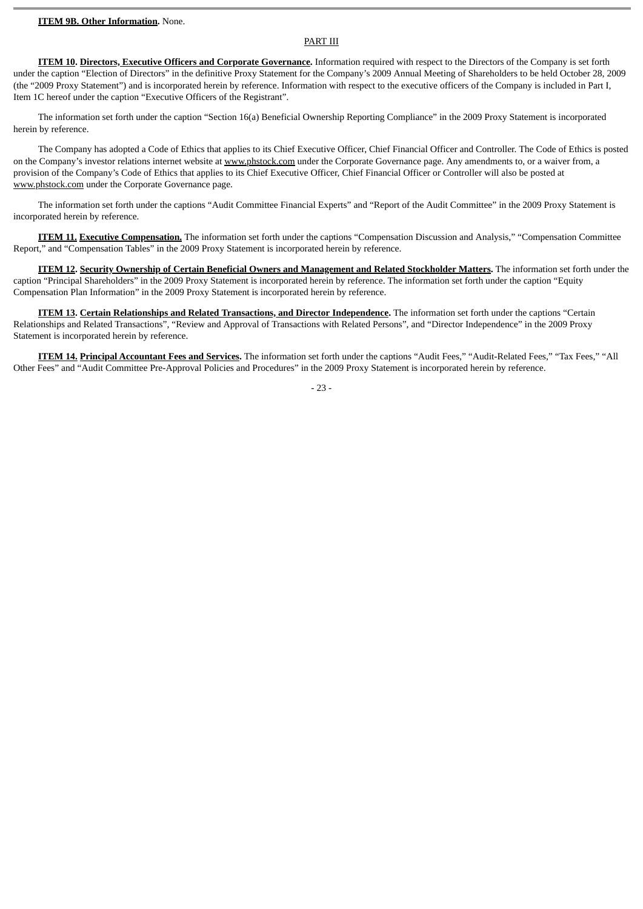# **ITEM 9B. Other Information.** None.

#### PART III

**ITEM 10. Directors, Executive Officers and Corporate Governance.** Information required with respect to the Directors of the Company is set forth under the caption "Election of Directors" in the definitive Proxy Statement for the Company's 2009 Annual Meeting of Shareholders to be held October 28, 2009 (the "2009 Proxy Statement") and is incorporated herein by reference. Information with respect to the executive officers of the Company is included in Part I, Item 1C hereof under the caption "Executive Officers of the Registrant".

The information set forth under the caption "Section 16(a) Beneficial Ownership Reporting Compliance" in the 2009 Proxy Statement is incorporated herein by reference.

The Company has adopted a Code of Ethics that applies to its Chief Executive Officer, Chief Financial Officer and Controller. The Code of Ethics is posted on the Company's investor relations internet website at www.phstock.com under the Corporate Governance page. Any amendments to, or a waiver from, a provision of the Company's Code of Ethics that applies to its Chief Executive Officer, Chief Financial Officer or Controller will also be posted at www.phstock.com under the Corporate Governance page.

The information set forth under the captions "Audit Committee Financial Experts" and "Report of the Audit Committee" in the 2009 Proxy Statement is incorporated herein by reference.

**ITEM 11. Executive Compensation.** The information set forth under the captions "Compensation Discussion and Analysis," "Compensation Committee Report," and "Compensation Tables" in the 2009 Proxy Statement is incorporated herein by reference.

**ITEM 12. Security Ownership of Certain Beneficial Owners and Management and Related Stockholder Matters.** The information set forth under the caption "Principal Shareholders" in the 2009 Proxy Statement is incorporated herein by reference. The information set forth under the caption "Equity Compensation Plan Information" in the 2009 Proxy Statement is incorporated herein by reference.

**ITEM 13. Certain Relationships and Related Transactions, and Director Independence.** The information set forth under the captions "Certain Relationships and Related Transactions", "Review and Approval of Transactions with Related Persons", and "Director Independence" in the 2009 Proxy Statement is incorporated herein by reference.

**ITEM 14. Principal Accountant Fees and Services.** The information set forth under the captions "Audit Fees," "Audit-Related Fees," "Tax Fees," "All Other Fees" and "Audit Committee Pre-Approval Policies and Procedures" in the 2009 Proxy Statement is incorporated herein by reference.

- 23 -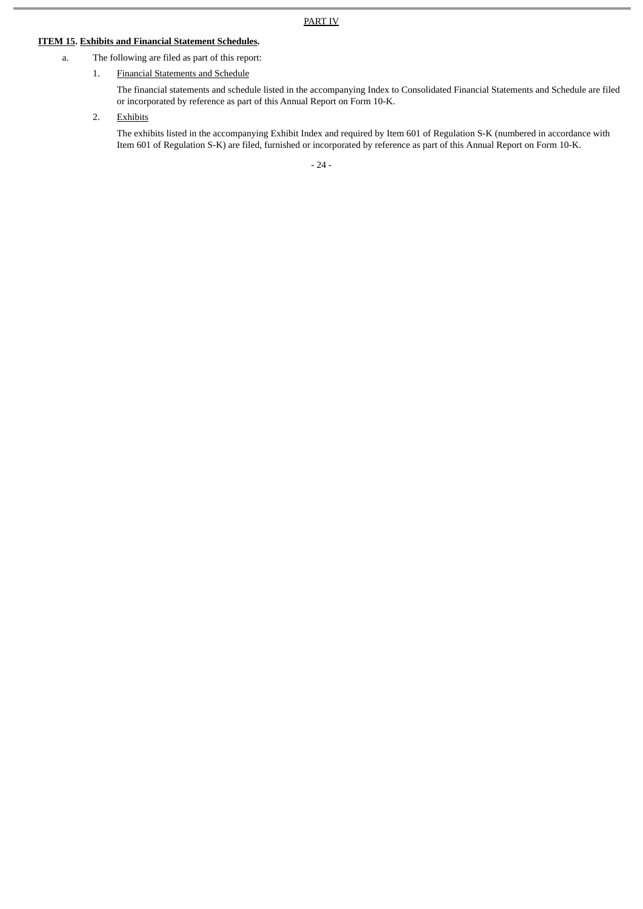#### PART IV

# **ITEM 15. Exhibits and Financial Statement Schedules.**

- a. The following are filed as part of this report:
	- 1. Financial Statements and Schedule

 The financial statements and schedule listed in the accompanying Index to Consolidated Financial Statements and Schedule are filed or incorporated by reference as part of this Annual Report on Form 10-K.

2. Exhibits

 The exhibits listed in the accompanying Exhibit Index and required by Item 601 of Regulation S-K (numbered in accordance with Item 601 of Regulation S-K) are filed, furnished or incorporated by reference as part of this Annual Report on Form 10-K.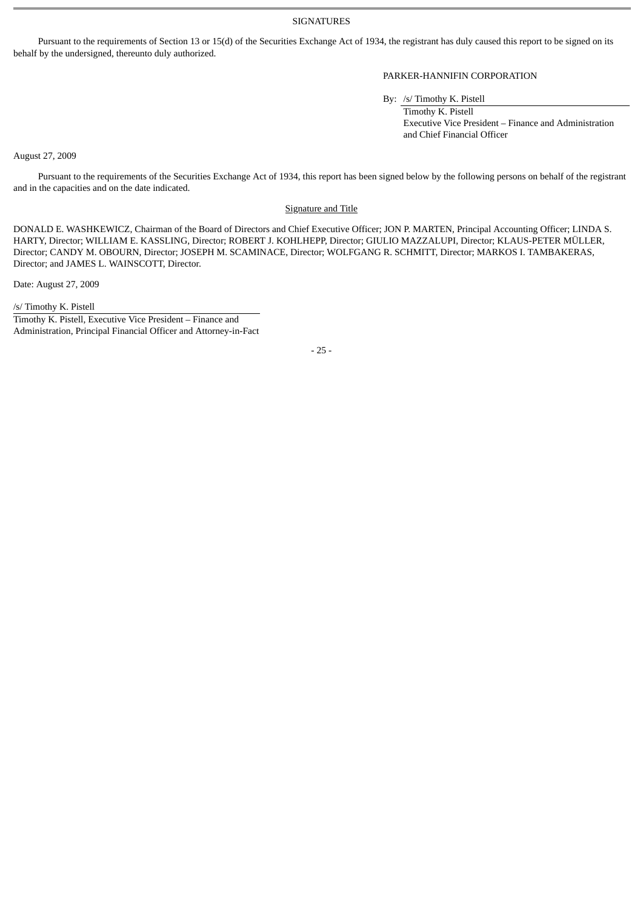**SIGNATURES** 

Pursuant to the requirements of Section 13 or 15(d) of the Securities Exchange Act of 1934, the registrant has duly caused this report to be signed on its behalf by the undersigned, thereunto duly authorized.

# PARKER-HANNIFIN CORPORATION

By: /s/ Timothy K. Pistell

Timothy K. Pistell Executive Vice President – Finance and Administration and Chief Financial Officer

August 27, 2009

Pursuant to the requirements of the Securities Exchange Act of 1934, this report has been signed below by the following persons on behalf of the registrant and in the capacities and on the date indicated.

Signature and Title

DONALD E. WASHKEWICZ, Chairman of the Board of Directors and Chief Executive Officer; JON P. MARTEN, Principal Accounting Officer; LINDA S. HARTY, Director; WILLIAM E. KASSLING, Director; ROBERT J. KOHLHEPP, Director; GIULIO MAZZALUPI, Director; KLAUS-PETER MÜLLER, Director; CANDY M. OBOURN, Director; JOSEPH M. SCAMINACE, Director; WOLFGANG R. SCHMITT, Director; MARKOS I. TAMBAKERAS, Director; and JAMES L. WAINSCOTT, Director.

Date: August 27, 2009

/s/ Timothy K. Pistell

Timothy K. Pistell, Executive Vice President – Finance and Administration, Principal Financial Officer and Attorney-in-Fact

- 25 -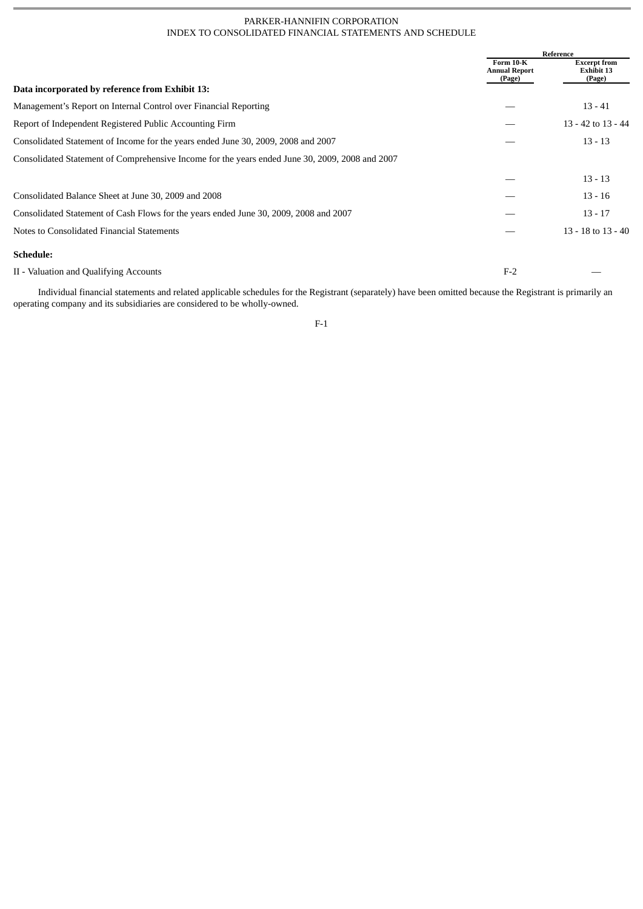# PARKER-HANNIFIN CORPORATION INDEX TO CONSOLIDATED FINANCIAL STATEMENTS AND SCHEDULE

|                                                                                                 | Reference                                   |                                                    |
|-------------------------------------------------------------------------------------------------|---------------------------------------------|----------------------------------------------------|
|                                                                                                 | Form 10-K<br><b>Annual Report</b><br>(Page) | <b>Excerpt from</b><br><b>Exhibit 13</b><br>(Page) |
| Data incorporated by reference from Exhibit 13:                                                 |                                             |                                                    |
| Management's Report on Internal Control over Financial Reporting                                |                                             | $13 - 41$                                          |
| Report of Independent Registered Public Accounting Firm                                         |                                             | 13 - 42 to 13 - 44                                 |
| Consolidated Statement of Income for the years ended June 30, 2009, 2008 and 2007               |                                             | $13 - 13$                                          |
| Consolidated Statement of Comprehensive Income for the years ended June 30, 2009, 2008 and 2007 |                                             |                                                    |
|                                                                                                 |                                             | $13 - 13$                                          |
| Consolidated Balance Sheet at June 30, 2009 and 2008                                            |                                             | $13 - 16$                                          |
| Consolidated Statement of Cash Flows for the years ended June 30, 2009, 2008 and 2007           |                                             | $13 - 17$                                          |
| Notes to Consolidated Financial Statements                                                      |                                             | 13 - 18 to 13 - 40                                 |
| <b>Schedule:</b>                                                                                |                                             |                                                    |
| II - Valuation and Qualifying Accounts                                                          | $F-2$                                       |                                                    |

Individual financial statements and related applicable schedules for the Registrant (separately) have been omitted because the Registrant is primarily an operating company and its subsidiaries are considered to be wholly-owned.

F-1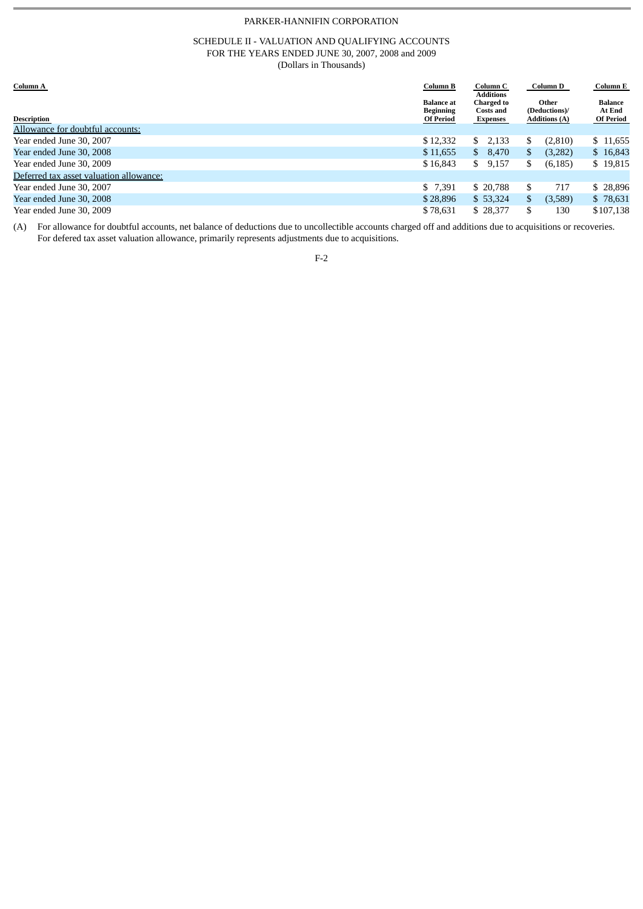#### PARKER-HANNIFIN CORPORATION

# SCHEDULE II - VALUATION AND QUALIFYING ACCOUNTS FOR THE YEARS ENDED JUNE 30, 2007, 2008 and 2009 (Dollars in Thousands)

| Column A                                | Column B<br><b>Balance</b> at<br><b>Beginning</b> | Column C<br><b>Additions</b><br><b>Charged to</b><br>Costs and | Column D<br>Other<br>(Deductions)/ | Column E<br><b>Balance</b><br>At End |
|-----------------------------------------|---------------------------------------------------|----------------------------------------------------------------|------------------------------------|--------------------------------------|
| <b>Description</b>                      | <b>Of Period</b>                                  | <b>Expenses</b>                                                | <b>Additions (A)</b>               | <b>Of Period</b>                     |
| Allowance for doubtful accounts:        |                                                   |                                                                |                                    |                                      |
| Year ended June 30, 2007                | \$12,332                                          | \$2,133                                                        | \$<br>(2,810)                      | \$11,655                             |
| Year ended June 30, 2008                | \$11,655                                          | \$8,470                                                        | \$<br>(3,282)                      | \$16,843                             |
| Year ended June 30, 2009                | \$16,843                                          | 9,157<br>S.                                                    | \$<br>(6, 185)                     | \$19,815                             |
| Deferred tax asset valuation allowance: |                                                   |                                                                |                                    |                                      |
| Year ended June 30, 2007                | \$7,391                                           | \$20.788                                                       | \$<br>717                          | \$28,896                             |
| Year ended June 30, 2008                | \$28,896                                          | \$53,324                                                       | \$<br>(3,589)                      | \$78,631                             |
| Year ended June 30. 2009                | \$78,631                                          | \$28,377                                                       | \$<br>130                          | \$107.138                            |

(A) For allowance for doubtful accounts, net balance of deductions due to uncollectible accounts charged off and additions due to acquisitions or recoveries. For defered tax asset valuation allowance, primarily represents adjustments due to acquisitions.

F-2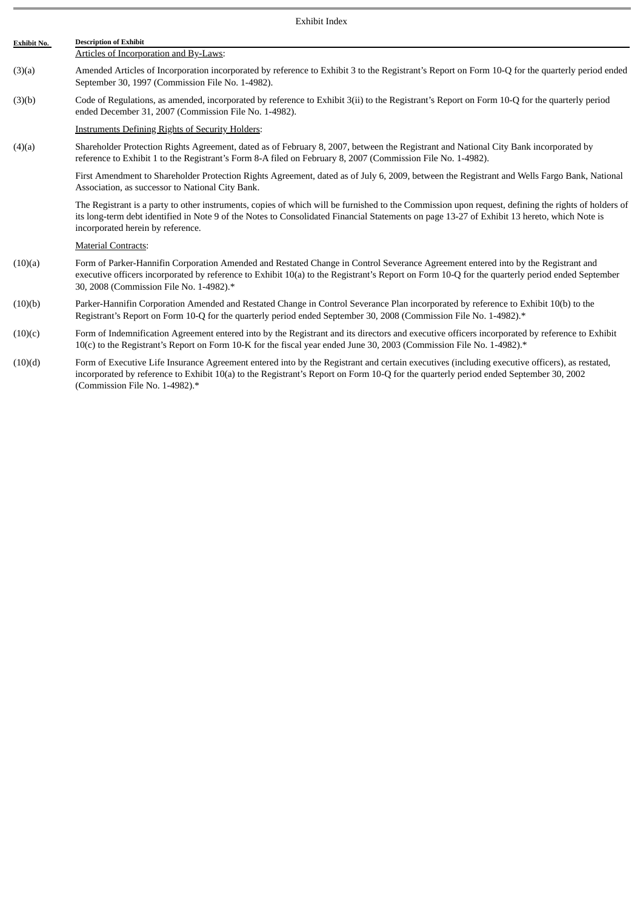| <b>Exhibit No.</b> | <b>Description of Exhibit</b><br>Articles of Incorporation and By-Laws:                                                                                                                                                                                                                                                                 |
|--------------------|-----------------------------------------------------------------------------------------------------------------------------------------------------------------------------------------------------------------------------------------------------------------------------------------------------------------------------------------|
| (3)(a)             | Amended Articles of Incorporation incorporated by reference to Exhibit 3 to the Registrant's Report on Form 10-Q for the quarterly period ended<br>September 30, 1997 (Commission File No. 1-4982).                                                                                                                                     |
| (3)(b)             | Code of Regulations, as amended, incorporated by reference to Exhibit 3(ii) to the Registrant's Report on Form 10-Q for the quarterly period<br>ended December 31, 2007 (Commission File No. 1-4982).                                                                                                                                   |
|                    | <b>Instruments Defining Rights of Security Holders:</b>                                                                                                                                                                                                                                                                                 |
| (4)(a)             | Shareholder Protection Rights Agreement, dated as of February 8, 2007, between the Registrant and National City Bank incorporated by<br>reference to Exhibit 1 to the Registrant's Form 8-A filed on February 8, 2007 (Commission File No. 1-4982).                                                                                     |
|                    | First Amendment to Shareholder Protection Rights Agreement, dated as of July 6, 2009, between the Registrant and Wells Fargo Bank, National<br>Association, as successor to National City Bank.                                                                                                                                         |
|                    | The Registrant is a party to other instruments, copies of which will be furnished to the Commission upon request, defining the rights of holders of<br>its long-term debt identified in Note 9 of the Notes to Consolidated Financial Statements on page 13-27 of Exhibit 13 hereto, which Note is<br>incorporated herein by reference. |
|                    | <b>Material Contracts:</b>                                                                                                                                                                                                                                                                                                              |
| (10)(a)            | Form of Parker-Hannifin Corporation Amended and Restated Change in Control Severance Agreement entered into by the Registrant and<br>executive officers incorporated by reference to Exhibit $10(a)$ to the Registrant's Report on Form $10-Q$ for the quarterly period ended September<br>30, 2008 (Commission File No. 1-4982).*      |
| (10)(b)            | Parker-Hannifin Corporation Amended and Restated Change in Control Severance Plan incorporated by reference to Exhibit 10(b) to the<br>Registrant's Report on Form 10-Q for the quarterly period ended September 30, 2008 (Commission File No. 1-4982).*                                                                                |
| (10)(c)            | Form of Indemnification Agreement entered into by the Registrant and its directors and executive officers incorporated by reference to Exhibit<br>10(c) to the Registrant's Report on Form 10-K for the fiscal year ended June 30, 2003 (Commission File No. 1-4982).*                                                                  |
| (10)(d)            | Form of Executive Life Insurance Agreement entered into by the Registrant and certain executives (including executive officers), as restated,<br>incorporated by reference to Exhibit 10(a) to the Registrant's Report on Form 10-Q for the quarterly period ended September 30, 2002                                                   |

(Commission File No. 1-4982).\*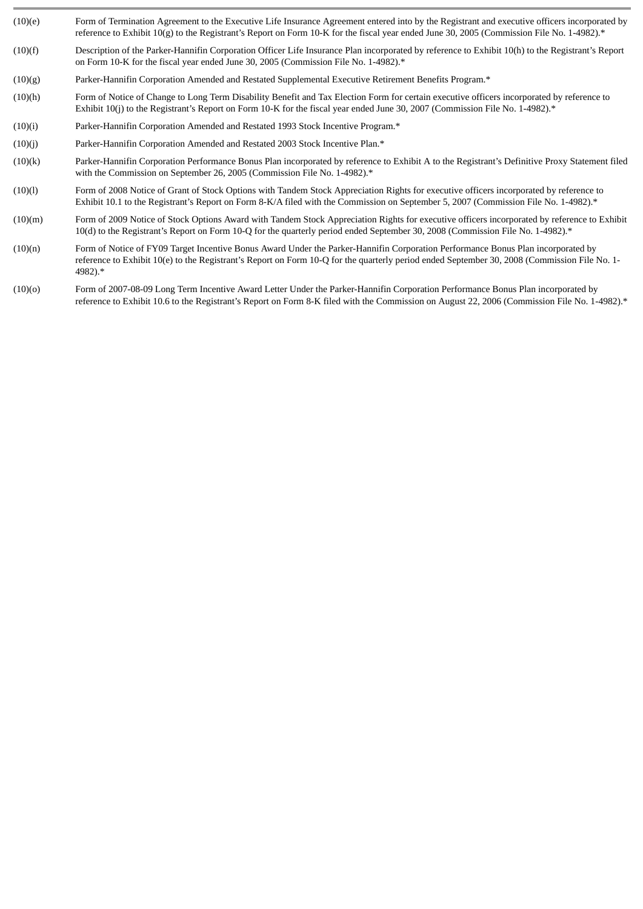- (10)(e) Form of Termination Agreement to the Executive Life Insurance Agreement entered into by the Registrant and executive officers incorporated by reference to Exhibit 10(g) to the Registrant's Report on Form 10-K for the fiscal year ended June 30, 2005 (Commission File No. 1-4982).\*
- (10)(f) Description of the Parker-Hannifin Corporation Officer Life Insurance Plan incorporated by reference to Exhibit 10(h) to the Registrant's Report on Form 10-K for the fiscal year ended June 30, 2005 (Commission File No. 1-4982).\*
- (10)(g) Parker-Hannifin Corporation Amended and Restated Supplemental Executive Retirement Benefits Program.\*
- (10)(h) Form of Notice of Change to Long Term Disability Benefit and Tax Election Form for certain executive officers incorporated by reference to Exhibit 10(j) to the Registrant's Report on Form 10-K for the fiscal year ended June 30, 2007 (Commission File No. 1-4982).\*
- (10)(i) Parker-Hannifin Corporation Amended and Restated 1993 Stock Incentive Program.\*
- (10)(j) Parker-Hannifin Corporation Amended and Restated 2003 Stock Incentive Plan.\*
- (10)(k) Parker-Hannifin Corporation Performance Bonus Plan incorporated by reference to Exhibit A to the Registrant's Definitive Proxy Statement filed with the Commission on September 26, 2005 (Commission File No. 1-4982).\*
- (10)(l) Form of 2008 Notice of Grant of Stock Options with Tandem Stock Appreciation Rights for executive officers incorporated by reference to Exhibit 10.1 to the Registrant's Report on Form 8-K/A filed with the Commission on September 5, 2007 (Commission File No. 1-4982).\*
- (10)(m) Form of 2009 Notice of Stock Options Award with Tandem Stock Appreciation Rights for executive officers incorporated by reference to Exhibit 10(d) to the Registrant's Report on Form 10-Q for the quarterly period ended September 30, 2008 (Commission File No. 1-4982).\*
- (10)(n) Form of Notice of FY09 Target Incentive Bonus Award Under the Parker-Hannifin Corporation Performance Bonus Plan incorporated by reference to Exhibit 10(e) to the Registrant's Report on Form 10-Q for the quarterly period ended September 30, 2008 (Commission File No. 1- 4982).\*
- (10)(o) Form of 2007-08-09 Long Term Incentive Award Letter Under the Parker-Hannifin Corporation Performance Bonus Plan incorporated by reference to Exhibit 10.6 to the Registrant's Report on Form 8-K filed with the Commission on August 22, 2006 (Commission File No. 1-4982).\*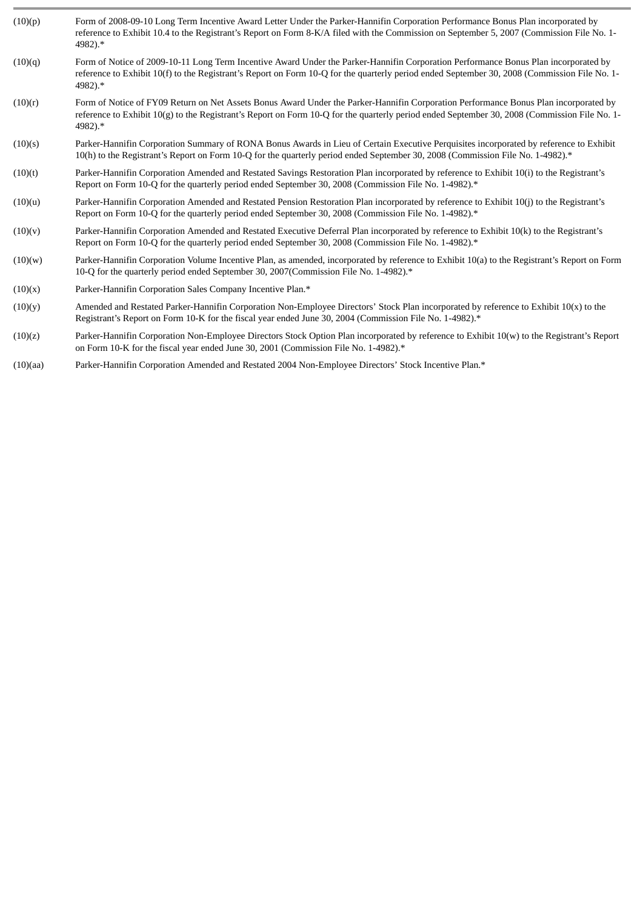| (10)(p) | Form of 2008-09-10 Long Term Incentive Award Letter Under the Parker-Hannifin Corporation Performance Bonus Plan incorporated by<br>reference to Exhibit 10.4 to the Registrant's Report on Form 8-K/A filed with the Commission on September 5, 2007 (Commission File No. 1-<br>4982).*        |
|---------|-------------------------------------------------------------------------------------------------------------------------------------------------------------------------------------------------------------------------------------------------------------------------------------------------|
| (10)(q) | Form of Notice of 2009-10-11 Long Term Incentive Award Under the Parker-Hannifin Corporation Performance Bonus Plan incorporated by<br>reference to Exhibit 10(f) to the Registrant's Report on Form 10-Q for the quarterly period ended September 30, 2008 (Commission File No. 1-<br>4982).*  |
| (10)(r) | Form of Notice of FY09 Return on Net Assets Bonus Award Under the Parker-Hannifin Corporation Performance Bonus Plan incorporated by<br>reference to Exhibit 10(g) to the Registrant's Report on Form 10-Q for the quarterly period ended September 30, 2008 (Commission File No. 1-<br>4982).* |
| (10)(s) | Parker-Hannifin Corporation Summary of RONA Bonus Awards in Lieu of Certain Executive Perquisites incorporated by reference to Exhibit<br>10(h) to the Registrant's Report on Form 10-Q for the quarterly period ended September 30, 2008 (Commission File No. 1-4982).*                        |
| (10)(t) | Parker-Hannifin Corporation Amended and Restated Savings Restoration Plan incorporated by reference to Exhibit 10(i) to the Registrant's<br>Report on Form 10-Q for the quarterly period ended September 30, 2008 (Commission File No. 1-4982).*                                                |
| (10)(u) | Parker-Hannifin Corporation Amended and Restated Pension Restoration Plan incorporated by reference to Exhibit 10(j) to the Registrant's<br>Report on Form 10-Q for the quarterly period ended September 30, 2008 (Commission File No. 1-4982).*                                                |
| (10)(v) | Parker-Hannifin Corporation Amended and Restated Executive Deferral Plan incorporated by reference to Exhibit 10(k) to the Registrant's<br>Report on Form 10-Q for the quarterly period ended September 30, 2008 (Commission File No. 1-4982).*                                                 |
| (10)(w) | Parker-Hannifin Corporation Volume Incentive Plan, as amended, incorporated by reference to Exhibit 10(a) to the Registrant's Report on Form<br>10-Q for the quarterly period ended September 30, 2007(Commission File No. 1-4982).*                                                            |
| (10)(x) | Parker-Hannifin Corporation Sales Company Incentive Plan.*                                                                                                                                                                                                                                      |
| (10)(y) | Amended and Restated Parker-Hannifin Corporation Non-Employee Directors' Stock Plan incorporated by reference to Exhibit 10(x) to the<br>Registrant's Report on Form 10-K for the fiscal year ended June 30, 2004 (Commission File No. 1-4982).*                                                |
| (10)(z) | Parker-Hannifin Corporation Non-Employee Directors Stock Option Plan incorporated by reference to Exhibit 10(w) to the Registrant's Report<br>on Form 10-K for the fiscal year ended June 30, 2001 (Commission File No. 1-4982).*                                                               |

(10)(aa) Parker-Hannifin Corporation Amended and Restated 2004 Non-Employee Directors' Stock Incentive Plan.\*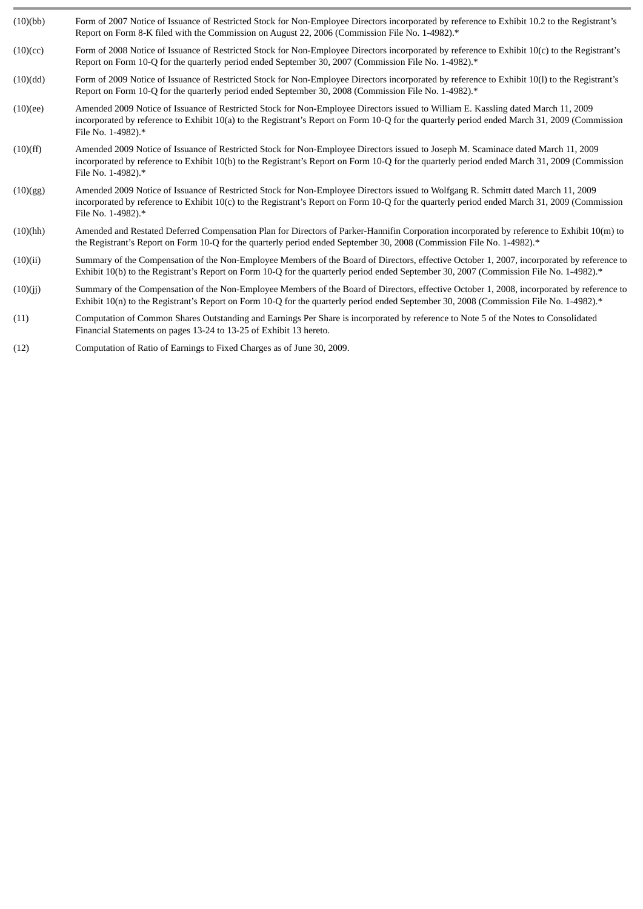- (10)(bb) Form of 2007 Notice of Issuance of Restricted Stock for Non-Employee Directors incorporated by reference to Exhibit 10.2 to the Registrant's Report on Form 8-K filed with the Commission on August 22, 2006 (Commission File No. 1-4982).\*
- (10)(cc) Form of 2008 Notice of Issuance of Restricted Stock for Non-Employee Directors incorporated by reference to Exhibit 10(c) to the Registrant's Report on Form 10-Q for the quarterly period ended September 30, 2007 (Commission File No. 1-4982).\*
- (10)(dd) Form of 2009 Notice of Issuance of Restricted Stock for Non-Employee Directors incorporated by reference to Exhibit 10(l) to the Registrant's Report on Form 10-Q for the quarterly period ended September 30, 2008 (Commission File No. 1-4982).\*
- (10)(ee) Amended 2009 Notice of Issuance of Restricted Stock for Non-Employee Directors issued to William E. Kassling dated March 11, 2009 incorporated by reference to Exhibit 10(a) to the Registrant's Report on Form 10-Q for the quarterly period ended March 31, 2009 (Commission File No. 1-4982).\*
- (10)(ff) Amended 2009 Notice of Issuance of Restricted Stock for Non-Employee Directors issued to Joseph M. Scaminace dated March 11, 2009 incorporated by reference to Exhibit 10(b) to the Registrant's Report on Form 10-Q for the quarterly period ended March 31, 2009 (Commission File No. 1-4982).\*
- (10)(gg) Amended 2009 Notice of Issuance of Restricted Stock for Non-Employee Directors issued to Wolfgang R. Schmitt dated March 11, 2009 incorporated by reference to Exhibit 10(c) to the Registrant's Report on Form 10-Q for the quarterly period ended March 31, 2009 (Commission File No. 1-4982).\*
- (10)(hh) Amended and Restated Deferred Compensation Plan for Directors of Parker-Hannifin Corporation incorporated by reference to Exhibit 10(m) to the Registrant's Report on Form 10-Q for the quarterly period ended September 30, 2008 (Commission File No. 1-4982).\*
- (10)(ii) Summary of the Compensation of the Non-Employee Members of the Board of Directors, effective October 1, 2007, incorporated by reference to Exhibit 10(b) to the Registrant's Report on Form 10-Q for the quarterly period ended September 30, 2007 (Commission File No. 1-4982).\*
- (10)(jj) Summary of the Compensation of the Non-Employee Members of the Board of Directors, effective October 1, 2008, incorporated by reference to Exhibit 10(n) to the Registrant's Report on Form 10-Q for the quarterly period ended September 30, 2008 (Commission File No. 1-4982).\*
- (11) Computation of Common Shares Outstanding and Earnings Per Share is incorporated by reference to Note 5 of the Notes to Consolidated Financial Statements on pages 13-24 to 13-25 of Exhibit 13 hereto.
- (12) Computation of Ratio of Earnings to Fixed Charges as of June 30, 2009.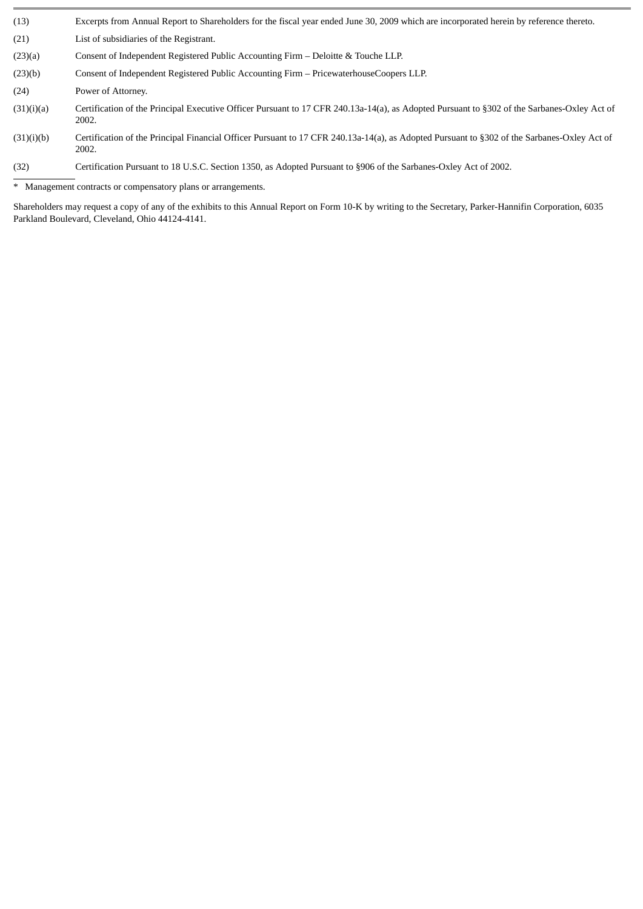| (13)       | Excerpts from Annual Report to Shareholders for the fiscal year ended June 30, 2009 which are incorporated herein by reference thereto.              |
|------------|------------------------------------------------------------------------------------------------------------------------------------------------------|
| (21)       | List of subsidiaries of the Registrant.                                                                                                              |
| (23)(a)    | Consent of Independent Registered Public Accounting Firm – Deloitte & Touche LLP.                                                                    |
| (23)(b)    | Consent of Independent Registered Public Accounting Firm – PricewaterhouseCoopers LLP.                                                               |
| (24)       | Power of Attorney.                                                                                                                                   |
| (31)(i)(a) | Certification of the Principal Executive Officer Pursuant to 17 CFR 240.13a-14(a), as Adopted Pursuant to §302 of the Sarbanes-Oxley Act of<br>2002. |
| (31)(i)(b) | Certification of the Principal Financial Officer Pursuant to 17 CFR 240.13a-14(a), as Adopted Pursuant to §302 of the Sarbanes-Oxley Act of<br>2002. |
| (32)       | Certification Pursuant to 18 U.S.C. Section 1350, as Adopted Pursuant to §906 of the Sarbanes-Oxley Act of 2002.                                     |

\* Management contracts or compensatory plans or arrangements.

Shareholders may request a copy of any of the exhibits to this Annual Report on Form 10-K by writing to the Secretary, Parker-Hannifin Corporation, 6035 Parkland Boulevard, Cleveland, Ohio 44124-4141.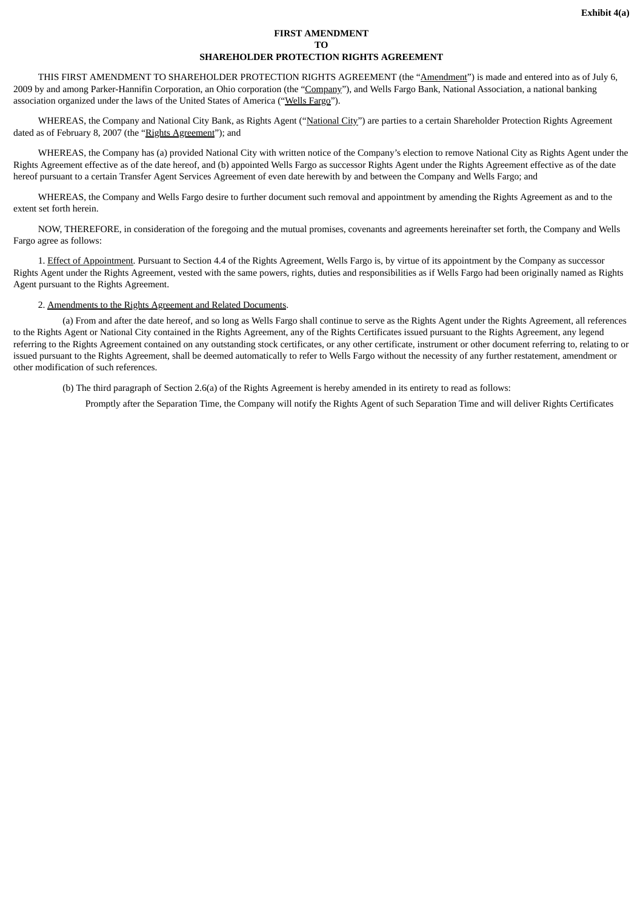## **FIRST AMENDMENT TO SHAREHOLDER PROTECTION RIGHTS AGREEMENT**

THIS FIRST AMENDMENT TO SHAREHOLDER PROTECTION RIGHTS AGREEMENT (the "Amendment") is made and entered into as of July 6, 2009 by and among Parker-Hannifin Corporation, an Ohio corporation (the "Company"), and Wells Fargo Bank, National Association, a national banking association organized under the laws of the United States of America ("Wells Fargo").

WHEREAS, the Company and National City Bank, as Rights Agent ("National City") are parties to a certain Shareholder Protection Rights Agreement dated as of February 8, 2007 (the "Rights Agreement"); and

WHEREAS, the Company has (a) provided National City with written notice of the Company's election to remove National City as Rights Agent under the Rights Agreement effective as of the date hereof, and (b) appointed Wells Fargo as successor Rights Agent under the Rights Agreement effective as of the date hereof pursuant to a certain Transfer Agent Services Agreement of even date herewith by and between the Company and Wells Fargo; and

WHEREAS, the Company and Wells Fargo desire to further document such removal and appointment by amending the Rights Agreement as and to the extent set forth herein.

NOW, THEREFORE, in consideration of the foregoing and the mutual promises, covenants and agreements hereinafter set forth, the Company and Wells Fargo agree as follows:

1. Effect of Appointment. Pursuant to Section 4.4 of the Rights Agreement, Wells Fargo is, by virtue of its appointment by the Company as successor Rights Agent under the Rights Agreement, vested with the same powers, rights, duties and responsibilities as if Wells Fargo had been originally named as Rights Agent pursuant to the Rights Agreement.

2. Amendments to the Rights Agreement and Related Documents.

(a) From and after the date hereof, and so long as Wells Fargo shall continue to serve as the Rights Agent under the Rights Agreement, all references to the Rights Agent or National City contained in the Rights Agreement, any of the Rights Certificates issued pursuant to the Rights Agreement, any legend referring to the Rights Agreement contained on any outstanding stock certificates, or any other certificate, instrument or other document referring to, relating to or issued pursuant to the Rights Agreement, shall be deemed automatically to refer to Wells Fargo without the necessity of any further restatement, amendment or other modification of such references.

(b) The third paragraph of Section 2.6(a) of the Rights Agreement is hereby amended in its entirety to read as follows:

Promptly after the Separation Time, the Company will notify the Rights Agent of such Separation Time and will deliver Rights Certificates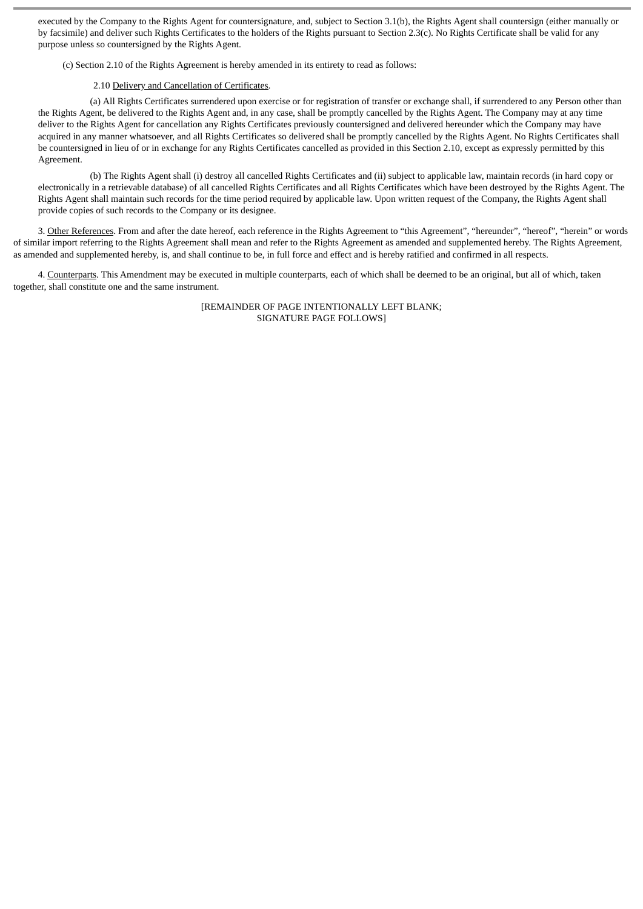executed by the Company to the Rights Agent for countersignature, and, subject to Section 3.1(b), the Rights Agent shall countersign (either manually or by facsimile) and deliver such Rights Certificates to the holders of the Rights pursuant to Section 2.3(c). No Rights Certificate shall be valid for any purpose unless so countersigned by the Rights Agent.

(c) Section 2.10 of the Rights Agreement is hereby amended in its entirety to read as follows:

#### 2.10 Delivery and Cancellation of Certificates.

 (a) All Rights Certificates surrendered upon exercise or for registration of transfer or exchange shall, if surrendered to any Person other than the Rights Agent, be delivered to the Rights Agent and, in any case, shall be promptly cancelled by the Rights Agent. The Company may at any time deliver to the Rights Agent for cancellation any Rights Certificates previously countersigned and delivered hereunder which the Company may have acquired in any manner whatsoever, and all Rights Certificates so delivered shall be promptly cancelled by the Rights Agent. No Rights Certificates shall be countersigned in lieu of or in exchange for any Rights Certificates cancelled as provided in this Section 2.10, except as expressly permitted by this Agreement.

 (b) The Rights Agent shall (i) destroy all cancelled Rights Certificates and (ii) subject to applicable law, maintain records (in hard copy or electronically in a retrievable database) of all cancelled Rights Certificates and all Rights Certificates which have been destroyed by the Rights Agent. The Rights Agent shall maintain such records for the time period required by applicable law. Upon written request of the Company, the Rights Agent shall provide copies of such records to the Company or its designee.

3. Other References. From and after the date hereof, each reference in the Rights Agreement to "this Agreement", "hereunder", "hereof", "herein" or words of similar import referring to the Rights Agreement shall mean and refer to the Rights Agreement as amended and supplemented hereby. The Rights Agreement, as amended and supplemented hereby, is, and shall continue to be, in full force and effect and is hereby ratified and confirmed in all respects.

4. Counterparts. This Amendment may be executed in multiple counterparts, each of which shall be deemed to be an original, but all of which, taken together, shall constitute one and the same instrument.

> [REMAINDER OF PAGE INTENTIONALLY LEFT BLANK; SIGNATURE PAGE FOLLOWS]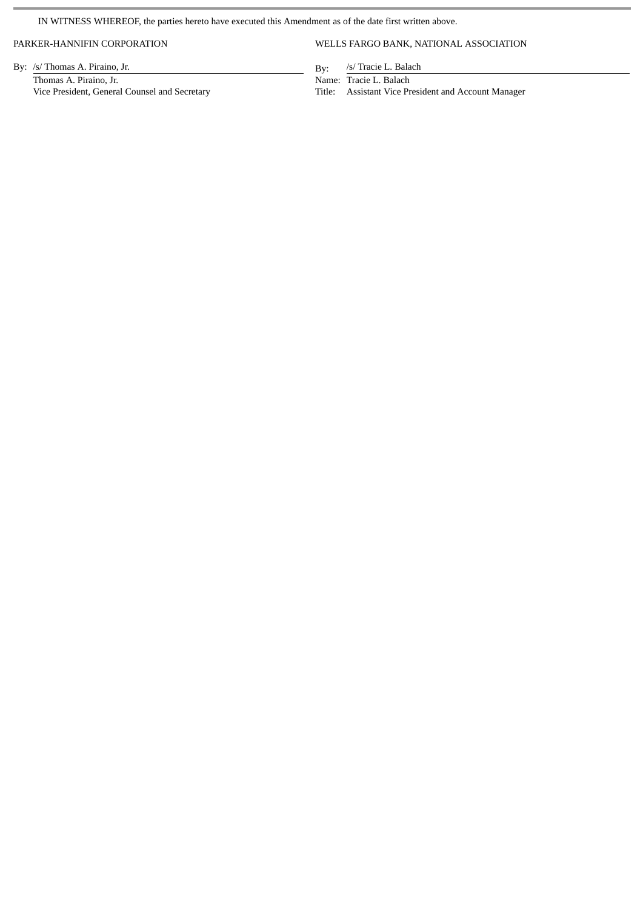IN WITNESS WHEREOF, the parties hereto have executed this Amendment as of the date first written above.

# PARKER-HANNIFIN CORPORATION WELLS FARGO BANK, NATIONAL ASSOCIATION

By: /s/ Thomas A. Piraino, Jr. By: /s/ Tracie L. Balach<br>Thomas A. Piraino, Jr. By: /s/ Tracie L. Balach<br>Name: Tracie L. Balach Thomas A. Piraino, Jr. Name: Tracie L. Balach<br>
Vice President, General Counsel and Secretary Title: Assistant Vice Pr

Title: Assistant Vice President and Account Manager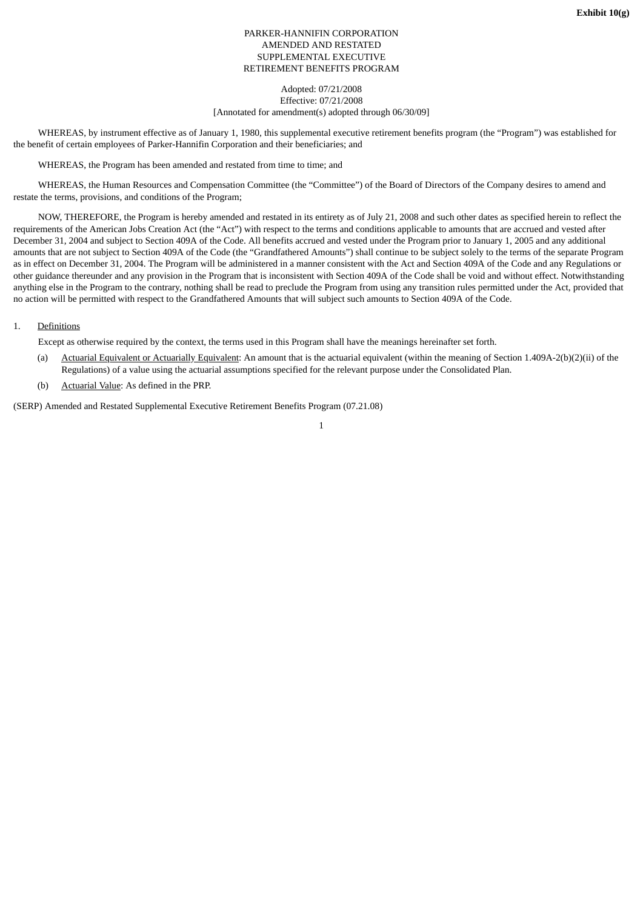# PARKER-HANNIFIN CORPORATION AMENDED AND RESTATED SUPPLEMENTAL EXECUTIVE RETIREMENT BENEFITS PROGRAM

### Adopted: 07/21/2008 Effective: 07/21/2008 [Annotated for amendment(s) adopted through 06/30/09]

WHEREAS, by instrument effective as of January 1, 1980, this supplemental executive retirement benefits program (the "Program") was established for the benefit of certain employees of Parker-Hannifin Corporation and their beneficiaries; and

WHEREAS, the Program has been amended and restated from time to time; and

WHEREAS, the Human Resources and Compensation Committee (the "Committee") of the Board of Directors of the Company desires to amend and restate the terms, provisions, and conditions of the Program;

NOW, THEREFORE, the Program is hereby amended and restated in its entirety as of July 21, 2008 and such other dates as specified herein to reflect the requirements of the American Jobs Creation Act (the "Act") with respect to the terms and conditions applicable to amounts that are accrued and vested after December 31, 2004 and subject to Section 409A of the Code. All benefits accrued and vested under the Program prior to January 1, 2005 and any additional amounts that are not subject to Section 409A of the Code (the "Grandfathered Amounts") shall continue to be subject solely to the terms of the separate Program as in effect on December 31, 2004. The Program will be administered in a manner consistent with the Act and Section 409A of the Code and any Regulations or other guidance thereunder and any provision in the Program that is inconsistent with Section 409A of the Code shall be void and without effect. Notwithstanding anything else in the Program to the contrary, nothing shall be read to preclude the Program from using any transition rules permitted under the Act, provided that no action will be permitted with respect to the Grandfathered Amounts that will subject such amounts to Section 409A of the Code.

#### 1. Definitions

Except as otherwise required by the context, the terms used in this Program shall have the meanings hereinafter set forth.

- (a) Actuarial Equivalent or Actuarially Equivalent: An amount that is the actuarial equivalent (within the meaning of Section 1.409A-2(b)(2)(ii) of the Regulations) of a value using the actuarial assumptions specified for the relevant purpose under the Consolidated Plan.
- (b) Actuarial Value: As defined in the PRP.

(SERP) Amended and Restated Supplemental Executive Retirement Benefits Program (07.21.08)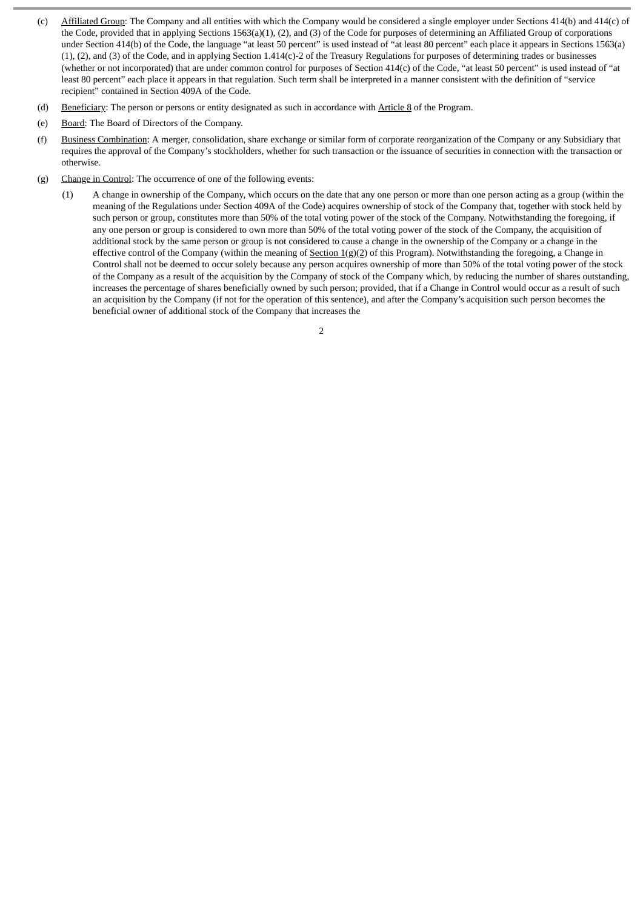- (c) Affiliated Group: The Company and all entities with which the Company would be considered a single employer under Sections 414(b) and 414(c) of the Code, provided that in applying Sections 1563(a)(1), (2), and (3) of the Code for purposes of determining an Affiliated Group of corporations under Section 414(b) of the Code, the language "at least 50 percent" is used instead of "at least 80 percent" each place it appears in Sections 1563(a) (1), (2), and (3) of the Code, and in applying Section 1.414(c)-2 of the Treasury Regulations for purposes of determining trades or businesses (whether or not incorporated) that are under common control for purposes of Section 414(c) of the Code, "at least 50 percent" is used instead of "at least 80 percent" each place it appears in that regulation. Such term shall be interpreted in a manner consistent with the definition of "service recipient" contained in Section 409A of the Code.
- (d) Beneficiary: The person or persons or entity designated as such in accordance with Article 8 of the Program.
- (e) Board: The Board of Directors of the Company.
- (f) Business Combination: A merger, consolidation, share exchange or similar form of corporate reorganization of the Company or any Subsidiary that requires the approval of the Company's stockholders, whether for such transaction or the issuance of securities in connection with the transaction or otherwise.
- (g) Change in Control: The occurrence of one of the following events:
	- (1) A change in ownership of the Company, which occurs on the date that any one person or more than one person acting as a group (within the meaning of the Regulations under Section 409A of the Code) acquires ownership of stock of the Company that, together with stock held by such person or group, constitutes more than 50% of the total voting power of the stock of the Company. Notwithstanding the foregoing, if any one person or group is considered to own more than 50% of the total voting power of the stock of the Company, the acquisition of additional stock by the same person or group is not considered to cause a change in the ownership of the Company or a change in the effective control of the Company (within the meaning of  $Section 1(g)(2)$  of this Program). Notwithstanding the foregoing, a Change in</u> Control shall not be deemed to occur solely because any person acquires ownership of more than 50% of the total voting power of the stock of the Company as a result of the acquisition by the Company of stock of the Company which, by reducing the number of shares outstanding, increases the percentage of shares beneficially owned by such person; provided, that if a Change in Control would occur as a result of such an acquisition by the Company (if not for the operation of this sentence), and after the Company's acquisition such person becomes the beneficial owner of additional stock of the Company that increases the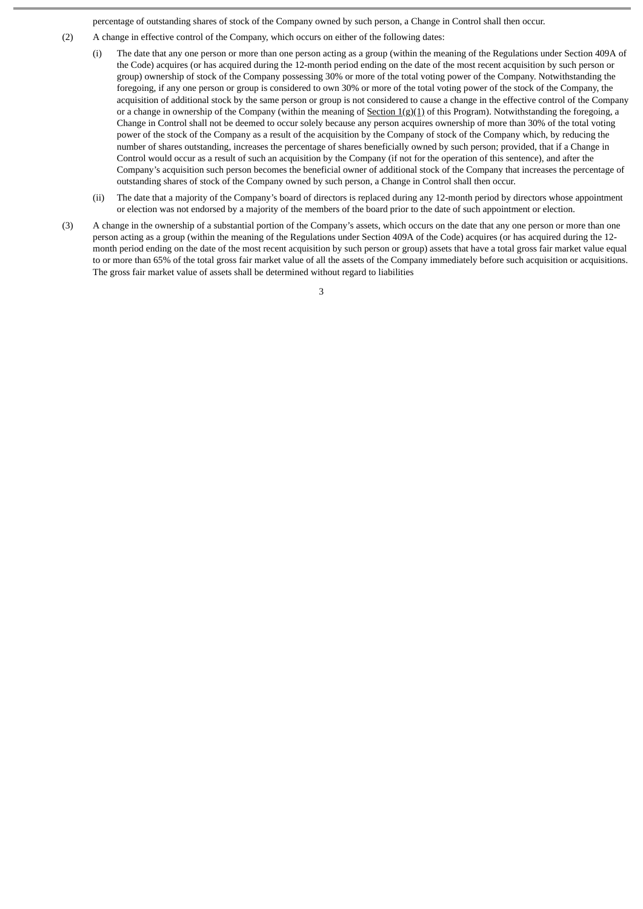percentage of outstanding shares of stock of the Company owned by such person, a Change in Control shall then occur.

- (2) A change in effective control of the Company, which occurs on either of the following dates:
	- (i) The date that any one person or more than one person acting as a group (within the meaning of the Regulations under Section 409A of the Code) acquires (or has acquired during the 12-month period ending on the date of the most recent acquisition by such person or group) ownership of stock of the Company possessing 30% or more of the total voting power of the Company. Notwithstanding the foregoing, if any one person or group is considered to own 30% or more of the total voting power of the stock of the Company, the acquisition of additional stock by the same person or group is not considered to cause a change in the effective control of the Company or a change in ownership of the Company (within the meaning of  $Section 1(g)(1)$  of this Program). Notwithstanding the foregoing, a Change in Control shall not be deemed to occur solely because any person acquires ownership of more than 30% of the total voting power of the stock of the Company as a result of the acquisition by the Company of stock of the Company which, by reducing the number of shares outstanding, increases the percentage of shares beneficially owned by such person; provided, that if a Change in Control would occur as a result of such an acquisition by the Company (if not for the operation of this sentence), and after the Company's acquisition such person becomes the beneficial owner of additional stock of the Company that increases the percentage of outstanding shares of stock of the Company owned by such person, a Change in Control shall then occur.
	- (ii) The date that a majority of the Company's board of directors is replaced during any 12-month period by directors whose appointment or election was not endorsed by a majority of the members of the board prior to the date of such appointment or election.
- (3) A change in the ownership of a substantial portion of the Company's assets, which occurs on the date that any one person or more than one person acting as a group (within the meaning of the Regulations under Section 409A of the Code) acquires (or has acquired during the 12 month period ending on the date of the most recent acquisition by such person or group) assets that have a total gross fair market value equal to or more than 65% of the total gross fair market value of all the assets of the Company immediately before such acquisition or acquisitions. The gross fair market value of assets shall be determined without regard to liabilities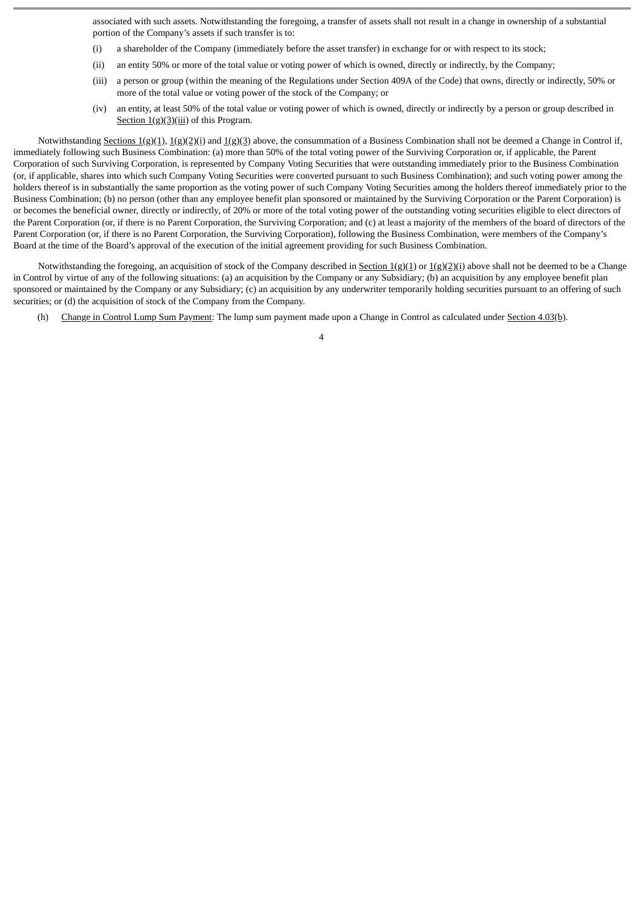associated with such assets. Notwithstanding the foregoing, a transfer of assets shall not result in a change in ownership of a substantial portion of the Company's assets if such transfer is to:

- (i) a shareholder of the Company (immediately before the asset transfer) in exchange for or with respect to its stock;
- (ii) an entity 50% or more of the total value or voting power of which is owned, directly or indirectly, by the Company;
- (iii) a person or group (within the meaning of the Regulations under Section 409A of the Code) that owns, directly or indirectly, 50% or more of the total value or voting power of the stock of the Company; or
- (iv) an entity, at least 50% of the total value or voting power of which is owned, directly or indirectly by a person or group described in Section  $1(g)(3)(iii)$  of this Program.

Notwithstanding Sections  $1(g)(1)$ ,  $1(g)(2)(i)$  and  $1(g)(3)$  above, the consummation of a Business Combination shall not be deemed a Change in Control if, immediately following such Business Combination: (a) more than 50% of the total voting power of the Surviving Corporation or, if applicable, the Parent Corporation of such Surviving Corporation, is represented by Company Voting Securities that were outstanding immediately prior to the Business Combination (or, if applicable, shares into which such Company Voting Securities were converted pursuant to such Business Combination); and such voting power among the holders thereof is in substantially the same proportion as the voting power of such Company Voting Securities among the holders thereof immediately prior to the Business Combination; (b) no person (other than any employee benefit plan sponsored or maintained by the Surviving Corporation or the Parent Corporation) is or becomes the beneficial owner, directly or indirectly, of 20% or more of the total voting power of the outstanding voting securities eligible to elect directors of the Parent Corporation (or, if there is no Parent Corporation, the Surviving Corporation; and (c) at least a majority of the members of the board of directors of the Parent Corporation (or, if there is no Parent Corporation, the Surviving Corporation), following the Business Combination, were members of the Company's Board at the time of the Board's approval of the execution of the initial agreement providing for such Business Combination.

Notwithstanding the foregoing, an acquisition of stock of the Company described in Section  $1(g)(1)$  or  $1(g)(2)(i)$  above shall not be deemed to be a Change in Control by virtue of any of the following situations: (a) an acquisition by the Company or any Subsidiary; (b) an acquisition by any employee benefit plan sponsored or maintained by the Company or any Subsidiary; (c) an acquisition by any underwriter temporarily holding securities pursuant to an offering of such securities; or (d) the acquisition of stock of the Company from the Company.

(h) Change in Control Lump Sum Payment: The lump sum payment made upon a Change in Control as calculated under Section 4.03(b).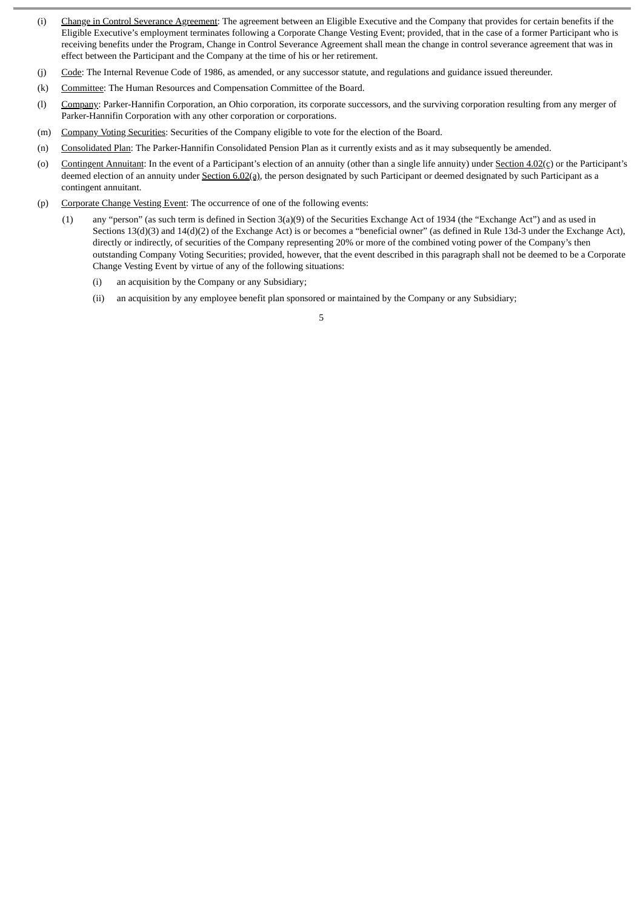- (i) Change in Control Severance Agreement: The agreement between an Eligible Executive and the Company that provides for certain benefits if the Eligible Executive's employment terminates following a Corporate Change Vesting Event; provided, that in the case of a former Participant who is receiving benefits under the Program, Change in Control Severance Agreement shall mean the change in control severance agreement that was in effect between the Participant and the Company at the time of his or her retirement.
- (j) Code: The Internal Revenue Code of 1986, as amended, or any successor statute, and regulations and guidance issued thereunder.
- (k) Committee: The Human Resources and Compensation Committee of the Board.
- (l) Company: Parker-Hannifin Corporation, an Ohio corporation, its corporate successors, and the surviving corporation resulting from any merger of Parker-Hannifin Corporation with any other corporation or corporations.
- (m) Company Voting Securities: Securities of the Company eligible to vote for the election of the Board.
- (n) Consolidated Plan: The Parker-Hannifin Consolidated Pension Plan as it currently exists and as it may subsequently be amended.
- (o) Contingent Annuitant: In the event of a Participant's election of an annuity (other than a single life annuity) under Section  $4.02(c)$  or the Participant's deemed election of an annuity under Section 6.02(a), the person designated by such Participant or deemed designated by such Participant as a contingent annuitant.
- (p) Corporate Change Vesting Event: The occurrence of one of the following events:
	- (1) any "person" (as such term is defined in Section 3(a)(9) of the Securities Exchange Act of 1934 (the "Exchange Act") and as used in Sections 13(d)(3) and 14(d)(2) of the Exchange Act) is or becomes a "beneficial owner" (as defined in Rule 13d-3 under the Exchange Act), directly or indirectly, of securities of the Company representing 20% or more of the combined voting power of the Company's then outstanding Company Voting Securities; provided, however, that the event described in this paragraph shall not be deemed to be a Corporate Change Vesting Event by virtue of any of the following situations:
		- (i) an acquisition by the Company or any Subsidiary;
		- (ii) an acquisition by any employee benefit plan sponsored or maintained by the Company or any Subsidiary;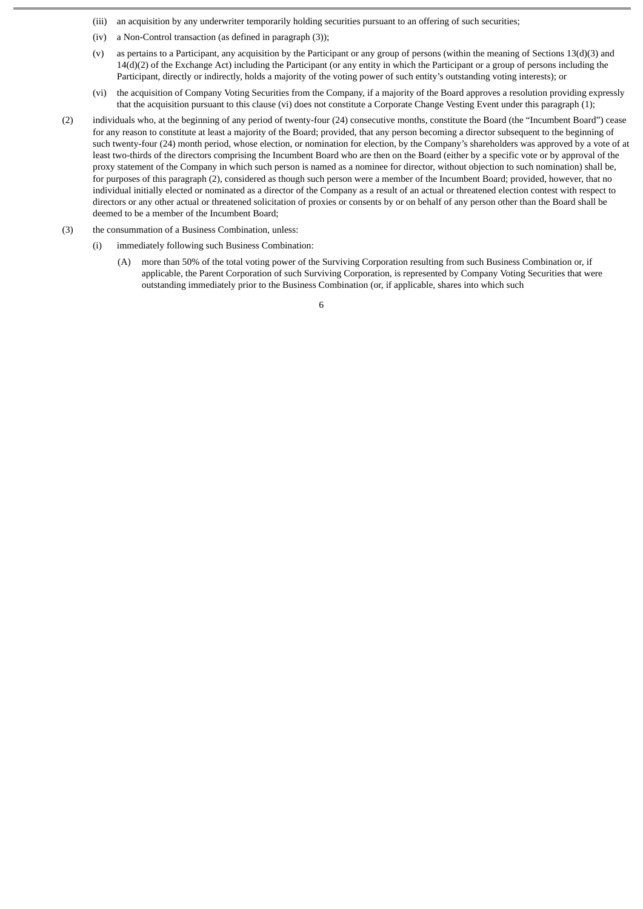- (iii) an acquisition by any underwriter temporarily holding securities pursuant to an offering of such securities;
- (iv) a Non-Control transaction (as defined in paragraph (3));
- (v) as pertains to a Participant, any acquisition by the Participant or any group of persons (within the meaning of Sections 13(d)(3) and 14(d)(2) of the Exchange Act) including the Participant (or any entity in which the Participant or a group of persons including the Participant, directly or indirectly, holds a majority of the voting power of such entity's outstanding voting interests); or
- (vi) the acquisition of Company Voting Securities from the Company, if a majority of the Board approves a resolution providing expressly that the acquisition pursuant to this clause (vi) does not constitute a Corporate Change Vesting Event under this paragraph (1);
- (2) individuals who, at the beginning of any period of twenty-four (24) consecutive months, constitute the Board (the "Incumbent Board") cease for any reason to constitute at least a majority of the Board; provided, that any person becoming a director subsequent to the beginning of such twenty-four (24) month period, whose election, or nomination for election, by the Company's shareholders was approved by a vote of at least two-thirds of the directors comprising the Incumbent Board who are then on the Board (either by a specific vote or by approval of the proxy statement of the Company in which such person is named as a nominee for director, without objection to such nomination) shall be, for purposes of this paragraph (2), considered as though such person were a member of the Incumbent Board; provided, however, that no individual initially elected or nominated as a director of the Company as a result of an actual or threatened election contest with respect to directors or any other actual or threatened solicitation of proxies or consents by or on behalf of any person other than the Board shall be deemed to be a member of the Incumbent Board;
- (3) the consummation of a Business Combination, unless:
	- (i) immediately following such Business Combination:
		- (A) more than 50% of the total voting power of the Surviving Corporation resulting from such Business Combination or, if applicable, the Parent Corporation of such Surviving Corporation, is represented by Company Voting Securities that were outstanding immediately prior to the Business Combination (or, if applicable, shares into which such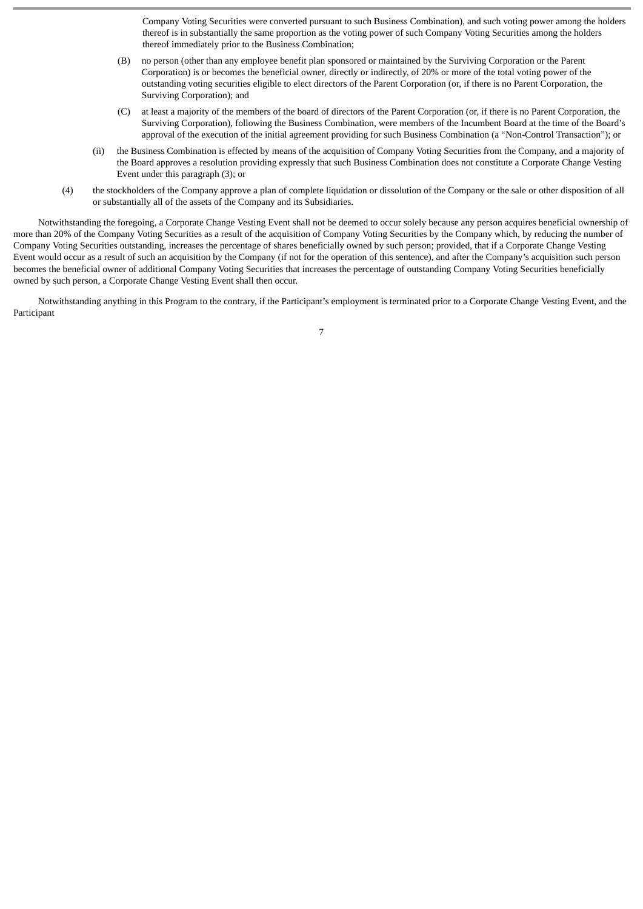Company Voting Securities were converted pursuant to such Business Combination), and such voting power among the holders thereof is in substantially the same proportion as the voting power of such Company Voting Securities among the holders thereof immediately prior to the Business Combination;

- (B) no person (other than any employee benefit plan sponsored or maintained by the Surviving Corporation or the Parent Corporation) is or becomes the beneficial owner, directly or indirectly, of 20% or more of the total voting power of the outstanding voting securities eligible to elect directors of the Parent Corporation (or, if there is no Parent Corporation, the Surviving Corporation); and
- (C) at least a majority of the members of the board of directors of the Parent Corporation (or, if there is no Parent Corporation, the Surviving Corporation), following the Business Combination, were members of the Incumbent Board at the time of the Board's approval of the execution of the initial agreement providing for such Business Combination (a "Non-Control Transaction"); or
- (ii) the Business Combination is effected by means of the acquisition of Company Voting Securities from the Company, and a majority of the Board approves a resolution providing expressly that such Business Combination does not constitute a Corporate Change Vesting Event under this paragraph (3); or
- (4) the stockholders of the Company approve a plan of complete liquidation or dissolution of the Company or the sale or other disposition of all or substantially all of the assets of the Company and its Subsidiaries.

Notwithstanding the foregoing, a Corporate Change Vesting Event shall not be deemed to occur solely because any person acquires beneficial ownership of more than 20% of the Company Voting Securities as a result of the acquisition of Company Voting Securities by the Company which, by reducing the number of Company Voting Securities outstanding, increases the percentage of shares beneficially owned by such person; provided, that if a Corporate Change Vesting Event would occur as a result of such an acquisition by the Company (if not for the operation of this sentence), and after the Company's acquisition such person becomes the beneficial owner of additional Company Voting Securities that increases the percentage of outstanding Company Voting Securities beneficially owned by such person, a Corporate Change Vesting Event shall then occur.

Notwithstanding anything in this Program to the contrary, if the Participant's employment is terminated prior to a Corporate Change Vesting Event, and the Participant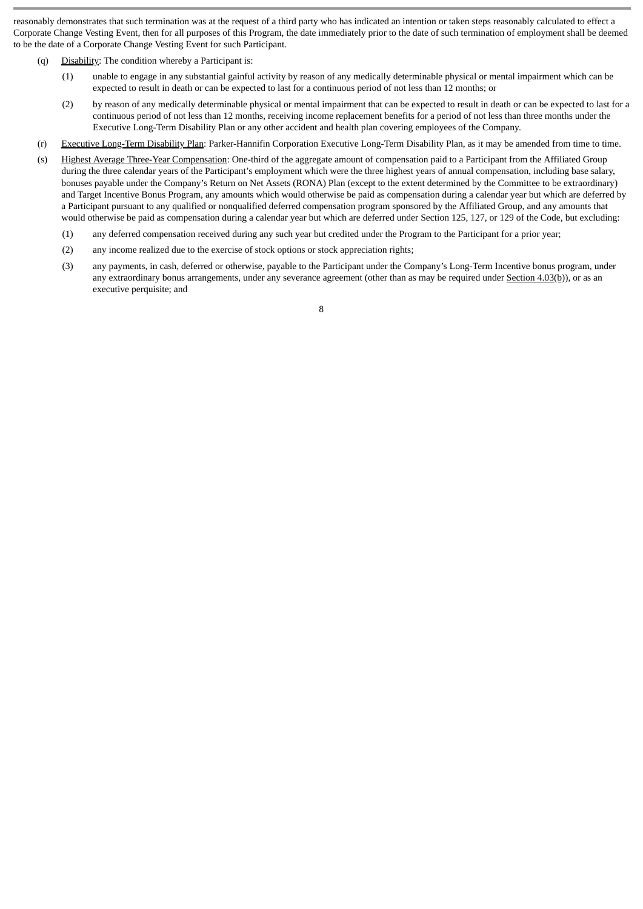reasonably demonstrates that such termination was at the request of a third party who has indicated an intention or taken steps reasonably calculated to effect a Corporate Change Vesting Event, then for all purposes of this Program, the date immediately prior to the date of such termination of employment shall be deemed to be the date of a Corporate Change Vesting Event for such Participant.

- (q) Disability: The condition whereby a Participant is:
	- (1) unable to engage in any substantial gainful activity by reason of any medically determinable physical or mental impairment which can be expected to result in death or can be expected to last for a continuous period of not less than 12 months; or
	- (2) by reason of any medically determinable physical or mental impairment that can be expected to result in death or can be expected to last for a continuous period of not less than 12 months, receiving income replacement benefits for a period of not less than three months under the Executive Long-Term Disability Plan or any other accident and health plan covering employees of the Company.
- (r) Executive Long-Term Disability Plan: Parker-Hannifin Corporation Executive Long-Term Disability Plan, as it may be amended from time to time.
- (s) Highest Average Three-Year Compensation: One-third of the aggregate amount of compensation paid to a Participant from the Affiliated Group during the three calendar years of the Participant's employment which were the three highest years of annual compensation, including base salary, bonuses payable under the Company's Return on Net Assets (RONA) Plan (except to the extent determined by the Committee to be extraordinary) and Target Incentive Bonus Program, any amounts which would otherwise be paid as compensation during a calendar year but which are deferred by a Participant pursuant to any qualified or nonqualified deferred compensation program sponsored by the Affiliated Group, and any amounts that would otherwise be paid as compensation during a calendar year but which are deferred under Section 125, 127, or 129 of the Code, but excluding:
	- (1) any deferred compensation received during any such year but credited under the Program to the Participant for a prior year;
	- (2) any income realized due to the exercise of stock options or stock appreciation rights;
	- (3) any payments, in cash, deferred or otherwise, payable to the Participant under the Company's Long-Term Incentive bonus program, under any extraordinary bonus arrangements, under any severance agreement (other than as may be required under Section 4.03(b)), or as an executive perquisite; and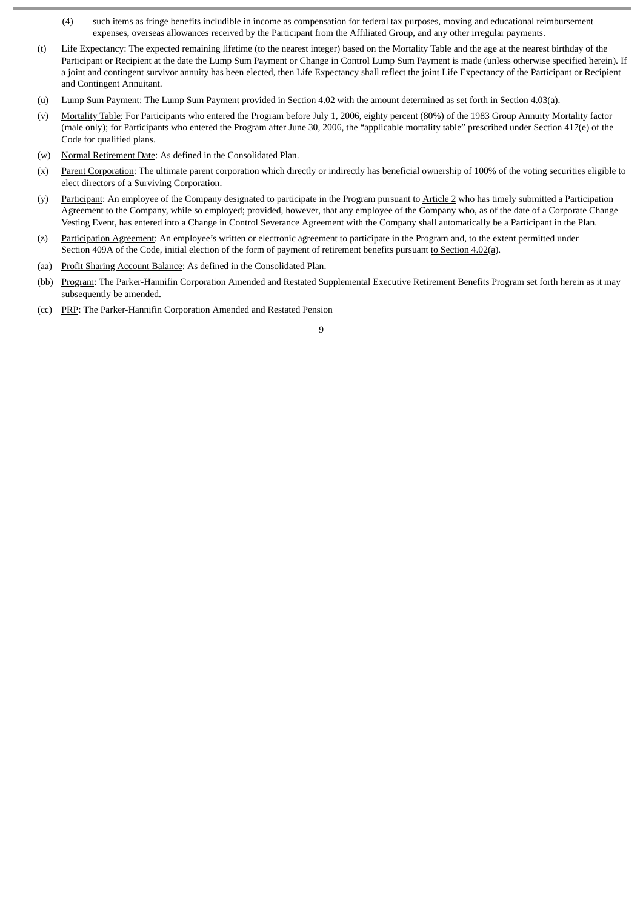- (4) such items as fringe benefits includible in income as compensation for federal tax purposes, moving and educational reimbursement expenses, overseas allowances received by the Participant from the Affiliated Group, and any other irregular payments.
- (t) Life Expectancy: The expected remaining lifetime (to the nearest integer) based on the Mortality Table and the age at the nearest birthday of the Participant or Recipient at the date the Lump Sum Payment or Change in Control Lump Sum Payment is made (unless otherwise specified herein). If a joint and contingent survivor annuity has been elected, then Life Expectancy shall reflect the joint Life Expectancy of the Participant or Recipient and Contingent Annuitant.
- (u) Lump Sum Payment: The Lump Sum Payment provided in Section 4.02 with the amount determined as set forth in Section 4.03(a).
- (v) Mortality Table: For Participants who entered the Program before July 1, 2006, eighty percent (80%) of the 1983 Group Annuity Mortality factor (male only); for Participants who entered the Program after June 30, 2006, the "applicable mortality table" prescribed under Section 417(e) of the Code for qualified plans.
- (w) Normal Retirement Date: As defined in the Consolidated Plan.
- (x) Parent Corporation: The ultimate parent corporation which directly or indirectly has beneficial ownership of 100% of the voting securities eligible to elect directors of a Surviving Corporation.
- (y) Participant: An employee of the Company designated to participate in the Program pursuant to Article 2 who has timely submitted a Participation Agreement to the Company, while so employed; provided, however, that any employee of the Company who, as of the date of a Corporate Change Vesting Event, has entered into a Change in Control Severance Agreement with the Company shall automatically be a Participant in the Plan.
- (z) Participation Agreement: An employee's written or electronic agreement to participate in the Program and, to the extent permitted under Section 409A of the Code, initial election of the form of payment of retirement benefits pursuant to Section 4.02(a).
- (aa) Profit Sharing Account Balance: As defined in the Consolidated Plan.
- (bb) Program: The Parker-Hannifin Corporation Amended and Restated Supplemental Executive Retirement Benefits Program set forth herein as it may subsequently be amended.
- (cc) PRP: The Parker-Hannifin Corporation Amended and Restated Pension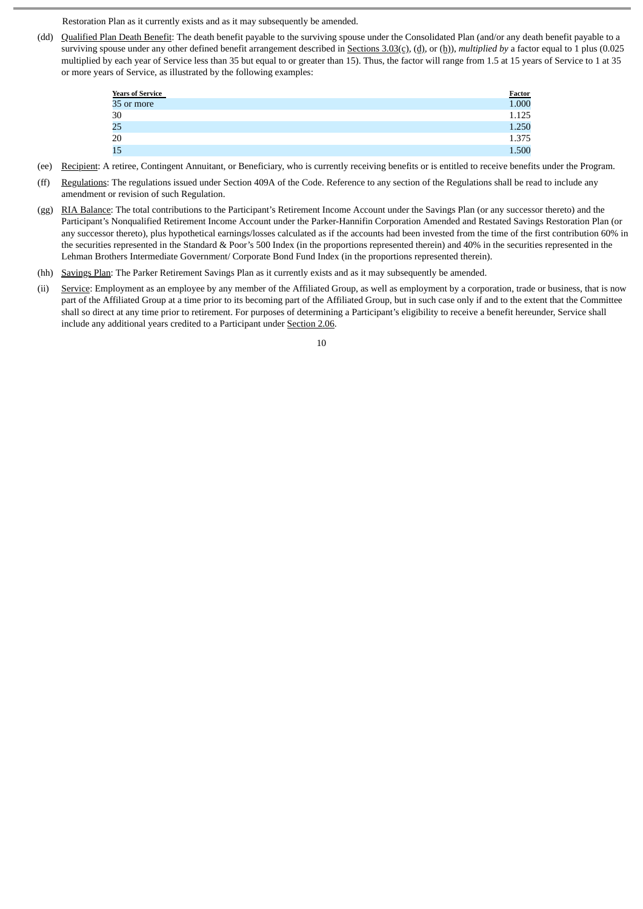Restoration Plan as it currently exists and as it may subsequently be amended.

(dd) Qualified Plan Death Benefit: The death benefit payable to the surviving spouse under the Consolidated Plan (and/or any death benefit payable to a surviving spouse under any other defined benefit arrangement described in **Sections 3.03(c)**, (d), or (h)), *multiplied by* a factor equal to 1 plus (0.025 multiplied by each year of Service less than 35 but equal to or greater than 15). Thus, the factor will range from 1.5 at 15 years of Service to 1 at 35 or more years of Service, as illustrated by the following examples:

| <b>Years of Service</b> | <b>Factor</b> |
|-------------------------|---------------|
| 35 or more              | 1.000         |
| 30                      | 1.125         |
| 25                      | 1.250         |
| 20                      | 1.375         |
| 15                      | 1.500         |

- (ee) Recipient: A retiree, Contingent Annuitant, or Beneficiary, who is currently receiving benefits or is entitled to receive benefits under the Program.
- (ff) Regulations: The regulations issued under Section 409A of the Code. Reference to any section of the Regulations shall be read to include any amendment or revision of such Regulation.
- (gg) RIA Balance: The total contributions to the Participant's Retirement Income Account under the Savings Plan (or any successor thereto) and the Participant's Nonqualified Retirement Income Account under the Parker-Hannifin Corporation Amended and Restated Savings Restoration Plan (or any successor thereto), plus hypothetical earnings/losses calculated as if the accounts had been invested from the time of the first contribution 60% in the securities represented in the Standard & Poor's 500 Index (in the proportions represented therein) and 40% in the securities represented in the Lehman Brothers Intermediate Government/ Corporate Bond Fund Index (in the proportions represented therein).
- (hh) Savings Plan: The Parker Retirement Savings Plan as it currently exists and as it may subsequently be amended.
- (ii) Service: Employment as an employee by any member of the Affiliated Group, as well as employment by a corporation, trade or business, that is now part of the Affiliated Group at a time prior to its becoming part of the Affiliated Group, but in such case only if and to the extent that the Committee shall so direct at any time prior to retirement. For purposes of determining a Participant's eligibility to receive a benefit hereunder, Service shall include any additional years credited to a Participant under Section 2.06.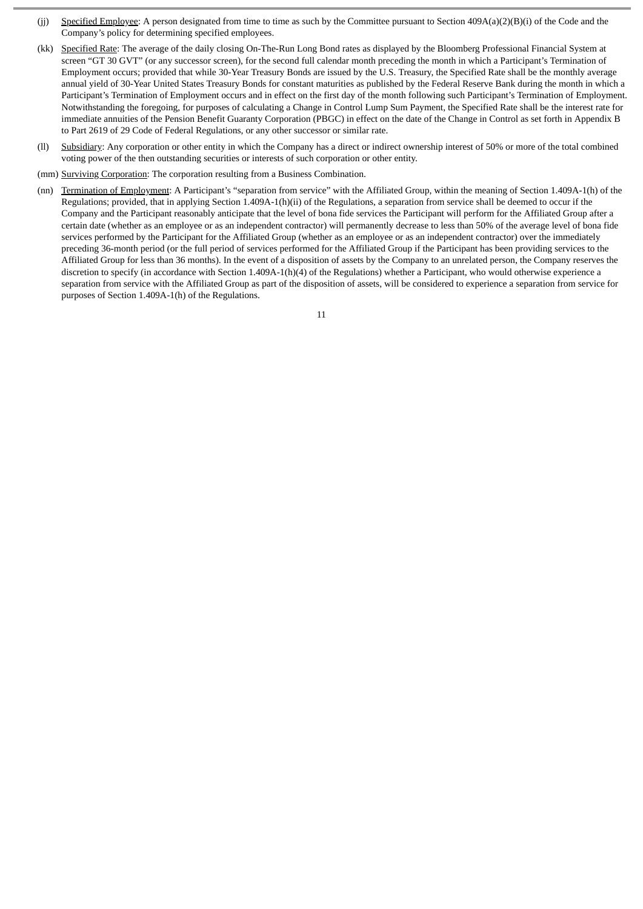- (ij) Specified Employee: A person designated from time to time as such by the Committee pursuant to Section  $409A(a)(2)(B)(i)$  of the Code and the Company's policy for determining specified employees.
- (kk) Specified Rate: The average of the daily closing On-The-Run Long Bond rates as displayed by the Bloomberg Professional Financial System at screen "GT 30 GVT" (or any successor screen), for the second full calendar month preceding the month in which a Participant's Termination of Employment occurs; provided that while 30-Year Treasury Bonds are issued by the U.S. Treasury, the Specified Rate shall be the monthly average annual yield of 30-Year United States Treasury Bonds for constant maturities as published by the Federal Reserve Bank during the month in which a Participant's Termination of Employment occurs and in effect on the first day of the month following such Participant's Termination of Employment. Notwithstanding the foregoing, for purposes of calculating a Change in Control Lump Sum Payment, the Specified Rate shall be the interest rate for immediate annuities of the Pension Benefit Guaranty Corporation (PBGC) in effect on the date of the Change in Control as set forth in Appendix B to Part 2619 of 29 Code of Federal Regulations, or any other successor or similar rate.
- (ll) Subsidiary: Any corporation or other entity in which the Company has a direct or indirect ownership interest of 50% or more of the total combined voting power of the then outstanding securities or interests of such corporation or other entity.
- (mm) Surviving Corporation: The corporation resulting from a Business Combination.
- (nn) Termination of Employment: A Participant's "separation from service" with the Affiliated Group, within the meaning of Section 1.409A-1(h) of the Regulations; provided, that in applying Section 1.409A-1(h)(ii) of the Regulations, a separation from service shall be deemed to occur if the Company and the Participant reasonably anticipate that the level of bona fide services the Participant will perform for the Affiliated Group after a certain date (whether as an employee or as an independent contractor) will permanently decrease to less than 50% of the average level of bona fide services performed by the Participant for the Affiliated Group (whether as an employee or as an independent contractor) over the immediately preceding 36-month period (or the full period of services performed for the Affiliated Group if the Participant has been providing services to the Affiliated Group for less than 36 months). In the event of a disposition of assets by the Company to an unrelated person, the Company reserves the discretion to specify (in accordance with Section 1.409A-1(h)(4) of the Regulations) whether a Participant, who would otherwise experience a separation from service with the Affiliated Group as part of the disposition of assets, will be considered to experience a separation from service for purposes of Section 1.409A-1(h) of the Regulations.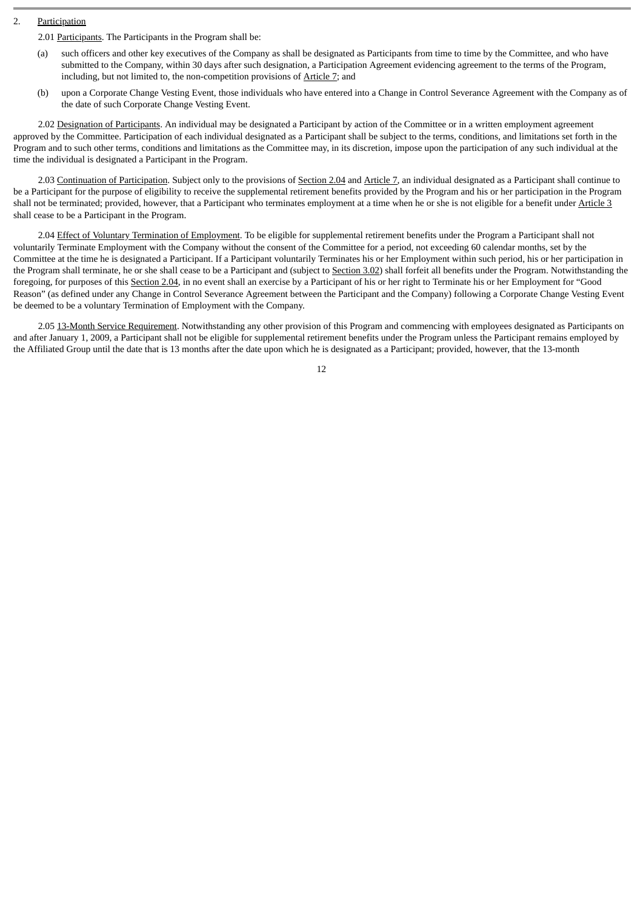### 2. Participation

2.01 Participants. The Participants in the Program shall be:

- (a) such officers and other key executives of the Company as shall be designated as Participants from time to time by the Committee, and who have submitted to the Company, within 30 days after such designation, a Participation Agreement evidencing agreement to the terms of the Program, including, but not limited to, the non-competition provisions of Article 7; and
- (b) upon a Corporate Change Vesting Event, those individuals who have entered into a Change in Control Severance Agreement with the Company as of the date of such Corporate Change Vesting Event.

2.02 Designation of Participants. An individual may be designated a Participant by action of the Committee or in a written employment agreement approved by the Committee. Participation of each individual designated as a Participant shall be subject to the terms, conditions, and limitations set forth in the Program and to such other terms, conditions and limitations as the Committee may, in its discretion, impose upon the participation of any such individual at the time the individual is designated a Participant in the Program.

2.03 Continuation of Participation. Subject only to the provisions of Section 2.04 and Article 7, an individual designated as a Participant shall continue to be a Participant for the purpose of eligibility to receive the supplemental retirement benefits provided by the Program and his or her participation in the Program shall not be terminated; provided, however, that a Participant who terminates employment at a time when he or she is not eligible for a benefit under Article 3 shall cease to be a Participant in the Program.

2.04 Effect of Voluntary Termination of Employment. To be eligible for supplemental retirement benefits under the Program a Participant shall not voluntarily Terminate Employment with the Company without the consent of the Committee for a period, not exceeding 60 calendar months, set by the Committee at the time he is designated a Participant. If a Participant voluntarily Terminates his or her Employment within such period, his or her participation in the Program shall terminate, he or she shall cease to be a Participant and (subject to Section 3.02) shall forfeit all benefits under the Program. Notwithstanding the foregoing, for purposes of this Section 2.04, in no event shall an exercise by a Participant of his or her right to Terminate his or her Employment for "Good Reason" (as defined under any Change in Control Severance Agreement between the Participant and the Company) following a Corporate Change Vesting Event be deemed to be a voluntary Termination of Employment with the Company.

2.05 13-Month Service Requirement. Notwithstanding any other provision of this Program and commencing with employees designated as Participants on and after January 1, 2009, a Participant shall not be eligible for supplemental retirement benefits under the Program unless the Participant remains employed by the Affiliated Group until the date that is 13 months after the date upon which he is designated as a Participant; provided, however, that the 13-month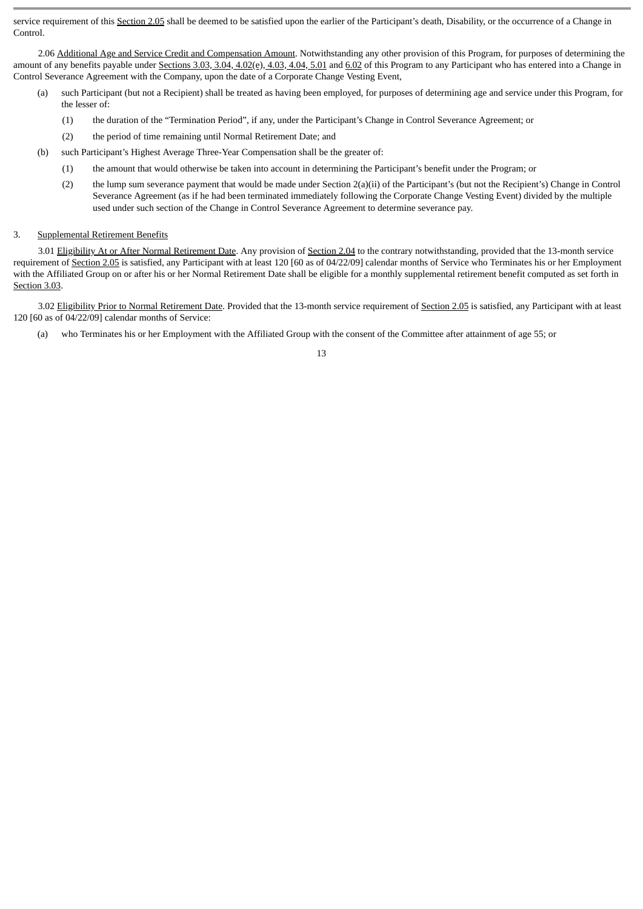service requirement of this Section 2.05 shall be deemed to be satisfied upon the earlier of the Participant's death, Disability, or the occurrence of a Change in **Control** 

2.06 Additional Age and Service Credit and Compensation Amount. Notwithstanding any other provision of this Program, for purposes of determining the amount of any benefits payable under Sections 3.03, 3.04, 4.02(e), 4.03, 4.04, 5.01 and 6.02 of this Program to any Participant who has entered into a Change in Control Severance Agreement with the Company, upon the date of a Corporate Change Vesting Event,

- (a) such Participant (but not a Recipient) shall be treated as having been employed, for purposes of determining age and service under this Program, for the lesser of:
	- (1) the duration of the "Termination Period", if any, under the Participant's Change in Control Severance Agreement; or
	- (2) the period of time remaining until Normal Retirement Date; and
- (b) such Participant's Highest Average Three-Year Compensation shall be the greater of:
	- (1) the amount that would otherwise be taken into account in determining the Participant's benefit under the Program; or
	- (2) the lump sum severance payment that would be made under Section 2(a)(ii) of the Participant's (but not the Recipient's) Change in Control Severance Agreement (as if he had been terminated immediately following the Corporate Change Vesting Event) divided by the multiple used under such section of the Change in Control Severance Agreement to determine severance pay.

#### 3. Supplemental Retirement Benefits

3.01 Eligibility At or After Normal Retirement Date. Any provision of Section 2.04 to the contrary notwithstanding, provided that the 13-month service requirement of Section 2.05 is satisfied, any Participant with at least 120 [60 as of 04/22/09] calendar months of Service who Terminates his or her Employment with the Affiliated Group on or after his or her Normal Retirement Date shall be eligible for a monthly supplemental retirement benefit computed as set forth in Section 3.03.

3.02 Eligibility Prior to Normal Retirement Date. Provided that the 13-month service requirement of Section 2.05 is satisfied, any Participant with at least 120 [60 as of 04/22/09] calendar months of Service:

(a) who Terminates his or her Employment with the Affiliated Group with the consent of the Committee after attainment of age 55; or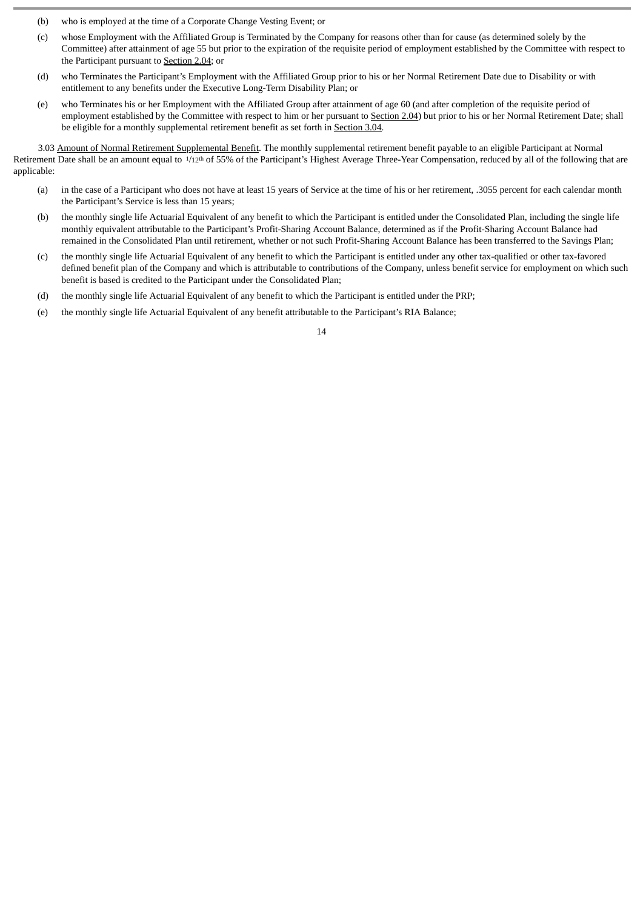- (b) who is employed at the time of a Corporate Change Vesting Event; or
- (c) whose Employment with the Affiliated Group is Terminated by the Company for reasons other than for cause (as determined solely by the Committee) after attainment of age 55 but prior to the expiration of the requisite period of employment established by the Committee with respect to the Participant pursuant to Section 2.04; or
- (d) who Terminates the Participant's Employment with the Affiliated Group prior to his or her Normal Retirement Date due to Disability or with entitlement to any benefits under the Executive Long-Term Disability Plan; or
- (e) who Terminates his or her Employment with the Affiliated Group after attainment of age 60 (and after completion of the requisite period of employment established by the Committee with respect to him or her pursuant to Section 2.04) but prior to his or her Normal Retirement Date; shall be eligible for a monthly supplemental retirement benefit as set forth in Section 3.04.

3.03 Amount of Normal Retirement Supplemental Benefit. The monthly supplemental retirement benefit payable to an eligible Participant at Normal Retirement Date shall be an amount equal to  $1/12<sup>th</sup>$  of 55% of the Participant's Highest Average Three-Year Compensation, reduced by all of the following that are applicable:

- (a) in the case of a Participant who does not have at least 15 years of Service at the time of his or her retirement, .3055 percent for each calendar month the Participant's Service is less than 15 years;
- (b) the monthly single life Actuarial Equivalent of any benefit to which the Participant is entitled under the Consolidated Plan, including the single life monthly equivalent attributable to the Participant's Profit-Sharing Account Balance, determined as if the Profit-Sharing Account Balance had remained in the Consolidated Plan until retirement, whether or not such Profit-Sharing Account Balance has been transferred to the Savings Plan;
- (c) the monthly single life Actuarial Equivalent of any benefit to which the Participant is entitled under any other tax-qualified or other tax-favored defined benefit plan of the Company and which is attributable to contributions of the Company, unless benefit service for employment on which such benefit is based is credited to the Participant under the Consolidated Plan;
- (d) the monthly single life Actuarial Equivalent of any benefit to which the Participant is entitled under the PRP;
- (e) the monthly single life Actuarial Equivalent of any benefit attributable to the Participant's RIA Balance;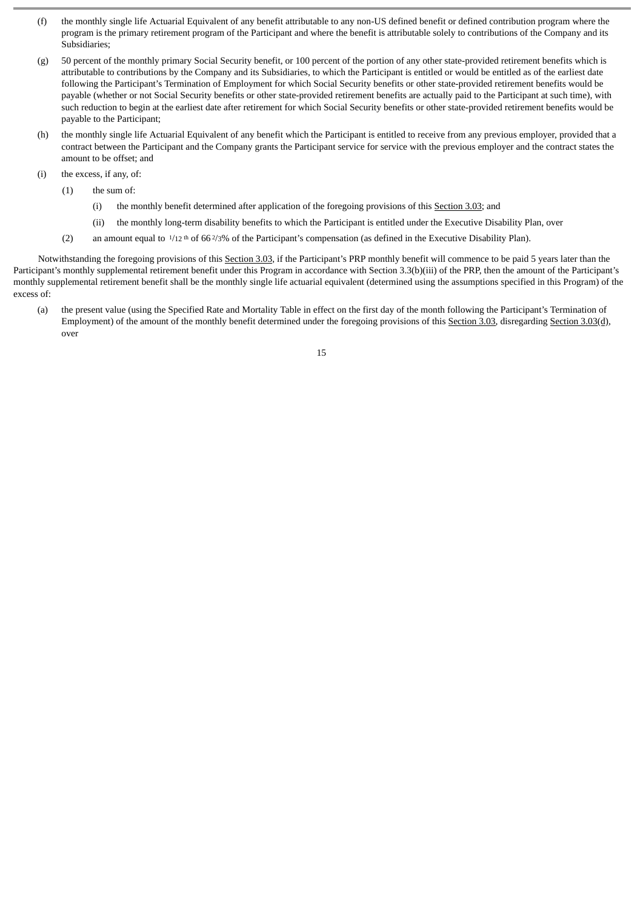- (f) the monthly single life Actuarial Equivalent of any benefit attributable to any non-US defined benefit or defined contribution program where the program is the primary retirement program of the Participant and where the benefit is attributable solely to contributions of the Company and its Subsidiaries;
- (g) 50 percent of the monthly primary Social Security benefit, or 100 percent of the portion of any other state-provided retirement benefits which is attributable to contributions by the Company and its Subsidiaries, to which the Participant is entitled or would be entitled as of the earliest date following the Participant's Termination of Employment for which Social Security benefits or other state-provided retirement benefits would be payable (whether or not Social Security benefits or other state-provided retirement benefits are actually paid to the Participant at such time), with such reduction to begin at the earliest date after retirement for which Social Security benefits or other state-provided retirement benefits would be payable to the Participant;
- (h) the monthly single life Actuarial Equivalent of any benefit which the Participant is entitled to receive from any previous employer, provided that a contract between the Participant and the Company grants the Participant service for service with the previous employer and the contract states the amount to be offset; and
- (i) the excess, if any, of:
	- (1) the sum of:
		- (i) the monthly benefit determined after application of the foregoing provisions of this Section 3.03; and
		- (ii) the monthly long-term disability benefits to which the Participant is entitled under the Executive Disability Plan, over
	- (2) an amount equal to  $\frac{1}{12}$  th of 66 $\frac{2}{3}$ % of the Participant's compensation (as defined in the Executive Disability Plan).

Notwithstanding the foregoing provisions of this Section 3.03, if the Participant's PRP monthly benefit will commence to be paid 5 years later than the Participant's monthly supplemental retirement benefit under this Program in accordance with Section 3.3(b)(iii) of the PRP, then the amount of the Participant's monthly supplemental retirement benefit shall be the monthly single life actuarial equivalent (determined using the assumptions specified in this Program) of the excess of:

(a) the present value (using the Specified Rate and Mortality Table in effect on the first day of the month following the Participant's Termination of Employment) of the amount of the monthly benefit determined under the foregoing provisions of this Section 3.03, disregarding Section 3.03(d), over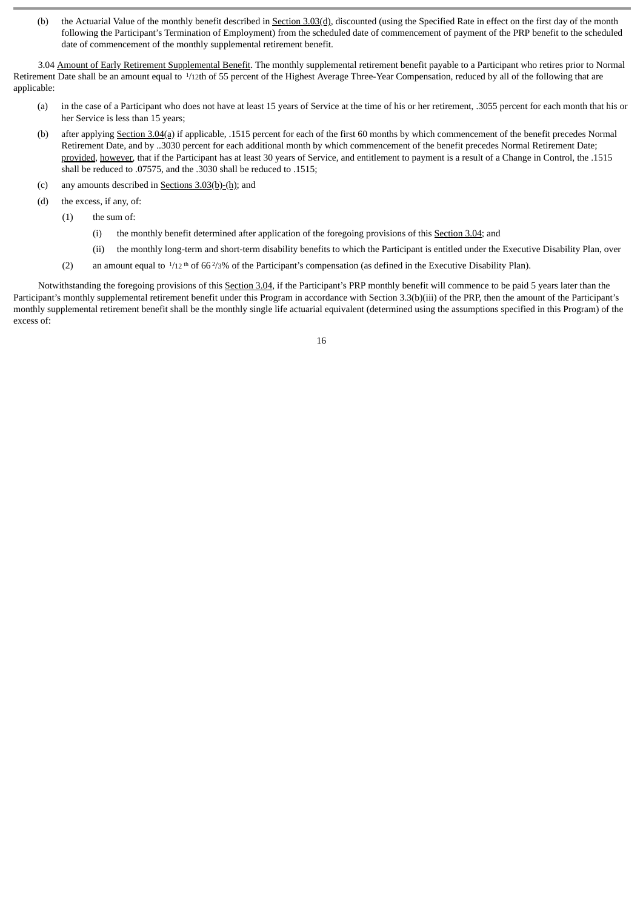(b) the Actuarial Value of the monthly benefit described in Section 3.03(d), discounted (using the Specified Rate in effect on the first day of the month following the Participant's Termination of Employment) from the scheduled date of commencement of payment of the PRP benefit to the scheduled date of commencement of the monthly supplemental retirement benefit.

3.04 Amount of Early Retirement Supplemental Benefit. The monthly supplemental retirement benefit payable to a Participant who retires prior to Normal Retirement Date shall be an amount equal to <sup>1</sup>/12th of 55 percent of the Highest Average Three-Year Compensation, reduced by all of the following that are applicable:

- (a) in the case of a Participant who does not have at least 15 years of Service at the time of his or her retirement, .3055 percent for each month that his or her Service is less than 15 years;
- (b) after applying Section 3.04(a) if applicable, .1515 percent for each of the first 60 months by which commencement of the benefit precedes Normal Retirement Date, and by ..3030 percent for each additional month by which commencement of the benefit precedes Normal Retirement Date; provided, however, that if the Participant has at least 30 years of Service, and entitlement to payment is a result of a Change in Control, the .1515 shall be reduced to .07575, and the .3030 shall be reduced to .1515;
- (c) any amounts described in <u>Sections 3.03(b)-(h)</u>; and
- (d) the excess, if any, of:
	- (1) the sum of:
		- (i) the monthly benefit determined after application of the foregoing provisions of this Section 3.04; and
		- (ii) the monthly long-term and short-term disability benefits to which the Participant is entitled under the Executive Disability Plan, over
	- (2) an amount equal to  $\frac{1}{12}$  th of 66  $\frac{2}{3}\%$  of the Participant's compensation (as defined in the Executive Disability Plan).

Notwithstanding the foregoing provisions of this Section 3.04, if the Participant's PRP monthly benefit will commence to be paid 5 years later than the Participant's monthly supplemental retirement benefit under this Program in accordance with Section 3.3(b)(iii) of the PRP, then the amount of the Participant's monthly supplemental retirement benefit shall be the monthly single life actuarial equivalent (determined using the assumptions specified in this Program) of the excess of: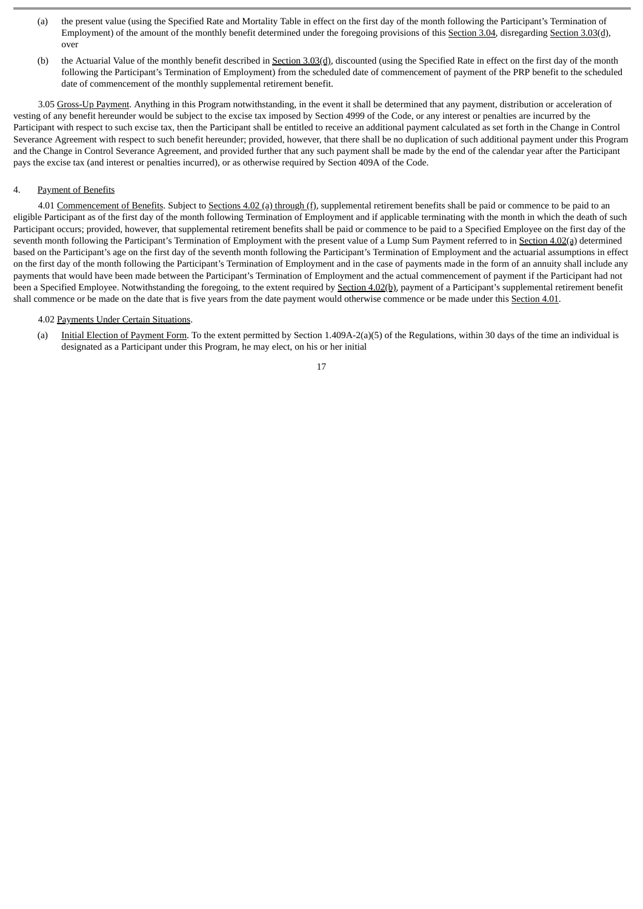- (a) the present value (using the Specified Rate and Mortality Table in effect on the first day of the month following the Participant's Termination of Employment) of the amount of the monthly benefit determined under the foregoing provisions of this Section 3.04, disregarding Section 3.03(d), over
- (b) the Actuarial Value of the monthly benefit described in Section 3.03(d), discounted (using the Specified Rate in effect on the first day of the month following the Participant's Termination of Employment) from the scheduled date of commencement of payment of the PRP benefit to the scheduled date of commencement of the monthly supplemental retirement benefit.

3.05 Gross-Up Payment. Anything in this Program notwithstanding, in the event it shall be determined that any payment, distribution or acceleration of vesting of any benefit hereunder would be subject to the excise tax imposed by Section 4999 of the Code, or any interest or penalties are incurred by the Participant with respect to such excise tax, then the Participant shall be entitled to receive an additional payment calculated as set forth in the Change in Control Severance Agreement with respect to such benefit hereunder; provided, however, that there shall be no duplication of such additional payment under this Program and the Change in Control Severance Agreement, and provided further that any such payment shall be made by the end of the calendar year after the Participant pays the excise tax (and interest or penalties incurred), or as otherwise required by Section 409A of the Code.

## 4. Payment of Benefits

4.01 Commencement of Benefits. Subject to Sections 4.02 (a) through (f), supplemental retirement benefits shall be paid or commence to be paid to an eligible Participant as of the first day of the month following Termination of Employment and if applicable terminating with the month in which the death of such Participant occurs; provided, however, that supplemental retirement benefits shall be paid or commence to be paid to a Specified Employee on the first day of the seventh month following the Participant's Termination of Employment with the present value of a Lump Sum Payment referred to in Section 4.02(a) determined based on the Participant's age on the first day of the seventh month following the Participant's Termination of Employment and the actuarial assumptions in effect on the first day of the month following the Participant's Termination of Employment and in the case of payments made in the form of an annuity shall include any payments that would have been made between the Participant's Termination of Employment and the actual commencement of payment if the Participant had not been a Specified Employee. Notwithstanding the foregoing, to the extent required by Section 4.02(b), payment of a Participant's supplemental retirement benefit shall commence or be made on the date that is five years from the date payment would otherwise commence or be made under this Section 4.01.

#### 4.02 Payments Under Certain Situations.

(a) Initial Election of Payment Form. To the extent permitted by Section 1.409A-2(a)(5) of the Regulations, within 30 days of the time an individual is designated as a Participant under this Program, he may elect, on his or her initial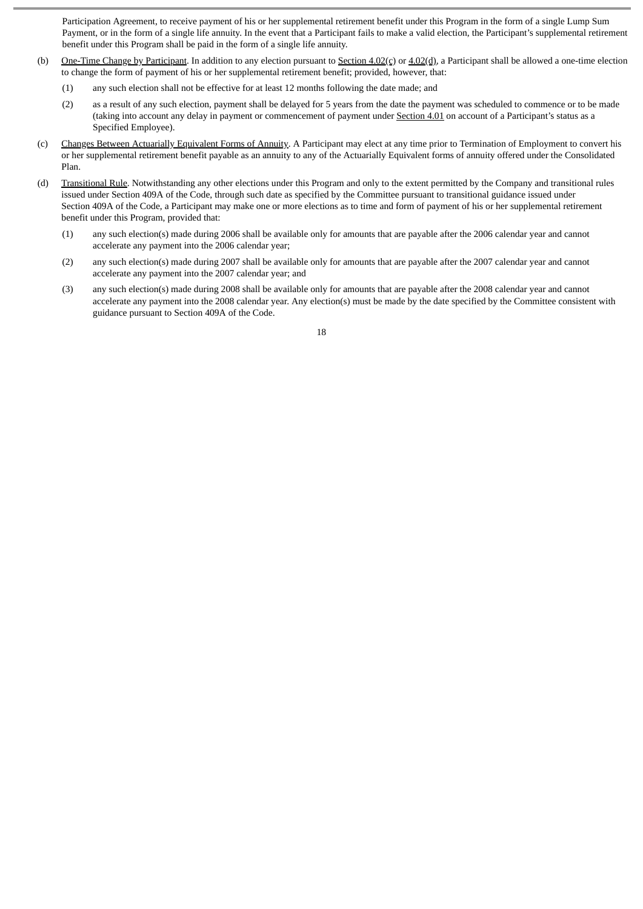Participation Agreement, to receive payment of his or her supplemental retirement benefit under this Program in the form of a single Lump Sum Payment, or in the form of a single life annuity. In the event that a Participant fails to make a valid election, the Participant's supplemental retirement benefit under this Program shall be paid in the form of a single life annuity.

- (b) One-Time Change by Participant. In addition to any election pursuant to Section  $4.02(c)$  or  $4.02(d)$ , a Participant shall be allowed a one-time election to change the form of payment of his or her supplemental retirement benefit; provided, however, that:
	- (1) any such election shall not be effective for at least 12 months following the date made; and
	- (2) as a result of any such election, payment shall be delayed for 5 years from the date the payment was scheduled to commence or to be made (taking into account any delay in payment or commencement of payment under Section 4.01 on account of a Participant's status as a Specified Employee).
- (c) Changes Between Actuarially Equivalent Forms of Annuity. A Participant may elect at any time prior to Termination of Employment to convert his or her supplemental retirement benefit payable as an annuity to any of the Actuarially Equivalent forms of annuity offered under the Consolidated Plan.
- (d) Transitional Rule. Notwithstanding any other elections under this Program and only to the extent permitted by the Company and transitional rules issued under Section 409A of the Code, through such date as specified by the Committee pursuant to transitional guidance issued under Section 409A of the Code, a Participant may make one or more elections as to time and form of payment of his or her supplemental retirement benefit under this Program, provided that:
	- (1) any such election(s) made during 2006 shall be available only for amounts that are payable after the 2006 calendar year and cannot accelerate any payment into the 2006 calendar year;
	- (2) any such election(s) made during 2007 shall be available only for amounts that are payable after the 2007 calendar year and cannot accelerate any payment into the 2007 calendar year; and
	- (3) any such election(s) made during 2008 shall be available only for amounts that are payable after the 2008 calendar year and cannot accelerate any payment into the 2008 calendar year. Any election(s) must be made by the date specified by the Committee consistent with guidance pursuant to Section 409A of the Code.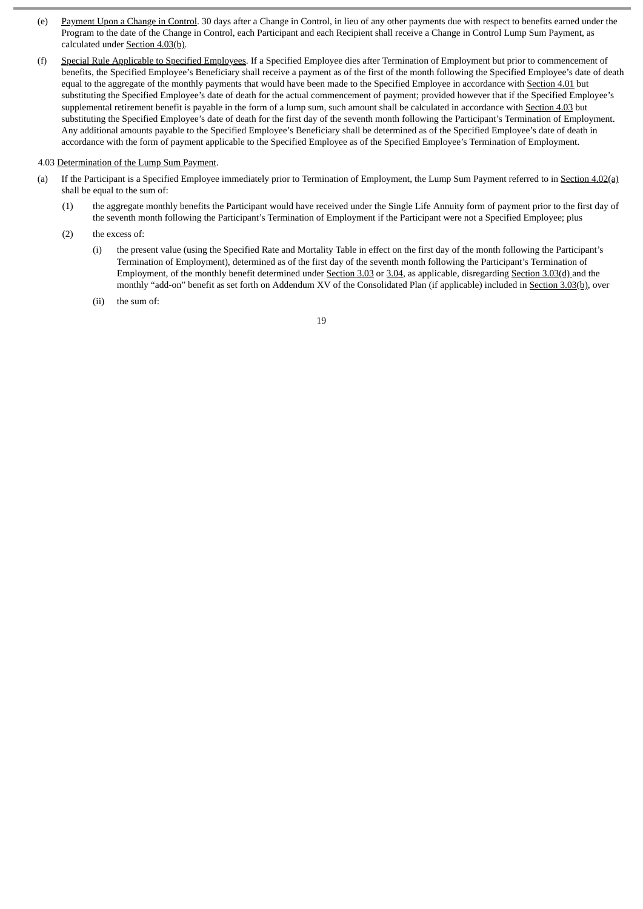- (e) Payment Upon a Change in Control. 30 days after a Change in Control, in lieu of any other payments due with respect to benefits earned under the Program to the date of the Change in Control, each Participant and each Recipient shall receive a Change in Control Lump Sum Payment, as calculated under Section 4.03(b).
- (f) Special Rule Applicable to Specified Employees. If a Specified Employee dies after Termination of Employment but prior to commencement of benefits, the Specified Employee's Beneficiary shall receive a payment as of the first of the month following the Specified Employee's date of death equal to the aggregate of the monthly payments that would have been made to the Specified Employee in accordance with Section 4.01 but substituting the Specified Employee's date of death for the actual commencement of payment; provided however that if the Specified Employee's supplemental retirement benefit is payable in the form of a lump sum, such amount shall be calculated in accordance with Section 4.03 but substituting the Specified Employee's date of death for the first day of the seventh month following the Participant's Termination of Employment. Any additional amounts payable to the Specified Employee's Beneficiary shall be determined as of the Specified Employee's date of death in accordance with the form of payment applicable to the Specified Employee as of the Specified Employee's Termination of Employment.

#### 4.03 Determination of the Lump Sum Payment.

- (a) If the Participant is a Specified Employee immediately prior to Termination of Employment, the Lump Sum Payment referred to in Section 4.02(a) shall be equal to the sum of:
	- (1) the aggregate monthly benefits the Participant would have received under the Single Life Annuity form of payment prior to the first day of the seventh month following the Participant's Termination of Employment if the Participant were not a Specified Employee; plus
	- (2) the excess of:
		- (i) the present value (using the Specified Rate and Mortality Table in effect on the first day of the month following the Participant's Termination of Employment), determined as of the first day of the seventh month following the Participant's Termination of Employment, of the monthly benefit determined under Section 3.03 or 3.04, as applicable, disregarding Section 3.03(d) and the monthly "add-on" benefit as set forth on Addendum XV of the Consolidated Plan (if applicable) included in Section 3.03(b), over
		- (ii) the sum of: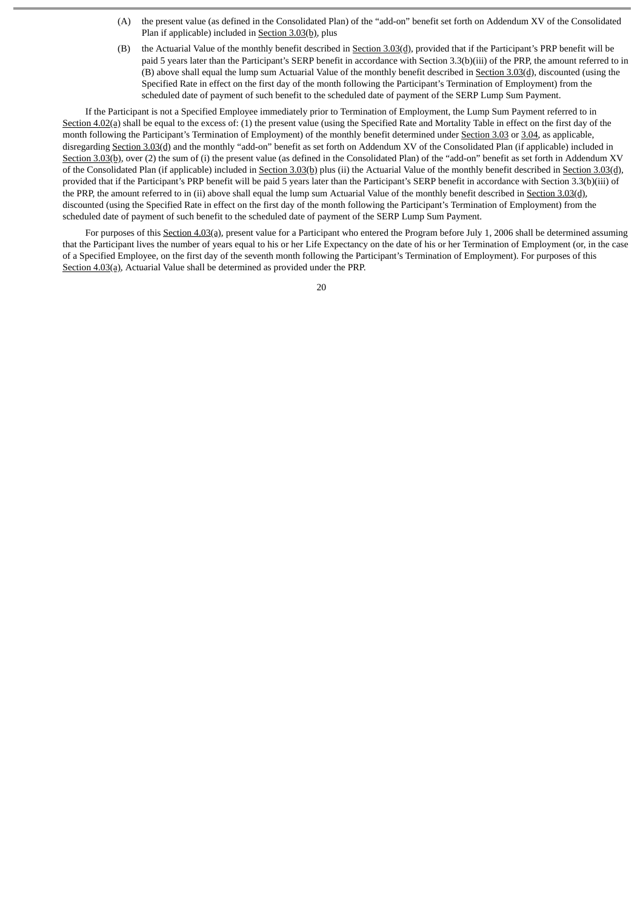- (A) the present value (as defined in the Consolidated Plan) of the "add-on" benefit set forth on Addendum XV of the Consolidated Plan if applicable) included in Section 3.03(b), plus
- (B) the Actuarial Value of the monthly benefit described in Section 3.03(d), provided that if the Participant's PRP benefit will be paid 5 years later than the Participant's SERP benefit in accordance with Section 3.3(b)(iii) of the PRP, the amount referred to in (B) above shall equal the lump sum Actuarial Value of the monthly benefit described in  $Section 3.03(d)$ , discounted (using the Specified Rate in effect on the first day of the month following the Participant's Termination of Employment) from the scheduled date of payment of such benefit to the scheduled date of payment of the SERP Lump Sum Payment.

If the Participant is not a Specified Employee immediately prior to Termination of Employment, the Lump Sum Payment referred to in Section  $4.02(a)$  shall be equal to the excess of: (1) the present value (using the Specified Rate and Mortality Table in effect on the first day of the month following the Participant's Termination of Employment) of the monthly benefit determined under Section 3.03 or 3.04, as applicable, disregarding Section 3.03(d) and the monthly "add-on" benefit as set forth on Addendum XV of the Consolidated Plan (if applicable) included in Section 3.03(b), over (2) the sum of (i) the present value (as defined in the Consolidated Plan) of the "add-on" benefit as set forth in Addendum XV of the Consolidated Plan (if applicable) included in Section 3.03(b) plus (ii) the Actuarial Value of the monthly benefit described in Section 3.03(d), provided that if the Participant's PRP benefit will be paid 5 years later than the Participant's SERP benefit in accordance with Section 3.3(b)(iii) of the PRP, the amount referred to in (ii) above shall equal the lump sum Actuarial Value of the monthly benefit described in Section 3.03(d), discounted (using the Specified Rate in effect on the first day of the month following the Participant's Termination of Employment) from the scheduled date of payment of such benefit to the scheduled date of payment of the SERP Lump Sum Payment.

For purposes of this Section 4.03(a), present value for a Participant who entered the Program before July 1, 2006 shall be determined assuming that the Participant lives the number of years equal to his or her Life Expectancy on the date of his or her Termination of Employment (or, in the case of a Specified Employee, on the first day of the seventh month following the Participant's Termination of Employment). For purposes of this Section 4.03(a), Actuarial Value shall be determined as provided under the PRP.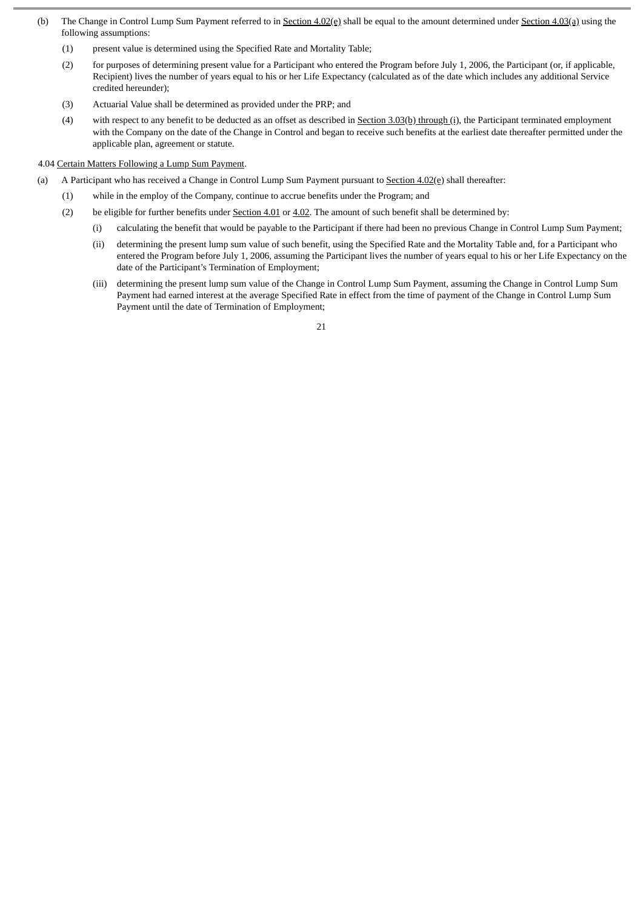- (b) The Change in Control Lump Sum Payment referred to in Section  $4.02(e)$  shall be equal to the amount determined under Section  $4.03(e)$  using the following assumptions:
	- (1) present value is determined using the Specified Rate and Mortality Table;
	- (2) for purposes of determining present value for a Participant who entered the Program before July 1, 2006, the Participant (or, if applicable, Recipient) lives the number of years equal to his or her Life Expectancy (calculated as of the date which includes any additional Service credited hereunder);
	- (3) Actuarial Value shall be determined as provided under the PRP; and
	- (4) with respect to any benefit to be deducted as an offset as described in **Section 3.03(b)** through (i), the Participant terminated employment with the Company on the date of the Change in Control and began to receive such benefits at the earliest date thereafter permitted under the applicable plan, agreement or statute.

#### 4.04 Certain Matters Following a Lump Sum Payment.

- (a) A Participant who has received a Change in Control Lump Sum Payment pursuant to Section 4.02(e) shall thereafter:
	- (1) while in the employ of the Company, continue to accrue benefits under the Program; and
	- (2) be eligible for further benefits under Section 4.01 or  $4.02$ . The amount of such benefit shall be determined by:
		- (i) calculating the benefit that would be payable to the Participant if there had been no previous Change in Control Lump Sum Payment;
		- (ii) determining the present lump sum value of such benefit, using the Specified Rate and the Mortality Table and, for a Participant who entered the Program before July 1, 2006, assuming the Participant lives the number of years equal to his or her Life Expectancy on the date of the Participant's Termination of Employment;
		- (iii) determining the present lump sum value of the Change in Control Lump Sum Payment, assuming the Change in Control Lump Sum Payment had earned interest at the average Specified Rate in effect from the time of payment of the Change in Control Lump Sum Payment until the date of Termination of Employment;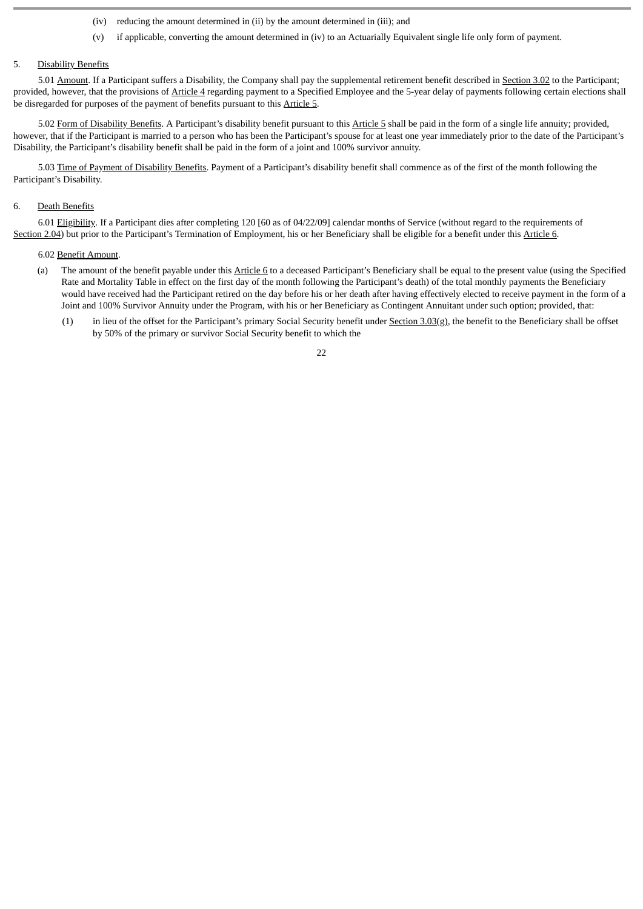- (iv) reducing the amount determined in (ii) by the amount determined in (iii); and
- (v) if applicable, converting the amount determined in (iv) to an Actuarially Equivalent single life only form of payment.

## 5. Disability Benefits

5.01 Amount. If a Participant suffers a Disability, the Company shall pay the supplemental retirement benefit described in Section 3.02 to the Participant; provided, however, that the provisions of Article 4 regarding payment to a Specified Employee and the 5-year delay of payments following certain elections shall be disregarded for purposes of the payment of benefits pursuant to this Article 5.

5.02 Form of Disability Benefits. A Participant's disability benefit pursuant to this Article 5 shall be paid in the form of a single life annuity; provided, however, that if the Participant is married to a person who has been the Participant's spouse for at least one year immediately prior to the date of the Participant's Disability, the Participant's disability benefit shall be paid in the form of a joint and 100% survivor annuity.

5.03 Time of Payment of Disability Benefits. Payment of a Participant's disability benefit shall commence as of the first of the month following the Participant's Disability.

## 6. Death Benefits

6.01 Eligibility. If a Participant dies after completing 120 [60 as of 04/22/09] calendar months of Service (without regard to the requirements of Section 2.04) but prior to the Participant's Termination of Employment, his or her Beneficiary shall be eligible for a benefit under this Article 6.

#### 6.02 Benefit Amount.

- (a) The amount of the benefit payable under this  $\Delta$ rticle 6 to a deceased Participant's Beneficiary shall be equal to the present value (using the Specified Rate and Mortality Table in effect on the first day of the month following the Participant's death) of the total monthly payments the Beneficiary would have received had the Participant retired on the day before his or her death after having effectively elected to receive payment in the form of a Joint and 100% Survivor Annuity under the Program, with his or her Beneficiary as Contingent Annuitant under such option; provided, that:
	- (1) in lieu of the offset for the Participant's primary Social Security benefit under  $Section 3.03(g)$ , the benefit to the Beneficiary shall be offset by 50% of the primary or survivor Social Security benefit to which the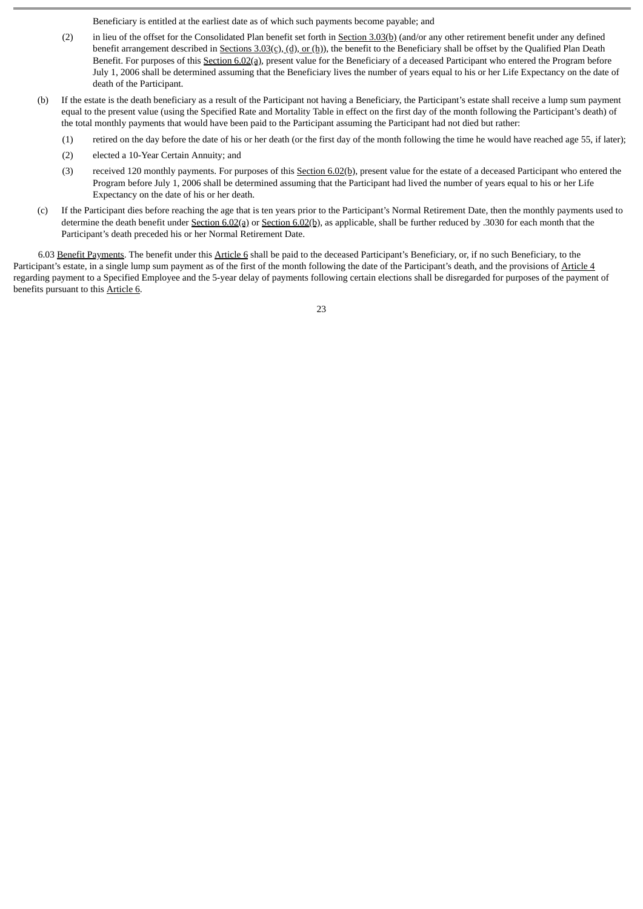Beneficiary is entitled at the earliest date as of which such payments become payable; and

- (2) in lieu of the offset for the Consolidated Plan benefit set forth in Section 3.03(b) (and/or any other retirement benefit under any defined benefit arrangement described in  $Sections 3.03(c), (d), or (h))$ , the benefit to the Beneficiary shall be offset by the Qualified Plan Death Benefit. For purposes of this Section 6.02(a), present value for the Beneficiary of a deceased Participant who entered the Program before July 1, 2006 shall be determined assuming that the Beneficiary lives the number of years equal to his or her Life Expectancy on the date of death of the Participant.
- (b) If the estate is the death beneficiary as a result of the Participant not having a Beneficiary, the Participant's estate shall receive a lump sum payment equal to the present value (using the Specified Rate and Mortality Table in effect on the first day of the month following the Participant's death) of the total monthly payments that would have been paid to the Participant assuming the Participant had not died but rather:
	- (1) retired on the day before the date of his or her death (or the first day of the month following the time he would have reached age 55, if later);
	- (2) elected a 10-Year Certain Annuity; and
	- (3) received 120 monthly payments. For purposes of this Section 6.02(b), present value for the estate of a deceased Participant who entered the Program before July 1, 2006 shall be determined assuming that the Participant had lived the number of years equal to his or her Life Expectancy on the date of his or her death.
- (c) If the Participant dies before reaching the age that is ten years prior to the Participant's Normal Retirement Date, then the monthly payments used to determine the death benefit under Section 6.02(a) or Section 6.02(b), as applicable, shall be further reduced by .3030 for each month that the Participant's death preceded his or her Normal Retirement Date.

6.03 Benefit Payments. The benefit under this Article 6 shall be paid to the deceased Participant's Beneficiary, or, if no such Beneficiary, to the Participant's estate, in a single lump sum payment as of the first of the month following the date of the Participant's death, and the provisions of Article 4 regarding payment to a Specified Employee and the 5-year delay of payments following certain elections shall be disregarded for purposes of the payment of benefits pursuant to this Article 6.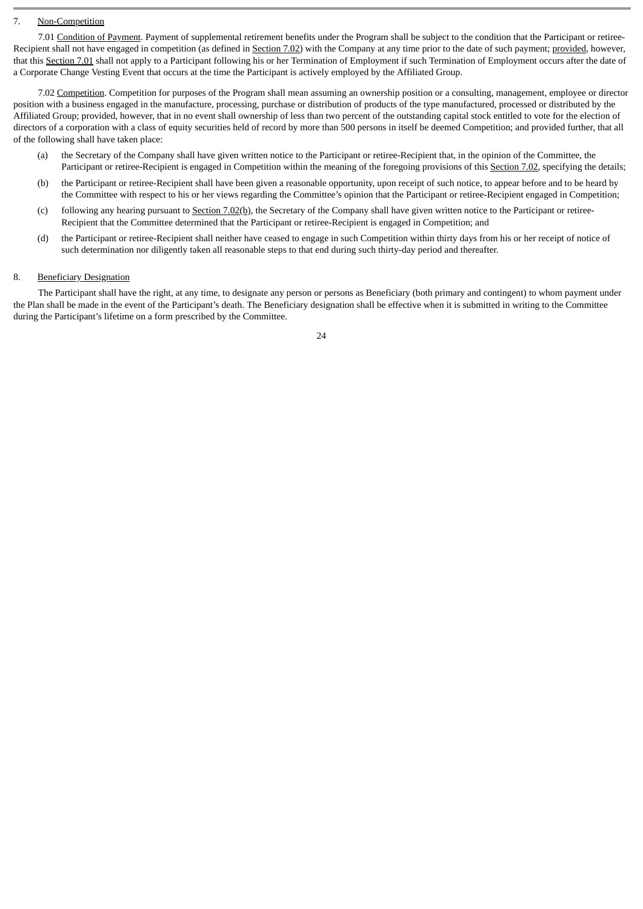## 7. Non-Competition

7.01 Condition of Payment. Payment of supplemental retirement benefits under the Program shall be subject to the condition that the Participant or retiree-Recipient shall not have engaged in competition (as defined in Section 7.02) with the Company at any time prior to the date of such payment; provided, however, that this Section 7.01 shall not apply to a Participant following his or her Termination of Employment if such Termination of Employment occurs after the date of a Corporate Change Vesting Event that occurs at the time the Participant is actively employed by the Affiliated Group.

7.02 Competition. Competition for purposes of the Program shall mean assuming an ownership position or a consulting, management, employee or director position with a business engaged in the manufacture, processing, purchase or distribution of products of the type manufactured, processed or distributed by the Affiliated Group; provided, however, that in no event shall ownership of less than two percent of the outstanding capital stock entitled to vote for the election of directors of a corporation with a class of equity securities held of record by more than 500 persons in itself be deemed Competition; and provided further, that all of the following shall have taken place:

- (a) the Secretary of the Company shall have given written notice to the Participant or retiree-Recipient that, in the opinion of the Committee, the Participant or retiree-Recipient is engaged in Competition within the meaning of the foregoing provisions of this Section 7.02, specifying the details;
- (b) the Participant or retiree-Recipient shall have been given a reasonable opportunity, upon receipt of such notice, to appear before and to be heard by the Committee with respect to his or her views regarding the Committee's opinion that the Participant or retiree-Recipient engaged in Competition;
- (c) following any hearing pursuant to Section 7.02(b), the Secretary of the Company shall have given written notice to the Participant or retiree-Recipient that the Committee determined that the Participant or retiree-Recipient is engaged in Competition; and
- (d) the Participant or retiree-Recipient shall neither have ceased to engage in such Competition within thirty days from his or her receipt of notice of such determination nor diligently taken all reasonable steps to that end during such thirty-day period and thereafter.

## 8. Beneficiary Designation

The Participant shall have the right, at any time, to designate any person or persons as Beneficiary (both primary and contingent) to whom payment under the Plan shall be made in the event of the Participant's death. The Beneficiary designation shall be effective when it is submitted in writing to the Committee during the Participant's lifetime on a form prescribed by the Committee.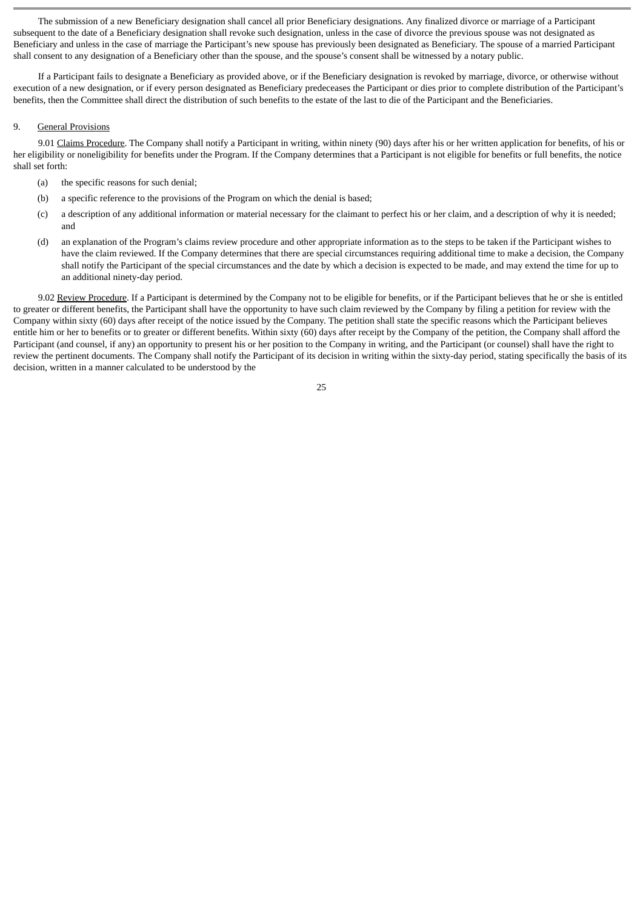The submission of a new Beneficiary designation shall cancel all prior Beneficiary designations. Any finalized divorce or marriage of a Participant subsequent to the date of a Beneficiary designation shall revoke such designation, unless in the case of divorce the previous spouse was not designated as Beneficiary and unless in the case of marriage the Participant's new spouse has previously been designated as Beneficiary. The spouse of a married Participant shall consent to any designation of a Beneficiary other than the spouse, and the spouse's consent shall be witnessed by a notary public.

If a Participant fails to designate a Beneficiary as provided above, or if the Beneficiary designation is revoked by marriage, divorce, or otherwise without execution of a new designation, or if every person designated as Beneficiary predeceases the Participant or dies prior to complete distribution of the Participant's benefits, then the Committee shall direct the distribution of such benefits to the estate of the last to die of the Participant and the Beneficiaries.

#### 9. General Provisions

9.01 Claims Procedure. The Company shall notify a Participant in writing, within ninety (90) days after his or her written application for benefits, of his or her eligibility or noneligibility for benefits under the Program. If the Company determines that a Participant is not eligible for benefits or full benefits, the notice shall set forth:

- (a) the specific reasons for such denial;
- (b) a specific reference to the provisions of the Program on which the denial is based;
- (c) a description of any additional information or material necessary for the claimant to perfect his or her claim, and a description of why it is needed; and
- (d) an explanation of the Program's claims review procedure and other appropriate information as to the steps to be taken if the Participant wishes to have the claim reviewed. If the Company determines that there are special circumstances requiring additional time to make a decision, the Company shall notify the Participant of the special circumstances and the date by which a decision is expected to be made, and may extend the time for up to an additional ninety-day period.

9.02 Review Procedure. If a Participant is determined by the Company not to be eligible for benefits, or if the Participant believes that he or she is entitled to greater or different benefits, the Participant shall have the opportunity to have such claim reviewed by the Company by filing a petition for review with the Company within sixty (60) days after receipt of the notice issued by the Company. The petition shall state the specific reasons which the Participant believes entitle him or her to benefits or to greater or different benefits. Within sixty (60) days after receipt by the Company of the petition, the Company shall afford the Participant (and counsel, if any) an opportunity to present his or her position to the Company in writing, and the Participant (or counsel) shall have the right to review the pertinent documents. The Company shall notify the Participant of its decision in writing within the sixty-day period, stating specifically the basis of its decision, written in a manner calculated to be understood by the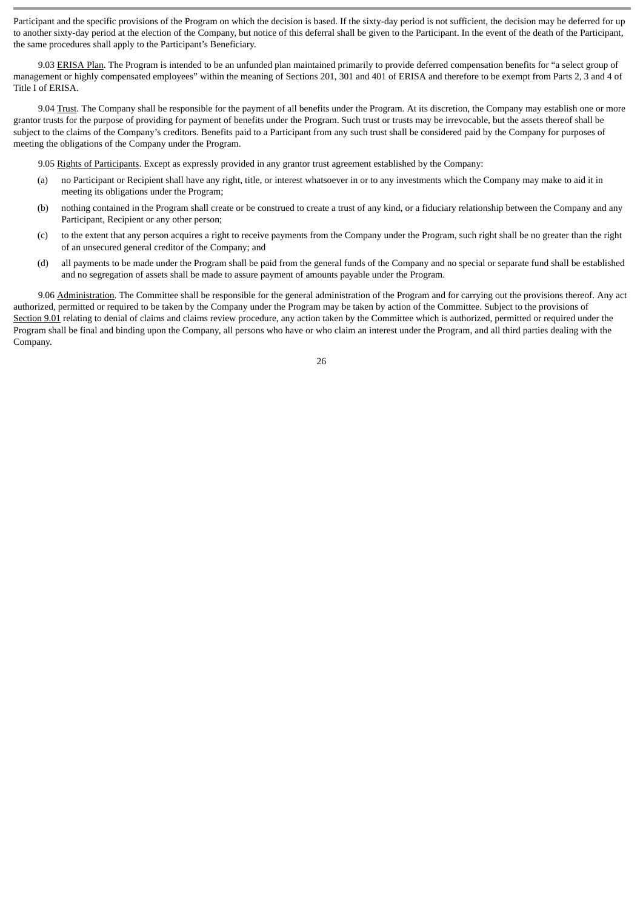Participant and the specific provisions of the Program on which the decision is based. If the sixty-day period is not sufficient, the decision may be deferred for up to another sixty-day period at the election of the Company, but notice of this deferral shall be given to the Participant. In the event of the death of the Participant, the same procedures shall apply to the Participant's Beneficiary.

9.03 ERISA Plan. The Program is intended to be an unfunded plan maintained primarily to provide deferred compensation benefits for "a select group of management or highly compensated employees" within the meaning of Sections 201, 301 and 401 of ERISA and therefore to be exempt from Parts 2, 3 and 4 of Title I of ERISA.

9.04 Trust. The Company shall be responsible for the payment of all benefits under the Program. At its discretion, the Company may establish one or more grantor trusts for the purpose of providing for payment of benefits under the Program. Such trust or trusts may be irrevocable, but the assets thereof shall be subject to the claims of the Company's creditors. Benefits paid to a Participant from any such trust shall be considered paid by the Company for purposes of meeting the obligations of the Company under the Program.

9.05 Rights of Participants. Except as expressly provided in any grantor trust agreement established by the Company:

- (a) no Participant or Recipient shall have any right, title, or interest whatsoever in or to any investments which the Company may make to aid it in meeting its obligations under the Program;
- (b) nothing contained in the Program shall create or be construed to create a trust of any kind, or a fiduciary relationship between the Company and any Participant, Recipient or any other person;
- (c) to the extent that any person acquires a right to receive payments from the Company under the Program, such right shall be no greater than the right of an unsecured general creditor of the Company; and
- (d) all payments to be made under the Program shall be paid from the general funds of the Company and no special or separate fund shall be established and no segregation of assets shall be made to assure payment of amounts payable under the Program.

9.06 Administration. The Committee shall be responsible for the general administration of the Program and for carrying out the provisions thereof. Any act authorized, permitted or required to be taken by the Company under the Program may be taken by action of the Committee. Subject to the provisions of Section 9.01 relating to denial of claims and claims review procedure, any action taken by the Committee which is authorized, permitted or required under the Program shall be final and binding upon the Company, all persons who have or who claim an interest under the Program, and all third parties dealing with the Company.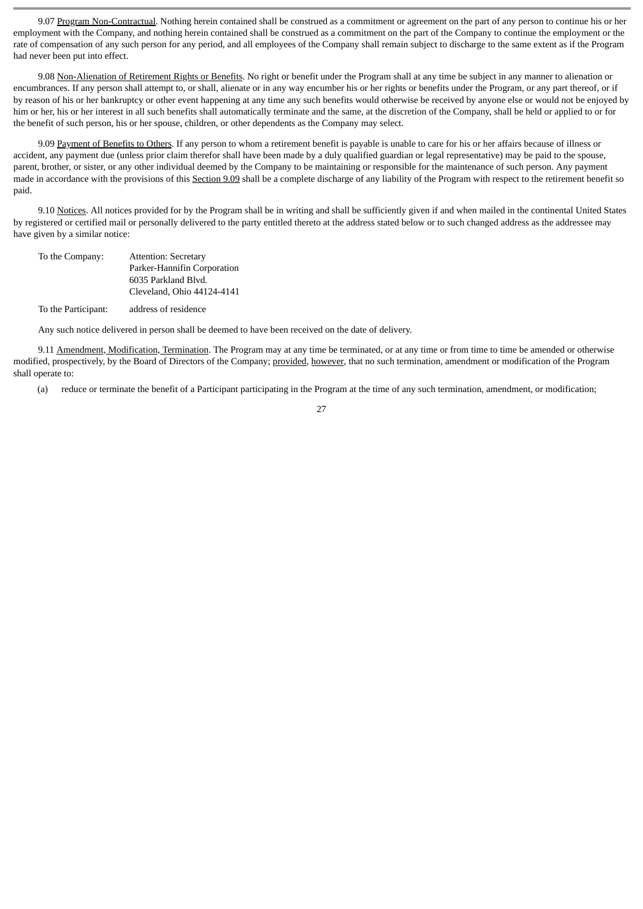9.07 Program Non-Contractual. Nothing herein contained shall be construed as a commitment or agreement on the part of any person to continue his or her employment with the Company, and nothing herein contained shall be construed as a commitment on the part of the Company to continue the employment or the rate of compensation of any such person for any period, and all employees of the Company shall remain subject to discharge to the same extent as if the Program had never been put into effect.

9.08 Non-Alienation of Retirement Rights or Benefits. No right or benefit under the Program shall at any time be subject in any manner to alienation or encumbrances. If any person shall attempt to, or shall, alienate or in any way encumber his or her rights or benefits under the Program, or any part thereof, or if by reason of his or her bankruptcy or other event happening at any time any such benefits would otherwise be received by anyone else or would not be enjoyed by him or her, his or her interest in all such benefits shall automatically terminate and the same, at the discretion of the Company, shall be held or applied to or for the benefit of such person, his or her spouse, children, or other dependents as the Company may select.

9.09 Payment of Benefits to Others. If any person to whom a retirement benefit is payable is unable to care for his or her affairs because of illness or accident, any payment due (unless prior claim therefor shall have been made by a duly qualified guardian or legal representative) may be paid to the spouse, parent, brother, or sister, or any other individual deemed by the Company to be maintaining or responsible for the maintenance of such person. Any payment made in accordance with the provisions of this Section 9.09 shall be a complete discharge of any liability of the Program with respect to the retirement benefit so paid.

9.10 Notices. All notices provided for by the Program shall be in writing and shall be sufficiently given if and when mailed in the continental United States by registered or certified mail or personally delivered to the party entitled thereto at the address stated below or to such changed address as the addressee may have given by a similar notice:

| To the Company: | <b>Attention: Secretary</b> |
|-----------------|-----------------------------|
|                 | Parker-Hannifin Corporation |
|                 | 6035 Parkland Blvd.         |
|                 | Cleveland, Ohio 44124-4141  |
|                 |                             |

To the Participant: address of residence

Any such notice delivered in person shall be deemed to have been received on the date of delivery.

9.11 Amendment, Modification, Termination. The Program may at any time be terminated, or at any time or from time to time be amended or otherwise modified, prospectively, by the Board of Directors of the Company; provided, however, that no such termination, amendment or modification of the Program shall operate to:

(a) reduce or terminate the benefit of a Participant participating in the Program at the time of any such termination, amendment, or modification;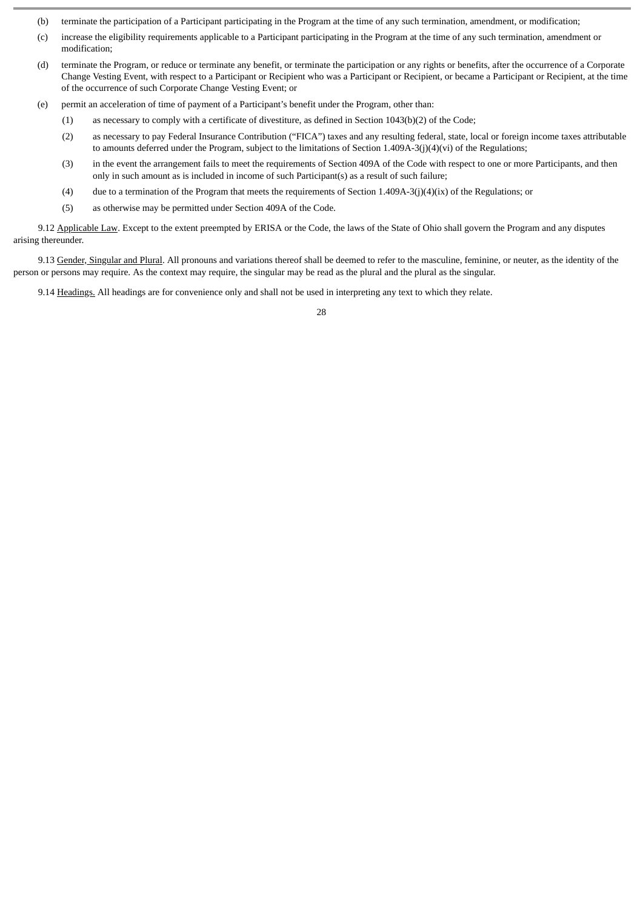- (b) terminate the participation of a Participant participating in the Program at the time of any such termination, amendment, or modification;
- (c) increase the eligibility requirements applicable to a Participant participating in the Program at the time of any such termination, amendment or modification;
- (d) terminate the Program, or reduce or terminate any benefit, or terminate the participation or any rights or benefits, after the occurrence of a Corporate Change Vesting Event, with respect to a Participant or Recipient who was a Participant or Recipient, or became a Participant or Recipient, at the time of the occurrence of such Corporate Change Vesting Event; or
- (e) permit an acceleration of time of payment of a Participant's benefit under the Program, other than:
	- (1) as necessary to comply with a certificate of divestiture, as defined in Section 1043(b)(2) of the Code;
	- (2) as necessary to pay Federal Insurance Contribution ("FICA") taxes and any resulting federal, state, local or foreign income taxes attributable to amounts deferred under the Program, subject to the limitations of Section 1.409A-3(j)(4)(vi) of the Regulations;
	- (3) in the event the arrangement fails to meet the requirements of Section 409A of the Code with respect to one or more Participants, and then only in such amount as is included in income of such Participant(s) as a result of such failure;
	- (4) due to a termination of the Program that meets the requirements of Section 1.409A-3(j)(4)(ix) of the Regulations; or
	- (5) as otherwise may be permitted under Section 409A of the Code.

9.12 Applicable Law. Except to the extent preempted by ERISA or the Code, the laws of the State of Ohio shall govern the Program and any disputes arising thereunder.

9.13 Gender, Singular and Plural. All pronouns and variations thereof shall be deemed to refer to the masculine, feminine, or neuter, as the identity of the person or persons may require. As the context may require, the singular may be read as the plural and the plural as the singular.

9.14 Headings. All headings are for convenience only and shall not be used in interpreting any text to which they relate.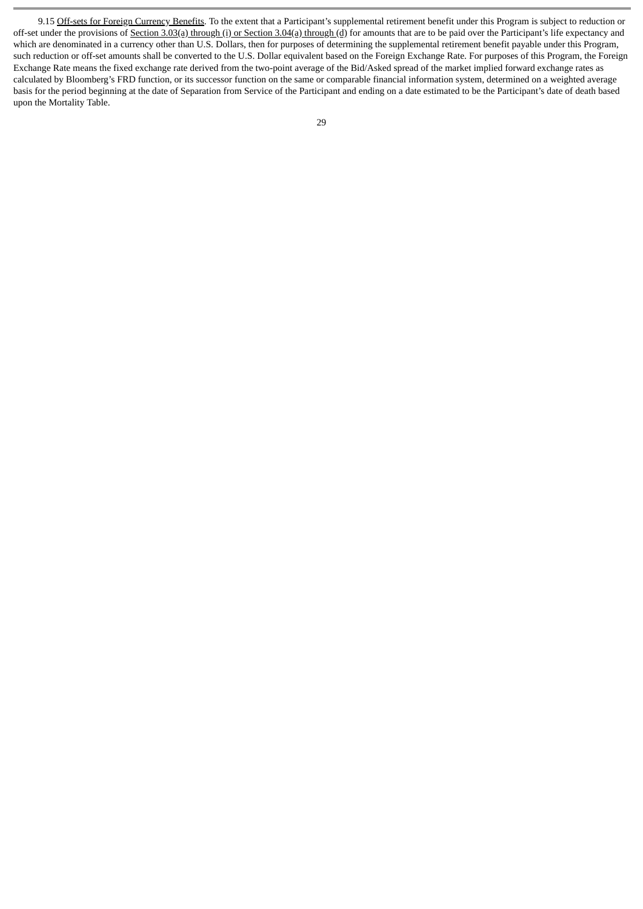<sup>9.15</sup> Off-sets for Foreign Currency Benefits. To the extent that a Participant's supplemental retirement benefit under this Program is subject to reduction or off-set under the provisions of Section 3.03(a) through (i) or Section 3.04(a) through (d) for amounts that are to be paid over the Participant's life expectancy and which are denominated in a currency other than U.S. Dollars, then for purposes of determining the supplemental retirement benefit payable under this Program, such reduction or off-set amounts shall be converted to the U.S. Dollar equivalent based on the Foreign Exchange Rate. For purposes of this Program, the Foreign Exchange Rate means the fixed exchange rate derived from the two-point average of the Bid/Asked spread of the market implied forward exchange rates as calculated by Bloomberg's FRD function, or its successor function on the same or comparable financial information system, determined on a weighted average basis for the period beginning at the date of Separation from Service of the Participant and ending on a date estimated to be the Participant's date of death based upon the Mortality Table.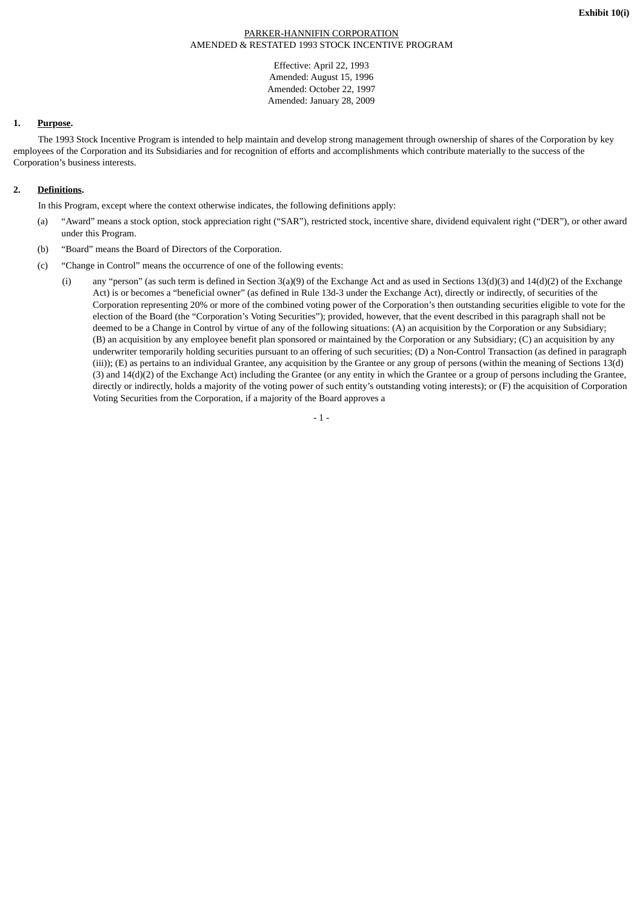## PARKER-HANNIFIN CORPORATION AMENDED & RESTATED 1993 STOCK INCENTIVE PROGRAM

Effective: April 22, 1993 Amended: August 15, 1996 Amended: October 22, 1997 Amended: January 28, 2009

# **1. Purpose.**

The 1993 Stock Incentive Program is intended to help maintain and develop strong management through ownership of shares of the Corporation by key employees of the Corporation and its Subsidiaries and for recognition of efforts and accomplishments which contribute materially to the success of the Corporation's business interests.

# **2. Definitions.**

In this Program, except where the context otherwise indicates, the following definitions apply:

- (a) "Award" means a stock option, stock appreciation right ("SAR"), restricted stock, incentive share, dividend equivalent right ("DER"), or other award under this Program.
- (b) "Board" means the Board of Directors of the Corporation.
- (c) "Change in Control" means the occurrence of one of the following events:
	- (i) any "person" (as such term is defined in Section  $3(a)(9)$  of the Exchange Act and as used in Sections  $13(d)(3)$  and  $14(d)(2)$  of the Exchange Act) is or becomes a "beneficial owner" (as defined in Rule 13d-3 under the Exchange Act), directly or indirectly, of securities of the Corporation representing 20% or more of the combined voting power of the Corporation's then outstanding securities eligible to vote for the election of the Board (the "Corporation's Voting Securities"); provided, however, that the event described in this paragraph shall not be deemed to be a Change in Control by virtue of any of the following situations: (A) an acquisition by the Corporation or any Subsidiary; (B) an acquisition by any employee benefit plan sponsored or maintained by the Corporation or any Subsidiary; (C) an acquisition by any underwriter temporarily holding securities pursuant to an offering of such securities; (D) a Non-Control Transaction (as defined in paragraph (iii)); (E) as pertains to an individual Grantee, any acquisition by the Grantee or any group of persons (within the meaning of Sections 13(d) (3) and  $14(d)(2)$  of the Exchange Act) including the Grantee (or any entity in which the Grantee or a group of persons including the Grantee, directly or indirectly, holds a majority of the voting power of such entity's outstanding voting interests); or (F) the acquisition of Corporation Voting Securities from the Corporation, if a majority of the Board approves a

- 1 -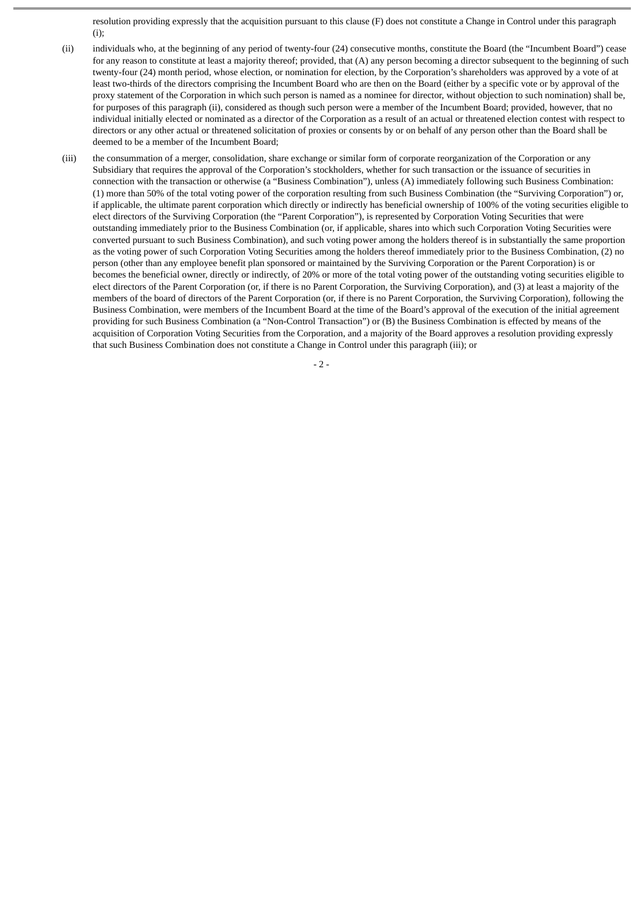resolution providing expressly that the acquisition pursuant to this clause (F) does not constitute a Change in Control under this paragraph  $(i)$ :

- (ii) individuals who, at the beginning of any period of twenty-four (24) consecutive months, constitute the Board (the "Incumbent Board") cease for any reason to constitute at least a majority thereof; provided, that (A) any person becoming a director subsequent to the beginning of such twenty-four (24) month period, whose election, or nomination for election, by the Corporation's shareholders was approved by a vote of at least two-thirds of the directors comprising the Incumbent Board who are then on the Board (either by a specific vote or by approval of the proxy statement of the Corporation in which such person is named as a nominee for director, without objection to such nomination) shall be, for purposes of this paragraph (ii), considered as though such person were a member of the Incumbent Board; provided, however, that no individual initially elected or nominated as a director of the Corporation as a result of an actual or threatened election contest with respect to directors or any other actual or threatened solicitation of proxies or consents by or on behalf of any person other than the Board shall be deemed to be a member of the Incumbent Board;
- (iii) the consummation of a merger, consolidation, share exchange or similar form of corporate reorganization of the Corporation or any Subsidiary that requires the approval of the Corporation's stockholders, whether for such transaction or the issuance of securities in connection with the transaction or otherwise (a "Business Combination"), unless (A) immediately following such Business Combination: (1) more than 50% of the total voting power of the corporation resulting from such Business Combination (the "Surviving Corporation") or, if applicable, the ultimate parent corporation which directly or indirectly has beneficial ownership of 100% of the voting securities eligible to elect directors of the Surviving Corporation (the "Parent Corporation"), is represented by Corporation Voting Securities that were outstanding immediately prior to the Business Combination (or, if applicable, shares into which such Corporation Voting Securities were converted pursuant to such Business Combination), and such voting power among the holders thereof is in substantially the same proportion as the voting power of such Corporation Voting Securities among the holders thereof immediately prior to the Business Combination, (2) no person (other than any employee benefit plan sponsored or maintained by the Surviving Corporation or the Parent Corporation) is or becomes the beneficial owner, directly or indirectly, of 20% or more of the total voting power of the outstanding voting securities eligible to elect directors of the Parent Corporation (or, if there is no Parent Corporation, the Surviving Corporation), and (3) at least a majority of the members of the board of directors of the Parent Corporation (or, if there is no Parent Corporation, the Surviving Corporation), following the Business Combination, were members of the Incumbent Board at the time of the Board's approval of the execution of the initial agreement providing for such Business Combination (a "Non-Control Transaction") or (B) the Business Combination is effected by means of the acquisition of Corporation Voting Securities from the Corporation, and a majority of the Board approves a resolution providing expressly that such Business Combination does not constitute a Change in Control under this paragraph (iii); or

 $-2 -$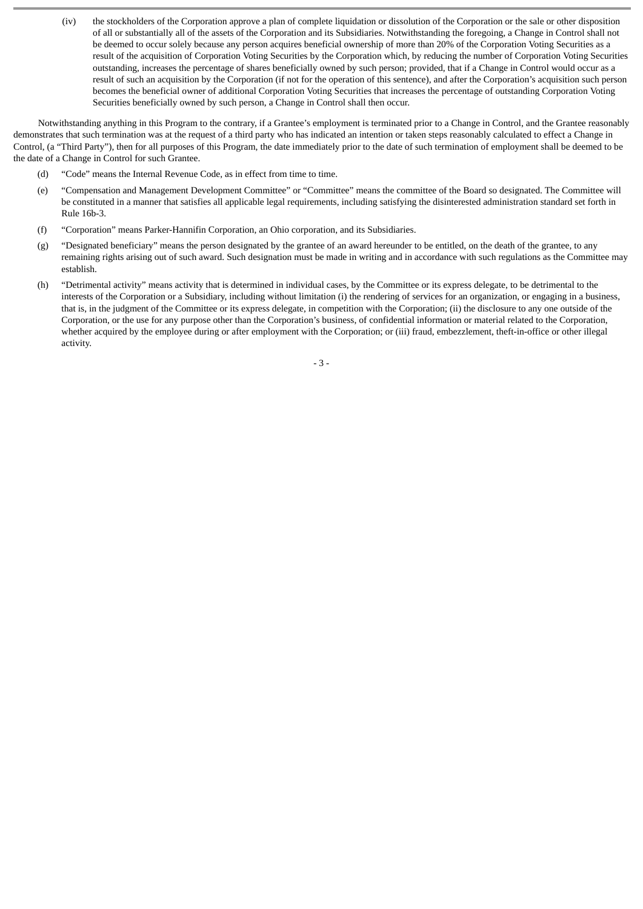(iv) the stockholders of the Corporation approve a plan of complete liquidation or dissolution of the Corporation or the sale or other disposition of all or substantially all of the assets of the Corporation and its Subsidiaries. Notwithstanding the foregoing, a Change in Control shall not be deemed to occur solely because any person acquires beneficial ownership of more than 20% of the Corporation Voting Securities as a result of the acquisition of Corporation Voting Securities by the Corporation which, by reducing the number of Corporation Voting Securities outstanding, increases the percentage of shares beneficially owned by such person; provided, that if a Change in Control would occur as a result of such an acquisition by the Corporation (if not for the operation of this sentence), and after the Corporation's acquisition such person becomes the beneficial owner of additional Corporation Voting Securities that increases the percentage of outstanding Corporation Voting Securities beneficially owned by such person, a Change in Control shall then occur.

Notwithstanding anything in this Program to the contrary, if a Grantee's employment is terminated prior to a Change in Control, and the Grantee reasonably demonstrates that such termination was at the request of a third party who has indicated an intention or taken steps reasonably calculated to effect a Change in Control, (a "Third Party"), then for all purposes of this Program, the date immediately prior to the date of such termination of employment shall be deemed to be the date of a Change in Control for such Grantee.

- (d) "Code" means the Internal Revenue Code, as in effect from time to time.
- (e) "Compensation and Management Development Committee" or "Committee" means the committee of the Board so designated. The Committee will be constituted in a manner that satisfies all applicable legal requirements, including satisfying the disinterested administration standard set forth in Rule 16b-3.
- (f) "Corporation" means Parker-Hannifin Corporation, an Ohio corporation, and its Subsidiaries.
- (g) "Designated beneficiary" means the person designated by the grantee of an award hereunder to be entitled, on the death of the grantee, to any remaining rights arising out of such award. Such designation must be made in writing and in accordance with such regulations as the Committee may establish.
- (h) "Detrimental activity" means activity that is determined in individual cases, by the Committee or its express delegate, to be detrimental to the interests of the Corporation or a Subsidiary, including without limitation (i) the rendering of services for an organization, or engaging in a business, that is, in the judgment of the Committee or its express delegate, in competition with the Corporation; (ii) the disclosure to any one outside of the Corporation, or the use for any purpose other than the Corporation's business, of confidential information or material related to the Corporation, whether acquired by the employee during or after employment with the Corporation; or (iii) fraud, embezzlement, theft-in-office or other illegal activity.

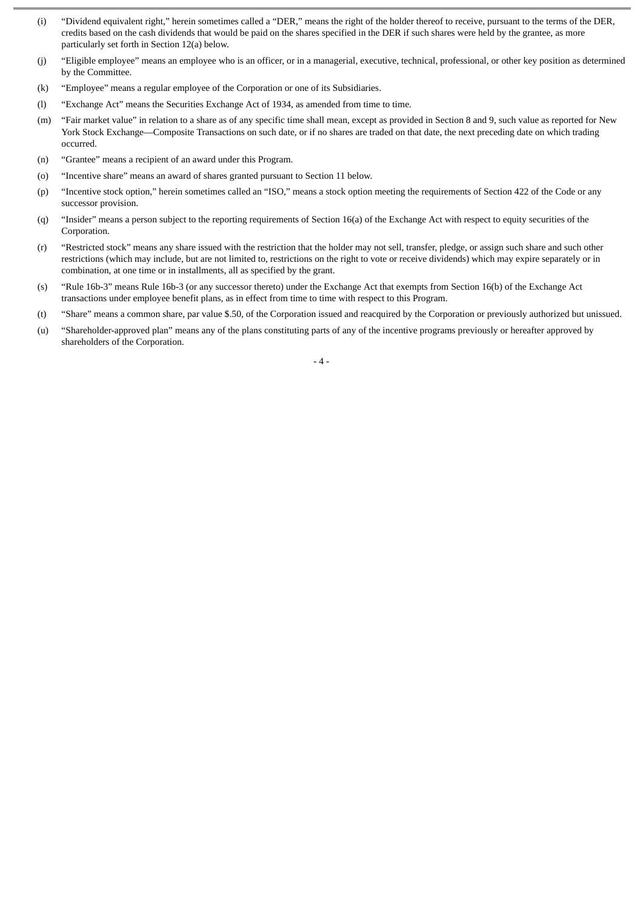- (i) "Dividend equivalent right," herein sometimes called a "DER," means the right of the holder thereof to receive, pursuant to the terms of the DER, credits based on the cash dividends that would be paid on the shares specified in the DER if such shares were held by the grantee, as more particularly set forth in Section 12(a) below.
- (j) "Eligible employee" means an employee who is an officer, or in a managerial, executive, technical, professional, or other key position as determined by the Committee.
- (k) "Employee" means a regular employee of the Corporation or one of its Subsidiaries.
- (l) "Exchange Act" means the Securities Exchange Act of 1934, as amended from time to time.
- (m) "Fair market value" in relation to a share as of any specific time shall mean, except as provided in Section 8 and 9, such value as reported for New York Stock Exchange—Composite Transactions on such date, or if no shares are traded on that date, the next preceding date on which trading occurred.
- (n) "Grantee" means a recipient of an award under this Program.
- (o) "Incentive share" means an award of shares granted pursuant to Section 11 below.
- (p) "Incentive stock option," herein sometimes called an "ISO," means a stock option meeting the requirements of Section 422 of the Code or any successor provision.
- (q) "Insider" means a person subject to the reporting requirements of Section 16(a) of the Exchange Act with respect to equity securities of the Corporation.
- (r) "Restricted stock" means any share issued with the restriction that the holder may not sell, transfer, pledge, or assign such share and such other restrictions (which may include, but are not limited to, restrictions on the right to vote or receive dividends) which may expire separately or in combination, at one time or in installments, all as specified by the grant.
- (s) "Rule 16b-3" means Rule 16b-3 (or any successor thereto) under the Exchange Act that exempts from Section 16(b) of the Exchange Act transactions under employee benefit plans, as in effect from time to time with respect to this Program.
- (t) "Share" means a common share, par value \$.50, of the Corporation issued and reacquired by the Corporation or previously authorized but unissued.
- (u) "Shareholder-approved plan" means any of the plans constituting parts of any of the incentive programs previously or hereafter approved by shareholders of the Corporation.

 $-4-$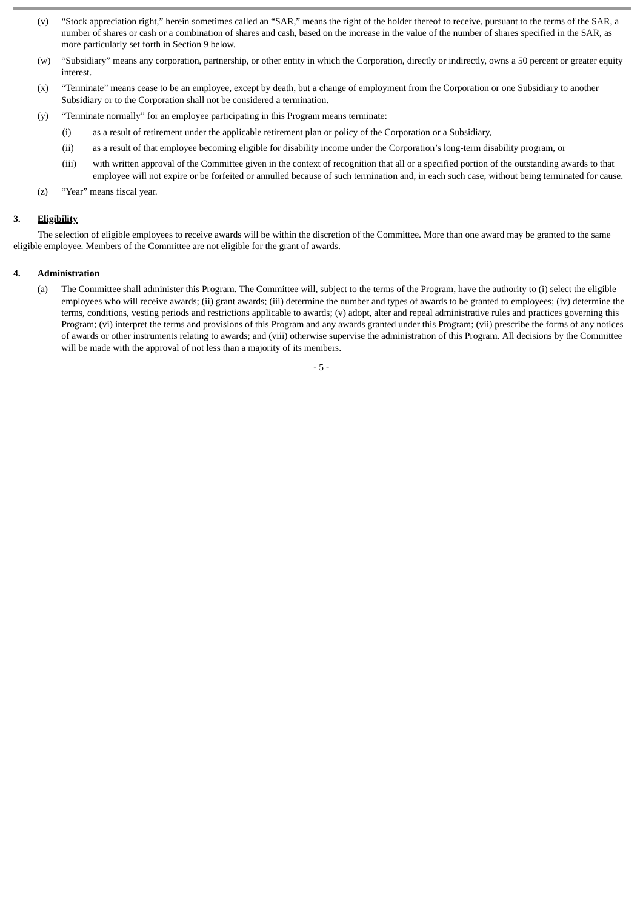- (v) "Stock appreciation right," herein sometimes called an "SAR," means the right of the holder thereof to receive, pursuant to the terms of the SAR, a number of shares or cash or a combination of shares and cash, based on the increase in the value of the number of shares specified in the SAR, as more particularly set forth in Section 9 below.
- (w) "Subsidiary" means any corporation, partnership, or other entity in which the Corporation, directly or indirectly, owns a 50 percent or greater equity interest.
- (x) "Terminate" means cease to be an employee, except by death, but a change of employment from the Corporation or one Subsidiary to another Subsidiary or to the Corporation shall not be considered a termination.
- (y) "Terminate normally" for an employee participating in this Program means terminate:
	- (i) as a result of retirement under the applicable retirement plan or policy of the Corporation or a Subsidiary,
	- (ii) as a result of that employee becoming eligible for disability income under the Corporation's long-term disability program, or
	- (iii) with written approval of the Committee given in the context of recognition that all or a specified portion of the outstanding awards to that employee will not expire or be forfeited or annulled because of such termination and, in each such case, without being terminated for cause.
- (z) "Year" means fiscal year.

## **3. Eligibility**

The selection of eligible employees to receive awards will be within the discretion of the Committee. More than one award may be granted to the same eligible employee. Members of the Committee are not eligible for the grant of awards.

#### **4. Administration**

(a) The Committee shall administer this Program. The Committee will, subject to the terms of the Program, have the authority to (i) select the eligible employees who will receive awards; (ii) grant awards; (iii) determine the number and types of awards to be granted to employees; (iv) determine the terms, conditions, vesting periods and restrictions applicable to awards; (v) adopt, alter and repeal administrative rules and practices governing this Program; (vi) interpret the terms and provisions of this Program and any awards granted under this Program; (vii) prescribe the forms of any notices of awards or other instruments relating to awards; and (viii) otherwise supervise the administration of this Program. All decisions by the Committee will be made with the approval of not less than a majority of its members.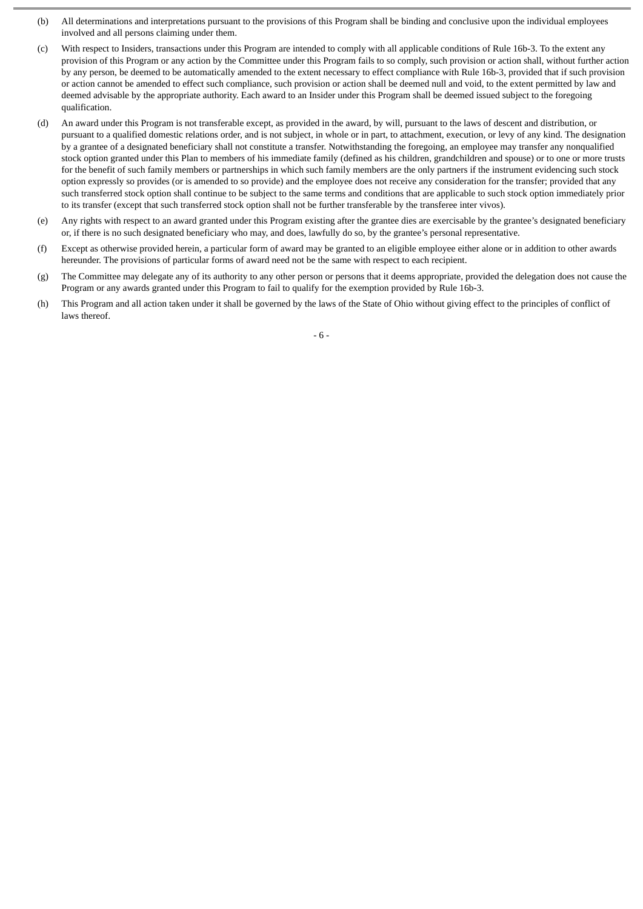- (b) All determinations and interpretations pursuant to the provisions of this Program shall be binding and conclusive upon the individual employees involved and all persons claiming under them.
- (c) With respect to Insiders, transactions under this Program are intended to comply with all applicable conditions of Rule 16b-3. To the extent any provision of this Program or any action by the Committee under this Program fails to so comply, such provision or action shall, without further action by any person, be deemed to be automatically amended to the extent necessary to effect compliance with Rule 16b-3, provided that if such provision or action cannot be amended to effect such compliance, such provision or action shall be deemed null and void, to the extent permitted by law and deemed advisable by the appropriate authority. Each award to an Insider under this Program shall be deemed issued subject to the foregoing qualification.
- (d) An award under this Program is not transferable except, as provided in the award, by will, pursuant to the laws of descent and distribution, or pursuant to a qualified domestic relations order, and is not subject, in whole or in part, to attachment, execution, or levy of any kind. The designation by a grantee of a designated beneficiary shall not constitute a transfer. Notwithstanding the foregoing, an employee may transfer any nonqualified stock option granted under this Plan to members of his immediate family (defined as his children, grandchildren and spouse) or to one or more trusts for the benefit of such family members or partnerships in which such family members are the only partners if the instrument evidencing such stock option expressly so provides (or is amended to so provide) and the employee does not receive any consideration for the transfer; provided that any such transferred stock option shall continue to be subject to the same terms and conditions that are applicable to such stock option immediately prior to its transfer (except that such transferred stock option shall not be further transferable by the transferee inter vivos).
- (e) Any rights with respect to an award granted under this Program existing after the grantee dies are exercisable by the grantee's designated beneficiary or, if there is no such designated beneficiary who may, and does, lawfully do so, by the grantee's personal representative.
- (f) Except as otherwise provided herein, a particular form of award may be granted to an eligible employee either alone or in addition to other awards hereunder. The provisions of particular forms of award need not be the same with respect to each recipient.
- (g) The Committee may delegate any of its authority to any other person or persons that it deems appropriate, provided the delegation does not cause the Program or any awards granted under this Program to fail to qualify for the exemption provided by Rule 16b-3.
- (h) This Program and all action taken under it shall be governed by the laws of the State of Ohio without giving effect to the principles of conflict of laws thereof.

- 6 -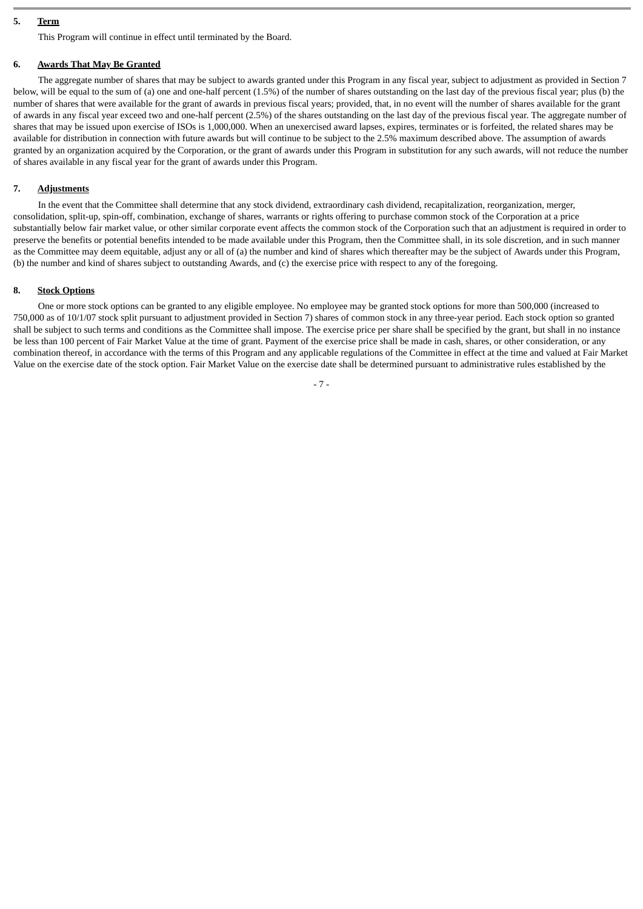## **5. Term**

This Program will continue in effect until terminated by the Board.

### **6. Awards That May Be Granted**

The aggregate number of shares that may be subject to awards granted under this Program in any fiscal year, subject to adjustment as provided in Section 7 below, will be equal to the sum of (a) one and one-half percent (1.5%) of the number of shares outstanding on the last day of the previous fiscal year; plus (b) the number of shares that were available for the grant of awards in previous fiscal years; provided, that, in no event will the number of shares available for the grant of awards in any fiscal year exceed two and one-half percent (2.5%) of the shares outstanding on the last day of the previous fiscal year. The aggregate number of shares that may be issued upon exercise of ISOs is 1,000,000. When an unexercised award lapses, expires, terminates or is forfeited, the related shares may be available for distribution in connection with future awards but will continue to be subject to the 2.5% maximum described above. The assumption of awards granted by an organization acquired by the Corporation, or the grant of awards under this Program in substitution for any such awards, will not reduce the number of shares available in any fiscal year for the grant of awards under this Program.

## **7. Adjustments**

In the event that the Committee shall determine that any stock dividend, extraordinary cash dividend, recapitalization, reorganization, merger, consolidation, split-up, spin-off, combination, exchange of shares, warrants or rights offering to purchase common stock of the Corporation at a price substantially below fair market value, or other similar corporate event affects the common stock of the Corporation such that an adjustment is required in order to preserve the benefits or potential benefits intended to be made available under this Program, then the Committee shall, in its sole discretion, and in such manner as the Committee may deem equitable, adjust any or all of (a) the number and kind of shares which thereafter may be the subject of Awards under this Program, (b) the number and kind of shares subject to outstanding Awards, and (c) the exercise price with respect to any of the foregoing.

#### **8. Stock Options**

One or more stock options can be granted to any eligible employee. No employee may be granted stock options for more than 500,000 (increased to 750,000 as of 10/1/07 stock split pursuant to adjustment provided in Section 7) shares of common stock in any three-year period. Each stock option so granted shall be subject to such terms and conditions as the Committee shall impose. The exercise price per share shall be specified by the grant, but shall in no instance be less than 100 percent of Fair Market Value at the time of grant. Payment of the exercise price shall be made in cash, shares, or other consideration, or any combination thereof, in accordance with the terms of this Program and any applicable regulations of the Committee in effect at the time and valued at Fair Market Value on the exercise date of the stock option. Fair Market Value on the exercise date shall be determined pursuant to administrative rules established by the

- 7 -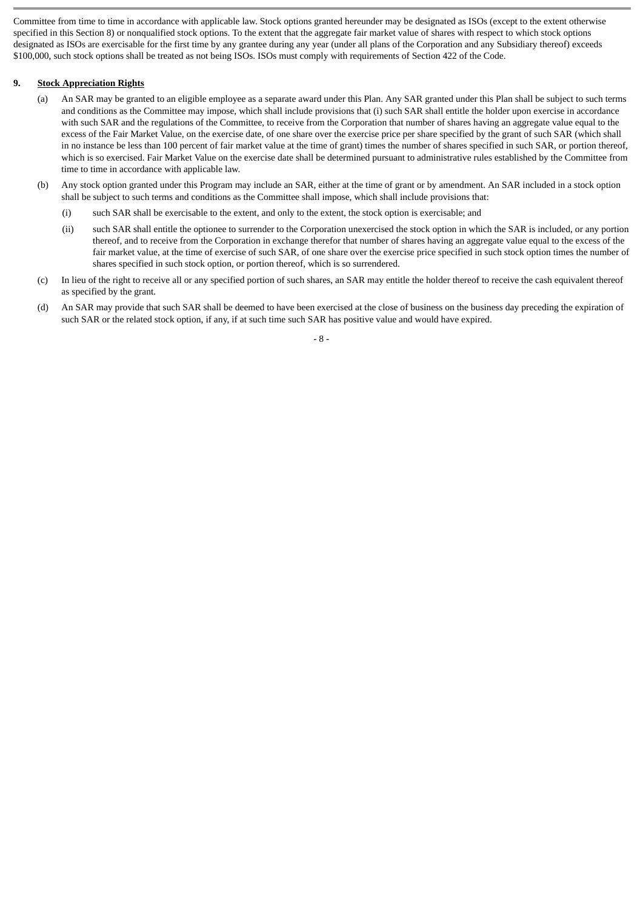Committee from time to time in accordance with applicable law. Stock options granted hereunder may be designated as ISOs (except to the extent otherwise specified in this Section 8) or nonqualified stock options. To the extent that the aggregate fair market value of shares with respect to which stock options designated as ISOs are exercisable for the first time by any grantee during any year (under all plans of the Corporation and any Subsidiary thereof) exceeds \$100,000, such stock options shall be treated as not being ISOs. ISOs must comply with requirements of Section 422 of the Code.

# **9. Stock Appreciation Rights**

- (a) An SAR may be granted to an eligible employee as a separate award under this Plan. Any SAR granted under this Plan shall be subject to such terms and conditions as the Committee may impose, which shall include provisions that (i) such SAR shall entitle the holder upon exercise in accordance with such SAR and the regulations of the Committee, to receive from the Corporation that number of shares having an aggregate value equal to the excess of the Fair Market Value, on the exercise date, of one share over the exercise price per share specified by the grant of such SAR (which shall in no instance be less than 100 percent of fair market value at the time of grant) times the number of shares specified in such SAR, or portion thereof, which is so exercised. Fair Market Value on the exercise date shall be determined pursuant to administrative rules established by the Committee from time to time in accordance with applicable law.
- (b) Any stock option granted under this Program may include an SAR, either at the time of grant or by amendment. An SAR included in a stock option shall be subject to such terms and conditions as the Committee shall impose, which shall include provisions that:
	- (i) such SAR shall be exercisable to the extent, and only to the extent, the stock option is exercisable; and
	- (ii) such SAR shall entitle the optionee to surrender to the Corporation unexercised the stock option in which the SAR is included, or any portion thereof, and to receive from the Corporation in exchange therefor that number of shares having an aggregate value equal to the excess of the fair market value, at the time of exercise of such SAR, of one share over the exercise price specified in such stock option times the number of shares specified in such stock option, or portion thereof, which is so surrendered.
- (c) In lieu of the right to receive all or any specified portion of such shares, an SAR may entitle the holder thereof to receive the cash equivalent thereof as specified by the grant.
- (d) An SAR may provide that such SAR shall be deemed to have been exercised at the close of business on the business day preceding the expiration of such SAR or the related stock option, if any, if at such time such SAR has positive value and would have expired.

- 8 -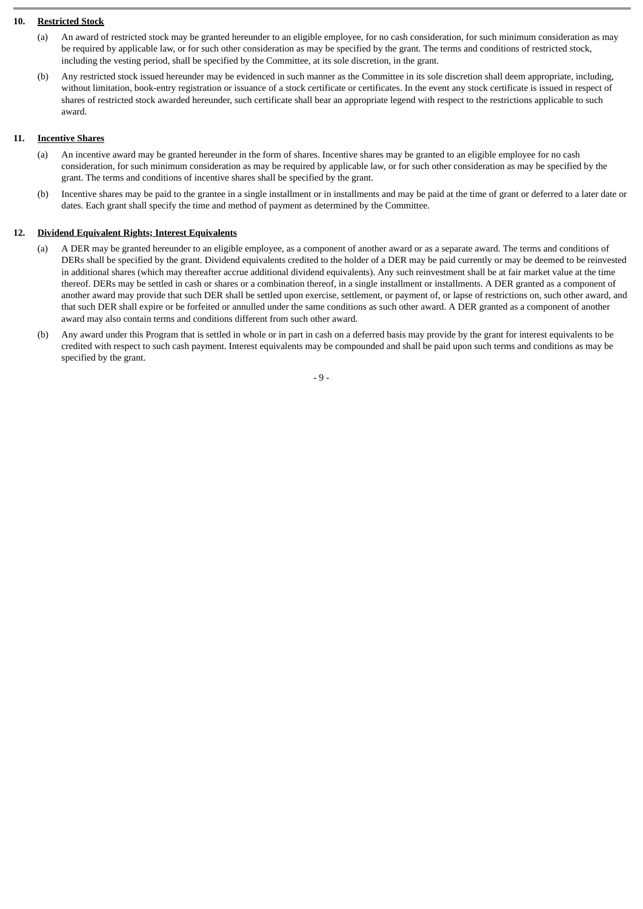# **10. Restricted Stock**

- (a) An award of restricted stock may be granted hereunder to an eligible employee, for no cash consideration, for such minimum consideration as may be required by applicable law, or for such other consideration as may be specified by the grant. The terms and conditions of restricted stock, including the vesting period, shall be specified by the Committee, at its sole discretion, in the grant.
- (b) Any restricted stock issued hereunder may be evidenced in such manner as the Committee in its sole discretion shall deem appropriate, including, without limitation, book-entry registration or issuance of a stock certificate or certificates. In the event any stock certificate is issued in respect of shares of restricted stock awarded hereunder, such certificate shall bear an appropriate legend with respect to the restrictions applicable to such award.

## **11. Incentive Shares**

- (a) An incentive award may be granted hereunder in the form of shares. Incentive shares may be granted to an eligible employee for no cash consideration, for such minimum consideration as may be required by applicable law, or for such other consideration as may be specified by the grant. The terms and conditions of incentive shares shall be specified by the grant.
- (b) Incentive shares may be paid to the grantee in a single installment or in installments and may be paid at the time of grant or deferred to a later date or dates. Each grant shall specify the time and method of payment as determined by the Committee.

# **12. Dividend Equivalent Rights; Interest Equivalents**

- (a) A DER may be granted hereunder to an eligible employee, as a component of another award or as a separate award. The terms and conditions of DERs shall be specified by the grant. Dividend equivalents credited to the holder of a DER may be paid currently or may be deemed to be reinvested in additional shares (which may thereafter accrue additional dividend equivalents). Any such reinvestment shall be at fair market value at the time thereof. DERs may be settled in cash or shares or a combination thereof, in a single installment or installments. A DER granted as a component of another award may provide that such DER shall be settled upon exercise, settlement, or payment of, or lapse of restrictions on, such other award, and that such DER shall expire or be forfeited or annulled under the same conditions as such other award. A DER granted as a component of another award may also contain terms and conditions different from such other award.
- (b) Any award under this Program that is settled in whole or in part in cash on a deferred basis may provide by the grant for interest equivalents to be credited with respect to such cash payment. Interest equivalents may be compounded and shall be paid upon such terms and conditions as may be specified by the grant.

- 9 -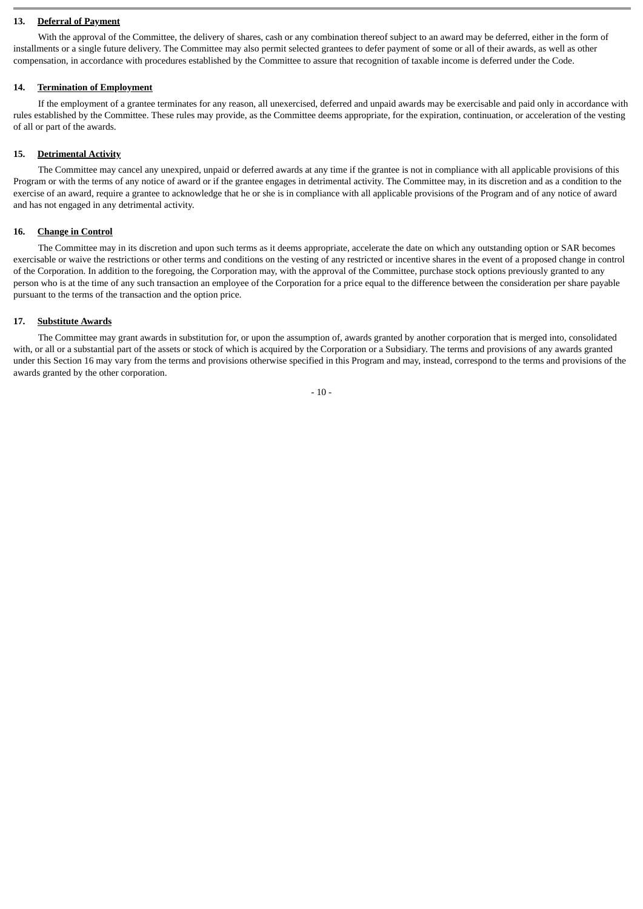## **13. Deferral of Payment**

With the approval of the Committee, the delivery of shares, cash or any combination thereof subject to an award may be deferred, either in the form of installments or a single future delivery. The Committee may also permit selected grantees to defer payment of some or all of their awards, as well as other compensation, in accordance with procedures established by the Committee to assure that recognition of taxable income is deferred under the Code.

#### **14. Termination of Employment**

If the employment of a grantee terminates for any reason, all unexercised, deferred and unpaid awards may be exercisable and paid only in accordance with rules established by the Committee. These rules may provide, as the Committee deems appropriate, for the expiration, continuation, or acceleration of the vesting of all or part of the awards.

## **15. Detrimental Activity**

The Committee may cancel any unexpired, unpaid or deferred awards at any time if the grantee is not in compliance with all applicable provisions of this Program or with the terms of any notice of award or if the grantee engages in detrimental activity. The Committee may, in its discretion and as a condition to the exercise of an award, require a grantee to acknowledge that he or she is in compliance with all applicable provisions of the Program and of any notice of award and has not engaged in any detrimental activity.

### **16. Change in Control**

The Committee may in its discretion and upon such terms as it deems appropriate, accelerate the date on which any outstanding option or SAR becomes exercisable or waive the restrictions or other terms and conditions on the vesting of any restricted or incentive shares in the event of a proposed change in control of the Corporation. In addition to the foregoing, the Corporation may, with the approval of the Committee, purchase stock options previously granted to any person who is at the time of any such transaction an employee of the Corporation for a price equal to the difference between the consideration per share payable pursuant to the terms of the transaction and the option price.

## **17. Substitute Awards**

The Committee may grant awards in substitution for, or upon the assumption of, awards granted by another corporation that is merged into, consolidated with, or all or a substantial part of the assets or stock of which is acquired by the Corporation or a Subsidiary. The terms and provisions of any awards granted under this Section 16 may vary from the terms and provisions otherwise specified in this Program and may, instead, correspond to the terms and provisions of the awards granted by the other corporation.

- 10 -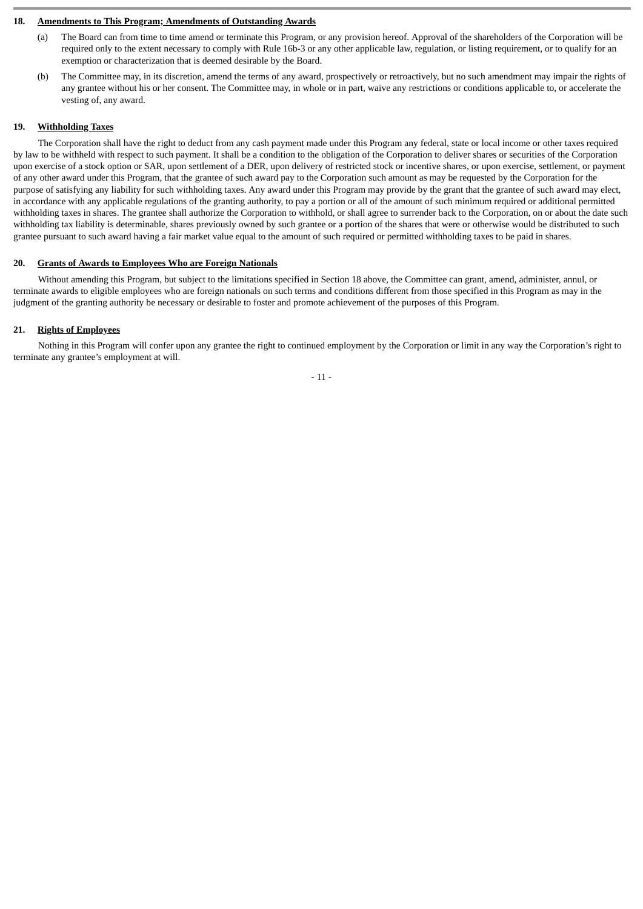#### **18. Amendments to This Program; Amendments of Outstanding Awards**

- (a) The Board can from time to time amend or terminate this Program, or any provision hereof. Approval of the shareholders of the Corporation will be required only to the extent necessary to comply with Rule 16b-3 or any other applicable law, regulation, or listing requirement, or to qualify for an exemption or characterization that is deemed desirable by the Board.
- (b) The Committee may, in its discretion, amend the terms of any award, prospectively or retroactively, but no such amendment may impair the rights of any grantee without his or her consent. The Committee may, in whole or in part, waive any restrictions or conditions applicable to, or accelerate the vesting of, any award.

### **19. Withholding Taxes**

The Corporation shall have the right to deduct from any cash payment made under this Program any federal, state or local income or other taxes required by law to be withheld with respect to such payment. It shall be a condition to the obligation of the Corporation to deliver shares or securities of the Corporation upon exercise of a stock option or SAR, upon settlement of a DER, upon delivery of restricted stock or incentive shares, or upon exercise, settlement, or payment of any other award under this Program, that the grantee of such award pay to the Corporation such amount as may be requested by the Corporation for the purpose of satisfying any liability for such withholding taxes. Any award under this Program may provide by the grant that the grantee of such award may elect, in accordance with any applicable regulations of the granting authority, to pay a portion or all of the amount of such minimum required or additional permitted withholding taxes in shares. The grantee shall authorize the Corporation to withhold, or shall agree to surrender back to the Corporation, on or about the date such withholding tax liability is determinable, shares previously owned by such grantee or a portion of the shares that were or otherwise would be distributed to such grantee pursuant to such award having a fair market value equal to the amount of such required or permitted withholding taxes to be paid in shares.

### **20. Grants of Awards to Employees Who are Foreign Nationals**

Without amending this Program, but subject to the limitations specified in Section 18 above, the Committee can grant, amend, administer, annul, or terminate awards to eligible employees who are foreign nationals on such terms and conditions different from those specified in this Program as may in the judgment of the granting authority be necessary or desirable to foster and promote achievement of the purposes of this Program.

### **21. Rights of Employees**

Nothing in this Program will confer upon any grantee the right to continued employment by the Corporation or limit in any way the Corporation's right to terminate any grantee's employment at will.

- 11 -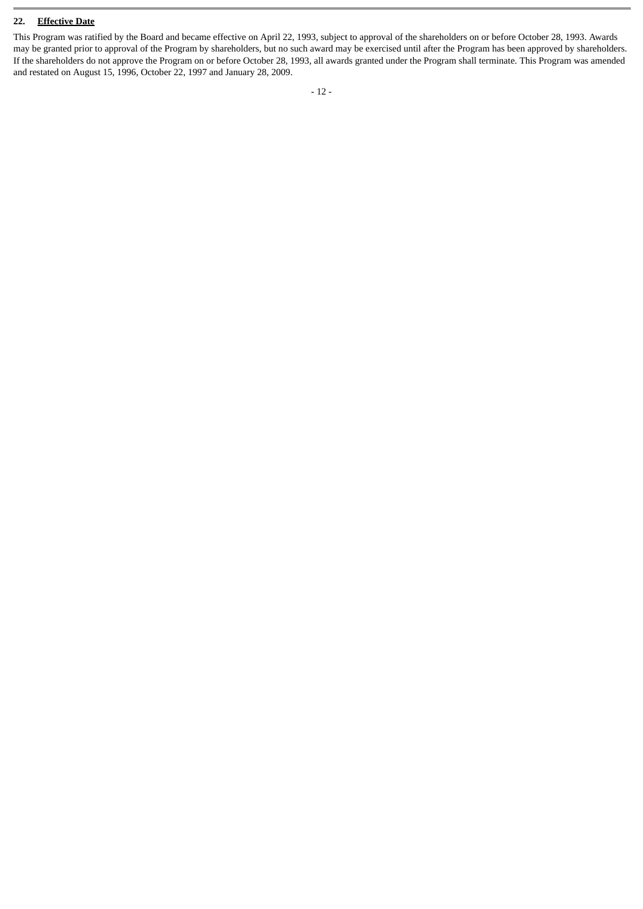# **22. Effective Date**

This Program was ratified by the Board and became effective on April 22, 1993, subject to approval of the shareholders on or before October 28, 1993. Awards may be granted prior to approval of the Program by shareholders, but no such award may be exercised until after the Program has been approved by shareholders. If the shareholders do not approve the Program on or before October 28, 1993, all awards granted under the Program shall terminate. This Program was amended and restated on August 15, 1996, October 22, 1997 and January 28, 2009.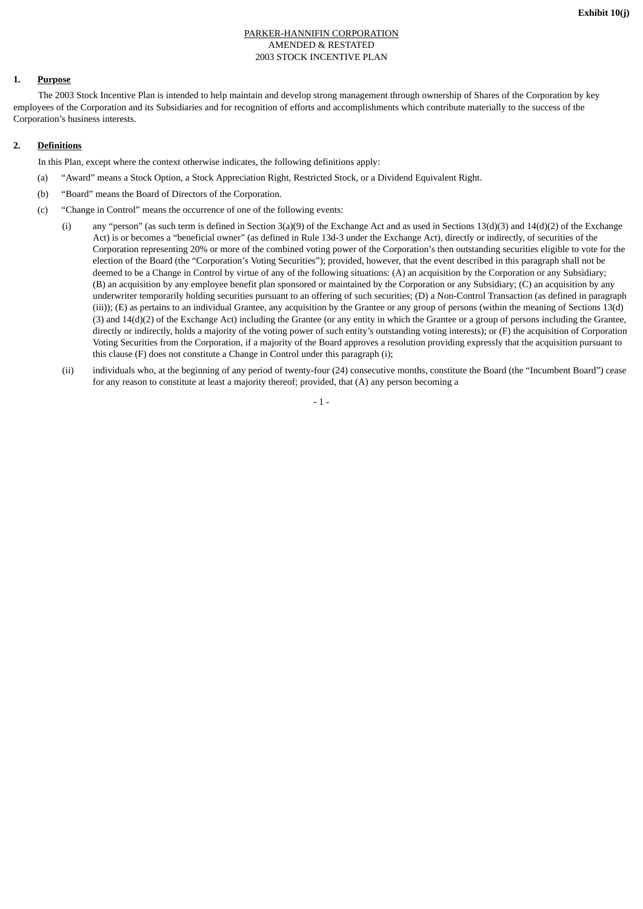# PARKER-HANNIFIN CORPORATION AMENDED & RESTATED 2003 STOCK INCENTIVE PLAN

## **1. Purpose**

The 2003 Stock Incentive Plan is intended to help maintain and develop strong management through ownership of Shares of the Corporation by key employees of the Corporation and its Subsidiaries and for recognition of efforts and accomplishments which contribute materially to the success of the Corporation's business interests.

# **2. Definitions**

In this Plan, except where the context otherwise indicates, the following definitions apply:

- (a) "Award" means a Stock Option, a Stock Appreciation Right, Restricted Stock, or a Dividend Equivalent Right.
- (b) "Board" means the Board of Directors of the Corporation.
- (c) "Change in Control" means the occurrence of one of the following events:
	- (i) any "person" (as such term is defined in Section 3(a)(9) of the Exchange Act and as used in Sections 13(d)(3) and 14(d)(2) of the Exchange Act) is or becomes a "beneficial owner" (as defined in Rule 13d-3 under the Exchange Act), directly or indirectly, of securities of the Corporation representing 20% or more of the combined voting power of the Corporation's then outstanding securities eligible to vote for the election of the Board (the "Corporation's Voting Securities"); provided, however, that the event described in this paragraph shall not be deemed to be a Change in Control by virtue of any of the following situations: (A) an acquisition by the Corporation or any Subsidiary; (B) an acquisition by any employee benefit plan sponsored or maintained by the Corporation or any Subsidiary; (C) an acquisition by any underwriter temporarily holding securities pursuant to an offering of such securities; (D) a Non-Control Transaction (as defined in paragraph (iii)); (E) as pertains to an individual Grantee, any acquisition by the Grantee or any group of persons (within the meaning of Sections 13(d) (3) and 14(d)(2) of the Exchange Act) including the Grantee (or any entity in which the Grantee or a group of persons including the Grantee, directly or indirectly, holds a majority of the voting power of such entity's outstanding voting interests); or (F) the acquisition of Corporation Voting Securities from the Corporation, if a majority of the Board approves a resolution providing expressly that the acquisition pursuant to this clause (F) does not constitute a Change in Control under this paragraph (i);
	- (ii) individuals who, at the beginning of any period of twenty-four (24) consecutive months, constitute the Board (the "Incumbent Board") cease for any reason to constitute at least a majority thereof; provided, that (A) any person becoming a

 $-1 -$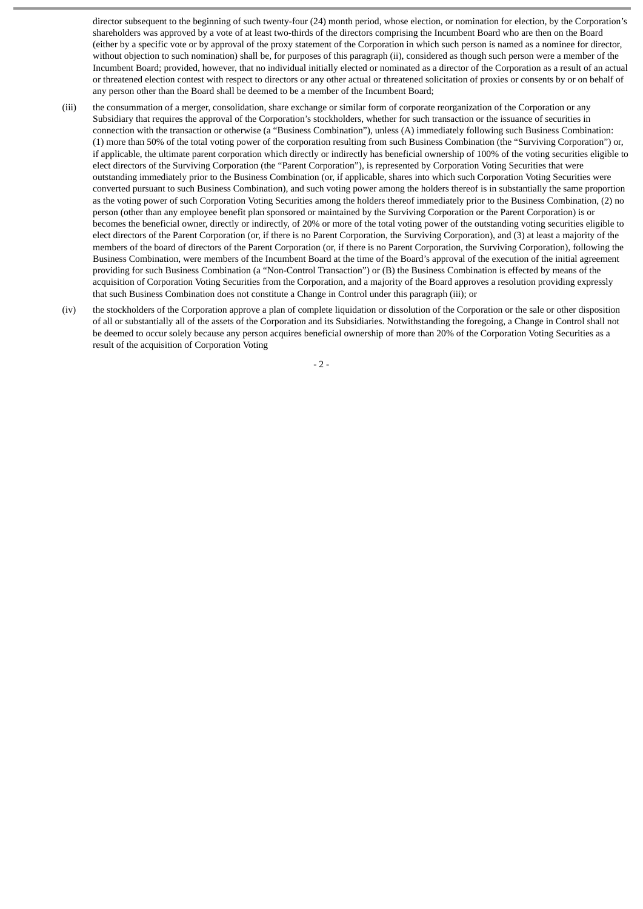director subsequent to the beginning of such twenty-four (24) month period, whose election, or nomination for election, by the Corporation's shareholders was approved by a vote of at least two-thirds of the directors comprising the Incumbent Board who are then on the Board (either by a specific vote or by approval of the proxy statement of the Corporation in which such person is named as a nominee for director, without objection to such nomination) shall be, for purposes of this paragraph (ii), considered as though such person were a member of the Incumbent Board; provided, however, that no individual initially elected or nominated as a director of the Corporation as a result of an actual or threatened election contest with respect to directors or any other actual or threatened solicitation of proxies or consents by or on behalf of any person other than the Board shall be deemed to be a member of the Incumbent Board;

- (iii) the consummation of a merger, consolidation, share exchange or similar form of corporate reorganization of the Corporation or any Subsidiary that requires the approval of the Corporation's stockholders, whether for such transaction or the issuance of securities in connection with the transaction or otherwise (a "Business Combination"), unless (A) immediately following such Business Combination: (1) more than 50% of the total voting power of the corporation resulting from such Business Combination (the "Surviving Corporation") or, if applicable, the ultimate parent corporation which directly or indirectly has beneficial ownership of 100% of the voting securities eligible to elect directors of the Surviving Corporation (the "Parent Corporation"), is represented by Corporation Voting Securities that were outstanding immediately prior to the Business Combination (or, if applicable, shares into which such Corporation Voting Securities were converted pursuant to such Business Combination), and such voting power among the holders thereof is in substantially the same proportion as the voting power of such Corporation Voting Securities among the holders thereof immediately prior to the Business Combination, (2) no person (other than any employee benefit plan sponsored or maintained by the Surviving Corporation or the Parent Corporation) is or becomes the beneficial owner, directly or indirectly, of 20% or more of the total voting power of the outstanding voting securities eligible to elect directors of the Parent Corporation (or, if there is no Parent Corporation, the Surviving Corporation), and (3) at least a majority of the members of the board of directors of the Parent Corporation (or, if there is no Parent Corporation, the Surviving Corporation), following the Business Combination, were members of the Incumbent Board at the time of the Board's approval of the execution of the initial agreement providing for such Business Combination (a "Non-Control Transaction") or (B) the Business Combination is effected by means of the acquisition of Corporation Voting Securities from the Corporation, and a majority of the Board approves a resolution providing expressly that such Business Combination does not constitute a Change in Control under this paragraph (iii); or
- (iv) the stockholders of the Corporation approve a plan of complete liquidation or dissolution of the Corporation or the sale or other disposition of all or substantially all of the assets of the Corporation and its Subsidiaries. Notwithstanding the foregoing, a Change in Control shall not be deemed to occur solely because any person acquires beneficial ownership of more than 20% of the Corporation Voting Securities as a result of the acquisition of Corporation Voting

 $-2 -$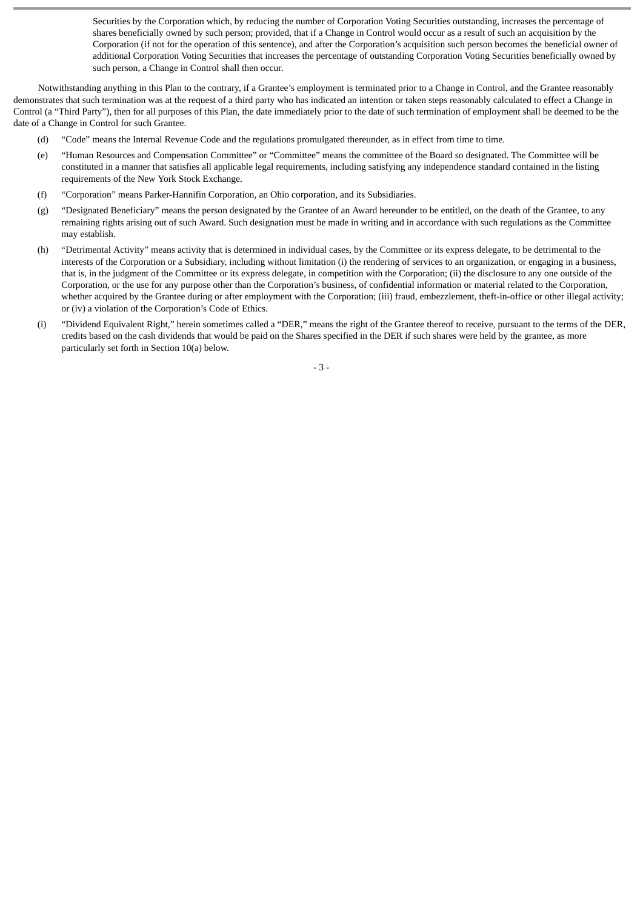Securities by the Corporation which, by reducing the number of Corporation Voting Securities outstanding, increases the percentage of shares beneficially owned by such person; provided, that if a Change in Control would occur as a result of such an acquisition by the Corporation (if not for the operation of this sentence), and after the Corporation's acquisition such person becomes the beneficial owner of additional Corporation Voting Securities that increases the percentage of outstanding Corporation Voting Securities beneficially owned by such person, a Change in Control shall then occur.

Notwithstanding anything in this Plan to the contrary, if a Grantee's employment is terminated prior to a Change in Control, and the Grantee reasonably demonstrates that such termination was at the request of a third party who has indicated an intention or taken steps reasonably calculated to effect a Change in Control (a "Third Party"), then for all purposes of this Plan, the date immediately prior to the date of such termination of employment shall be deemed to be the date of a Change in Control for such Grantee.

- (d) "Code" means the Internal Revenue Code and the regulations promulgated thereunder, as in effect from time to time.
- (e) "Human Resources and Compensation Committee" or "Committee" means the committee of the Board so designated. The Committee will be constituted in a manner that satisfies all applicable legal requirements, including satisfying any independence standard contained in the listing requirements of the New York Stock Exchange.
- (f) "Corporation" means Parker-Hannifin Corporation, an Ohio corporation, and its Subsidiaries.
- (g) "Designated Beneficiary" means the person designated by the Grantee of an Award hereunder to be entitled, on the death of the Grantee, to any remaining rights arising out of such Award. Such designation must be made in writing and in accordance with such regulations as the Committee may establish.
- (h) "Detrimental Activity" means activity that is determined in individual cases, by the Committee or its express delegate, to be detrimental to the interests of the Corporation or a Subsidiary, including without limitation (i) the rendering of services to an organization, or engaging in a business, that is, in the judgment of the Committee or its express delegate, in competition with the Corporation; (ii) the disclosure to any one outside of the Corporation, or the use for any purpose other than the Corporation's business, of confidential information or material related to the Corporation, whether acquired by the Grantee during or after employment with the Corporation; (iii) fraud, embezzlement, theft-in-office or other illegal activity; or (iv) a violation of the Corporation's Code of Ethics.
- (i) "Dividend Equivalent Right," herein sometimes called a "DER," means the right of the Grantee thereof to receive, pursuant to the terms of the DER, credits based on the cash dividends that would be paid on the Shares specified in the DER if such shares were held by the grantee, as more particularly set forth in Section 10(a) below.

- 3 -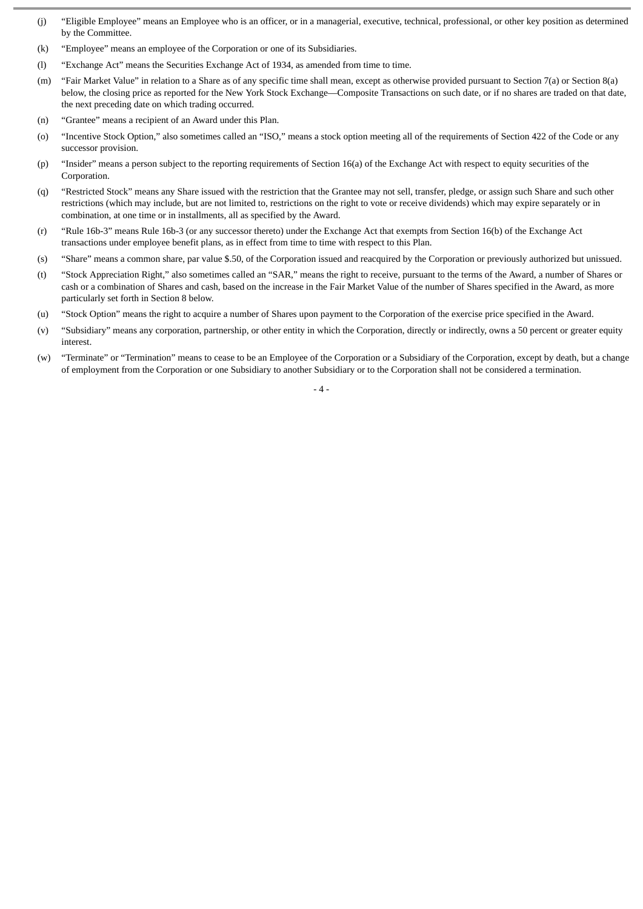- (j) "Eligible Employee" means an Employee who is an officer, or in a managerial, executive, technical, professional, or other key position as determined by the Committee.
- (k) "Employee" means an employee of the Corporation or one of its Subsidiaries.
- (l) "Exchange Act" means the Securities Exchange Act of 1934, as amended from time to time.
- (m) "Fair Market Value" in relation to a Share as of any specific time shall mean, except as otherwise provided pursuant to Section 7(a) or Section 8(a) below, the closing price as reported for the New York Stock Exchange—Composite Transactions on such date, or if no shares are traded on that date, the next preceding date on which trading occurred.
- (n) "Grantee" means a recipient of an Award under this Plan.
- (o) "Incentive Stock Option," also sometimes called an "ISO," means a stock option meeting all of the requirements of Section 422 of the Code or any successor provision.
- (p) "Insider" means a person subject to the reporting requirements of Section 16(a) of the Exchange Act with respect to equity securities of the Corporation.
- (q) "Restricted Stock" means any Share issued with the restriction that the Grantee may not sell, transfer, pledge, or assign such Share and such other restrictions (which may include, but are not limited to, restrictions on the right to vote or receive dividends) which may expire separately or in combination, at one time or in installments, all as specified by the Award.
- (r) "Rule 16b-3" means Rule 16b-3 (or any successor thereto) under the Exchange Act that exempts from Section 16(b) of the Exchange Act transactions under employee benefit plans, as in effect from time to time with respect to this Plan.
- (s) "Share" means a common share, par value \$.50, of the Corporation issued and reacquired by the Corporation or previously authorized but unissued.
- (t) "Stock Appreciation Right," also sometimes called an "SAR," means the right to receive, pursuant to the terms of the Award, a number of Shares or cash or a combination of Shares and cash, based on the increase in the Fair Market Value of the number of Shares specified in the Award, as more particularly set forth in Section 8 below.
- (u) "Stock Option" means the right to acquire a number of Shares upon payment to the Corporation of the exercise price specified in the Award.
- (v) "Subsidiary" means any corporation, partnership, or other entity in which the Corporation, directly or indirectly, owns a 50 percent or greater equity interest.
- (w) "Terminate" or "Termination" means to cease to be an Employee of the Corporation or a Subsidiary of the Corporation, except by death, but a change of employment from the Corporation or one Subsidiary to another Subsidiary or to the Corporation shall not be considered a termination.

 $-4-$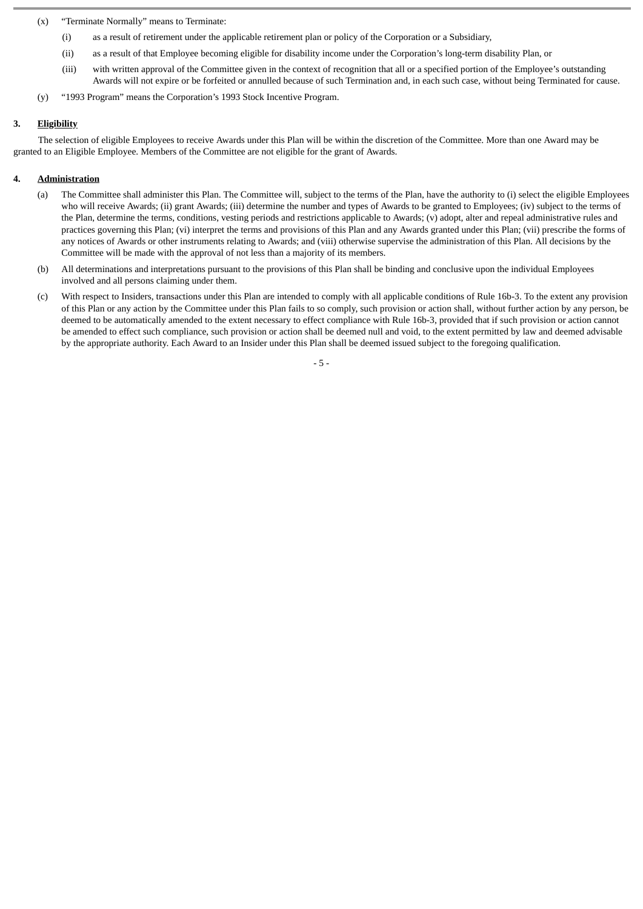- (x) "Terminate Normally" means to Terminate:
	- (i) as a result of retirement under the applicable retirement plan or policy of the Corporation or a Subsidiary,
	- (ii) as a result of that Employee becoming eligible for disability income under the Corporation's long-term disability Plan, or
	- (iii) with written approval of the Committee given in the context of recognition that all or a specified portion of the Employee's outstanding Awards will not expire or be forfeited or annulled because of such Termination and, in each such case, without being Terminated for cause.
- (y) "1993 Program" means the Corporation's 1993 Stock Incentive Program.

#### **3. Eligibility**

The selection of eligible Employees to receive Awards under this Plan will be within the discretion of the Committee. More than one Award may be granted to an Eligible Employee. Members of the Committee are not eligible for the grant of Awards.

#### **4. Administration**

- (a) The Committee shall administer this Plan. The Committee will, subject to the terms of the Plan, have the authority to (i) select the eligible Employees who will receive Awards; (ii) grant Awards; (iii) determine the number and types of Awards to be granted to Employees; (iv) subject to the terms of the Plan, determine the terms, conditions, vesting periods and restrictions applicable to Awards; (v) adopt, alter and repeal administrative rules and practices governing this Plan; (vi) interpret the terms and provisions of this Plan and any Awards granted under this Plan; (vii) prescribe the forms of any notices of Awards or other instruments relating to Awards; and (viii) otherwise supervise the administration of this Plan. All decisions by the Committee will be made with the approval of not less than a majority of its members.
- (b) All determinations and interpretations pursuant to the provisions of this Plan shall be binding and conclusive upon the individual Employees involved and all persons claiming under them.
- (c) With respect to Insiders, transactions under this Plan are intended to comply with all applicable conditions of Rule 16b-3. To the extent any provision of this Plan or any action by the Committee under this Plan fails to so comply, such provision or action shall, without further action by any person, be deemed to be automatically amended to the extent necessary to effect compliance with Rule 16b-3, provided that if such provision or action cannot be amended to effect such compliance, such provision or action shall be deemed null and void, to the extent permitted by law and deemed advisable by the appropriate authority. Each Award to an Insider under this Plan shall be deemed issued subject to the foregoing qualification.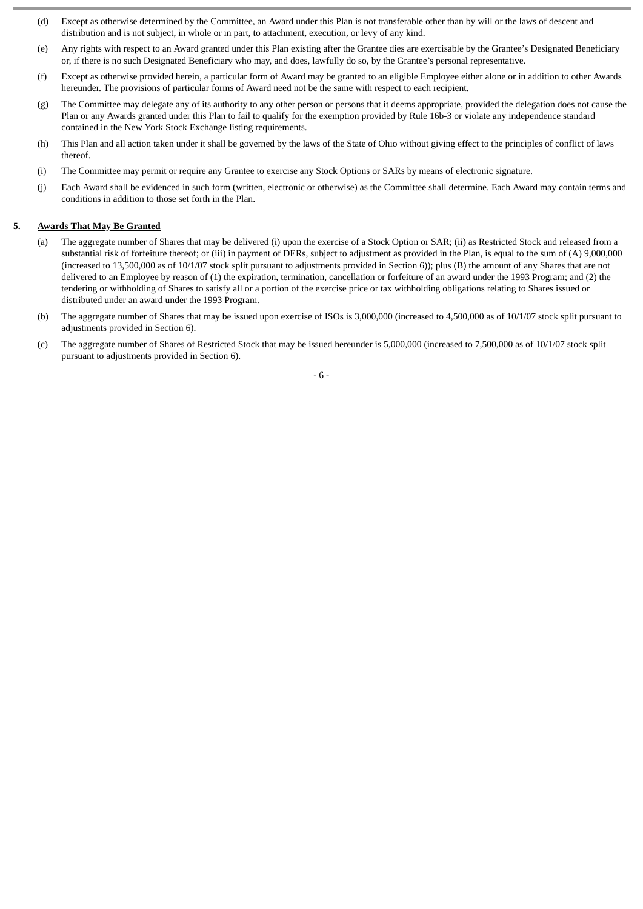- (d) Except as otherwise determined by the Committee, an Award under this Plan is not transferable other than by will or the laws of descent and distribution and is not subject, in whole or in part, to attachment, execution, or levy of any kind.
- (e) Any rights with respect to an Award granted under this Plan existing after the Grantee dies are exercisable by the Grantee's Designated Beneficiary or, if there is no such Designated Beneficiary who may, and does, lawfully do so, by the Grantee's personal representative.
- (f) Except as otherwise provided herein, a particular form of Award may be granted to an eligible Employee either alone or in addition to other Awards hereunder. The provisions of particular forms of Award need not be the same with respect to each recipient.
- (g) The Committee may delegate any of its authority to any other person or persons that it deems appropriate, provided the delegation does not cause the Plan or any Awards granted under this Plan to fail to qualify for the exemption provided by Rule 16b-3 or violate any independence standard contained in the New York Stock Exchange listing requirements.
- (h) This Plan and all action taken under it shall be governed by the laws of the State of Ohio without giving effect to the principles of conflict of laws thereof.
- (i) The Committee may permit or require any Grantee to exercise any Stock Options or SARs by means of electronic signature.
- (j) Each Award shall be evidenced in such form (written, electronic or otherwise) as the Committee shall determine. Each Award may contain terms and conditions in addition to those set forth in the Plan.

#### **5. Awards That May Be Granted**

- (a) The aggregate number of Shares that may be delivered (i) upon the exercise of a Stock Option or SAR; (ii) as Restricted Stock and released from a substantial risk of forfeiture thereof; or (iii) in payment of DERs, subject to adjustment as provided in the Plan, is equal to the sum of (A) 9,000,000 (increased to 13,500,000 as of 10/1/07 stock split pursuant to adjustments provided in Section 6)); plus (B) the amount of any Shares that are not delivered to an Employee by reason of (1) the expiration, termination, cancellation or forfeiture of an award under the 1993 Program; and (2) the tendering or withholding of Shares to satisfy all or a portion of the exercise price or tax withholding obligations relating to Shares issued or distributed under an award under the 1993 Program.
- (b) The aggregate number of Shares that may be issued upon exercise of ISOs is 3,000,000 (increased to 4,500,000 as of 10/1/07 stock split pursuant to adjustments provided in Section 6).
- (c) The aggregate number of Shares of Restricted Stock that may be issued hereunder is 5,000,000 (increased to 7,500,000 as of 10/1/07 stock split pursuant to adjustments provided in Section 6).

- 6 -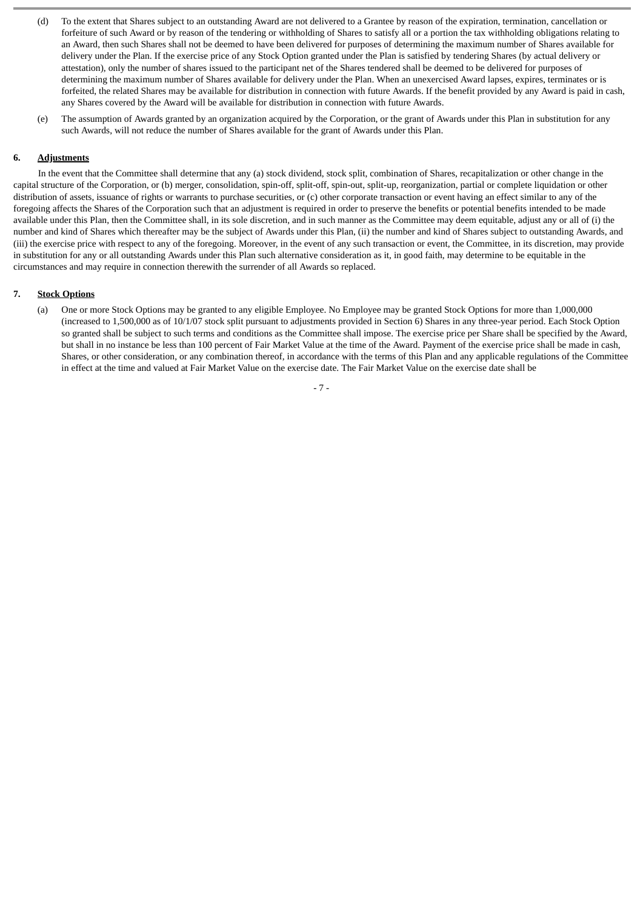- (d) To the extent that Shares subject to an outstanding Award are not delivered to a Grantee by reason of the expiration, termination, cancellation or forfeiture of such Award or by reason of the tendering or withholding of Shares to satisfy all or a portion the tax withholding obligations relating to an Award, then such Shares shall not be deemed to have been delivered for purposes of determining the maximum number of Shares available for delivery under the Plan. If the exercise price of any Stock Option granted under the Plan is satisfied by tendering Shares (by actual delivery or attestation), only the number of shares issued to the participant net of the Shares tendered shall be deemed to be delivered for purposes of determining the maximum number of Shares available for delivery under the Plan. When an unexercised Award lapses, expires, terminates or is forfeited, the related Shares may be available for distribution in connection with future Awards. If the benefit provided by any Award is paid in cash, any Shares covered by the Award will be available for distribution in connection with future Awards.
- (e) The assumption of Awards granted by an organization acquired by the Corporation, or the grant of Awards under this Plan in substitution for any such Awards, will not reduce the number of Shares available for the grant of Awards under this Plan.

# **6. Adjustments**

In the event that the Committee shall determine that any (a) stock dividend, stock split, combination of Shares, recapitalization or other change in the capital structure of the Corporation, or (b) merger, consolidation, spin-off, split-off, spin-out, split-up, reorganization, partial or complete liquidation or other distribution of assets, issuance of rights or warrants to purchase securities, or (c) other corporate transaction or event having an effect similar to any of the foregoing affects the Shares of the Corporation such that an adjustment is required in order to preserve the benefits or potential benefits intended to be made available under this Plan, then the Committee shall, in its sole discretion, and in such manner as the Committee may deem equitable, adjust any or all of (i) the number and kind of Shares which thereafter may be the subject of Awards under this Plan, (ii) the number and kind of Shares subject to outstanding Awards, and (iii) the exercise price with respect to any of the foregoing. Moreover, in the event of any such transaction or event, the Committee, in its discretion, may provide in substitution for any or all outstanding Awards under this Plan such alternative consideration as it, in good faith, may determine to be equitable in the circumstances and may require in connection therewith the surrender of all Awards so replaced.

## **7. Stock Options**

(a) One or more Stock Options may be granted to any eligible Employee. No Employee may be granted Stock Options for more than 1,000,000 (increased to 1,500,000 as of 10/1/07 stock split pursuant to adjustments provided in Section 6) Shares in any three-year period. Each Stock Option so granted shall be subject to such terms and conditions as the Committee shall impose. The exercise price per Share shall be specified by the Award, but shall in no instance be less than 100 percent of Fair Market Value at the time of the Award. Payment of the exercise price shall be made in cash, Shares, or other consideration, or any combination thereof, in accordance with the terms of this Plan and any applicable regulations of the Committee in effect at the time and valued at Fair Market Value on the exercise date. The Fair Market Value on the exercise date shall be

- 7 -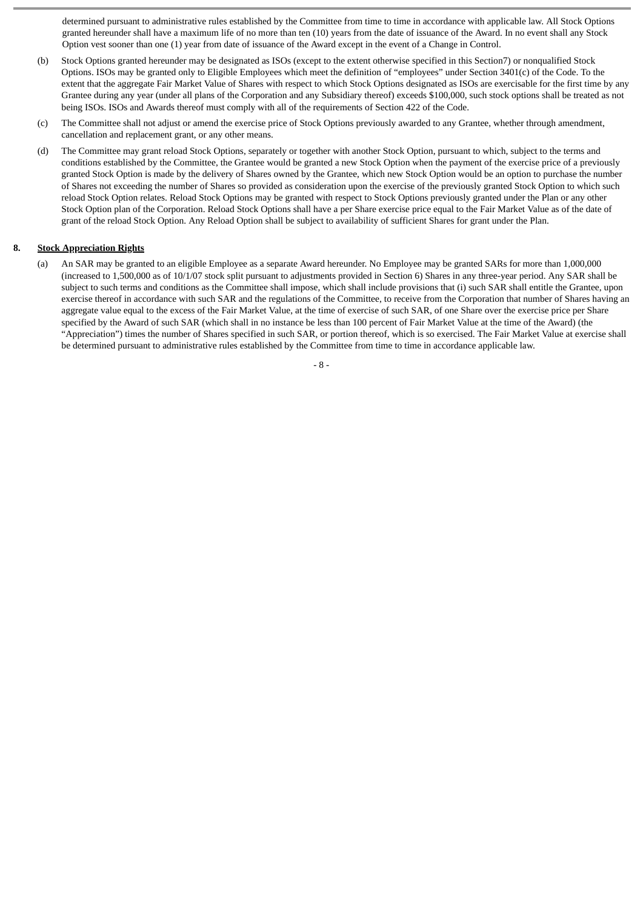determined pursuant to administrative rules established by the Committee from time to time in accordance with applicable law. All Stock Options granted hereunder shall have a maximum life of no more than ten (10) years from the date of issuance of the Award. In no event shall any Stock Option vest sooner than one (1) year from date of issuance of the Award except in the event of a Change in Control.

- (b) Stock Options granted hereunder may be designated as ISOs (except to the extent otherwise specified in this Section7) or nonqualified Stock Options. ISOs may be granted only to Eligible Employees which meet the definition of "employees" under Section 3401(c) of the Code. To the extent that the aggregate Fair Market Value of Shares with respect to which Stock Options designated as ISOs are exercisable for the first time by any Grantee during any year (under all plans of the Corporation and any Subsidiary thereof) exceeds \$100,000, such stock options shall be treated as not being ISOs. ISOs and Awards thereof must comply with all of the requirements of Section 422 of the Code.
- (c) The Committee shall not adjust or amend the exercise price of Stock Options previously awarded to any Grantee, whether through amendment, cancellation and replacement grant, or any other means.
- (d) The Committee may grant reload Stock Options, separately or together with another Stock Option, pursuant to which, subject to the terms and conditions established by the Committee, the Grantee would be granted a new Stock Option when the payment of the exercise price of a previously granted Stock Option is made by the delivery of Shares owned by the Grantee, which new Stock Option would be an option to purchase the number of Shares not exceeding the number of Shares so provided as consideration upon the exercise of the previously granted Stock Option to which such reload Stock Option relates. Reload Stock Options may be granted with respect to Stock Options previously granted under the Plan or any other Stock Option plan of the Corporation. Reload Stock Options shall have a per Share exercise price equal to the Fair Market Value as of the date of grant of the reload Stock Option. Any Reload Option shall be subject to availability of sufficient Shares for grant under the Plan.

### **8. Stock Appreciation Rights**

(a) An SAR may be granted to an eligible Employee as a separate Award hereunder. No Employee may be granted SARs for more than 1,000,000 (increased to 1,500,000 as of 10/1/07 stock split pursuant to adjustments provided in Section 6) Shares in any three-year period. Any SAR shall be subject to such terms and conditions as the Committee shall impose, which shall include provisions that (i) such SAR shall entitle the Grantee, upon exercise thereof in accordance with such SAR and the regulations of the Committee, to receive from the Corporation that number of Shares having an aggregate value equal to the excess of the Fair Market Value, at the time of exercise of such SAR, of one Share over the exercise price per Share specified by the Award of such SAR (which shall in no instance be less than 100 percent of Fair Market Value at the time of the Award) (the "Appreciation") times the number of Shares specified in such SAR, or portion thereof, which is so exercised. The Fair Market Value at exercise shall be determined pursuant to administrative rules established by the Committee from time to time in accordance applicable law.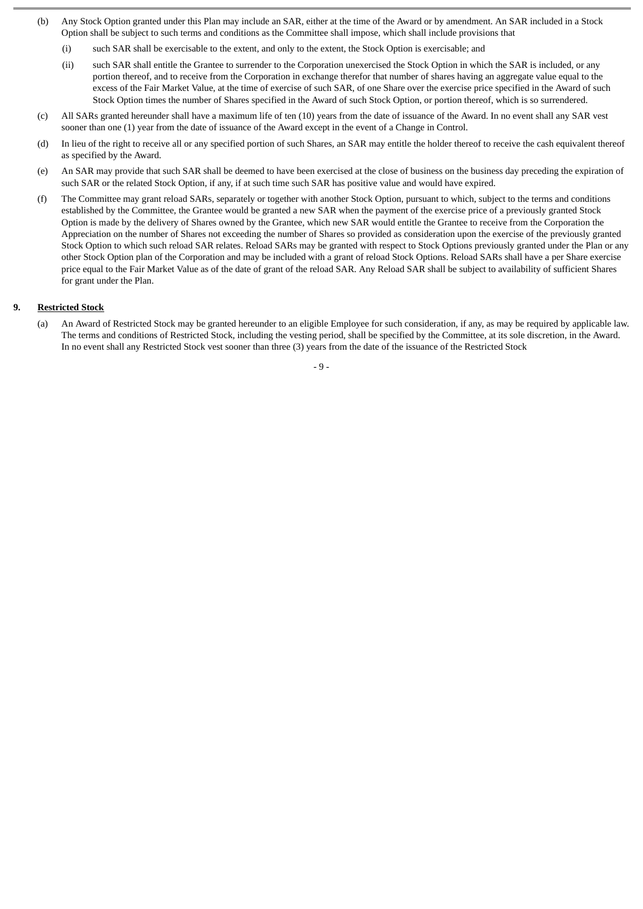- (b) Any Stock Option granted under this Plan may include an SAR, either at the time of the Award or by amendment. An SAR included in a Stock Option shall be subject to such terms and conditions as the Committee shall impose, which shall include provisions that
	- (i) such SAR shall be exercisable to the extent, and only to the extent, the Stock Option is exercisable; and
	- (ii) such SAR shall entitle the Grantee to surrender to the Corporation unexercised the Stock Option in which the SAR is included, or any portion thereof, and to receive from the Corporation in exchange therefor that number of shares having an aggregate value equal to the excess of the Fair Market Value, at the time of exercise of such SAR, of one Share over the exercise price specified in the Award of such Stock Option times the number of Shares specified in the Award of such Stock Option, or portion thereof, which is so surrendered.
- (c) All SARs granted hereunder shall have a maximum life of ten (10) years from the date of issuance of the Award. In no event shall any SAR vest sooner than one (1) year from the date of issuance of the Award except in the event of a Change in Control.
- (d) In lieu of the right to receive all or any specified portion of such Shares, an SAR may entitle the holder thereof to receive the cash equivalent thereof as specified by the Award.
- (e) An SAR may provide that such SAR shall be deemed to have been exercised at the close of business on the business day preceding the expiration of such SAR or the related Stock Option, if any, if at such time such SAR has positive value and would have expired.
- (f) The Committee may grant reload SARs, separately or together with another Stock Option, pursuant to which, subject to the terms and conditions established by the Committee, the Grantee would be granted a new SAR when the payment of the exercise price of a previously granted Stock Option is made by the delivery of Shares owned by the Grantee, which new SAR would entitle the Grantee to receive from the Corporation the Appreciation on the number of Shares not exceeding the number of Shares so provided as consideration upon the exercise of the previously granted Stock Option to which such reload SAR relates. Reload SARs may be granted with respect to Stock Options previously granted under the Plan or any other Stock Option plan of the Corporation and may be included with a grant of reload Stock Options. Reload SARs shall have a per Share exercise price equal to the Fair Market Value as of the date of grant of the reload SAR. Any Reload SAR shall be subject to availability of sufficient Shares for grant under the Plan.

## **9. Restricted Stock**

(a) An Award of Restricted Stock may be granted hereunder to an eligible Employee for such consideration, if any, as may be required by applicable law. The terms and conditions of Restricted Stock, including the vesting period, shall be specified by the Committee, at its sole discretion, in the Award. In no event shall any Restricted Stock vest sooner than three (3) years from the date of the issuance of the Restricted Stock

- 9 -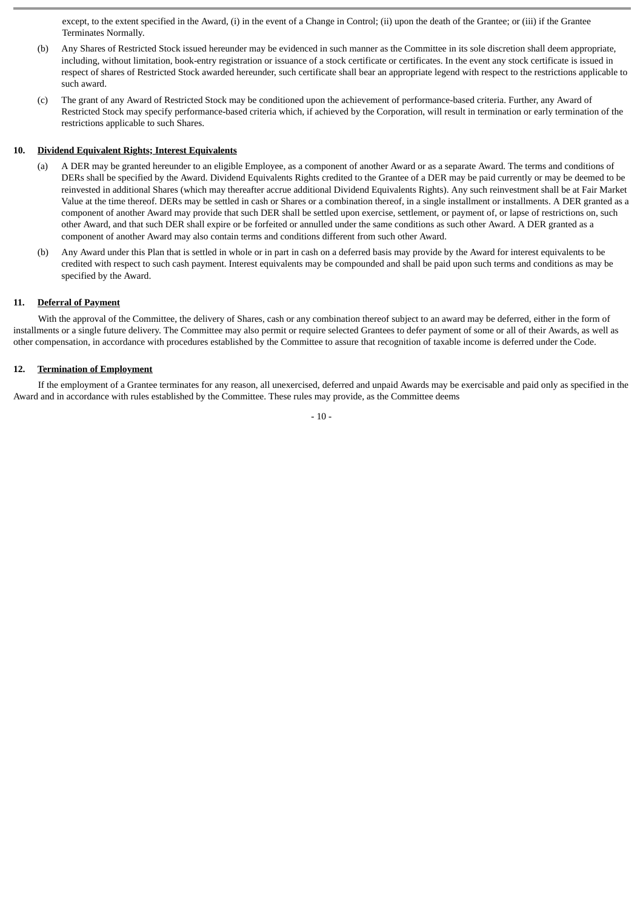except, to the extent specified in the Award, (i) in the event of a Change in Control; (ii) upon the death of the Grantee; or (iii) if the Grantee Terminates Normally.

- (b) Any Shares of Restricted Stock issued hereunder may be evidenced in such manner as the Committee in its sole discretion shall deem appropriate, including, without limitation, book-entry registration or issuance of a stock certificate or certificates. In the event any stock certificate is issued in respect of shares of Restricted Stock awarded hereunder, such certificate shall bear an appropriate legend with respect to the restrictions applicable to such award.
- (c) The grant of any Award of Restricted Stock may be conditioned upon the achievement of performance-based criteria. Further, any Award of Restricted Stock may specify performance-based criteria which, if achieved by the Corporation, will result in termination or early termination of the restrictions applicable to such Shares.

## **10. Dividend Equivalent Rights; Interest Equivalents**

- (a) A DER may be granted hereunder to an eligible Employee, as a component of another Award or as a separate Award. The terms and conditions of DERs shall be specified by the Award. Dividend Equivalents Rights credited to the Grantee of a DER may be paid currently or may be deemed to be reinvested in additional Shares (which may thereafter accrue additional Dividend Equivalents Rights). Any such reinvestment shall be at Fair Market Value at the time thereof. DERs may be settled in cash or Shares or a combination thereof, in a single installment or installments. A DER granted as a component of another Award may provide that such DER shall be settled upon exercise, settlement, or payment of, or lapse of restrictions on, such other Award, and that such DER shall expire or be forfeited or annulled under the same conditions as such other Award. A DER granted as a component of another Award may also contain terms and conditions different from such other Award.
- (b) Any Award under this Plan that is settled in whole or in part in cash on a deferred basis may provide by the Award for interest equivalents to be credited with respect to such cash payment. Interest equivalents may be compounded and shall be paid upon such terms and conditions as may be specified by the Award.

# **11. Deferral of Payment**

With the approval of the Committee, the delivery of Shares, cash or any combination thereof subject to an award may be deferred, either in the form of installments or a single future delivery. The Committee may also permit or require selected Grantees to defer payment of some or all of their Awards, as well as other compensation, in accordance with procedures established by the Committee to assure that recognition of taxable income is deferred under the Code.

#### **12. Termination of Employment**

If the employment of a Grantee terminates for any reason, all unexercised, deferred and unpaid Awards may be exercisable and paid only as specified in the Award and in accordance with rules established by the Committee. These rules may provide, as the Committee deems

 $-10-$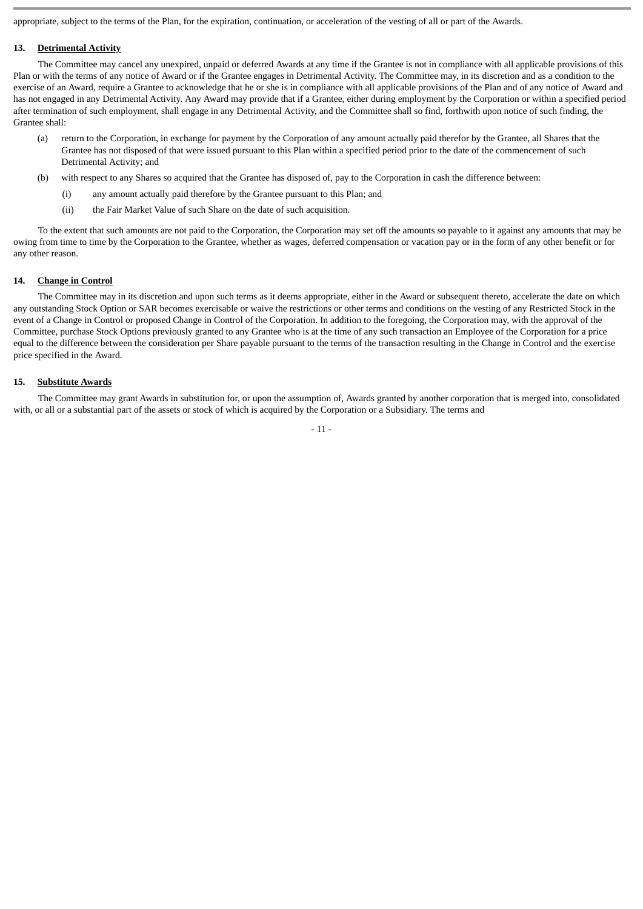appropriate, subject to the terms of the Plan, for the expiration, continuation, or acceleration of the vesting of all or part of the Awards.

#### **13. Detrimental Activity**

The Committee may cancel any unexpired, unpaid or deferred Awards at any time if the Grantee is not in compliance with all applicable provisions of this Plan or with the terms of any notice of Award or if the Grantee engages in Detrimental Activity. The Committee may, in its discretion and as a condition to the exercise of an Award, require a Grantee to acknowledge that he or she is in compliance with all applicable provisions of the Plan and of any notice of Award and has not engaged in any Detrimental Activity. Any Award may provide that if a Grantee, either during employment by the Corporation or within a specified period after termination of such employment, shall engage in any Detrimental Activity, and the Committee shall so find, forthwith upon notice of such finding, the Grantee shall:

- (a) return to the Corporation, in exchange for payment by the Corporation of any amount actually paid therefor by the Grantee, all Shares that the Grantee has not disposed of that were issued pursuant to this Plan within a specified period prior to the date of the commencement of such Detrimental Activity; and
- (b) with respect to any Shares so acquired that the Grantee has disposed of, pay to the Corporation in cash the difference between:
	- (i) any amount actually paid therefore by the Grantee pursuant to this Plan; and
	- (ii) the Fair Market Value of such Share on the date of such acquisition.

To the extent that such amounts are not paid to the Corporation, the Corporation may set off the amounts so payable to it against any amounts that may be owing from time to time by the Corporation to the Grantee, whether as wages, deferred compensation or vacation pay or in the form of any other benefit or for any other reason.

#### **14. Change in Control**

The Committee may in its discretion and upon such terms as it deems appropriate, either in the Award or subsequent thereto, accelerate the date on which any outstanding Stock Option or SAR becomes exercisable or waive the restrictions or other terms and conditions on the vesting of any Restricted Stock in the event of a Change in Control or proposed Change in Control of the Corporation. In addition to the foregoing, the Corporation may, with the approval of the Committee, purchase Stock Options previously granted to any Grantee who is at the time of any such transaction an Employee of the Corporation for a price equal to the difference between the consideration per Share payable pursuant to the terms of the transaction resulting in the Change in Control and the exercise price specified in the Award.

# **15. Substitute Awards**

The Committee may grant Awards in substitution for, or upon the assumption of, Awards granted by another corporation that is merged into, consolidated with, or all or a substantial part of the assets or stock of which is acquired by the Corporation or a Subsidiary. The terms and

 $-11 -$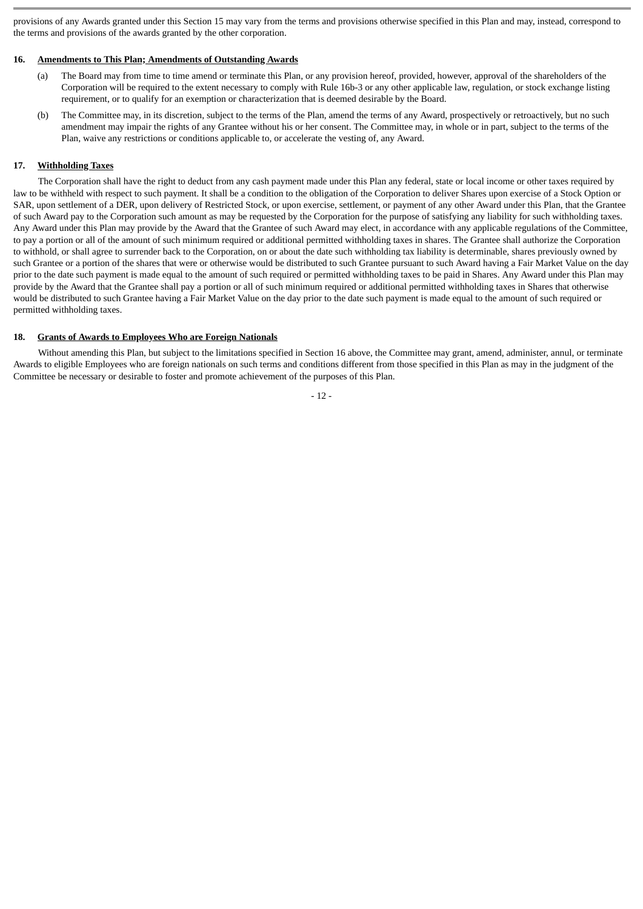provisions of any Awards granted under this Section 15 may vary from the terms and provisions otherwise specified in this Plan and may, instead, correspond to the terms and provisions of the awards granted by the other corporation.

#### **16. Amendments to This Plan; Amendments of Outstanding Awards**

- (a) The Board may from time to time amend or terminate this Plan, or any provision hereof, provided, however, approval of the shareholders of the Corporation will be required to the extent necessary to comply with Rule 16b-3 or any other applicable law, regulation, or stock exchange listing requirement, or to qualify for an exemption or characterization that is deemed desirable by the Board.
- (b) The Committee may, in its discretion, subject to the terms of the Plan, amend the terms of any Award, prospectively or retroactively, but no such amendment may impair the rights of any Grantee without his or her consent. The Committee may, in whole or in part, subject to the terms of the Plan, waive any restrictions or conditions applicable to, or accelerate the vesting of, any Award.

## **17. Withholding Taxes**

The Corporation shall have the right to deduct from any cash payment made under this Plan any federal, state or local income or other taxes required by law to be withheld with respect to such payment. It shall be a condition to the obligation of the Corporation to deliver Shares upon exercise of a Stock Option or SAR, upon settlement of a DER, upon delivery of Restricted Stock, or upon exercise, settlement, or payment of any other Award under this Plan, that the Grantee of such Award pay to the Corporation such amount as may be requested by the Corporation for the purpose of satisfying any liability for such withholding taxes. Any Award under this Plan may provide by the Award that the Grantee of such Award may elect, in accordance with any applicable regulations of the Committee, to pay a portion or all of the amount of such minimum required or additional permitted withholding taxes in shares. The Grantee shall authorize the Corporation to withhold, or shall agree to surrender back to the Corporation, on or about the date such withholding tax liability is determinable, shares previously owned by such Grantee or a portion of the shares that were or otherwise would be distributed to such Grantee pursuant to such Award having a Fair Market Value on the day prior to the date such payment is made equal to the amount of such required or permitted withholding taxes to be paid in Shares. Any Award under this Plan may provide by the Award that the Grantee shall pay a portion or all of such minimum required or additional permitted withholding taxes in Shares that otherwise would be distributed to such Grantee having a Fair Market Value on the day prior to the date such payment is made equal to the amount of such required or permitted withholding taxes.

#### **18. Grants of Awards to Employees Who are Foreign Nationals**

Without amending this Plan, but subject to the limitations specified in Section 16 above, the Committee may grant, amend, administer, annul, or terminate Awards to eligible Employees who are foreign nationals on such terms and conditions different from those specified in this Plan as may in the judgment of the Committee be necessary or desirable to foster and promote achievement of the purposes of this Plan.

 $-12-$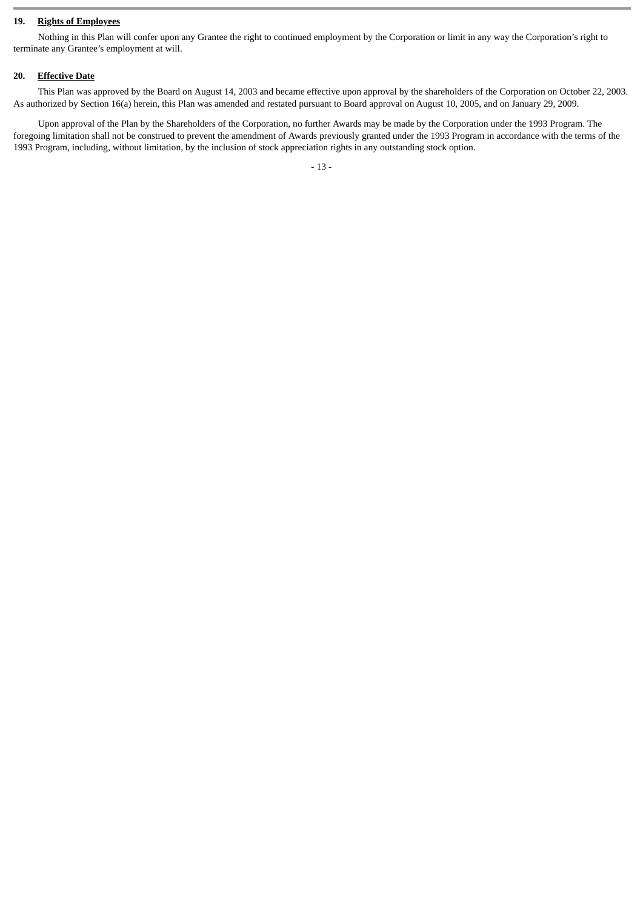# **19. Rights of Employees**

Nothing in this Plan will confer upon any Grantee the right to continued employment by the Corporation or limit in any way the Corporation's right to terminate any Grantee's employment at will.

## **20. Effective Date**

This Plan was approved by the Board on August 14, 2003 and became effective upon approval by the shareholders of the Corporation on October 22, 2003. As authorized by Section 16(a) herein, this Plan was amended and restated pursuant to Board approval on August 10, 2005, and on January 29, 2009.

Upon approval of the Plan by the Shareholders of the Corporation, no further Awards may be made by the Corporation under the 1993 Program. The foregoing limitation shall not be construed to prevent the amendment of Awards previously granted under the 1993 Program in accordance with the terms of the 1993 Program, including, without limitation, by the inclusion of stock appreciation rights in any outstanding stock option.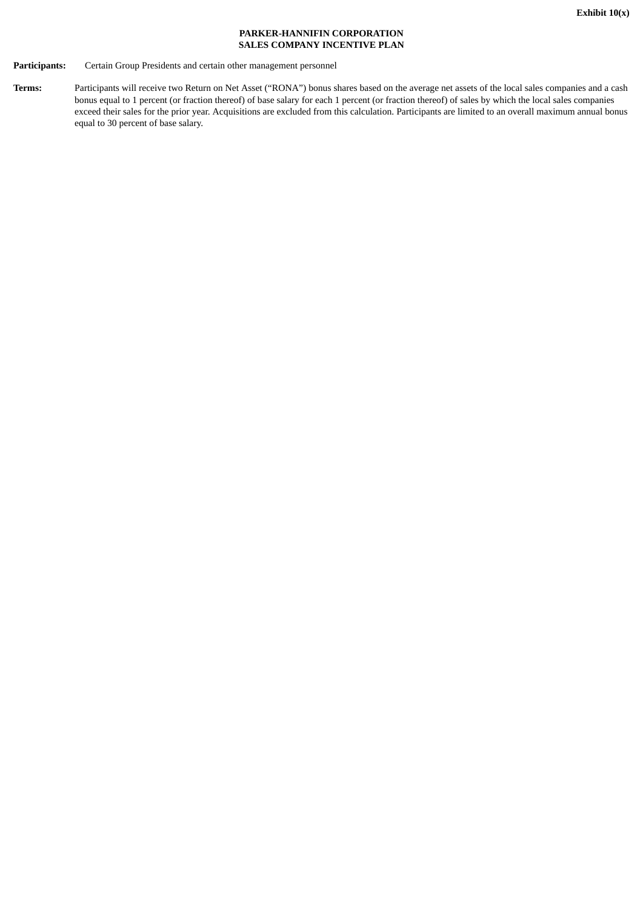# **PARKER-HANNIFIN CORPORATION SALES COMPANY INCENTIVE PLAN**

Participants: Certain Group Presidents and certain other management personnel

**Terms:** Participants will receive two Return on Net Asset ("RONA") bonus shares based on the average net assets of the local sales companies and a cash bonus equal to 1 percent (or fraction thereof) of base salary for each 1 percent (or fraction thereof) of sales by which the local sales companies exceed their sales for the prior year. Acquisitions are excluded from this calculation. Participants are limited to an overall maximum annual bonus equal to 30 percent of base salary.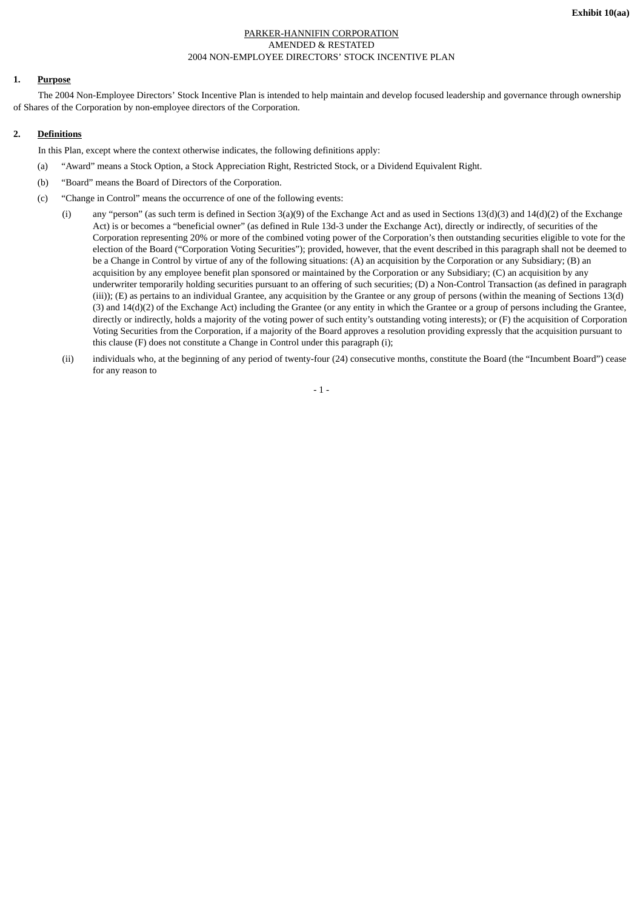## PARKER-HANNIFIN CORPORATION AMENDED & RESTATED 2004 NON-EMPLOYEE DIRECTORS' STOCK INCENTIVE PLAN

#### **1. Purpose**

The 2004 Non-Employee Directors' Stock Incentive Plan is intended to help maintain and develop focused leadership and governance through ownership of Shares of the Corporation by non-employee directors of the Corporation.

# **2. Definitions**

In this Plan, except where the context otherwise indicates, the following definitions apply:

- (a) "Award" means a Stock Option, a Stock Appreciation Right, Restricted Stock, or a Dividend Equivalent Right.
- (b) "Board" means the Board of Directors of the Corporation.
- (c) "Change in Control" means the occurrence of one of the following events:
	- (i) any "person" (as such term is defined in Section 3(a)(9) of the Exchange Act and as used in Sections 13(d)(3) and 14(d)(2) of the Exchange Act) is or becomes a "beneficial owner" (as defined in Rule 13d-3 under the Exchange Act), directly or indirectly, of securities of the Corporation representing 20% or more of the combined voting power of the Corporation's then outstanding securities eligible to vote for the election of the Board ("Corporation Voting Securities"); provided, however, that the event described in this paragraph shall not be deemed to be a Change in Control by virtue of any of the following situations: (A) an acquisition by the Corporation or any Subsidiary; (B) an acquisition by any employee benefit plan sponsored or maintained by the Corporation or any Subsidiary; (C) an acquisition by any underwriter temporarily holding securities pursuant to an offering of such securities; (D) a Non-Control Transaction (as defined in paragraph (iii)); (E) as pertains to an individual Grantee, any acquisition by the Grantee or any group of persons (within the meaning of Sections 13(d) (3) and 14(d)(2) of the Exchange Act) including the Grantee (or any entity in which the Grantee or a group of persons including the Grantee, directly or indirectly, holds a majority of the voting power of such entity's outstanding voting interests); or (F) the acquisition of Corporation Voting Securities from the Corporation, if a majority of the Board approves a resolution providing expressly that the acquisition pursuant to this clause (F) does not constitute a Change in Control under this paragraph (i);
	- (ii) individuals who, at the beginning of any period of twenty-four (24) consecutive months, constitute the Board (the "Incumbent Board") cease for any reason to

 $-1 -$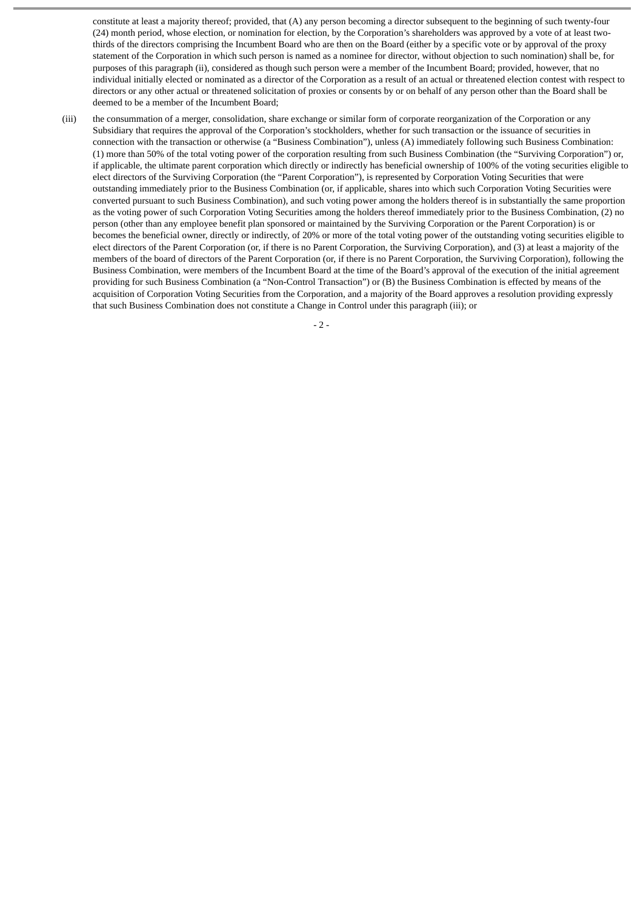constitute at least a majority thereof; provided, that (A) any person becoming a director subsequent to the beginning of such twenty-four (24) month period, whose election, or nomination for election, by the Corporation's shareholders was approved by a vote of at least twothirds of the directors comprising the Incumbent Board who are then on the Board (either by a specific vote or by approval of the proxy statement of the Corporation in which such person is named as a nominee for director, without objection to such nomination) shall be, for purposes of this paragraph (ii), considered as though such person were a member of the Incumbent Board; provided, however, that no individual initially elected or nominated as a director of the Corporation as a result of an actual or threatened election contest with respect to directors or any other actual or threatened solicitation of proxies or consents by or on behalf of any person other than the Board shall be deemed to be a member of the Incumbent Board;

(iii) the consummation of a merger, consolidation, share exchange or similar form of corporate reorganization of the Corporation or any Subsidiary that requires the approval of the Corporation's stockholders, whether for such transaction or the issuance of securities in connection with the transaction or otherwise (a "Business Combination"), unless (A) immediately following such Business Combination: (1) more than 50% of the total voting power of the corporation resulting from such Business Combination (the "Surviving Corporation") or, if applicable, the ultimate parent corporation which directly or indirectly has beneficial ownership of 100% of the voting securities eligible to elect directors of the Surviving Corporation (the "Parent Corporation"), is represented by Corporation Voting Securities that were outstanding immediately prior to the Business Combination (or, if applicable, shares into which such Corporation Voting Securities were converted pursuant to such Business Combination), and such voting power among the holders thereof is in substantially the same proportion as the voting power of such Corporation Voting Securities among the holders thereof immediately prior to the Business Combination, (2) no person (other than any employee benefit plan sponsored or maintained by the Surviving Corporation or the Parent Corporation) is or becomes the beneficial owner, directly or indirectly, of 20% or more of the total voting power of the outstanding voting securities eligible to elect directors of the Parent Corporation (or, if there is no Parent Corporation, the Surviving Corporation), and (3) at least a majority of the members of the board of directors of the Parent Corporation (or, if there is no Parent Corporation, the Surviving Corporation), following the Business Combination, were members of the Incumbent Board at the time of the Board's approval of the execution of the initial agreement providing for such Business Combination (a "Non-Control Transaction") or (B) the Business Combination is effected by means of the acquisition of Corporation Voting Securities from the Corporation, and a majority of the Board approves a resolution providing expressly that such Business Combination does not constitute a Change in Control under this paragraph (iii); or

- 2 -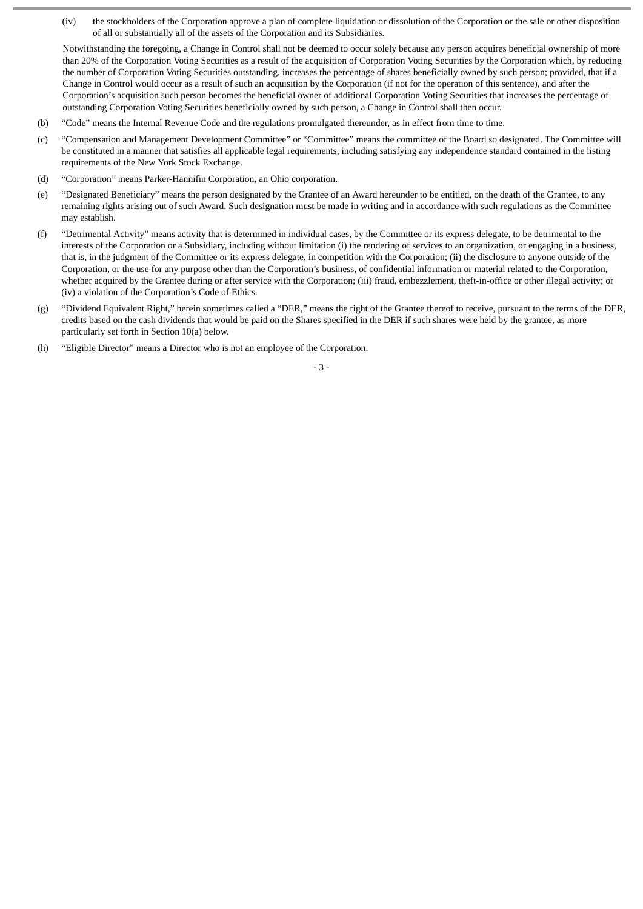(iv) the stockholders of the Corporation approve a plan of complete liquidation or dissolution of the Corporation or the sale or other disposition of all or substantially all of the assets of the Corporation and its Subsidiaries.

Notwithstanding the foregoing, a Change in Control shall not be deemed to occur solely because any person acquires beneficial ownership of more than 20% of the Corporation Voting Securities as a result of the acquisition of Corporation Voting Securities by the Corporation which, by reducing the number of Corporation Voting Securities outstanding, increases the percentage of shares beneficially owned by such person; provided, that if a Change in Control would occur as a result of such an acquisition by the Corporation (if not for the operation of this sentence), and after the Corporation's acquisition such person becomes the beneficial owner of additional Corporation Voting Securities that increases the percentage of outstanding Corporation Voting Securities beneficially owned by such person, a Change in Control shall then occur.

- (b) "Code" means the Internal Revenue Code and the regulations promulgated thereunder, as in effect from time to time.
- (c) "Compensation and Management Development Committee" or "Committee" means the committee of the Board so designated. The Committee will be constituted in a manner that satisfies all applicable legal requirements, including satisfying any independence standard contained in the listing requirements of the New York Stock Exchange.
- (d) "Corporation" means Parker-Hannifin Corporation, an Ohio corporation.
- (e) "Designated Beneficiary" means the person designated by the Grantee of an Award hereunder to be entitled, on the death of the Grantee, to any remaining rights arising out of such Award. Such designation must be made in writing and in accordance with such regulations as the Committee may establish.
- (f) "Detrimental Activity" means activity that is determined in individual cases, by the Committee or its express delegate, to be detrimental to the interests of the Corporation or a Subsidiary, including without limitation (i) the rendering of services to an organization, or engaging in a business, that is, in the judgment of the Committee or its express delegate, in competition with the Corporation; (ii) the disclosure to anyone outside of the Corporation, or the use for any purpose other than the Corporation's business, of confidential information or material related to the Corporation, whether acquired by the Grantee during or after service with the Corporation; (iii) fraud, embezzlement, theft-in-office or other illegal activity; or (iv) a violation of the Corporation's Code of Ethics.
- (g) "Dividend Equivalent Right," herein sometimes called a "DER," means the right of the Grantee thereof to receive, pursuant to the terms of the DER, credits based on the cash dividends that would be paid on the Shares specified in the DER if such shares were held by the grantee, as more particularly set forth in Section 10(a) below.
- (h) "Eligible Director" means a Director who is not an employee of the Corporation.

- 3 -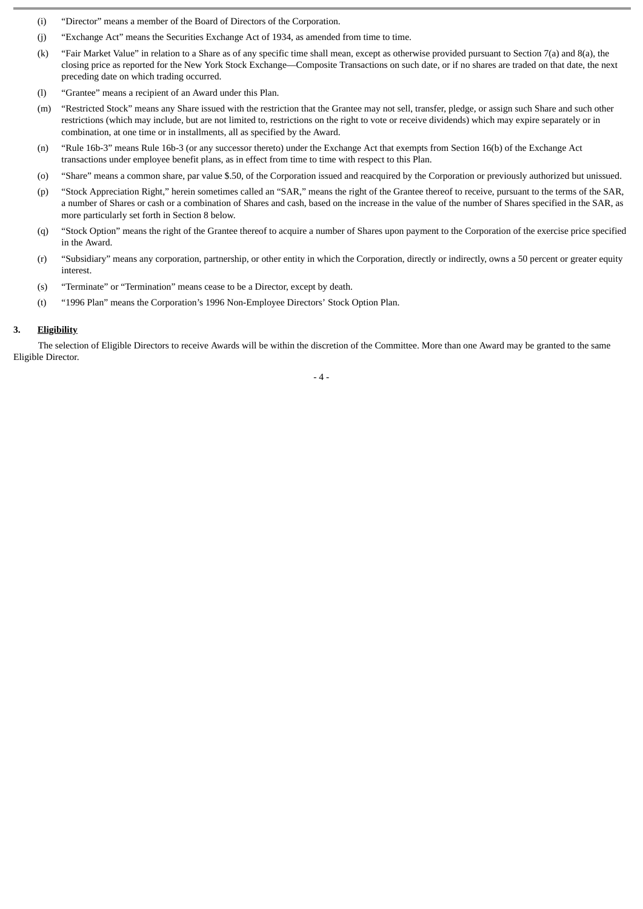- (i) "Director" means a member of the Board of Directors of the Corporation.
- (j) "Exchange Act" means the Securities Exchange Act of 1934, as amended from time to time.
- (k) "Fair Market Value" in relation to a Share as of any specific time shall mean, except as otherwise provided pursuant to Section 7(a) and 8(a), the closing price as reported for the New York Stock Exchange—Composite Transactions on such date, or if no shares are traded on that date, the next preceding date on which trading occurred.
- (l) "Grantee" means a recipient of an Award under this Plan.
- (m) "Restricted Stock" means any Share issued with the restriction that the Grantee may not sell, transfer, pledge, or assign such Share and such other restrictions (which may include, but are not limited to, restrictions on the right to vote or receive dividends) which may expire separately or in combination, at one time or in installments, all as specified by the Award.
- (n) "Rule 16b-3" means Rule 16b-3 (or any successor thereto) under the Exchange Act that exempts from Section 16(b) of the Exchange Act transactions under employee benefit plans, as in effect from time to time with respect to this Plan.
- (o) "Share" means a common share, par value \$.50, of the Corporation issued and reacquired by the Corporation or previously authorized but unissued.
- (p) "Stock Appreciation Right," herein sometimes called an "SAR," means the right of the Grantee thereof to receive, pursuant to the terms of the SAR, a number of Shares or cash or a combination of Shares and cash, based on the increase in the value of the number of Shares specified in the SAR, as more particularly set forth in Section 8 below.
- (q) "Stock Option" means the right of the Grantee thereof to acquire a number of Shares upon payment to the Corporation of the exercise price specified in the Award.
- (r) "Subsidiary" means any corporation, partnership, or other entity in which the Corporation, directly or indirectly, owns a 50 percent or greater equity interest.
- (s) "Terminate" or "Termination" means cease to be a Director, except by death.
- (t) "1996 Plan" means the Corporation's 1996 Non-Employee Directors' Stock Option Plan.

#### **3. Eligibility**

The selection of Eligible Directors to receive Awards will be within the discretion of the Committee. More than one Award may be granted to the same Eligible Director.

 $-4-$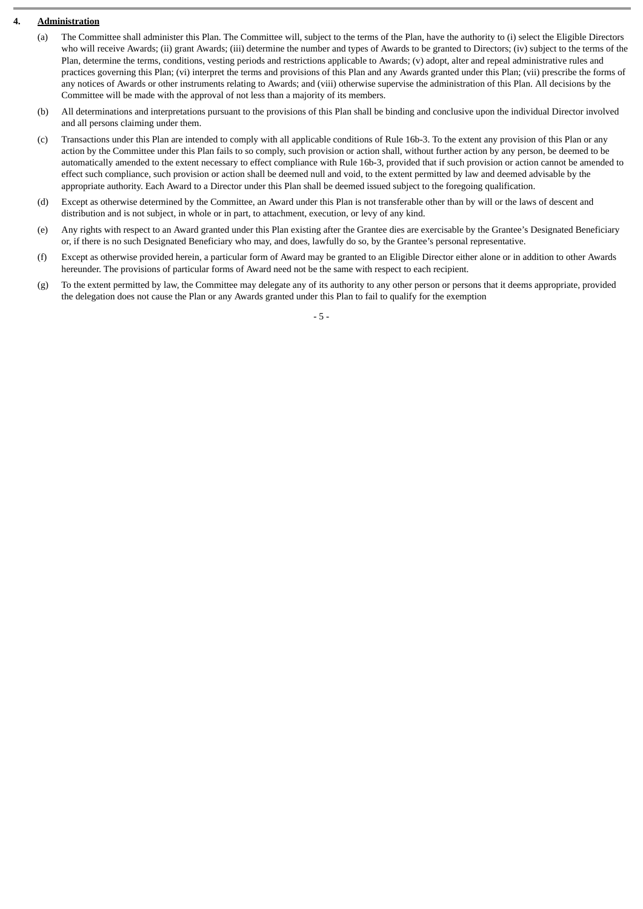# **4. Administration**

- (a) The Committee shall administer this Plan. The Committee will, subject to the terms of the Plan, have the authority to (i) select the Eligible Directors who will receive Awards; (ii) grant Awards; (iii) determine the number and types of Awards to be granted to Directors; (iv) subject to the terms of the Plan, determine the terms, conditions, vesting periods and restrictions applicable to Awards; (v) adopt, alter and repeal administrative rules and practices governing this Plan; (vi) interpret the terms and provisions of this Plan and any Awards granted under this Plan; (vii) prescribe the forms of any notices of Awards or other instruments relating to Awards; and (viii) otherwise supervise the administration of this Plan. All decisions by the Committee will be made with the approval of not less than a majority of its members.
- (b) All determinations and interpretations pursuant to the provisions of this Plan shall be binding and conclusive upon the individual Director involved and all persons claiming under them.
- (c) Transactions under this Plan are intended to comply with all applicable conditions of Rule 16b-3. To the extent any provision of this Plan or any action by the Committee under this Plan fails to so comply, such provision or action shall, without further action by any person, be deemed to be automatically amended to the extent necessary to effect compliance with Rule 16b-3, provided that if such provision or action cannot be amended to effect such compliance, such provision or action shall be deemed null and void, to the extent permitted by law and deemed advisable by the appropriate authority. Each Award to a Director under this Plan shall be deemed issued subject to the foregoing qualification.
- (d) Except as otherwise determined by the Committee, an Award under this Plan is not transferable other than by will or the laws of descent and distribution and is not subject, in whole or in part, to attachment, execution, or levy of any kind.
- (e) Any rights with respect to an Award granted under this Plan existing after the Grantee dies are exercisable by the Grantee's Designated Beneficiary or, if there is no such Designated Beneficiary who may, and does, lawfully do so, by the Grantee's personal representative.
- (f) Except as otherwise provided herein, a particular form of Award may be granted to an Eligible Director either alone or in addition to other Awards hereunder. The provisions of particular forms of Award need not be the same with respect to each recipient.
- (g) To the extent permitted by law, the Committee may delegate any of its authority to any other person or persons that it deems appropriate, provided the delegation does not cause the Plan or any Awards granted under this Plan to fail to qualify for the exemption

- 5 -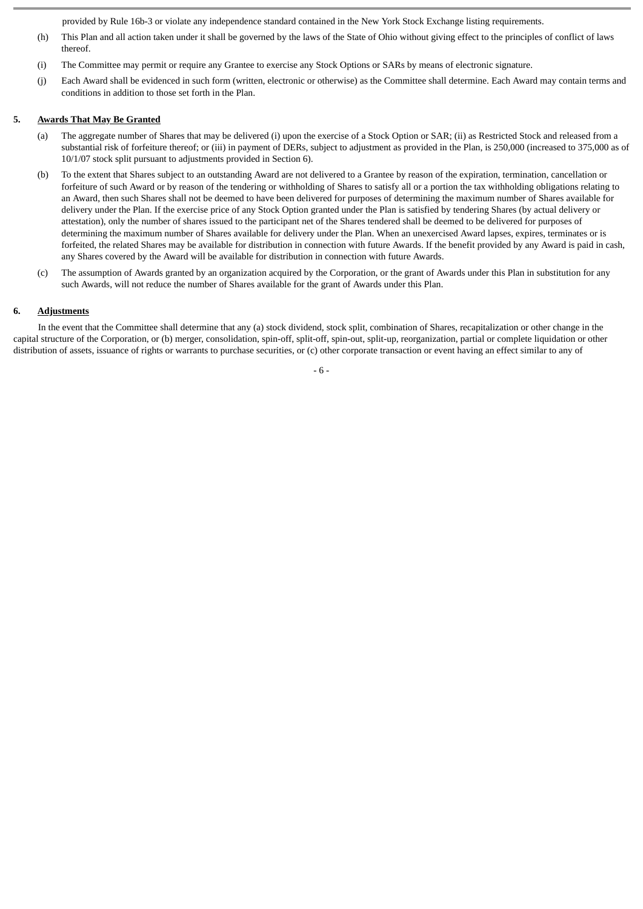provided by Rule 16b-3 or violate any independence standard contained in the New York Stock Exchange listing requirements.

- (h) This Plan and all action taken under it shall be governed by the laws of the State of Ohio without giving effect to the principles of conflict of laws thereof.
- (i) The Committee may permit or require any Grantee to exercise any Stock Options or SARs by means of electronic signature.
- (j) Each Award shall be evidenced in such form (written, electronic or otherwise) as the Committee shall determine. Each Award may contain terms and conditions in addition to those set forth in the Plan.

#### **5. Awards That May Be Granted**

- (a) The aggregate number of Shares that may be delivered (i) upon the exercise of a Stock Option or SAR; (ii) as Restricted Stock and released from a substantial risk of forfeiture thereof; or (iii) in payment of DERs, subject to adjustment as provided in the Plan, is 250,000 (increased to 375,000 as of 10/1/07 stock split pursuant to adjustments provided in Section 6).
- (b) To the extent that Shares subject to an outstanding Award are not delivered to a Grantee by reason of the expiration, termination, cancellation or forfeiture of such Award or by reason of the tendering or withholding of Shares to satisfy all or a portion the tax withholding obligations relating to an Award, then such Shares shall not be deemed to have been delivered for purposes of determining the maximum number of Shares available for delivery under the Plan. If the exercise price of any Stock Option granted under the Plan is satisfied by tendering Shares (by actual delivery or attestation), only the number of shares issued to the participant net of the Shares tendered shall be deemed to be delivered for purposes of determining the maximum number of Shares available for delivery under the Plan. When an unexercised Award lapses, expires, terminates or is forfeited, the related Shares may be available for distribution in connection with future Awards. If the benefit provided by any Award is paid in cash, any Shares covered by the Award will be available for distribution in connection with future Awards.
- (c) The assumption of Awards granted by an organization acquired by the Corporation, or the grant of Awards under this Plan in substitution for any such Awards, will not reduce the number of Shares available for the grant of Awards under this Plan.

### **6. Adjustments**

In the event that the Committee shall determine that any (a) stock dividend, stock split, combination of Shares, recapitalization or other change in the capital structure of the Corporation, or (b) merger, consolidation, spin-off, split-off, spin-out, split-up, reorganization, partial or complete liquidation or other distribution of assets, issuance of rights or warrants to purchase securities, or (c) other corporate transaction or event having an effect similar to any of

 $-6$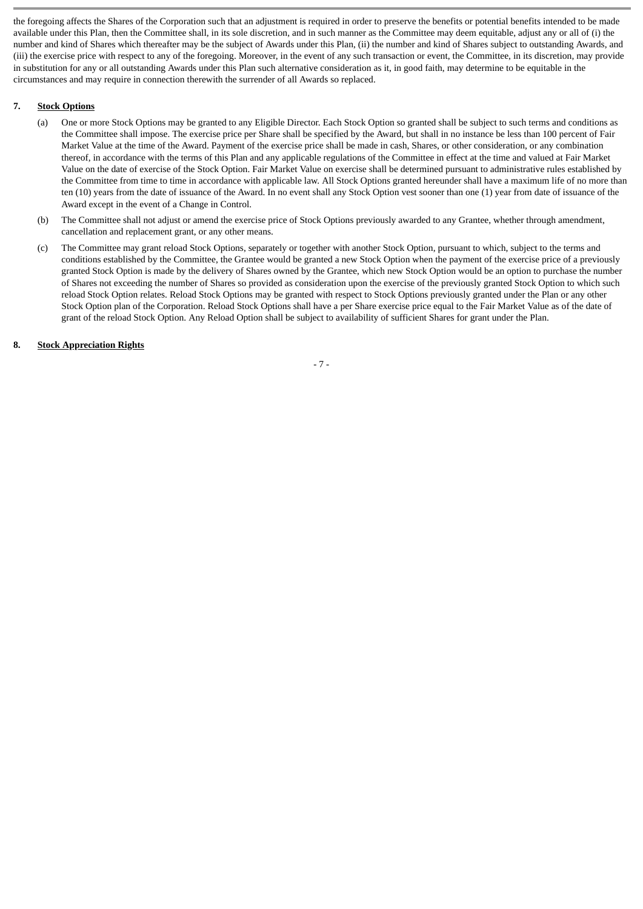the foregoing affects the Shares of the Corporation such that an adjustment is required in order to preserve the benefits or potential benefits intended to be made available under this Plan, then the Committee shall, in its sole discretion, and in such manner as the Committee may deem equitable, adjust any or all of (i) the number and kind of Shares which thereafter may be the subject of Awards under this Plan, (ii) the number and kind of Shares subject to outstanding Awards, and (iii) the exercise price with respect to any of the foregoing. Moreover, in the event of any such transaction or event, the Committee, in its discretion, may provide in substitution for any or all outstanding Awards under this Plan such alternative consideration as it, in good faith, may determine to be equitable in the circumstances and may require in connection therewith the surrender of all Awards so replaced.

# **7. Stock Options**

- (a) One or more Stock Options may be granted to any Eligible Director. Each Stock Option so granted shall be subject to such terms and conditions as the Committee shall impose. The exercise price per Share shall be specified by the Award, but shall in no instance be less than 100 percent of Fair Market Value at the time of the Award. Payment of the exercise price shall be made in cash, Shares, or other consideration, or any combination thereof, in accordance with the terms of this Plan and any applicable regulations of the Committee in effect at the time and valued at Fair Market Value on the date of exercise of the Stock Option. Fair Market Value on exercise shall be determined pursuant to administrative rules established by the Committee from time to time in accordance with applicable law. All Stock Options granted hereunder shall have a maximum life of no more than ten (10) years from the date of issuance of the Award. In no event shall any Stock Option vest sooner than one (1) year from date of issuance of the Award except in the event of a Change in Control.
- (b) The Committee shall not adjust or amend the exercise price of Stock Options previously awarded to any Grantee, whether through amendment, cancellation and replacement grant, or any other means.
- (c) The Committee may grant reload Stock Options, separately or together with another Stock Option, pursuant to which, subject to the terms and conditions established by the Committee, the Grantee would be granted a new Stock Option when the payment of the exercise price of a previously granted Stock Option is made by the delivery of Shares owned by the Grantee, which new Stock Option would be an option to purchase the number of Shares not exceeding the number of Shares so provided as consideration upon the exercise of the previously granted Stock Option to which such reload Stock Option relates. Reload Stock Options may be granted with respect to Stock Options previously granted under the Plan or any other Stock Option plan of the Corporation. Reload Stock Options shall have a per Share exercise price equal to the Fair Market Value as of the date of grant of the reload Stock Option. Any Reload Option shall be subject to availability of sufficient Shares for grant under the Plan.

## **8. Stock Appreciation Rights**

- 7 -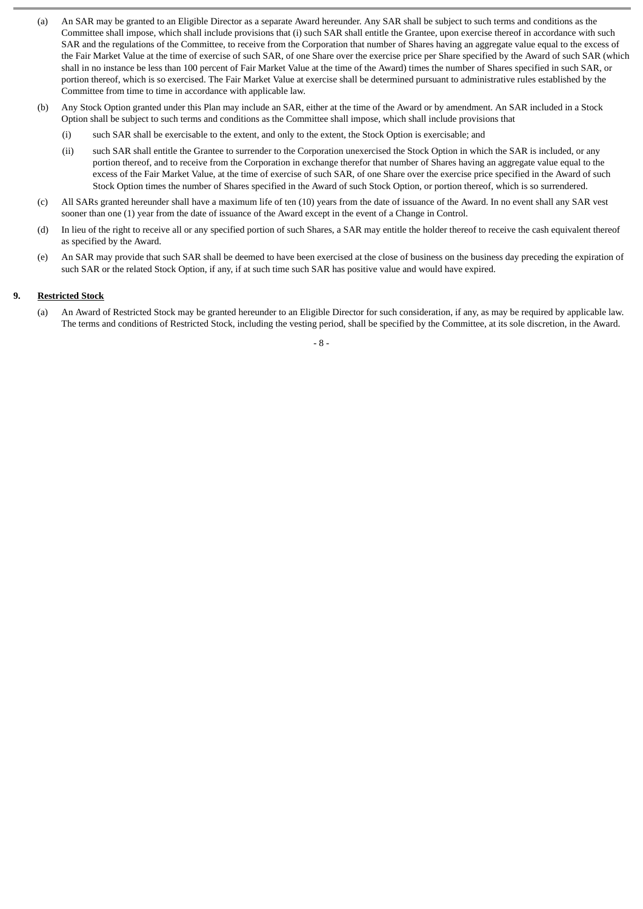- (a) An SAR may be granted to an Eligible Director as a separate Award hereunder. Any SAR shall be subject to such terms and conditions as the Committee shall impose, which shall include provisions that (i) such SAR shall entitle the Grantee, upon exercise thereof in accordance with such SAR and the regulations of the Committee, to receive from the Corporation that number of Shares having an aggregate value equal to the excess of the Fair Market Value at the time of exercise of such SAR, of one Share over the exercise price per Share specified by the Award of such SAR (which shall in no instance be less than 100 percent of Fair Market Value at the time of the Award) times the number of Shares specified in such SAR, or portion thereof, which is so exercised. The Fair Market Value at exercise shall be determined pursuant to administrative rules established by the Committee from time to time in accordance with applicable law.
- (b) Any Stock Option granted under this Plan may include an SAR, either at the time of the Award or by amendment. An SAR included in a Stock Option shall be subject to such terms and conditions as the Committee shall impose, which shall include provisions that
	- (i) such SAR shall be exercisable to the extent, and only to the extent, the Stock Option is exercisable; and
	- (ii) such SAR shall entitle the Grantee to surrender to the Corporation unexercised the Stock Option in which the SAR is included, or any portion thereof, and to receive from the Corporation in exchange therefor that number of Shares having an aggregate value equal to the excess of the Fair Market Value, at the time of exercise of such SAR, of one Share over the exercise price specified in the Award of such Stock Option times the number of Shares specified in the Award of such Stock Option, or portion thereof, which is so surrendered.
- (c) All SARs granted hereunder shall have a maximum life of ten (10) years from the date of issuance of the Award. In no event shall any SAR vest sooner than one (1) year from the date of issuance of the Award except in the event of a Change in Control.
- (d) In lieu of the right to receive all or any specified portion of such Shares, a SAR may entitle the holder thereof to receive the cash equivalent thereof as specified by the Award.
- (e) An SAR may provide that such SAR shall be deemed to have been exercised at the close of business on the business day preceding the expiration of such SAR or the related Stock Option, if any, if at such time such SAR has positive value and would have expired.

# **9. Restricted Stock**

(a) An Award of Restricted Stock may be granted hereunder to an Eligible Director for such consideration, if any, as may be required by applicable law. The terms and conditions of Restricted Stock, including the vesting period, shall be specified by the Committee, at its sole discretion, in the Award.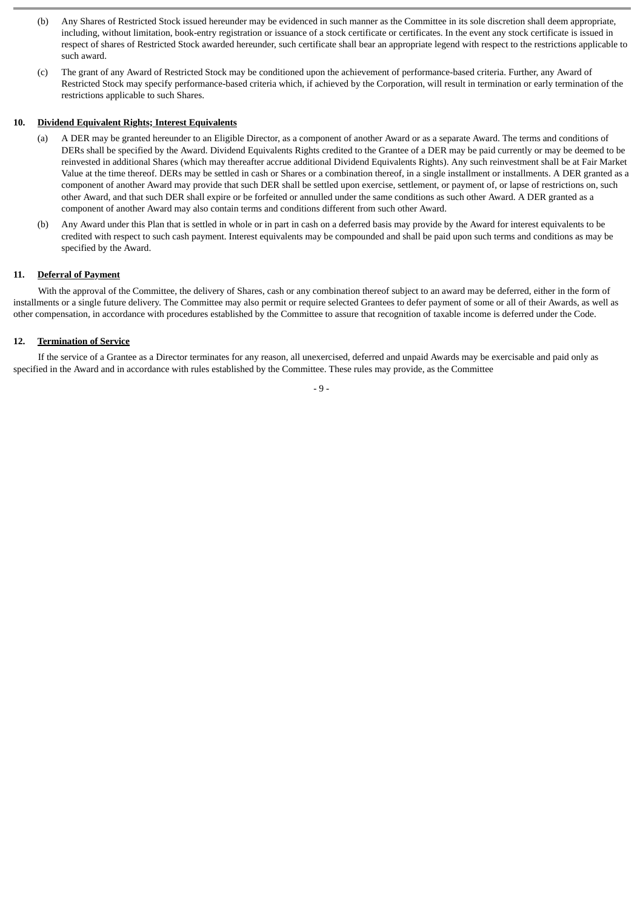- (b) Any Shares of Restricted Stock issued hereunder may be evidenced in such manner as the Committee in its sole discretion shall deem appropriate, including, without limitation, book-entry registration or issuance of a stock certificate or certificates. In the event any stock certificate is issued in respect of shares of Restricted Stock awarded hereunder, such certificate shall bear an appropriate legend with respect to the restrictions applicable to such award.
- (c) The grant of any Award of Restricted Stock may be conditioned upon the achievement of performance-based criteria. Further, any Award of Restricted Stock may specify performance-based criteria which, if achieved by the Corporation, will result in termination or early termination of the restrictions applicable to such Shares.

# **10. Dividend Equivalent Rights; Interest Equivalents**

- A DER may be granted hereunder to an Eligible Director, as a component of another Award or as a separate Award. The terms and conditions of DERs shall be specified by the Award. Dividend Equivalents Rights credited to the Grantee of a DER may be paid currently or may be deemed to be reinvested in additional Shares (which may thereafter accrue additional Dividend Equivalents Rights). Any such reinvestment shall be at Fair Market Value at the time thereof. DERs may be settled in cash or Shares or a combination thereof, in a single installment or installments. A DER granted as a component of another Award may provide that such DER shall be settled upon exercise, settlement, or payment of, or lapse of restrictions on, such other Award, and that such DER shall expire or be forfeited or annulled under the same conditions as such other Award. A DER granted as a component of another Award may also contain terms and conditions different from such other Award.
- (b) Any Award under this Plan that is settled in whole or in part in cash on a deferred basis may provide by the Award for interest equivalents to be credited with respect to such cash payment. Interest equivalents may be compounded and shall be paid upon such terms and conditions as may be specified by the Award.

### **11. Deferral of Payment**

With the approval of the Committee, the delivery of Shares, cash or any combination thereof subject to an award may be deferred, either in the form of installments or a single future delivery. The Committee may also permit or require selected Grantees to defer payment of some or all of their Awards, as well as other compensation, in accordance with procedures established by the Committee to assure that recognition of taxable income is deferred under the Code.

# **12. Termination of Service**

If the service of a Grantee as a Director terminates for any reason, all unexercised, deferred and unpaid Awards may be exercisable and paid only as specified in the Award and in accordance with rules established by the Committee. These rules may provide, as the Committee

- 9 -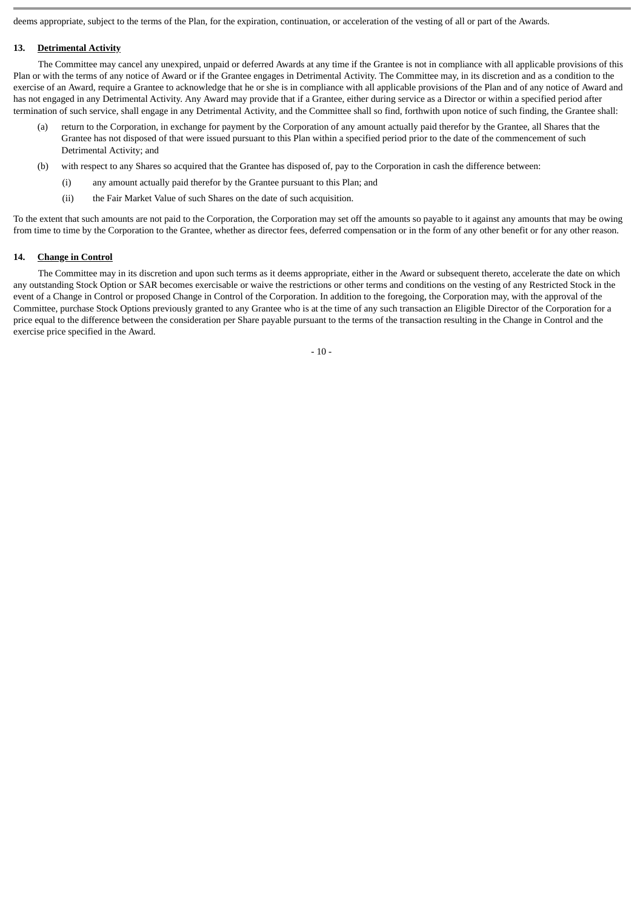deems appropriate, subject to the terms of the Plan, for the expiration, continuation, or acceleration of the vesting of all or part of the Awards.

#### **13. Detrimental Activity**

The Committee may cancel any unexpired, unpaid or deferred Awards at any time if the Grantee is not in compliance with all applicable provisions of this Plan or with the terms of any notice of Award or if the Grantee engages in Detrimental Activity. The Committee may, in its discretion and as a condition to the exercise of an Award, require a Grantee to acknowledge that he or she is in compliance with all applicable provisions of the Plan and of any notice of Award and has not engaged in any Detrimental Activity. Any Award may provide that if a Grantee, either during service as a Director or within a specified period after termination of such service, shall engage in any Detrimental Activity, and the Committee shall so find, forthwith upon notice of such finding, the Grantee shall:

- (a) return to the Corporation, in exchange for payment by the Corporation of any amount actually paid therefor by the Grantee, all Shares that the Grantee has not disposed of that were issued pursuant to this Plan within a specified period prior to the date of the commencement of such Detrimental Activity; and
- (b) with respect to any Shares so acquired that the Grantee has disposed of, pay to the Corporation in cash the difference between:
	- (i) any amount actually paid therefor by the Grantee pursuant to this Plan; and
	- (ii) the Fair Market Value of such Shares on the date of such acquisition.

To the extent that such amounts are not paid to the Corporation, the Corporation may set off the amounts so payable to it against any amounts that may be owing from time to time by the Corporation to the Grantee, whether as director fees, deferred compensation or in the form of any other benefit or for any other reason.

#### **14. Change in Control**

The Committee may in its discretion and upon such terms as it deems appropriate, either in the Award or subsequent thereto, accelerate the date on which any outstanding Stock Option or SAR becomes exercisable or waive the restrictions or other terms and conditions on the vesting of any Restricted Stock in the event of a Change in Control or proposed Change in Control of the Corporation. In addition to the foregoing, the Corporation may, with the approval of the Committee, purchase Stock Options previously granted to any Grantee who is at the time of any such transaction an Eligible Director of the Corporation for a price equal to the difference between the consideration per Share payable pursuant to the terms of the transaction resulting in the Change in Control and the exercise price specified in the Award.

 $-10-$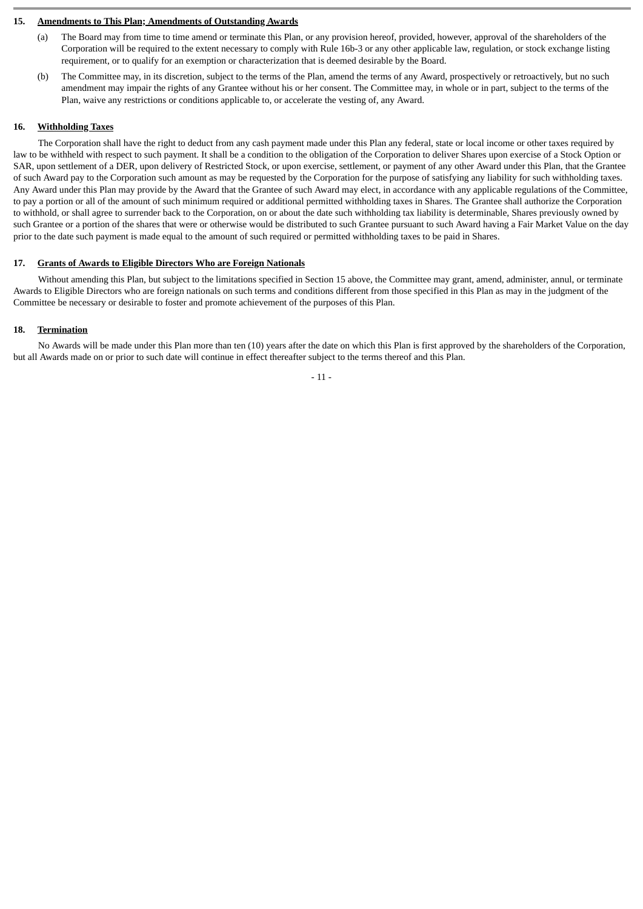#### **15. Amendments to This Plan; Amendments of Outstanding Awards**

- (a) The Board may from time to time amend or terminate this Plan, or any provision hereof, provided, however, approval of the shareholders of the Corporation will be required to the extent necessary to comply with Rule 16b-3 or any other applicable law, regulation, or stock exchange listing requirement, or to qualify for an exemption or characterization that is deemed desirable by the Board.
- (b) The Committee may, in its discretion, subject to the terms of the Plan, amend the terms of any Award, prospectively or retroactively, but no such amendment may impair the rights of any Grantee without his or her consent. The Committee may, in whole or in part, subject to the terms of the Plan, waive any restrictions or conditions applicable to, or accelerate the vesting of, any Award.

# **16. Withholding Taxes**

The Corporation shall have the right to deduct from any cash payment made under this Plan any federal, state or local income or other taxes required by law to be withheld with respect to such payment. It shall be a condition to the obligation of the Corporation to deliver Shares upon exercise of a Stock Option or SAR, upon settlement of a DER, upon delivery of Restricted Stock, or upon exercise, settlement, or payment of any other Award under this Plan, that the Grantee of such Award pay to the Corporation such amount as may be requested by the Corporation for the purpose of satisfying any liability for such withholding taxes. Any Award under this Plan may provide by the Award that the Grantee of such Award may elect, in accordance with any applicable regulations of the Committee, to pay a portion or all of the amount of such minimum required or additional permitted withholding taxes in Shares. The Grantee shall authorize the Corporation to withhold, or shall agree to surrender back to the Corporation, on or about the date such withholding tax liability is determinable, Shares previously owned by such Grantee or a portion of the shares that were or otherwise would be distributed to such Grantee pursuant to such Award having a Fair Market Value on the day prior to the date such payment is made equal to the amount of such required or permitted withholding taxes to be paid in Shares.

### **17. Grants of Awards to Eligible Directors Who are Foreign Nationals**

Without amending this Plan, but subject to the limitations specified in Section 15 above, the Committee may grant, amend, administer, annul, or terminate Awards to Eligible Directors who are foreign nationals on such terms and conditions different from those specified in this Plan as may in the judgment of the Committee be necessary or desirable to foster and promote achievement of the purposes of this Plan.

### **18. Termination**

No Awards will be made under this Plan more than ten (10) years after the date on which this Plan is first approved by the shareholders of the Corporation, but all Awards made on or prior to such date will continue in effect thereafter subject to the terms thereof and this Plan.

 $-11$ .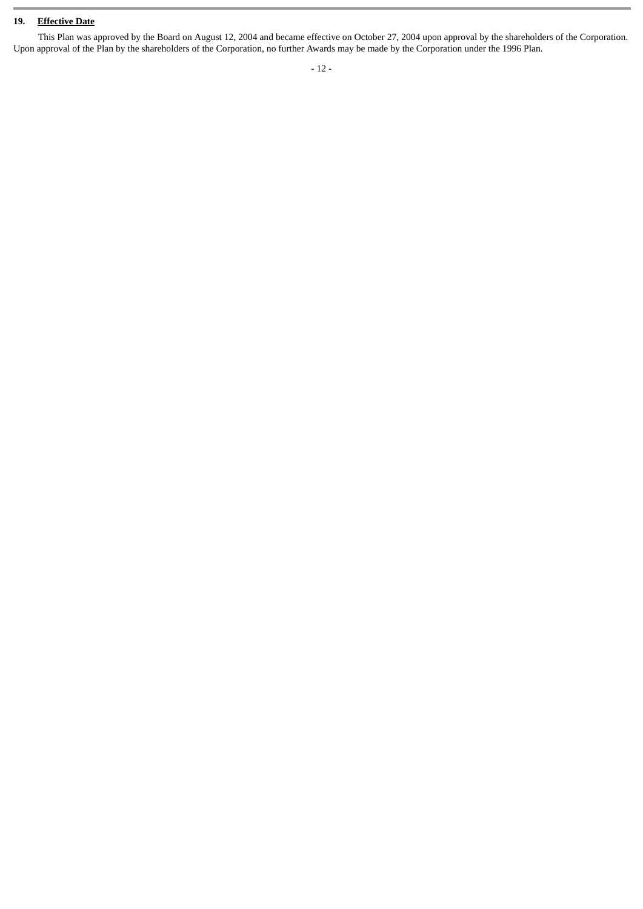# **19. Effective Date**

This Plan was approved by the Board on August 12, 2004 and became effective on October 27, 2004 upon approval by the shareholders of the Corporation. Upon approval of the Plan by the shareholders of the Corporation, no further Awards may be made by the Corporation under the 1996 Plan.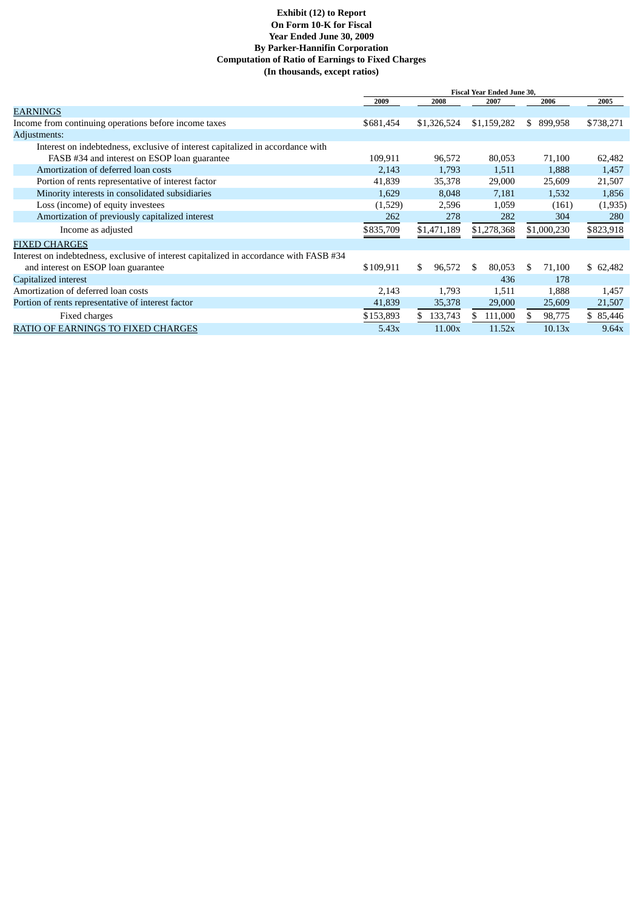# **Exhibit (12) to Report On Form 10-K for Fiscal Year Ended June 30, 2009 By Parker-Hannifin Corporation Computation of Ratio of Earnings to Fixed Charges (In thousands, except ratios)**

|                                                                                         | <b>Fiscal Year Ended June 30,</b> |               |                |               |           |
|-----------------------------------------------------------------------------------------|-----------------------------------|---------------|----------------|---------------|-----------|
|                                                                                         | 2009                              | 2008          | 2007           | 2006          | 2005      |
| EARNINGS                                                                                |                                   |               |                |               |           |
| Income from continuing operations before income taxes                                   | \$681,454                         | \$1,326,524   | \$1,159,282    | 899,958<br>S. | \$738,271 |
| Adjustments:                                                                            |                                   |               |                |               |           |
| Interest on indebtedness, exclusive of interest capitalized in accordance with          |                                   |               |                |               |           |
| FASB #34 and interest on ESOP loan guarantee                                            | 109,911                           | 96,572        | 80,053         | 71,100        | 62,482    |
| Amortization of deferred loan costs                                                     | 2,143                             | 1,793         | 1,511          | 1,888         | 1,457     |
| Portion of rents representative of interest factor                                      | 41,839                            | 35,378        | 29,000         | 25,609        | 21,507    |
| Minority interests in consolidated subsidiaries                                         | 1,629                             | 8,048         | 7,181          | 1,532         | 1,856     |
| Loss (income) of equity investees                                                       | (1,529)                           | 2,596         | 1,059          | (161)         | (1,935)   |
| Amortization of previously capitalized interest                                         | 262                               | 278           | 282            | 304           | 280       |
| Income as adjusted                                                                      | \$835,709                         | \$1,471,189   | \$1,278,368    | \$1,000,230   | \$823,918 |
| <b>FIXED CHARGES</b>                                                                    |                                   |               |                |               |           |
| Interest on indebtedness, exclusive of interest capitalized in accordance with FASB #34 |                                   |               |                |               |           |
| and interest on ESOP loan guarantee                                                     | \$109,911                         | S.<br>96,572  | 80,053<br>\$.  | S.<br>71,100  | \$62,482  |
| Capitalized interest                                                                    |                                   |               | 436            | 178           |           |
| Amortization of deferred loan costs                                                     | 2,143                             | 1,793         | 1,511          | 1,888         | 1,457     |
| Portion of rents representative of interest factor                                      | 41,839                            | 35,378        | 29,000         | 25,609        | 21,507    |
| Fixed charges                                                                           | \$153,893                         | 133,743<br>\$ | 111,000<br>\$. | 98,775<br>\$. | \$85,446  |
| RATIO OF EARNINGS TO FIXED CHARGES                                                      | 5.43x                             | 11.00x        | 11.52x         | 10.13x        | 9.64x     |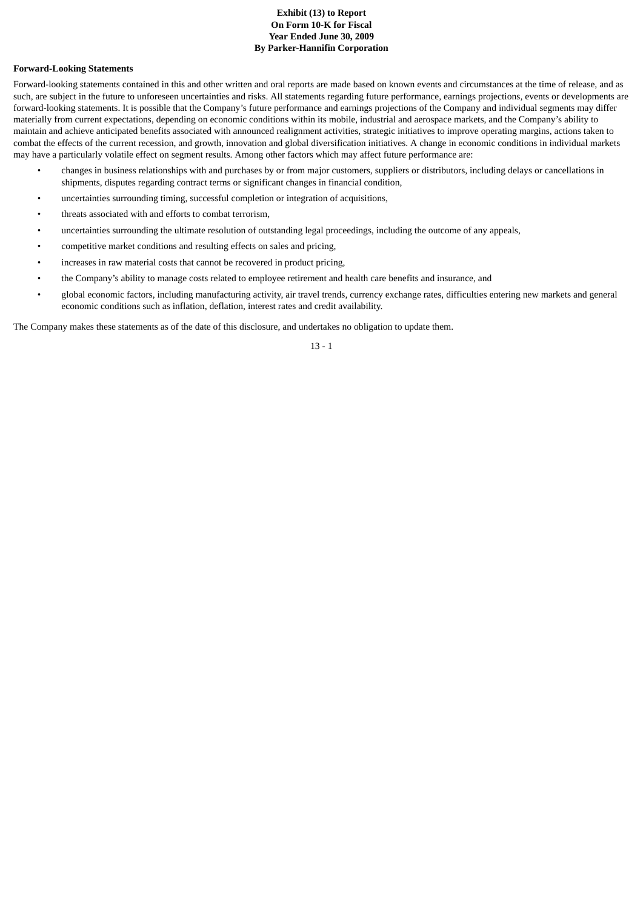## **Exhibit (13) to Report On Form 10-K for Fiscal Year Ended June 30, 2009 By Parker-Hannifin Corporation**

#### **Forward-Looking Statements**

Forward-looking statements contained in this and other written and oral reports are made based on known events and circumstances at the time of release, and as such, are subject in the future to unforeseen uncertainties and risks. All statements regarding future performance, earnings projections, events or developments are forward-looking statements. It is possible that the Company's future performance and earnings projections of the Company and individual segments may differ materially from current expectations, depending on economic conditions within its mobile, industrial and aerospace markets, and the Company's ability to maintain and achieve anticipated benefits associated with announced realignment activities, strategic initiatives to improve operating margins, actions taken to combat the effects of the current recession, and growth, innovation and global diversification initiatives. A change in economic conditions in individual markets may have a particularly volatile effect on segment results. Among other factors which may affect future performance are:

- changes in business relationships with and purchases by or from major customers, suppliers or distributors, including delays or cancellations in shipments, disputes regarding contract terms or significant changes in financial condition,
- uncertainties surrounding timing, successful completion or integration of acquisitions,
- threats associated with and efforts to combat terrorism,
- uncertainties surrounding the ultimate resolution of outstanding legal proceedings, including the outcome of any appeals,
- competitive market conditions and resulting effects on sales and pricing,
- increases in raw material costs that cannot be recovered in product pricing,
- the Company's ability to manage costs related to employee retirement and health care benefits and insurance, and
- global economic factors, including manufacturing activity, air travel trends, currency exchange rates, difficulties entering new markets and general economic conditions such as inflation, deflation, interest rates and credit availability.

The Company makes these statements as of the date of this disclosure, and undertakes no obligation to update them.

13 - 1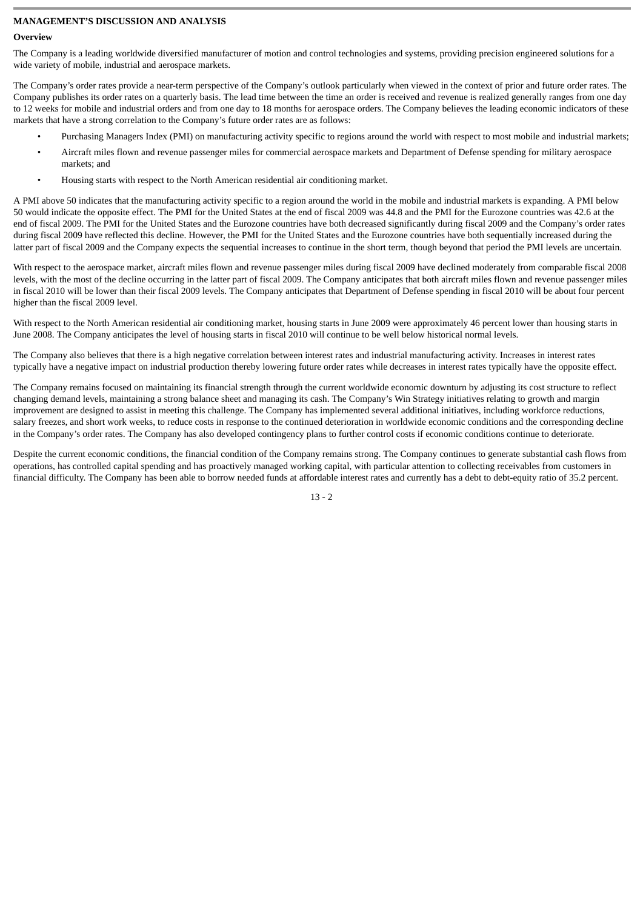# **MANAGEMENT'S DISCUSSION AND ANALYSIS**

### **Overview**

The Company is a leading worldwide diversified manufacturer of motion and control technologies and systems, providing precision engineered solutions for a wide variety of mobile, industrial and aerospace markets.

The Company's order rates provide a near-term perspective of the Company's outlook particularly when viewed in the context of prior and future order rates. The Company publishes its order rates on a quarterly basis. The lead time between the time an order is received and revenue is realized generally ranges from one day to 12 weeks for mobile and industrial orders and from one day to 18 months for aerospace orders. The Company believes the leading economic indicators of these markets that have a strong correlation to the Company's future order rates are as follows:

- Purchasing Managers Index (PMI) on manufacturing activity specific to regions around the world with respect to most mobile and industrial markets;
- Aircraft miles flown and revenue passenger miles for commercial aerospace markets and Department of Defense spending for military aerospace markets; and
- Housing starts with respect to the North American residential air conditioning market.

A PMI above 50 indicates that the manufacturing activity specific to a region around the world in the mobile and industrial markets is expanding. A PMI below 50 would indicate the opposite effect. The PMI for the United States at the end of fiscal 2009 was 44.8 and the PMI for the Eurozone countries was 42.6 at the end of fiscal 2009. The PMI for the United States and the Eurozone countries have both decreased significantly during fiscal 2009 and the Company's order rates during fiscal 2009 have reflected this decline. However, the PMI for the United States and the Eurozone countries have both sequentially increased during the latter part of fiscal 2009 and the Company expects the sequential increases to continue in the short term, though beyond that period the PMI levels are uncertain.

With respect to the aerospace market, aircraft miles flown and revenue passenger miles during fiscal 2009 have declined moderately from comparable fiscal 2008 levels, with the most of the decline occurring in the latter part of fiscal 2009. The Company anticipates that both aircraft miles flown and revenue passenger miles in fiscal 2010 will be lower than their fiscal 2009 levels. The Company anticipates that Department of Defense spending in fiscal 2010 will be about four percent higher than the fiscal 2009 level.

With respect to the North American residential air conditioning market, housing starts in June 2009 were approximately 46 percent lower than housing starts in June 2008. The Company anticipates the level of housing starts in fiscal 2010 will continue to be well below historical normal levels.

The Company also believes that there is a high negative correlation between interest rates and industrial manufacturing activity. Increases in interest rates typically have a negative impact on industrial production thereby lowering future order rates while decreases in interest rates typically have the opposite effect.

The Company remains focused on maintaining its financial strength through the current worldwide economic downturn by adjusting its cost structure to reflect changing demand levels, maintaining a strong balance sheet and managing its cash. The Company's Win Strategy initiatives relating to growth and margin improvement are designed to assist in meeting this challenge. The Company has implemented several additional initiatives, including workforce reductions, salary freezes, and short work weeks, to reduce costs in response to the continued deterioration in worldwide economic conditions and the corresponding decline in the Company's order rates. The Company has also developed contingency plans to further control costs if economic conditions continue to deteriorate.

Despite the current economic conditions, the financial condition of the Company remains strong. The Company continues to generate substantial cash flows from operations, has controlled capital spending and has proactively managed working capital, with particular attention to collecting receivables from customers in financial difficulty. The Company has been able to borrow needed funds at affordable interest rates and currently has a debt to debt-equity ratio of 35.2 percent.

13 - 2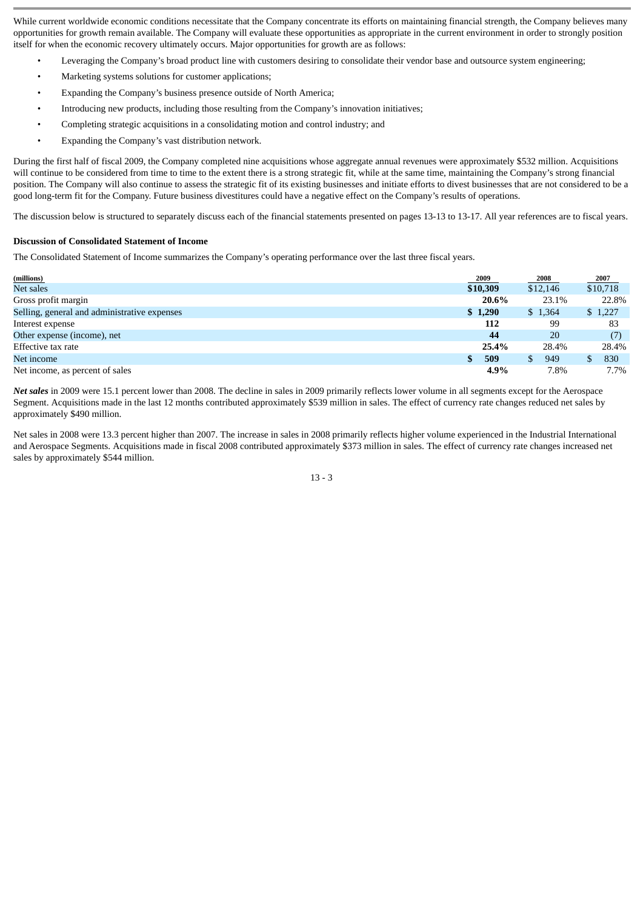While current worldwide economic conditions necessitate that the Company concentrate its efforts on maintaining financial strength, the Company believes many opportunities for growth remain available. The Company will evaluate these opportunities as appropriate in the current environment in order to strongly position itself for when the economic recovery ultimately occurs. Major opportunities for growth are as follows:

- Leveraging the Company's broad product line with customers desiring to consolidate their vendor base and outsource system engineering;
- Marketing systems solutions for customer applications;
- Expanding the Company's business presence outside of North America;
- Introducing new products, including those resulting from the Company's innovation initiatives;
- Completing strategic acquisitions in a consolidating motion and control industry; and
- Expanding the Company's vast distribution network.

During the first half of fiscal 2009, the Company completed nine acquisitions whose aggregate annual revenues were approximately \$532 million. Acquisitions will continue to be considered from time to time to the extent there is a strong strategic fit, while at the same time, maintaining the Company's strong financial position. The Company will also continue to assess the strategic fit of its existing businesses and initiate efforts to divest businesses that are not considered to be a good long-term fit for the Company. Future business divestitures could have a negative effect on the Company's results of operations.

The discussion below is structured to separately discuss each of the financial statements presented on pages 13-13 to 13-17. All year references are to fiscal years.

### **Discussion of Consolidated Statement of Income**

The Consolidated Statement of Income summarizes the Company's operating performance over the last three fiscal years.

| (millions)                                   | 2009     | 2008     | 2007     |
|----------------------------------------------|----------|----------|----------|
| Net sales                                    | \$10,309 | \$12,146 | \$10,718 |
| Gross profit margin                          | 20.6%    | 23.1%    | 22.8%    |
| Selling, general and administrative expenses | \$1,290  | \$1,364  | \$1,227  |
| Interest expense                             | 112      | 99       | 83       |
| Other expense (income), net                  | 44       | 20       | (7)      |
| Effective tax rate                           | 25.4%    | 28.4%    | 28.4%    |
| Net income                                   | 509<br>S | 949      | 830      |
| Net income, as percent of sales              | 4.9%     | 7.8%     | 7.7%     |

*Net sales* in 2009 were 15.1 percent lower than 2008. The decline in sales in 2009 primarily reflects lower volume in all segments except for the Aerospace Segment. Acquisitions made in the last 12 months contributed approximately \$539 million in sales. The effect of currency rate changes reduced net sales by approximately \$490 million.

Net sales in 2008 were 13.3 percent higher than 2007. The increase in sales in 2008 primarily reflects higher volume experienced in the Industrial International and Aerospace Segments. Acquisitions made in fiscal 2008 contributed approximately \$373 million in sales. The effect of currency rate changes increased net sales by approximately \$544 million.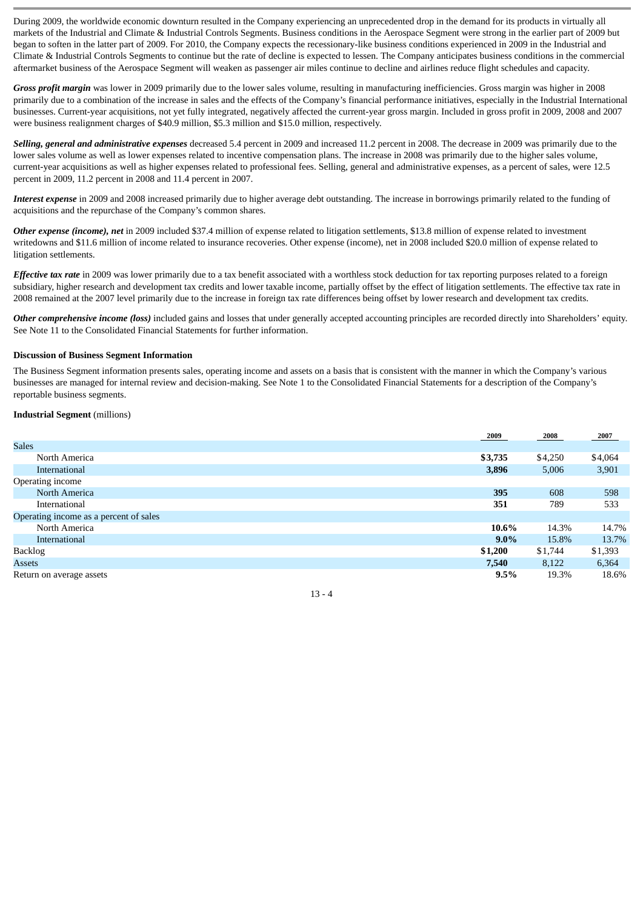During 2009, the worldwide economic downturn resulted in the Company experiencing an unprecedented drop in the demand for its products in virtually all markets of the Industrial and Climate & Industrial Controls Segments. Business conditions in the Aerospace Segment were strong in the earlier part of 2009 but began to soften in the latter part of 2009. For 2010, the Company expects the recessionary-like business conditions experienced in 2009 in the Industrial and Climate & Industrial Controls Segments to continue but the rate of decline is expected to lessen. The Company anticipates business conditions in the commercial aftermarket business of the Aerospace Segment will weaken as passenger air miles continue to decline and airlines reduce flight schedules and capacity.

*Gross profit margin* was lower in 2009 primarily due to the lower sales volume, resulting in manufacturing inefficiencies. Gross margin was higher in 2008 primarily due to a combination of the increase in sales and the effects of the Company's financial performance initiatives, especially in the Industrial International businesses. Current-year acquisitions, not yet fully integrated, negatively affected the current-year gross margin. Included in gross profit in 2009, 2008 and 2007 were business realignment charges of \$40.9 million, \$5.3 million and \$15.0 million, respectively.

*Selling, general and administrative expenses* decreased 5.4 percent in 2009 and increased 11.2 percent in 2008. The decrease in 2009 was primarily due to the lower sales volume as well as lower expenses related to incentive compensation plans. The increase in 2008 was primarily due to the higher sales volume, current-year acquisitions as well as higher expenses related to professional fees. Selling, general and administrative expenses, as a percent of sales, were 12.5 percent in 2009, 11.2 percent in 2008 and 11.4 percent in 2007.

*Interest expense* in 2009 and 2008 increased primarily due to higher average debt outstanding. The increase in borrowings primarily related to the funding of acquisitions and the repurchase of the Company's common shares.

*Other expense (income), net* in 2009 included \$37.4 million of expense related to litigation settlements, \$13.8 million of expense related to investment writedowns and \$11.6 million of income related to insurance recoveries. Other expense (income), net in 2008 included \$20.0 million of expense related to litigation settlements.

*Effective tax rate* in 2009 was lower primarily due to a tax benefit associated with a worthless stock deduction for tax reporting purposes related to a foreign subsidiary, higher research and development tax credits and lower taxable income, partially offset by the effect of litigation settlements. The effective tax rate in 2008 remained at the 2007 level primarily due to the increase in foreign tax rate differences being offset by lower research and development tax credits.

**Other comprehensive income (loss)** included gains and losses that under generally accepted accounting principles are recorded directly into Shareholders' equity. See Note 11 to the Consolidated Financial Statements for further information.

### **Discussion of Business Segment Information**

The Business Segment information presents sales, operating income and assets on a basis that is consistent with the manner in which the Company's various businesses are managed for internal review and decision-making. See Note 1 to the Consolidated Financial Statements for a description of the Company's reportable business segments.

#### **Industrial Segment** (millions)

|                                        | 2009    | 2008    | 2007    |
|----------------------------------------|---------|---------|---------|
| <b>Sales</b>                           |         |         |         |
| North America                          | \$3,735 | \$4,250 | \$4,064 |
| International                          | 3,896   | 5,006   | 3,901   |
| Operating income                       |         |         |         |
| North America                          | 395     | 608     | 598     |
| International                          | 351     | 789     | 533     |
| Operating income as a percent of sales |         |         |         |
| North America                          | 10.6%   | 14.3%   | 14.7%   |
| International                          | $9.0\%$ | 15.8%   | 13.7%   |
| <b>Backlog</b>                         | \$1,200 | \$1,744 | \$1,393 |
| Assets                                 | 7,540   | 8,122   | 6,364   |
| Return on average assets               | 9.5%    | 19.3%   | 18.6%   |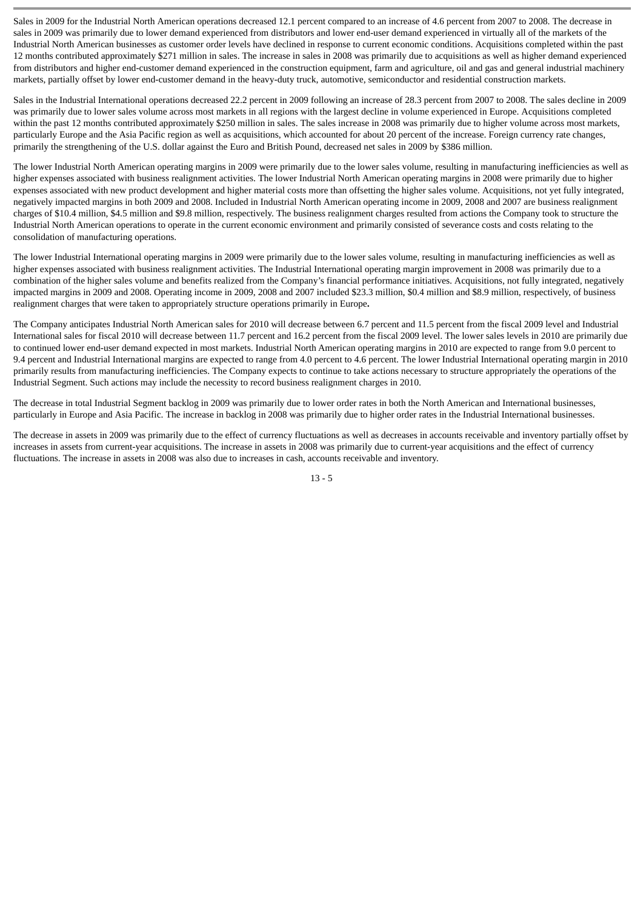Sales in 2009 for the Industrial North American operations decreased 12.1 percent compared to an increase of 4.6 percent from 2007 to 2008. The decrease in sales in 2009 was primarily due to lower demand experienced from distributors and lower end-user demand experienced in virtually all of the markets of the Industrial North American businesses as customer order levels have declined in response to current economic conditions. Acquisitions completed within the past 12 months contributed approximately \$271 million in sales. The increase in sales in 2008 was primarily due to acquisitions as well as higher demand experienced from distributors and higher end-customer demand experienced in the construction equipment, farm and agriculture, oil and gas and general industrial machinery markets, partially offset by lower end-customer demand in the heavy-duty truck, automotive, semiconductor and residential construction markets.

Sales in the Industrial International operations decreased 22.2 percent in 2009 following an increase of 28.3 percent from 2007 to 2008. The sales decline in 2009 was primarily due to lower sales volume across most markets in all regions with the largest decline in volume experienced in Europe. Acquisitions completed within the past 12 months contributed approximately \$250 million in sales. The sales increase in 2008 was primarily due to higher volume across most markets, particularly Europe and the Asia Pacific region as well as acquisitions, which accounted for about 20 percent of the increase. Foreign currency rate changes, primarily the strengthening of the U.S. dollar against the Euro and British Pound, decreased net sales in 2009 by \$386 million.

The lower Industrial North American operating margins in 2009 were primarily due to the lower sales volume, resulting in manufacturing inefficiencies as well as higher expenses associated with business realignment activities. The lower Industrial North American operating margins in 2008 were primarily due to higher expenses associated with new product development and higher material costs more than offsetting the higher sales volume. Acquisitions, not yet fully integrated, negatively impacted margins in both 2009 and 2008. Included in Industrial North American operating income in 2009, 2008 and 2007 are business realignment charges of \$10.4 million, \$4.5 million and \$9.8 million, respectively. The business realignment charges resulted from actions the Company took to structure the Industrial North American operations to operate in the current economic environment and primarily consisted of severance costs and costs relating to the consolidation of manufacturing operations.

The lower Industrial International operating margins in 2009 were primarily due to the lower sales volume, resulting in manufacturing inefficiencies as well as higher expenses associated with business realignment activities. The Industrial International operating margin improvement in 2008 was primarily due to a combination of the higher sales volume and benefits realized from the Company's financial performance initiatives. Acquisitions, not fully integrated, negatively impacted margins in 2009 and 2008. Operating income in 2009, 2008 and 2007 included \$23.3 million, \$0.4 million and \$8.9 million, respectively, of business realignment charges that were taken to appropriately structure operations primarily in Europe**.**

The Company anticipates Industrial North American sales for 2010 will decrease between 6.7 percent and 11.5 percent from the fiscal 2009 level and Industrial International sales for fiscal 2010 will decrease between 11.7 percent and 16.2 percent from the fiscal 2009 level. The lower sales levels in 2010 are primarily due to continued lower end-user demand expected in most markets. Industrial North American operating margins in 2010 are expected to range from 9.0 percent to 9.4 percent and Industrial International margins are expected to range from 4.0 percent to 4.6 percent. The lower Industrial International operating margin in 2010 primarily results from manufacturing inefficiencies. The Company expects to continue to take actions necessary to structure appropriately the operations of the Industrial Segment. Such actions may include the necessity to record business realignment charges in 2010.

The decrease in total Industrial Segment backlog in 2009 was primarily due to lower order rates in both the North American and International businesses, particularly in Europe and Asia Pacific. The increase in backlog in 2008 was primarily due to higher order rates in the Industrial International businesses.

The decrease in assets in 2009 was primarily due to the effect of currency fluctuations as well as decreases in accounts receivable and inventory partially offset by increases in assets from current-year acquisitions. The increase in assets in 2008 was primarily due to current-year acquisitions and the effect of currency fluctuations. The increase in assets in 2008 was also due to increases in cash, accounts receivable and inventory.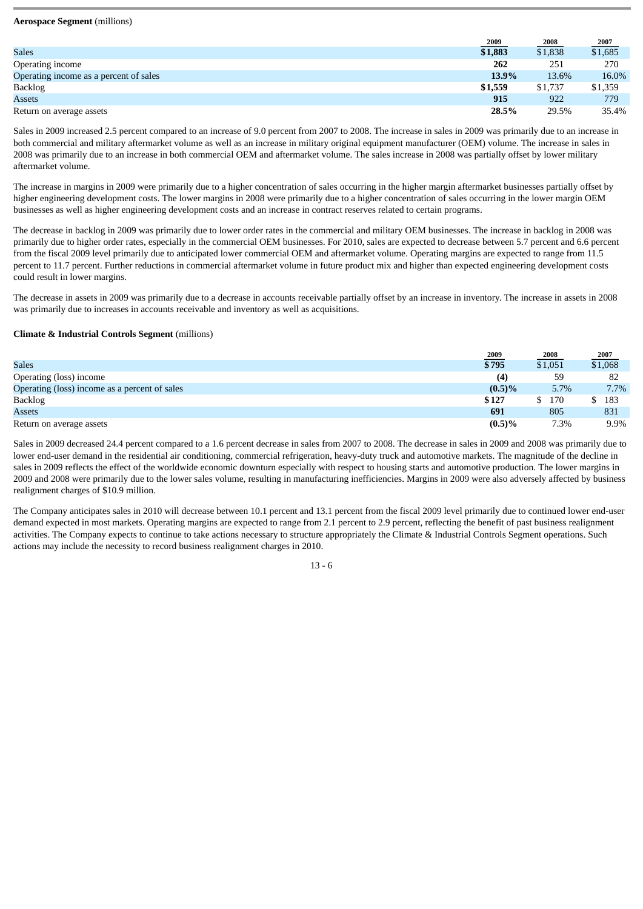#### **Aerospace Segment** (millions)

|                                        | 2009    | 2008    | 2007    |
|----------------------------------------|---------|---------|---------|
| <b>Sales</b>                           | \$1,883 | \$1,838 | \$1,685 |
| Operating income                       | 262     | 251     | 270     |
| Operating income as a percent of sales | 13.9%   | 13.6%   | 16.0%   |
| <b>Backlog</b>                         | \$1,559 | \$1,737 | \$1,359 |
| Assets                                 | 915     | 922     | 779     |
| Return on average assets               | 28.5%   | 29.5%   | 35.4%   |

Sales in 2009 increased 2.5 percent compared to an increase of 9.0 percent from 2007 to 2008. The increase in sales in 2009 was primarily due to an increase in both commercial and military aftermarket volume as well as an increase in military original equipment manufacturer (OEM) volume. The increase in sales in 2008 was primarily due to an increase in both commercial OEM and aftermarket volume. The sales increase in 2008 was partially offset by lower military aftermarket volume.

The increase in margins in 2009 were primarily due to a higher concentration of sales occurring in the higher margin aftermarket businesses partially offset by higher engineering development costs. The lower margins in 2008 were primarily due to a higher concentration of sales occurring in the lower margin OEM businesses as well as higher engineering development costs and an increase in contract reserves related to certain programs.

The decrease in backlog in 2009 was primarily due to lower order rates in the commercial and military OEM businesses. The increase in backlog in 2008 was primarily due to higher order rates, especially in the commercial OEM businesses. For 2010, sales are expected to decrease between 5.7 percent and 6.6 percent from the fiscal 2009 level primarily due to anticipated lower commercial OEM and aftermarket volume. Operating margins are expected to range from 11.5 percent to 11.7 percent. Further reductions in commercial aftermarket volume in future product mix and higher than expected engineering development costs could result in lower margins.

The decrease in assets in 2009 was primarily due to a decrease in accounts receivable partially offset by an increase in inventory. The increase in assets in 2008 was primarily due to increases in accounts receivable and inventory as well as acquisitions.

## **Climate & Industrial Controls Segment** (millions)

|                                               |                     | 2008    | <b>2007</b> |
|-----------------------------------------------|---------------------|---------|-------------|
| <b>Sales</b>                                  | $\frac{2009}{$795}$ | \$1,051 | \$1,068     |
| Operating (loss) income                       | (4)                 | 59      | 82          |
| Operating (loss) income as a percent of sales | $(0.5)\%$           | 5.7%    | 7.7%        |
| <b>Backlog</b>                                | \$127               | 170     | 183         |
| <b>Assets</b>                                 | 691                 | 805     | 831         |
| Return on average assets                      | $(0.5)\%$           | 7.3%    | 9.9%        |

Sales in 2009 decreased 24.4 percent compared to a 1.6 percent decrease in sales from 2007 to 2008. The decrease in sales in 2009 and 2008 was primarily due to lower end-user demand in the residential air conditioning, commercial refrigeration, heavy-duty truck and automotive markets. The magnitude of the decline in sales in 2009 reflects the effect of the worldwide economic downturn especially with respect to housing starts and automotive production. The lower margins in 2009 and 2008 were primarily due to the lower sales volume, resulting in manufacturing inefficiencies. Margins in 2009 were also adversely affected by business realignment charges of \$10.9 million.

The Company anticipates sales in 2010 will decrease between 10.1 percent and 13.1 percent from the fiscal 2009 level primarily due to continued lower end-user demand expected in most markets. Operating margins are expected to range from 2.1 percent to 2.9 percent, reflecting the benefit of past business realignment activities. The Company expects to continue to take actions necessary to structure appropriately the Climate & Industrial Controls Segment operations. Such actions may include the necessity to record business realignment charges in 2010.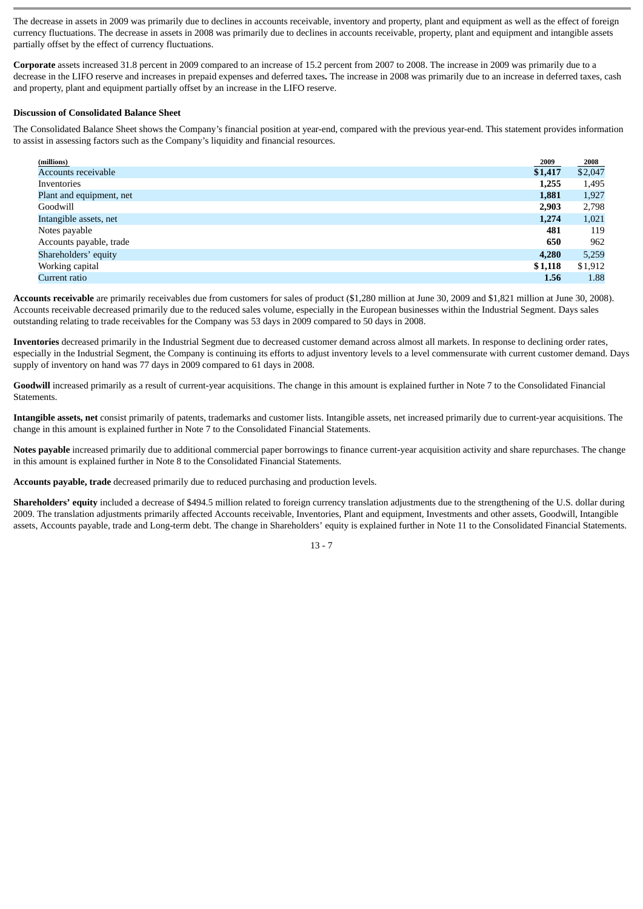The decrease in assets in 2009 was primarily due to declines in accounts receivable, inventory and property, plant and equipment as well as the effect of foreign currency fluctuations. The decrease in assets in 2008 was primarily due to declines in accounts receivable, property, plant and equipment and intangible assets partially offset by the effect of currency fluctuations.

**Corporate** assets increased 31.8 percent in 2009 compared to an increase of 15.2 percent from 2007 to 2008. The increase in 2009 was primarily due to a decrease in the LIFO reserve and increases in prepaid expenses and deferred taxes**.** The increase in 2008 was primarily due to an increase in deferred taxes, cash and property, plant and equipment partially offset by an increase in the LIFO reserve.

## **Discussion of Consolidated Balance Sheet**

The Consolidated Balance Sheet shows the Company's financial position at year-end, compared with the previous year-end. This statement provides information to assist in assessing factors such as the Company's liquidity and financial resources.

| (millions)               | 2009    | 2008    |
|--------------------------|---------|---------|
| Accounts receivable      | \$1,417 | \$2,047 |
| Inventories              | 1,255   | 1,495   |
| Plant and equipment, net | 1,881   | 1,927   |
| Goodwill                 | 2,903   | 2,798   |
| Intangible assets, net   | 1,274   | 1,021   |
| Notes payable            | 481     | 119     |
| Accounts payable, trade  | 650     | 962     |
| Shareholders' equity     | 4,280   | 5,259   |
| Working capital          | \$1,118 | \$1,912 |
| Current ratio            | 1.56    | 1.88    |

**Accounts receivable** are primarily receivables due from customers for sales of product (\$1,280 million at June 30, 2009 and \$1,821 million at June 30, 2008). Accounts receivable decreased primarily due to the reduced sales volume, especially in the European businesses within the Industrial Segment. Days sales outstanding relating to trade receivables for the Company was 53 days in 2009 compared to 50 days in 2008.

**Inventories** decreased primarily in the Industrial Segment due to decreased customer demand across almost all markets. In response to declining order rates, especially in the Industrial Segment, the Company is continuing its efforts to adjust inventory levels to a level commensurate with current customer demand. Days supply of inventory on hand was 77 days in 2009 compared to 61 days in 2008.

**Goodwill** increased primarily as a result of current-year acquisitions. The change in this amount is explained further in Note 7 to the Consolidated Financial Statements.

**Intangible assets, net** consist primarily of patents, trademarks and customer lists. Intangible assets, net increased primarily due to current-year acquisitions. The change in this amount is explained further in Note 7 to the Consolidated Financial Statements.

**Notes payable** increased primarily due to additional commercial paper borrowings to finance current-year acquisition activity and share repurchases. The change in this amount is explained further in Note 8 to the Consolidated Financial Statements.

**Accounts payable, trade** decreased primarily due to reduced purchasing and production levels.

**Shareholders' equity** included a decrease of \$494.5 million related to foreign currency translation adjustments due to the strengthening of the U.S. dollar during 2009. The translation adjustments primarily affected Accounts receivable, Inventories, Plant and equipment, Investments and other assets, Goodwill, Intangible assets, Accounts payable, trade and Long-term debt. The change in Shareholders' equity is explained further in Note 11 to the Consolidated Financial Statements.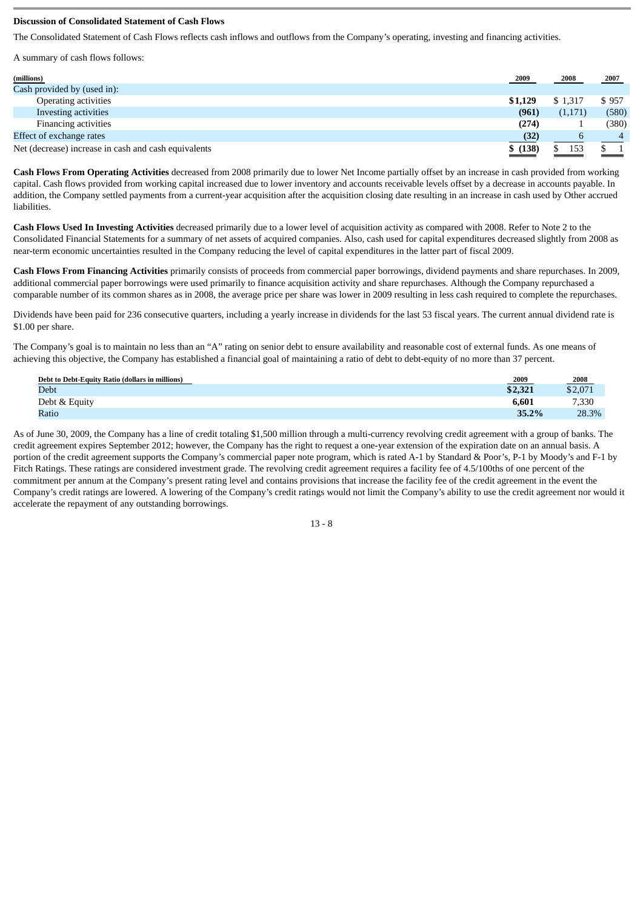## **Discussion of Consolidated Statement of Cash Flows**

The Consolidated Statement of Cash Flows reflects cash inflows and outflows from the Company's operating, investing and financing activities.

A summary of cash flows follows:

| (millions)                                           | 2009               | 2008    | 2007           |
|------------------------------------------------------|--------------------|---------|----------------|
| Cash provided by (used in):                          |                    |         |                |
| Operating activities                                 | \$1,129            | \$1,317 | \$957          |
| Investing activities                                 | (961)              | (1,171) | (580)          |
| <b>Financing activities</b>                          | (274)              |         | (380)          |
| Effect of exchange rates                             | (32)               |         | $\overline{4}$ |
| Net (decrease) increase in cash and cash equivalents | $\frac{$(138)}{4}$ | 153     |                |

**Cash Flows From Operating Activities** decreased from 2008 primarily due to lower Net Income partially offset by an increase in cash provided from working capital. Cash flows provided from working capital increased due to lower inventory and accounts receivable levels offset by a decrease in accounts payable. In addition, the Company settled payments from a current-year acquisition after the acquisition closing date resulting in an increase in cash used by Other accrued liabilities.

**Cash Flows Used In Investing Activities** decreased primarily due to a lower level of acquisition activity as compared with 2008. Refer to Note 2 to the Consolidated Financial Statements for a summary of net assets of acquired companies. Also, cash used for capital expenditures decreased slightly from 2008 as near-term economic uncertainties resulted in the Company reducing the level of capital expenditures in the latter part of fiscal 2009.

**Cash Flows From Financing Activities** primarily consists of proceeds from commercial paper borrowings, dividend payments and share repurchases. In 2009, additional commercial paper borrowings were used primarily to finance acquisition activity and share repurchases. Although the Company repurchased a comparable number of its common shares as in 2008, the average price per share was lower in 2009 resulting in less cash required to complete the repurchases.

Dividends have been paid for 236 consecutive quarters, including a yearly increase in dividends for the last 53 fiscal years. The current annual dividend rate is \$1.00 per share.

The Company's goal is to maintain no less than an "A" rating on senior debt to ensure availability and reasonable cost of external funds. As one means of achieving this objective, the Company has established a financial goal of maintaining a ratio of debt to debt-equity of no more than 37 percent.

| Debt to Debt-Equity Ratio (dollars in millions) | 2009    | $-2008$ |
|-------------------------------------------------|---------|---------|
| Debt                                            | \$2,321 | \$2,071 |
| Debt & Equity                                   | 6.601   | 7,330   |
| Ratio                                           | 35.2%   | 28.3%   |

As of June 30, 2009, the Company has a line of credit totaling \$1,500 million through a multi-currency revolving credit agreement with a group of banks. The credit agreement expires September 2012; however, the Company has the right to request a one-year extension of the expiration date on an annual basis. A portion of the credit agreement supports the Company's commercial paper note program, which is rated A-1 by Standard & Poor's, P-1 by Moody's and F-1 by Fitch Ratings. These ratings are considered investment grade. The revolving credit agreement requires a facility fee of 4.5/100ths of one percent of the commitment per annum at the Company's present rating level and contains provisions that increase the facility fee of the credit agreement in the event the Company's credit ratings are lowered. A lowering of the Company's credit ratings would not limit the Company's ability to use the credit agreement nor would it accelerate the repayment of any outstanding borrowings.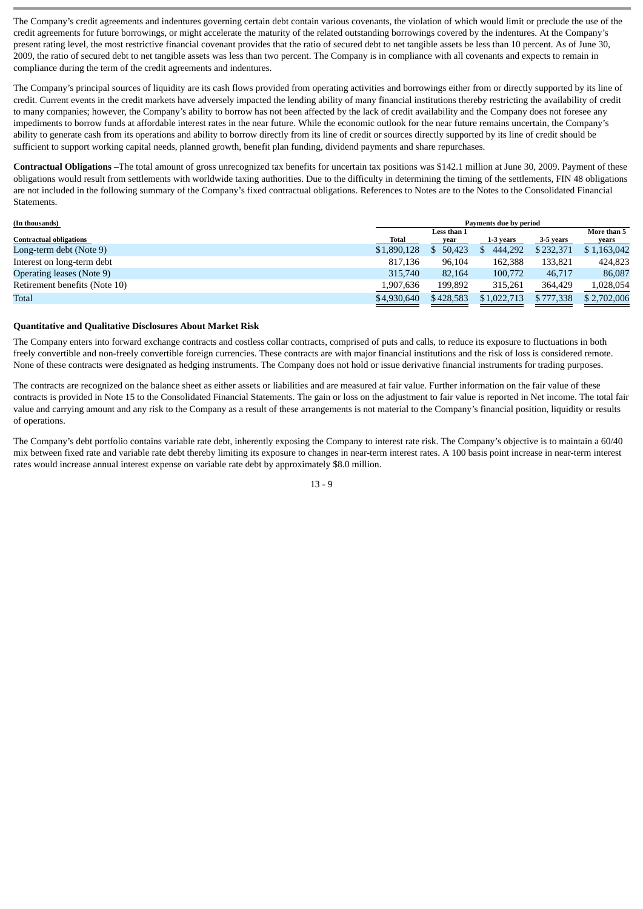The Company's credit agreements and indentures governing certain debt contain various covenants, the violation of which would limit or preclude the use of the credit agreements for future borrowings, or might accelerate the maturity of the related outstanding borrowings covered by the indentures. At the Company's present rating level, the most restrictive financial covenant provides that the ratio of secured debt to net tangible assets be less than 10 percent. As of June 30, 2009, the ratio of secured debt to net tangible assets was less than two percent. The Company is in compliance with all covenants and expects to remain in compliance during the term of the credit agreements and indentures.

The Company's principal sources of liquidity are its cash flows provided from operating activities and borrowings either from or directly supported by its line of credit. Current events in the credit markets have adversely impacted the lending ability of many financial institutions thereby restricting the availability of credit to many companies; however, the Company's ability to borrow has not been affected by the lack of credit availability and the Company does not foresee any impediments to borrow funds at affordable interest rates in the near future. While the economic outlook for the near future remains uncertain, the Company's ability to generate cash from its operations and ability to borrow directly from its line of credit or sources directly supported by its line of credit should be sufficient to support working capital needs, planned growth, benefit plan funding, dividend payments and share repurchases.

**Contractual Obligations** –The total amount of gross unrecognized tax benefits for uncertain tax positions was \$142.1 million at June 30, 2009. Payment of these obligations would result from settlements with worldwide taxing authorities. Due to the difficulty in determining the timing of the settlements, FIN 48 obligations are not included in the following summary of the Company's fixed contractual obligations. References to Notes are to the Notes to the Consolidated Financial **Statements** 

| (In thousands)                 | Payments due by period |             |             |           |             |
|--------------------------------|------------------------|-------------|-------------|-----------|-------------|
|                                |                        | Less than 1 |             |           | More than 5 |
| <b>Contractual obligations</b> | Total                  | vear        | 1-3 years   | 3-5 years | years       |
| Long-term debt (Note 9)        | \$1,890,128            | \$50,423    | 444.292     | \$232,371 | \$1,163,042 |
| Interest on long-term debt     | 817,136                | 96,104      | 162,388     | 133,821   | 424,823     |
| Operating leases (Note 9)      | 315,740                | 82,164      | 100,772     | 46,717    | 86,087      |
| Retirement benefits (Note 10)  | 1,907,636              | 199,892     | 315,261     | 364,429   | 1,028,054   |
| <b>Total</b>                   | \$4,930,640            | \$428,583   | \$1,022,713 | \$777.338 | \$2,702,006 |

### **Quantitative and Qualitative Disclosures About Market Risk**

The Company enters into forward exchange contracts and costless collar contracts, comprised of puts and calls, to reduce its exposure to fluctuations in both freely convertible and non-freely convertible foreign currencies. These contracts are with major financial institutions and the risk of loss is considered remote. None of these contracts were designated as hedging instruments. The Company does not hold or issue derivative financial instruments for trading purposes.

The contracts are recognized on the balance sheet as either assets or liabilities and are measured at fair value. Further information on the fair value of these contracts is provided in Note 15 to the Consolidated Financial Statements. The gain or loss on the adjustment to fair value is reported in Net income. The total fair value and carrying amount and any risk to the Company as a result of these arrangements is not material to the Company's financial position, liquidity or results of operations.

The Company's debt portfolio contains variable rate debt, inherently exposing the Company to interest rate risk. The Company's objective is to maintain a 60/40 mix between fixed rate and variable rate debt thereby limiting its exposure to changes in near-term interest rates. A 100 basis point increase in near-term interest rates would increase annual interest expense on variable rate debt by approximately \$8.0 million.

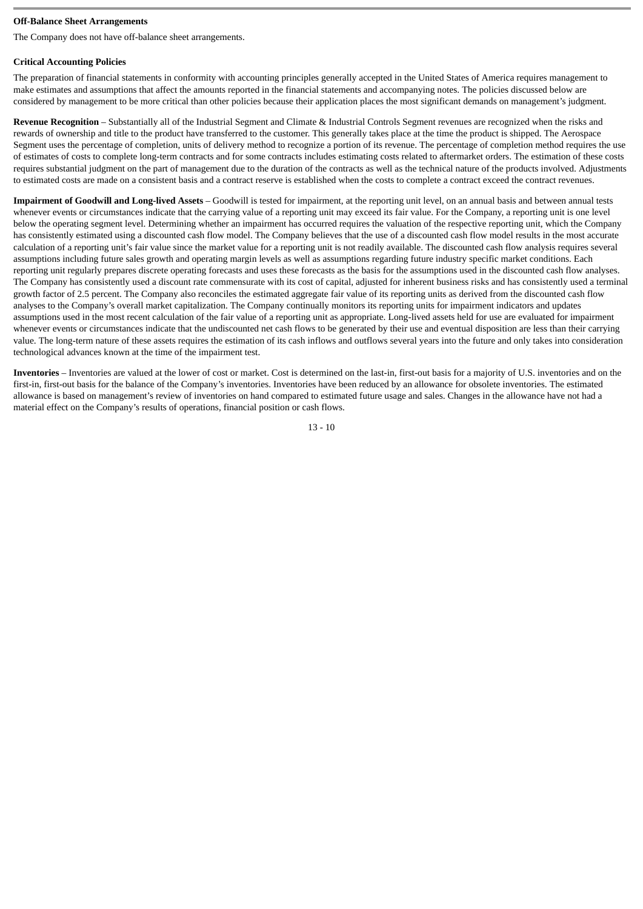### **Off-Balance Sheet Arrangements**

The Company does not have off-balance sheet arrangements.

#### **Critical Accounting Policies**

The preparation of financial statements in conformity with accounting principles generally accepted in the United States of America requires management to make estimates and assumptions that affect the amounts reported in the financial statements and accompanying notes. The policies discussed below are considered by management to be more critical than other policies because their application places the most significant demands on management's judgment.

**Revenue Recognition** – Substantially all of the Industrial Segment and Climate & Industrial Controls Segment revenues are recognized when the risks and rewards of ownership and title to the product have transferred to the customer. This generally takes place at the time the product is shipped. The Aerospace Segment uses the percentage of completion, units of delivery method to recognize a portion of its revenue. The percentage of completion method requires the use of estimates of costs to complete long-term contracts and for some contracts includes estimating costs related to aftermarket orders. The estimation of these costs requires substantial judgment on the part of management due to the duration of the contracts as well as the technical nature of the products involved. Adjustments to estimated costs are made on a consistent basis and a contract reserve is established when the costs to complete a contract exceed the contract revenues.

**Impairment of Goodwill and Long-lived Assets** – Goodwill is tested for impairment, at the reporting unit level, on an annual basis and between annual tests whenever events or circumstances indicate that the carrying value of a reporting unit may exceed its fair value. For the Company, a reporting unit is one level below the operating segment level. Determining whether an impairment has occurred requires the valuation of the respective reporting unit, which the Company has consistently estimated using a discounted cash flow model. The Company believes that the use of a discounted cash flow model results in the most accurate calculation of a reporting unit's fair value since the market value for a reporting unit is not readily available. The discounted cash flow analysis requires several assumptions including future sales growth and operating margin levels as well as assumptions regarding future industry specific market conditions. Each reporting unit regularly prepares discrete operating forecasts and uses these forecasts as the basis for the assumptions used in the discounted cash flow analyses. The Company has consistently used a discount rate commensurate with its cost of capital, adjusted for inherent business risks and has consistently used a terminal growth factor of 2.5 percent. The Company also reconciles the estimated aggregate fair value of its reporting units as derived from the discounted cash flow analyses to the Company's overall market capitalization. The Company continually monitors its reporting units for impairment indicators and updates assumptions used in the most recent calculation of the fair value of a reporting unit as appropriate. Long-lived assets held for use are evaluated for impairment whenever events or circumstances indicate that the undiscounted net cash flows to be generated by their use and eventual disposition are less than their carrying value. The long-term nature of these assets requires the estimation of its cash inflows and outflows several years into the future and only takes into consideration technological advances known at the time of the impairment test.

**Inventories** – Inventories are valued at the lower of cost or market. Cost is determined on the last-in, first-out basis for a majority of U.S. inventories and on the first-in, first-out basis for the balance of the Company's inventories. Inventories have been reduced by an allowance for obsolete inventories. The estimated allowance is based on management's review of inventories on hand compared to estimated future usage and sales. Changes in the allowance have not had a material effect on the Company's results of operations, financial position or cash flows.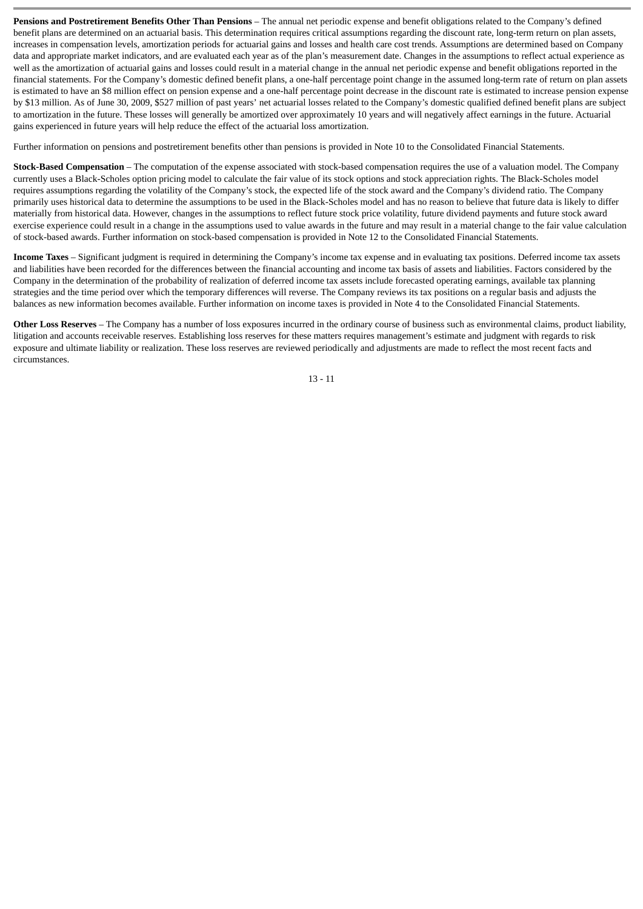**Pensions and Postretirement Benefits Other Than Pensions** – The annual net periodic expense and benefit obligations related to the Company's defined benefit plans are determined on an actuarial basis. This determination requires critical assumptions regarding the discount rate, long-term return on plan assets, increases in compensation levels, amortization periods for actuarial gains and losses and health care cost trends. Assumptions are determined based on Company data and appropriate market indicators, and are evaluated each year as of the plan's measurement date. Changes in the assumptions to reflect actual experience as well as the amortization of actuarial gains and losses could result in a material change in the annual net periodic expense and benefit obligations reported in the financial statements. For the Company's domestic defined benefit plans, a one-half percentage point change in the assumed long-term rate of return on plan assets is estimated to have an \$8 million effect on pension expense and a one-half percentage point decrease in the discount rate is estimated to increase pension expense by \$13 million. As of June 30, 2009, \$527 million of past years' net actuarial losses related to the Company's domestic qualified defined benefit plans are subject to amortization in the future. These losses will generally be amortized over approximately 10 years and will negatively affect earnings in the future. Actuarial gains experienced in future years will help reduce the effect of the actuarial loss amortization.

Further information on pensions and postretirement benefits other than pensions is provided in Note 10 to the Consolidated Financial Statements.

**Stock-Based Compensation** – The computation of the expense associated with stock-based compensation requires the use of a valuation model. The Company currently uses a Black-Scholes option pricing model to calculate the fair value of its stock options and stock appreciation rights. The Black-Scholes model requires assumptions regarding the volatility of the Company's stock, the expected life of the stock award and the Company's dividend ratio. The Company primarily uses historical data to determine the assumptions to be used in the Black-Scholes model and has no reason to believe that future data is likely to differ materially from historical data. However, changes in the assumptions to reflect future stock price volatility, future dividend payments and future stock award exercise experience could result in a change in the assumptions used to value awards in the future and may result in a material change to the fair value calculation of stock-based awards. Further information on stock-based compensation is provided in Note 12 to the Consolidated Financial Statements.

**Income Taxes** – Significant judgment is required in determining the Company's income tax expense and in evaluating tax positions. Deferred income tax assets and liabilities have been recorded for the differences between the financial accounting and income tax basis of assets and liabilities. Factors considered by the Company in the determination of the probability of realization of deferred income tax assets include forecasted operating earnings, available tax planning strategies and the time period over which the temporary differences will reverse. The Company reviews its tax positions on a regular basis and adjusts the balances as new information becomes available. Further information on income taxes is provided in Note 4 to the Consolidated Financial Statements.

**Other Loss Reserves** – The Company has a number of loss exposures incurred in the ordinary course of business such as environmental claims, product liability, litigation and accounts receivable reserves. Establishing loss reserves for these matters requires management's estimate and judgment with regards to risk exposure and ultimate liability or realization. These loss reserves are reviewed periodically and adjustments are made to reflect the most recent facts and circumstances.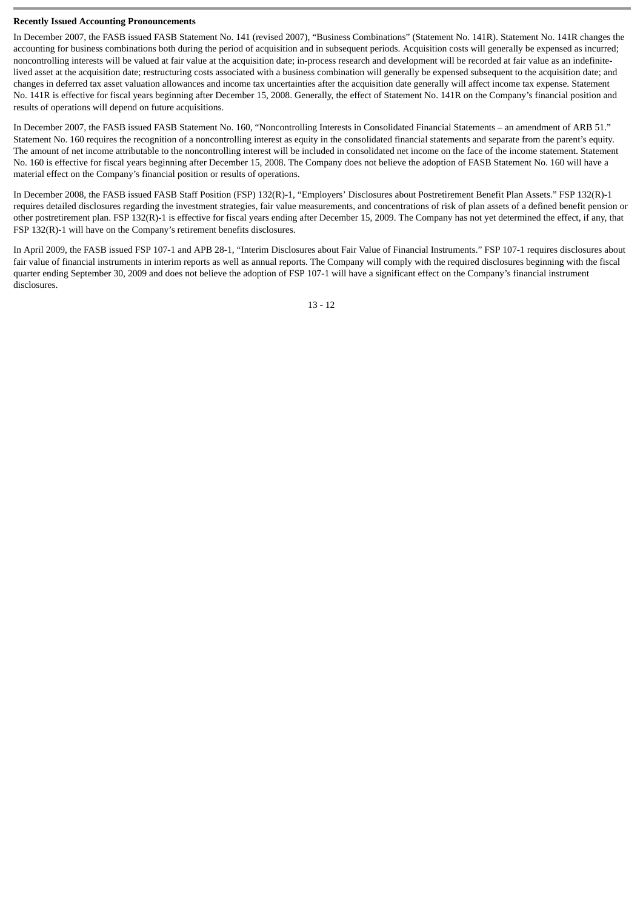## **Recently Issued Accounting Pronouncements**

In December 2007, the FASB issued FASB Statement No. 141 (revised 2007), "Business Combinations" (Statement No. 141R). Statement No. 141R changes the accounting for business combinations both during the period of acquisition and in subsequent periods. Acquisition costs will generally be expensed as incurred; noncontrolling interests will be valued at fair value at the acquisition date; in-process research and development will be recorded at fair value as an indefinitelived asset at the acquisition date; restructuring costs associated with a business combination will generally be expensed subsequent to the acquisition date; and changes in deferred tax asset valuation allowances and income tax uncertainties after the acquisition date generally will affect income tax expense. Statement No. 141R is effective for fiscal years beginning after December 15, 2008. Generally, the effect of Statement No. 141R on the Company's financial position and results of operations will depend on future acquisitions.

In December 2007, the FASB issued FASB Statement No. 160, "Noncontrolling Interests in Consolidated Financial Statements – an amendment of ARB 51." Statement No. 160 requires the recognition of a noncontrolling interest as equity in the consolidated financial statements and separate from the parent's equity. The amount of net income attributable to the noncontrolling interest will be included in consolidated net income on the face of the income statement. Statement No. 160 is effective for fiscal years beginning after December 15, 2008. The Company does not believe the adoption of FASB Statement No. 160 will have a material effect on the Company's financial position or results of operations.

In December 2008, the FASB issued FASB Staff Position (FSP) 132(R)-1, "Employers' Disclosures about Postretirement Benefit Plan Assets." FSP 132(R)-1 requires detailed disclosures regarding the investment strategies, fair value measurements, and concentrations of risk of plan assets of a defined benefit pension or other postretirement plan. FSP 132(R)-1 is effective for fiscal years ending after December 15, 2009. The Company has not yet determined the effect, if any, that FSP 132(R)-1 will have on the Company's retirement benefits disclosures.

In April 2009, the FASB issued FSP 107-1 and APB 28-1, "Interim Disclosures about Fair Value of Financial Instruments." FSP 107-1 requires disclosures about fair value of financial instruments in interim reports as well as annual reports. The Company will comply with the required disclosures beginning with the fiscal quarter ending September 30, 2009 and does not believe the adoption of FSP 107-1 will have a significant effect on the Company's financial instrument disclosures.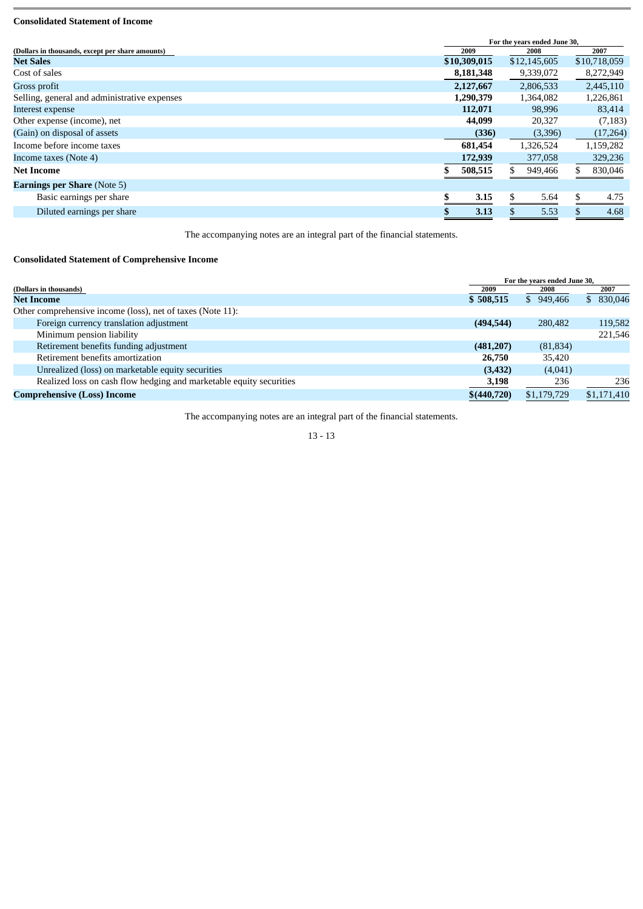## **Consolidated Statement of Income**

|                                                  |              | For the years ended June 30, |               |  |  |  |
|--------------------------------------------------|--------------|------------------------------|---------------|--|--|--|
| (Dollars in thousands, except per share amounts) | 2009         | 2007<br>2008                 |               |  |  |  |
| <b>Net Sales</b>                                 | \$10,309,015 | \$12,145,605                 | \$10,718,059  |  |  |  |
| Cost of sales                                    | 8,181,348    | 9,339,072                    | 8,272,949     |  |  |  |
| Gross profit                                     | 2,127,667    | 2,806,533                    | 2,445,110     |  |  |  |
| Selling, general and administrative expenses     | 1,290,379    | 1,364,082                    | 1,226,861     |  |  |  |
| Interest expense                                 | 112,071      | 98,996                       | 83,414        |  |  |  |
| Other expense (income), net                      | 44,099       | 20,327                       | (7, 183)      |  |  |  |
| (Gain) on disposal of assets                     | (336)        | (3,396)                      | (17,264)      |  |  |  |
| Income before income taxes                       | 681,454      | 1,326,524                    | 1,159,282     |  |  |  |
| Income taxes (Note 4)                            | 172,939      | 377,058                      | 329,236       |  |  |  |
| <b>Net Income</b>                                | 508,515      | \$.<br>949,466               | \$<br>830,046 |  |  |  |
| <b>Earnings per Share (Note 5)</b>               |              |                              |               |  |  |  |
| Basic earnings per share                         | \$<br>3.15   | \$<br>5.64                   | \$<br>4.75    |  |  |  |
| Diluted earnings per share                       | 3.13         | 5.53                         | 4.68          |  |  |  |

The accompanying notes are an integral part of the financial statements.

# **Consolidated Statement of Comprehensive Income**

|                                                                     | For the years ended June 30, |             |               |
|---------------------------------------------------------------------|------------------------------|-------------|---------------|
| (Dollars in thousands)                                              | 2009                         | 2008        | 2007          |
| Net Income                                                          | \$508,515                    | \$949,466   | 830,046<br>S. |
| Other comprehensive income (loss), net of taxes (Note 11):          |                              |             |               |
| Foreign currency translation adjustment                             | (494, 544)                   | 280,482     | 119,582       |
| Minimum pension liability                                           |                              |             | 221.546       |
| Retirement benefits funding adjustment                              | (481,207)                    | (81, 834)   |               |
| Retirement benefits amortization                                    | 26,750                       | 35,420      |               |
| Unrealized (loss) on marketable equity securities                   | (3, 432)                     | (4,041)     |               |
| Realized loss on cash flow hedging and marketable equity securities | 3,198                        | 236         | 236           |
| <b>Comprehensive (Loss) Income</b>                                  | \$(440,720)                  | \$1,179,729 | \$1,171,410   |

The accompanying notes are an integral part of the financial statements.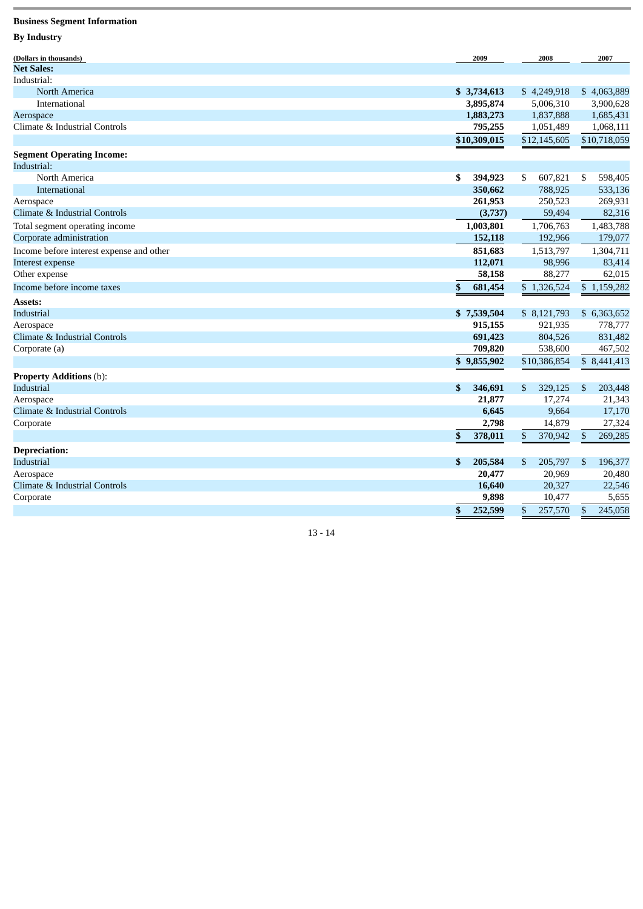# **Business Segment Information**

**By Industry**

| (Dollars in thousands)                   | 2009          | 2008          |                | 2007         |
|------------------------------------------|---------------|---------------|----------------|--------------|
| <b>Net Sales:</b>                        |               |               |                |              |
| Industrial:                              |               |               |                |              |
| North America                            | \$3,734,613   | \$4,249,918   |                | \$4,063,889  |
| International                            | 3,895,874     | 5,006,310     |                | 3,900,628    |
| Aerospace                                | 1,883,273     | 1,837,888     |                | 1,685,431    |
| Climate & Industrial Controls            | 795,255       | 1,051,489     |                | 1,068,111    |
|                                          | \$10,309,015  | \$12,145,605  |                | \$10,718,059 |
| <b>Segment Operating Income:</b>         |               |               |                |              |
| Industrial:                              |               |               |                |              |
| North America                            | \$<br>394,923 | \$<br>607,821 | \$             | 598,405      |
| International                            | 350,662       | 788,925       |                | 533,136      |
| Aerospace                                | 261,953       | 250,523       |                | 269,931      |
| Climate & Industrial Controls            | (3,737)       | 59,494        |                | 82,316       |
| Total segment operating income           | 1,003,801     | 1,706,763     |                | 1,483,788    |
| Corporate administration                 | 152,118       | 192,966       |                | 179,077      |
| Income before interest expense and other | 851,683       | 1,513,797     |                | 1,304,711    |
| Interest expense                         | 112,071       | 98,996        |                | 83,414       |
| Other expense                            | 58,158        | 88,277        |                | 62,015       |
| Income before income taxes               | \$<br>681,454 | \$1,326,524   |                | \$1,159,282  |
| <b>Assets:</b>                           |               |               |                |              |
| Industrial                               | \$7,539,504   | \$ 8,121,793  |                | \$ 6,363,652 |
| Aerospace                                | 915,155       | 921,935       |                | 778,777      |
| Climate & Industrial Controls            | 691,423       | 804,526       |                | 831,482      |
| Corporate (a)                            | 709,820       | 538,600       |                | 467,502      |
|                                          | \$9,855,902   | \$10,386,854  |                | \$8,441,413  |
| <b>Property Additions (b):</b>           |               |               |                |              |
| Industrial                               | \$<br>346,691 | \$<br>329,125 | $\mathfrak{S}$ | 203,448      |
| Aerospace                                | 21,877        | 17,274        |                | 21,343       |
| Climate & Industrial Controls            | 6,645         | 9,664         |                | 17,170       |
| Corporate                                | 2,798         | 14,879        |                | 27,324       |
|                                          | \$<br>378,011 | \$<br>370,942 | \$             | 269,285      |
| <b>Depreciation:</b>                     |               |               |                |              |
| Industrial                               | \$<br>205,584 | \$<br>205,797 | \$             | 196,377      |
| Aerospace                                | 20,477        | 20,969        |                | 20,480       |
| Climate & Industrial Controls            | 16,640        | 20,327        |                | 22,546       |
| Corporate                                | 9,898         | 10,477        |                | 5,655        |
|                                          | \$<br>252,599 | \$<br>257,570 | \$             | 245,058      |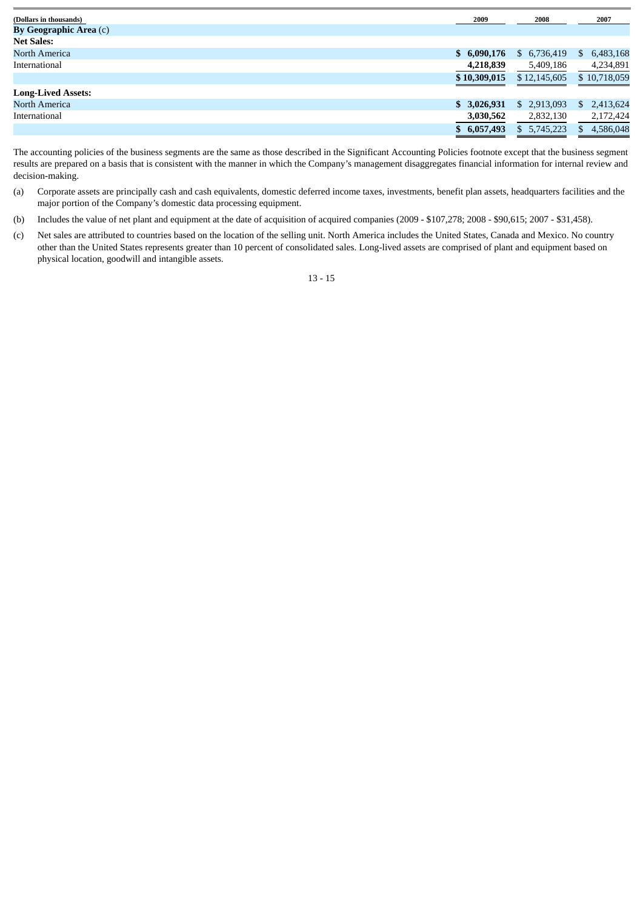| (Dollars in thousands)    | 2009         | 2008                      | 2007            |
|---------------------------|--------------|---------------------------|-----------------|
| By Geographic Area (c)    |              |                           |                 |
| <b>Net Sales:</b>         |              |                           |                 |
| North America             | \$6,090,176  | \$ 6,736,419              | 6,483,168<br>S. |
| International             | 4,218,839    | 5,409,186                 | 4,234,891       |
|                           | \$10,309,015 | \$12,145,605              | \$10,718,059    |
| <b>Long-Lived Assets:</b> |              |                           |                 |
| North America             | \$3,026,931  | \$2,913,093               | \$2,413,624     |
| International             | 3,030,562    | 2,832,130                 | 2,172,424       |
|                           | \$6,057,493  | 5,745,223<br><sup>S</sup> | 4,586,048       |

The accounting policies of the business segments are the same as those described in the Significant Accounting Policies footnote except that the business segment results are prepared on a basis that is consistent with the manner in which the Company's management disaggregates financial information for internal review and decision-making.

- (a) Corporate assets are principally cash and cash equivalents, domestic deferred income taxes, investments, benefit plan assets, headquarters facilities and the major portion of the Company's domestic data processing equipment.
- (b) Includes the value of net plant and equipment at the date of acquisition of acquired companies (2009 \$107,278; 2008 \$90,615; 2007 \$31,458).
- (c) Net sales are attributed to countries based on the location of the selling unit. North America includes the United States, Canada and Mexico. No country other than the United States represents greater than 10 percent of consolidated sales. Long-lived assets are comprised of plant and equipment based on physical location, goodwill and intangible assets.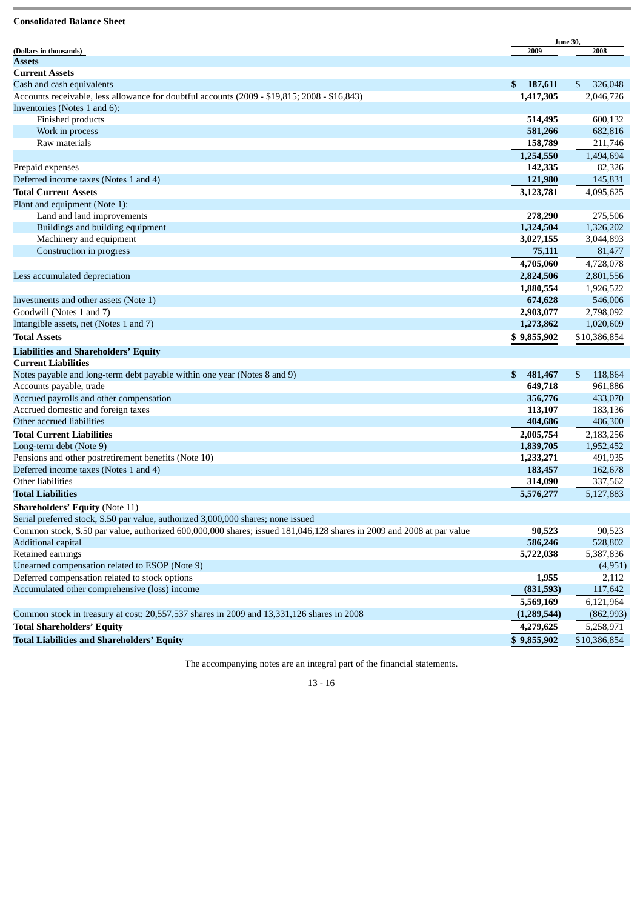## **Consolidated Balance Sheet**

|                                                                                                                       |               | <b>June 30,</b> |
|-----------------------------------------------------------------------------------------------------------------------|---------------|-----------------|
| (Dollars in thousands)                                                                                                | 2009          | 2008            |
| <b>Assets</b>                                                                                                         |               |                 |
| <b>Current Assets</b>                                                                                                 |               |                 |
| Cash and cash equivalents                                                                                             | \$<br>187,611 | 326,048<br>\$   |
| Accounts receivable, less allowance for doubtful accounts (2009 - \$19,815; 2008 - \$16,843)                          | 1,417,305     | 2,046,726       |
| Inventories (Notes 1 and 6):                                                                                          |               |                 |
| Finished products                                                                                                     | 514,495       | 600,132         |
| Work in process                                                                                                       | 581,266       | 682,816         |
| Raw materials                                                                                                         | 158,789       | 211,746         |
|                                                                                                                       | 1,254,550     | 1,494,694       |
| Prepaid expenses                                                                                                      | 142,335       | 82,326          |
| Deferred income taxes (Notes 1 and 4)                                                                                 | 121,980       | 145,831         |
| <b>Total Current Assets</b>                                                                                           | 3,123,781     | 4,095,625       |
| Plant and equipment (Note 1):                                                                                         |               |                 |
| Land and land improvements                                                                                            | 278,290       | 275,506         |
| Buildings and building equipment                                                                                      | 1,324,504     | 1,326,202       |
| Machinery and equipment                                                                                               | 3,027,155     | 3,044,893       |
| Construction in progress                                                                                              | 75,111        | 81,477          |
|                                                                                                                       | 4,705,060     | 4,728,078       |
| Less accumulated depreciation                                                                                         | 2,824,506     | 2,801,556       |
|                                                                                                                       | 1,880,554     | 1,926,522       |
| Investments and other assets (Note 1)                                                                                 | 674,628       | 546,006         |
| Goodwill (Notes 1 and 7)                                                                                              | 2,903,077     | 2,798,092       |
| Intangible assets, net (Notes 1 and 7)                                                                                | 1,273,862     | 1,020,609       |
|                                                                                                                       |               |                 |
| <b>Total Assets</b>                                                                                                   | \$9,855,902   | \$10,386,854    |
| <b>Liabilities and Shareholders' Equity</b>                                                                           |               |                 |
| <b>Current Liabilities</b>                                                                                            |               |                 |
| Notes payable and long-term debt payable within one year (Notes 8 and 9)                                              | 481,467<br>\$ | \$<br>118,864   |
| Accounts payable, trade                                                                                               | 649,718       | 961,886         |
| Accrued payrolls and other compensation                                                                               | 356,776       | 433,070         |
| Accrued domestic and foreign taxes                                                                                    | 113,107       | 183,136         |
| Other accrued liabilities                                                                                             | 404,686       | 486,300         |
| <b>Total Current Liabilities</b>                                                                                      | 2,005,754     | 2,183,256       |
| Long-term debt (Note 9)                                                                                               | 1,839,705     | 1,952,452       |
| Pensions and other postretirement benefits (Note 10)                                                                  | 1,233,271     | 491,935         |
| Deferred income taxes (Notes 1 and 4)                                                                                 | 183,457       | 162,678         |
| Other liabilities                                                                                                     | 314,090       | 337,562         |
| Total Liabilities                                                                                                     | 5,576,277     | 5,127,883       |
| <b>Shareholders' Equity (Note 11)</b>                                                                                 |               |                 |
| Serial preferred stock, \$.50 par value, authorized 3,000,000 shares; none issued                                     |               |                 |
| Common stock, \$.50 par value, authorized 600,000,000 shares; issued 181,046,128 shares in 2009 and 2008 at par value | 90,523        | 90,523          |
| <b>Additional capital</b>                                                                                             | 586,246       | 528,802         |
| Retained earnings                                                                                                     | 5,722,038     | 5,387,836       |
| Unearned compensation related to ESOP (Note 9)                                                                        |               | (4,951)         |
| Deferred compensation related to stock options                                                                        | 1,955         | 2,112           |
| Accumulated other comprehensive (loss) income                                                                         | (831,593)     | 117,642         |
|                                                                                                                       | 5,569,169     | 6,121,964       |
| Common stock in treasury at cost: 20,557,537 shares in 2009 and 13,331,126 shares in 2008                             | (1,289,544)   | (862, 993)      |
| <b>Total Shareholders' Equity</b>                                                                                     | 4,279,625     | 5,258,971       |
| <b>Total Liabilities and Shareholders' Equity</b>                                                                     | \$9,855,902   | \$10,386,854    |
|                                                                                                                       |               |                 |

The accompanying notes are an integral part of the financial statements.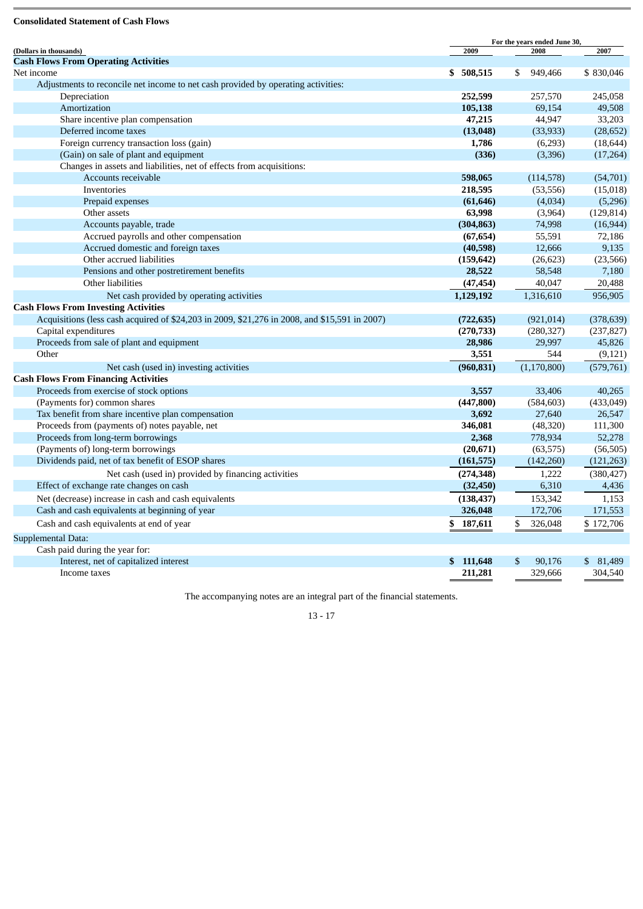## **Consolidated Statement of Cash Flows**

|                                                                                               | For the years ended June 30, |               |            |
|-----------------------------------------------------------------------------------------------|------------------------------|---------------|------------|
| (Dollars in thousands)                                                                        | 2009                         | 2008          | 2007       |
| <b>Cash Flows From Operating Activities</b>                                                   |                              |               |            |
| Net income                                                                                    | \$508,515                    | 949.466<br>\$ | \$830,046  |
| Adjustments to reconcile net income to net cash provided by operating activities:             |                              |               |            |
| Depreciation                                                                                  | 252,599                      | 257,570       | 245,058    |
| Amortization                                                                                  | 105,138                      | 69,154        | 49,508     |
| Share incentive plan compensation                                                             | 47,215                       | 44,947        | 33,203     |
| Deferred income taxes                                                                         | (13, 048)                    | (33, 933)     | (28, 652)  |
| Foreign currency transaction loss (gain)                                                      | 1,786                        | (6,293)       | (18, 644)  |
| (Gain) on sale of plant and equipment                                                         | (336)                        | (3,396)       | (17, 264)  |
| Changes in assets and liabilities, net of effects from acquisitions:                          |                              |               |            |
| Accounts receivable                                                                           | 598,065                      | (114, 578)    | (54,701)   |
| Inventories                                                                                   | 218,595                      | (53, 556)     | (15,018)   |
| Prepaid expenses                                                                              | (61, 646)                    | (4,034)       | (5,296)    |
| Other assets                                                                                  | 63,998                       | (3,964)       | (129, 814) |
| Accounts payable, trade                                                                       | (304, 863)                   | 74,998        | (16, 944)  |
| Accrued payrolls and other compensation                                                       | (67, 654)                    | 55,591        | 72,186     |
| Accrued domestic and foreign taxes                                                            | (40, 598)                    | 12,666        | 9,135      |
| Other accrued liabilities                                                                     | (159, 642)                   | (26, 623)     | (23, 566)  |
| Pensions and other postretirement benefits                                                    | 28,522                       | 58,548        | 7,180      |
| Other liabilities                                                                             | (47, 454)                    | 40,047        | 20,488     |
| Net cash provided by operating activities                                                     | 1,129,192                    | 1,316,610     | 956,905    |
| <b>Cash Flows From Investing Activities</b>                                                   |                              |               |            |
| Acquisitions (less cash acquired of \$24,203 in 2009, \$21,276 in 2008, and \$15,591 in 2007) | (722, 635)                   | (921, 014)    | (378, 639) |
| Capital expenditures                                                                          | (270, 733)                   | (280, 327)    | (237, 827) |
| Proceeds from sale of plant and equipment                                                     | 28,986                       | 29,997        | 45,826     |
| Other                                                                                         | 3,551                        | 544           | (9, 121)   |
| Net cash (used in) investing activities                                                       | (960, 831)                   | (1, 170, 800) | (579, 761) |
| <b>Cash Flows From Financing Activities</b>                                                   |                              |               |            |
| Proceeds from exercise of stock options                                                       | 3,557                        | 33,406        | 40,265     |
| (Payments for) common shares                                                                  | (447, 800)                   | (584, 603)    | (433,049)  |
| Tax benefit from share incentive plan compensation                                            | 3,692                        | 27,640        | 26,547     |
| Proceeds from (payments of) notes payable, net                                                | 346,081                      | (48, 320)     | 111,300    |
| Proceeds from long-term borrowings                                                            | 2,368                        | 778,934       | 52,278     |
| (Payments of) long-term borrowings                                                            | (20, 671)                    | (63, 575)     | (56, 505)  |
| Dividends paid, net of tax benefit of ESOP shares                                             | (161, 575)                   | (142, 260)    | (121, 263) |
|                                                                                               |                              | 1,222         | (380, 427) |
| Net cash (used in) provided by financing activities                                           | (274, 348)                   |               |            |
| Effect of exchange rate changes on cash                                                       | (32, 450)                    | 6,310         | 4,436      |
| Net (decrease) increase in cash and cash equivalents                                          | (138, 437)                   | 153,342       | 1,153      |
| Cash and cash equivalents at beginning of year                                                | 326,048                      | 172,706       | 171,553    |
| Cash and cash equivalents at end of year                                                      | \$<br>187,611                | \$<br>326,048 | \$172,706  |
| <b>Supplemental Data:</b>                                                                     |                              |               |            |
| Cash paid during the year for:                                                                |                              |               |            |
| Interest, net of capitalized interest                                                         | \$111,648                    | \$<br>90,176  | \$ 81,489  |
| Income taxes                                                                                  | 211,281                      | 329.666       | 304,540    |

The accompanying notes are an integral part of the financial statements.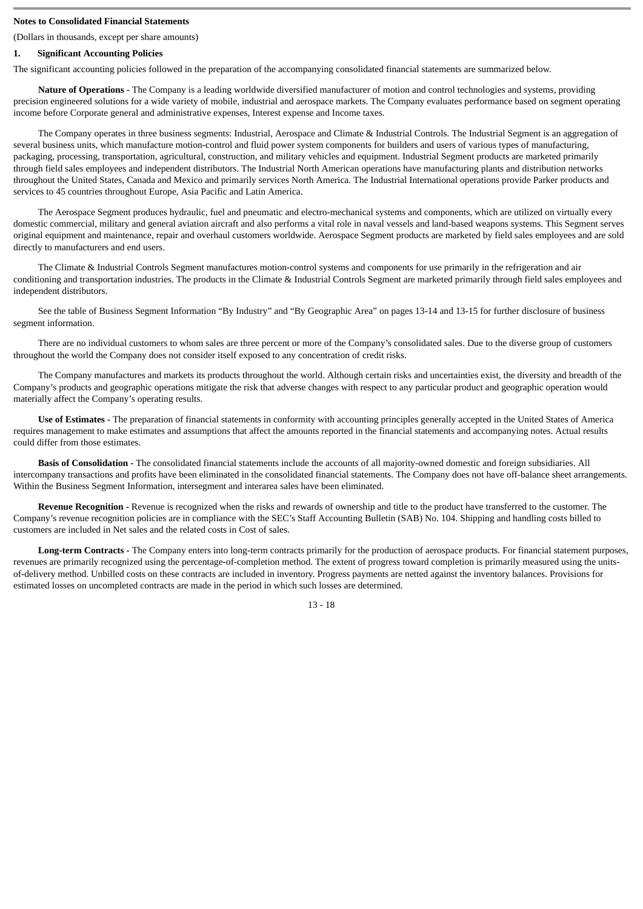#### **Notes to Consolidated Financial Statements**

(Dollars in thousands, except per share amounts)

## **1. Significant Accounting Policies**

The significant accounting policies followed in the preparation of the accompanying consolidated financial statements are summarized below.

**Nature of Operations -** The Company is a leading worldwide diversified manufacturer of motion and control technologies and systems, providing precision engineered solutions for a wide variety of mobile, industrial and aerospace markets. The Company evaluates performance based on segment operating income before Corporate general and administrative expenses, Interest expense and Income taxes.

The Company operates in three business segments: Industrial, Aerospace and Climate & Industrial Controls. The Industrial Segment is an aggregation of several business units, which manufacture motion-control and fluid power system components for builders and users of various types of manufacturing, packaging, processing, transportation, agricultural, construction, and military vehicles and equipment. Industrial Segment products are marketed primarily through field sales employees and independent distributors. The Industrial North American operations have manufacturing plants and distribution networks throughout the United States, Canada and Mexico and primarily services North America. The Industrial International operations provide Parker products and services to 45 countries throughout Europe, Asia Pacific and Latin America.

The Aerospace Segment produces hydraulic, fuel and pneumatic and electro-mechanical systems and components, which are utilized on virtually every domestic commercial, military and general aviation aircraft and also performs a vital role in naval vessels and land-based weapons systems. This Segment serves original equipment and maintenance, repair and overhaul customers worldwide. Aerospace Segment products are marketed by field sales employees and are sold directly to manufacturers and end users.

The Climate & Industrial Controls Segment manufactures motion-control systems and components for use primarily in the refrigeration and air conditioning and transportation industries. The products in the Climate & Industrial Controls Segment are marketed primarily through field sales employees and independent distributors.

See the table of Business Segment Information "By Industry" and "By Geographic Area" on pages 13-14 and 13-15 for further disclosure of business segment information.

There are no individual customers to whom sales are three percent or more of the Company's consolidated sales. Due to the diverse group of customers throughout the world the Company does not consider itself exposed to any concentration of credit risks.

The Company manufactures and markets its products throughout the world. Although certain risks and uncertainties exist, the diversity and breadth of the Company's products and geographic operations mitigate the risk that adverse changes with respect to any particular product and geographic operation would materially affect the Company's operating results.

**Use of Estimates -** The preparation of financial statements in conformity with accounting principles generally accepted in the United States of America requires management to make estimates and assumptions that affect the amounts reported in the financial statements and accompanying notes. Actual results could differ from those estimates.

**Basis of Consolidation -** The consolidated financial statements include the accounts of all majority-owned domestic and foreign subsidiaries. All intercompany transactions and profits have been eliminated in the consolidated financial statements. The Company does not have off-balance sheet arrangements. Within the Business Segment Information, intersegment and interarea sales have been eliminated.

**Revenue Recognition -** Revenue is recognized when the risks and rewards of ownership and title to the product have transferred to the customer. The Company's revenue recognition policies are in compliance with the SEC's Staff Accounting Bulletin (SAB) No. 104. Shipping and handling costs billed to customers are included in Net sales and the related costs in Cost of sales.

Long-term Contracts - The Company enters into long-term contracts primarily for the production of aerospace products. For financial statement purposes, revenues are primarily recognized using the percentage-of-completion method. The extent of progress toward completion is primarily measured using the unitsof-delivery method. Unbilled costs on these contracts are included in inventory. Progress payments are netted against the inventory balances. Provisions for estimated losses on uncompleted contracts are made in the period in which such losses are determined.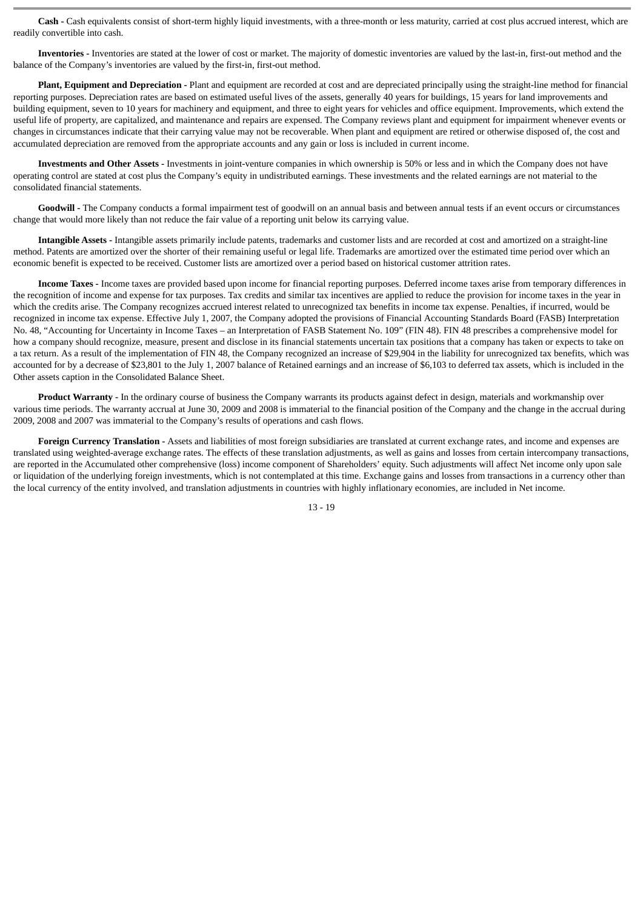**Cash -** Cash equivalents consist of short-term highly liquid investments, with a three-month or less maturity, carried at cost plus accrued interest, which are readily convertible into cash.

**Inventories -** Inventories are stated at the lower of cost or market. The majority of domestic inventories are valued by the last-in, first-out method and the balance of the Company's inventories are valued by the first-in, first-out method.

**Plant, Equipment and Depreciation -** Plant and equipment are recorded at cost and are depreciated principally using the straight-line method for financial reporting purposes. Depreciation rates are based on estimated useful lives of the assets, generally 40 years for buildings, 15 years for land improvements and building equipment, seven to 10 years for machinery and equipment, and three to eight years for vehicles and office equipment. Improvements, which extend the useful life of property, are capitalized, and maintenance and repairs are expensed. The Company reviews plant and equipment for impairment whenever events or changes in circumstances indicate that their carrying value may not be recoverable. When plant and equipment are retired or otherwise disposed of, the cost and accumulated depreciation are removed from the appropriate accounts and any gain or loss is included in current income.

**Investments and Other Assets -** Investments in joint-venture companies in which ownership is 50% or less and in which the Company does not have operating control are stated at cost plus the Company's equity in undistributed earnings. These investments and the related earnings are not material to the consolidated financial statements.

**Goodwill -** The Company conducts a formal impairment test of goodwill on an annual basis and between annual tests if an event occurs or circumstances change that would more likely than not reduce the fair value of a reporting unit below its carrying value.

**Intangible Assets -** Intangible assets primarily include patents, trademarks and customer lists and are recorded at cost and amortized on a straight-line method. Patents are amortized over the shorter of their remaining useful or legal life. Trademarks are amortized over the estimated time period over which an economic benefit is expected to be received. Customer lists are amortized over a period based on historical customer attrition rates.

**Income Taxes -** Income taxes are provided based upon income for financial reporting purposes. Deferred income taxes arise from temporary differences in the recognition of income and expense for tax purposes. Tax credits and similar tax incentives are applied to reduce the provision for income taxes in the year in which the credits arise. The Company recognizes accrued interest related to unrecognized tax benefits in income tax expense. Penalties, if incurred, would be recognized in income tax expense. Effective July 1, 2007, the Company adopted the provisions of Financial Accounting Standards Board (FASB) Interpretation No. 48, "Accounting for Uncertainty in Income Taxes – an Interpretation of FASB Statement No. 109" (FIN 48). FIN 48 prescribes a comprehensive model for how a company should recognize, measure, present and disclose in its financial statements uncertain tax positions that a company has taken or expects to take on a tax return. As a result of the implementation of FIN 48, the Company recognized an increase of \$29,904 in the liability for unrecognized tax benefits, which was accounted for by a decrease of \$23,801 to the July 1, 2007 balance of Retained earnings and an increase of \$6,103 to deferred tax assets, which is included in the Other assets caption in the Consolidated Balance Sheet.

**Product Warranty -** In the ordinary course of business the Company warrants its products against defect in design, materials and workmanship over various time periods. The warranty accrual at June 30, 2009 and 2008 is immaterial to the financial position of the Company and the change in the accrual during 2009, 2008 and 2007 was immaterial to the Company's results of operations and cash flows.

**Foreign Currency Translation -** Assets and liabilities of most foreign subsidiaries are translated at current exchange rates, and income and expenses are translated using weighted-average exchange rates. The effects of these translation adjustments, as well as gains and losses from certain intercompany transactions, are reported in the Accumulated other comprehensive (loss) income component of Shareholders' equity. Such adjustments will affect Net income only upon sale or liquidation of the underlying foreign investments, which is not contemplated at this time. Exchange gains and losses from transactions in a currency other than the local currency of the entity involved, and translation adjustments in countries with highly inflationary economies, are included in Net income.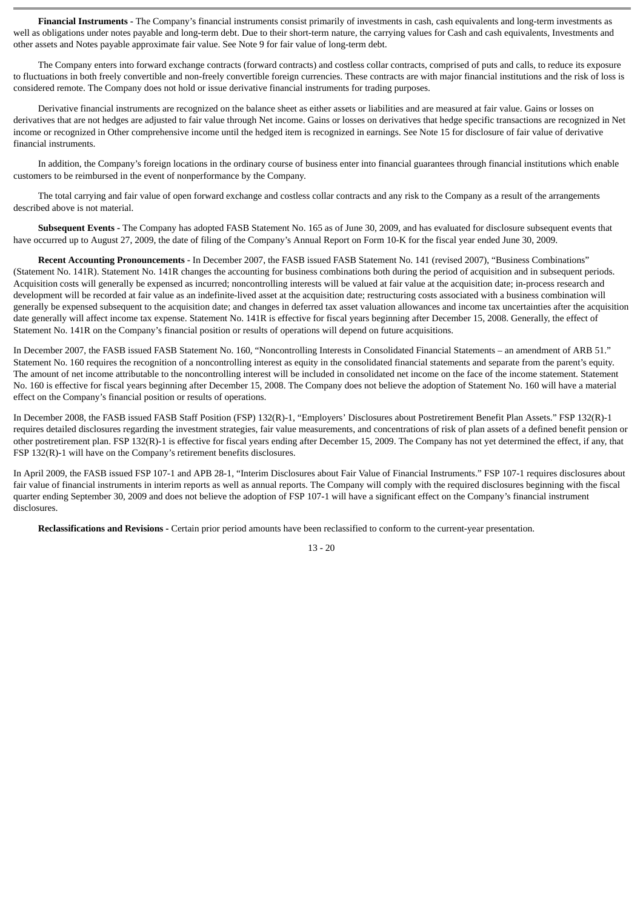**Financial Instruments -** The Company's financial instruments consist primarily of investments in cash, cash equivalents and long-term investments as well as obligations under notes payable and long-term debt. Due to their short-term nature, the carrying values for Cash and cash equivalents, Investments and other assets and Notes payable approximate fair value. See Note 9 for fair value of long-term debt.

The Company enters into forward exchange contracts (forward contracts) and costless collar contracts, comprised of puts and calls, to reduce its exposure to fluctuations in both freely convertible and non-freely convertible foreign currencies. These contracts are with major financial institutions and the risk of loss is considered remote. The Company does not hold or issue derivative financial instruments for trading purposes.

Derivative financial instruments are recognized on the balance sheet as either assets or liabilities and are measured at fair value. Gains or losses on derivatives that are not hedges are adjusted to fair value through Net income. Gains or losses on derivatives that hedge specific transactions are recognized in Net income or recognized in Other comprehensive income until the hedged item is recognized in earnings. See Note 15 for disclosure of fair value of derivative financial instruments.

In addition, the Company's foreign locations in the ordinary course of business enter into financial guarantees through financial institutions which enable customers to be reimbursed in the event of nonperformance by the Company.

The total carrying and fair value of open forward exchange and costless collar contracts and any risk to the Company as a result of the arrangements described above is not material.

**Subsequent Events -** The Company has adopted FASB Statement No. 165 as of June 30, 2009, and has evaluated for disclosure subsequent events that have occurred up to August 27, 2009, the date of filing of the Company's Annual Report on Form 10-K for the fiscal year ended June 30, 2009.

**Recent Accounting Pronouncements -** In December 2007, the FASB issued FASB Statement No. 141 (revised 2007), "Business Combinations" (Statement No. 141R). Statement No. 141R changes the accounting for business combinations both during the period of acquisition and in subsequent periods. Acquisition costs will generally be expensed as incurred; noncontrolling interests will be valued at fair value at the acquisition date; in-process research and development will be recorded at fair value as an indefinite-lived asset at the acquisition date; restructuring costs associated with a business combination will generally be expensed subsequent to the acquisition date; and changes in deferred tax asset valuation allowances and income tax uncertainties after the acquisition date generally will affect income tax expense. Statement No. 141R is effective for fiscal years beginning after December 15, 2008. Generally, the effect of Statement No. 141R on the Company's financial position or results of operations will depend on future acquisitions.

In December 2007, the FASB issued FASB Statement No. 160, "Noncontrolling Interests in Consolidated Financial Statements – an amendment of ARB 51." Statement No. 160 requires the recognition of a noncontrolling interest as equity in the consolidated financial statements and separate from the parent's equity. The amount of net income attributable to the noncontrolling interest will be included in consolidated net income on the face of the income statement. Statement No. 160 is effective for fiscal years beginning after December 15, 2008. The Company does not believe the adoption of Statement No. 160 will have a material effect on the Company's financial position or results of operations.

In December 2008, the FASB issued FASB Staff Position (FSP) 132(R)-1, "Employers' Disclosures about Postretirement Benefit Plan Assets." FSP 132(R)-1 requires detailed disclosures regarding the investment strategies, fair value measurements, and concentrations of risk of plan assets of a defined benefit pension or other postretirement plan. FSP 132(R)-1 is effective for fiscal years ending after December 15, 2009. The Company has not yet determined the effect, if any, that FSP 132(R)-1 will have on the Company's retirement benefits disclosures.

In April 2009, the FASB issued FSP 107-1 and APB 28-1, "Interim Disclosures about Fair Value of Financial Instruments." FSP 107-1 requires disclosures about fair value of financial instruments in interim reports as well as annual reports. The Company will comply with the required disclosures beginning with the fiscal quarter ending September 30, 2009 and does not believe the adoption of FSP 107-1 will have a significant effect on the Company's financial instrument disclosures.

**Reclassifications and Revisions -** Certain prior period amounts have been reclassified to conform to the current-year presentation.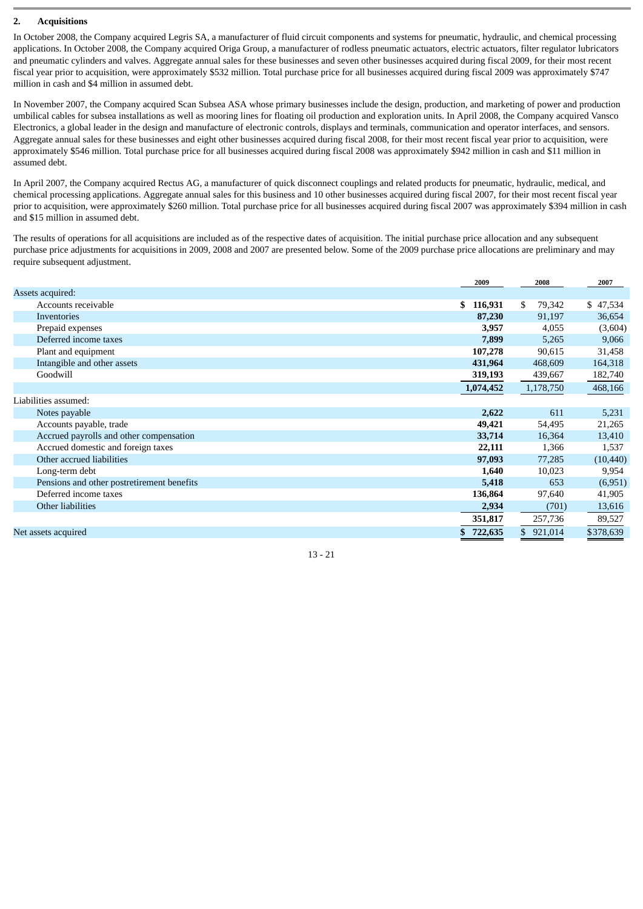## **2. Acquisitions**

In October 2008, the Company acquired Legris SA, a manufacturer of fluid circuit components and systems for pneumatic, hydraulic, and chemical processing applications. In October 2008, the Company acquired Origa Group, a manufacturer of rodless pneumatic actuators, electric actuators, filter regulator lubricators and pneumatic cylinders and valves. Aggregate annual sales for these businesses and seven other businesses acquired during fiscal 2009, for their most recent fiscal year prior to acquisition, were approximately \$532 million. Total purchase price for all businesses acquired during fiscal 2009 was approximately \$747 million in cash and \$4 million in assumed debt.

In November 2007, the Company acquired Scan Subsea ASA whose primary businesses include the design, production, and marketing of power and production umbilical cables for subsea installations as well as mooring lines for floating oil production and exploration units. In April 2008, the Company acquired Vansco Electronics, a global leader in the design and manufacture of electronic controls, displays and terminals, communication and operator interfaces, and sensors. Aggregate annual sales for these businesses and eight other businesses acquired during fiscal 2008, for their most recent fiscal year prior to acquisition, were approximately \$546 million. Total purchase price for all businesses acquired during fiscal 2008 was approximately \$942 million in cash and \$11 million in assumed debt.

In April 2007, the Company acquired Rectus AG, a manufacturer of quick disconnect couplings and related products for pneumatic, hydraulic, medical, and chemical processing applications. Aggregate annual sales for this business and 10 other businesses acquired during fiscal 2007, for their most recent fiscal year prior to acquisition, were approximately \$260 million. Total purchase price for all businesses acquired during fiscal 2007 was approximately \$394 million in cash and \$15 million in assumed debt.

The results of operations for all acquisitions are included as of the respective dates of acquisition. The initial purchase price allocation and any subsequent purchase price adjustments for acquisitions in 2009, 2008 and 2007 are presented below. Some of the 2009 purchase price allocations are preliminary and may require subsequent adjustment.

|                                            | 2009          | 2008         | 2007      |
|--------------------------------------------|---------------|--------------|-----------|
| Assets acquired:                           |               |              |           |
| Accounts receivable                        | \$<br>116,931 | \$<br>79,342 | \$47,534  |
| Inventories                                | 87,230        | 91,197       | 36,654    |
| Prepaid expenses                           | 3,957         | 4,055        | (3,604)   |
| Deferred income taxes                      | 7,899         | 5,265        | 9,066     |
| Plant and equipment                        | 107,278       | 90,615       | 31,458    |
| Intangible and other assets                | 431,964       | 468,609      | 164,318   |
| Goodwill                                   | 319,193       | 439,667      | 182,740   |
|                                            | 1,074,452     | 1,178,750    | 468,166   |
| Liabilities assumed:                       |               |              |           |
| Notes payable                              | 2,622         | 611          | 5,231     |
| Accounts payable, trade                    | 49,421        | 54,495       | 21,265    |
| Accrued payrolls and other compensation    | 33,714        | 16,364       | 13,410    |
| Accrued domestic and foreign taxes         | 22,111        | 1,366        | 1,537     |
| Other accrued liabilities                  | 97,093        | 77,285       | (10, 440) |
| Long-term debt                             | 1,640         | 10,023       | 9,954     |
| Pensions and other postretirement benefits | 5,418         | 653          | (6,951)   |
| Deferred income taxes                      | 136,864       | 97,640       | 41,905    |
| Other liabilities                          | 2,934         | (701)        | 13,616    |
|                                            | 351,817       | 257,736      | 89,527    |
| Net assets acquired                        | 722,635       | \$921,014    | \$378,639 |
|                                            |               |              |           |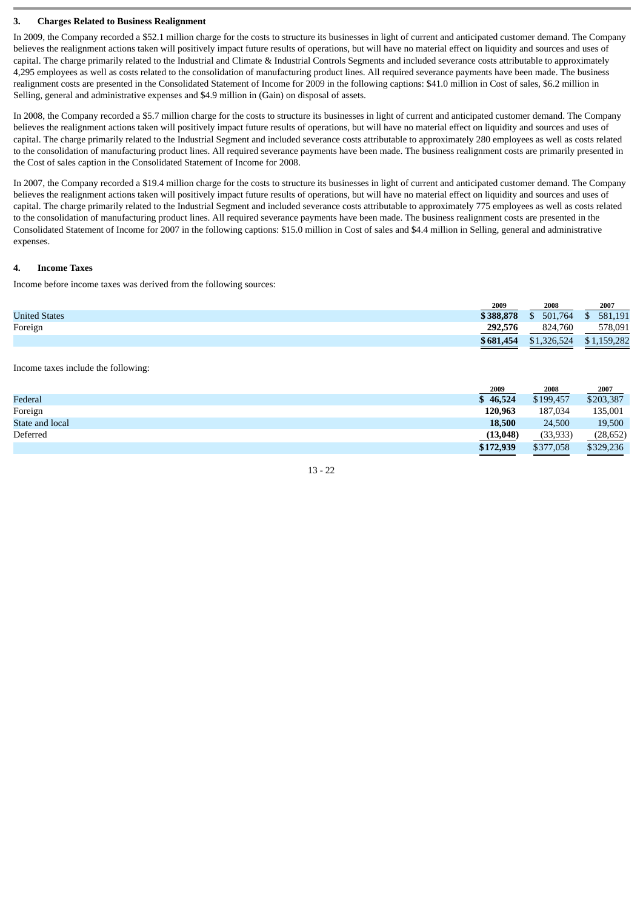## **3. Charges Related to Business Realignment**

In 2009, the Company recorded a \$52.1 million charge for the costs to structure its businesses in light of current and anticipated customer demand. The Company believes the realignment actions taken will positively impact future results of operations, but will have no material effect on liquidity and sources and uses of capital. The charge primarily related to the Industrial and Climate & Industrial Controls Segments and included severance costs attributable to approximately 4,295 employees as well as costs related to the consolidation of manufacturing product lines. All required severance payments have been made. The business realignment costs are presented in the Consolidated Statement of Income for 2009 in the following captions: \$41.0 million in Cost of sales, \$6.2 million in Selling, general and administrative expenses and \$4.9 million in (Gain) on disposal of assets.

In 2008, the Company recorded a \$5.7 million charge for the costs to structure its businesses in light of current and anticipated customer demand. The Company believes the realignment actions taken will positively impact future results of operations, but will have no material effect on liquidity and sources and uses of capital. The charge primarily related to the Industrial Segment and included severance costs attributable to approximately 280 employees as well as costs related to the consolidation of manufacturing product lines. All required severance payments have been made. The business realignment costs are primarily presented in the Cost of sales caption in the Consolidated Statement of Income for 2008.

In 2007, the Company recorded a \$19.4 million charge for the costs to structure its businesses in light of current and anticipated customer demand. The Company believes the realignment actions taken will positively impact future results of operations, but will have no material effect on liquidity and sources and uses of capital. The charge primarily related to the Industrial Segment and included severance costs attributable to approximately 775 employees as well as costs related to the consolidation of manufacturing product lines. All required severance payments have been made. The business realignment costs are presented in the Consolidated Statement of Income for 2007 in the following captions: \$15.0 million in Cost of sales and \$4.4 million in Selling, general and administrative expenses.

## **4. Income Taxes**

Income before income taxes was derived from the following sources:

|                      | 2009      | 2008        | 2007         |
|----------------------|-----------|-------------|--------------|
| <b>United States</b> | \$388,878 | 501,764     | 581,191<br>S |
| Foreign              | 292,576   | 824,760     | 578,091      |
|                      | \$681,454 | \$1,326,524 | \$1,159,282  |
|                      |           |             |              |

Income taxes include the following:

|                 | 2009      | 2008      | 2007      |
|-----------------|-----------|-----------|-----------|
| Federal         | \$46,524  | \$199,457 | \$203,387 |
| Foreign         | 120,963   | 187,034   | 135,001   |
| State and local | 18,500    | 24,500    | 19,500    |
| Deferred        | (13,048)  | (33, 933) | (28, 652) |
|                 | \$172,939 | \$377,058 | \$329,236 |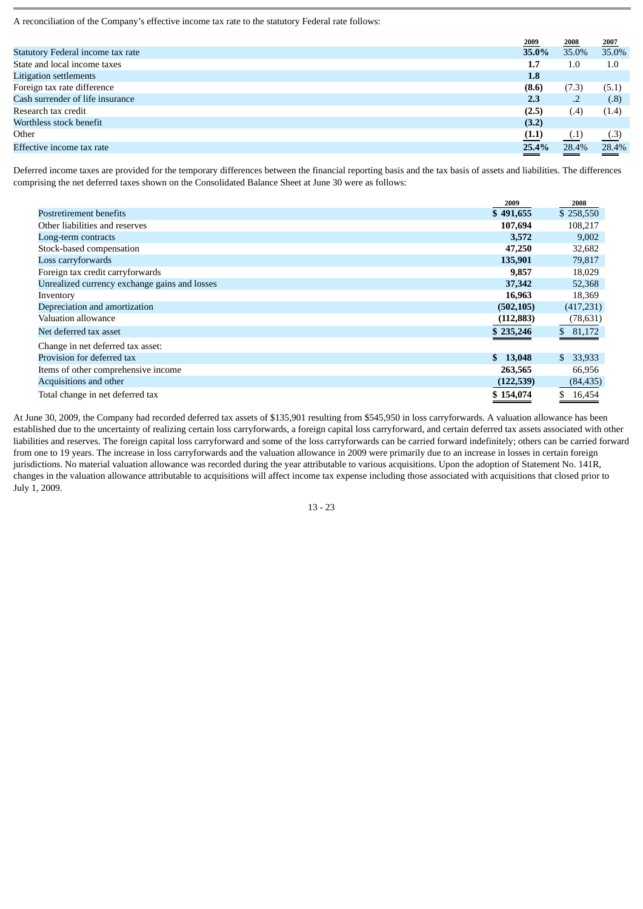A reconciliation of the Company's effective income tax rate to the statutory Federal rate follows:

|                                   | 2009  | 2008    | 2007  |
|-----------------------------------|-------|---------|-------|
| Statutory Federal income tax rate | 35.0% | 35.0%   | 35.0% |
| State and local income taxes      | 1.7   | $1.0\,$ | 1.0   |
| <b>Litigation settlements</b>     | 1.8   |         |       |
| Foreign tax rate difference       | (8.6) | (7.3)   | (5.1) |
| Cash surrender of life insurance  | 2.3   | .2      | (.8)  |
| Research tax credit               | (2.5) | (.4)    | (1.4) |
| Worthless stock benefit           | (3.2) |         |       |
| Other                             | (1.1) | (.1)    | (.3)  |
| Effective income tax rate         | 25.4% | 28.4%   | 28.4% |
|                                   |       |         |       |

Deferred income taxes are provided for the temporary differences between the financial reporting basis and the tax basis of assets and liabilities. The differences comprising the net deferred taxes shown on the Consolidated Balance Sheet at June 30 were as follows:

|                                               | 2009       | 2008                   |
|-----------------------------------------------|------------|------------------------|
| Postretirement benefits                       | \$491,655  | \$258,550              |
| Other liabilities and reserves                | 107,694    | 108,217                |
| Long-term contracts                           | 3,572      | 9,002                  |
| Stock-based compensation                      | 47,250     | 32,682                 |
| Loss carryforwards                            | 135,901    | 79,817                 |
| Foreign tax credit carryforwards              | 9,857      | 18,029                 |
| Unrealized currency exchange gains and losses | 37,342     | 52,368                 |
| Inventory                                     | 16,963     | 18,369                 |
| Depreciation and amortization                 | (502, 105) | (417, 231)             |
| Valuation allowance                           | (112,883)  | (78, 631)              |
| Net deferred tax asset                        | \$235,246  | \$81,172               |
| Change in net deferred tax asset:             |            |                        |
| Provision for deferred tax                    | \$13,048   | 33,933<br>$\mathbf{s}$ |
| Items of other comprehensive income           | 263,565    | 66,956                 |
| Acquisitions and other                        | (122, 539) | (84, 435)              |
| Total change in net deferred tax              | \$154,074  | \$<br>16.454           |

At June 30, 2009, the Company had recorded deferred tax assets of \$135,901 resulting from \$545,950 in loss carryforwards. A valuation allowance has been established due to the uncertainty of realizing certain loss carryforwards, a foreign capital loss carryforward, and certain deferred tax assets associated with other liabilities and reserves. The foreign capital loss carryforward and some of the loss carryforwards can be carried forward indefinitely; others can be carried forward from one to 19 years. The increase in loss carryforwards and the valuation allowance in 2009 were primarily due to an increase in losses in certain foreign jurisdictions. No material valuation allowance was recorded during the year attributable to various acquisitions. Upon the adoption of Statement No. 141R, changes in the valuation allowance attributable to acquisitions will affect income tax expense including those associated with acquisitions that closed prior to July 1, 2009.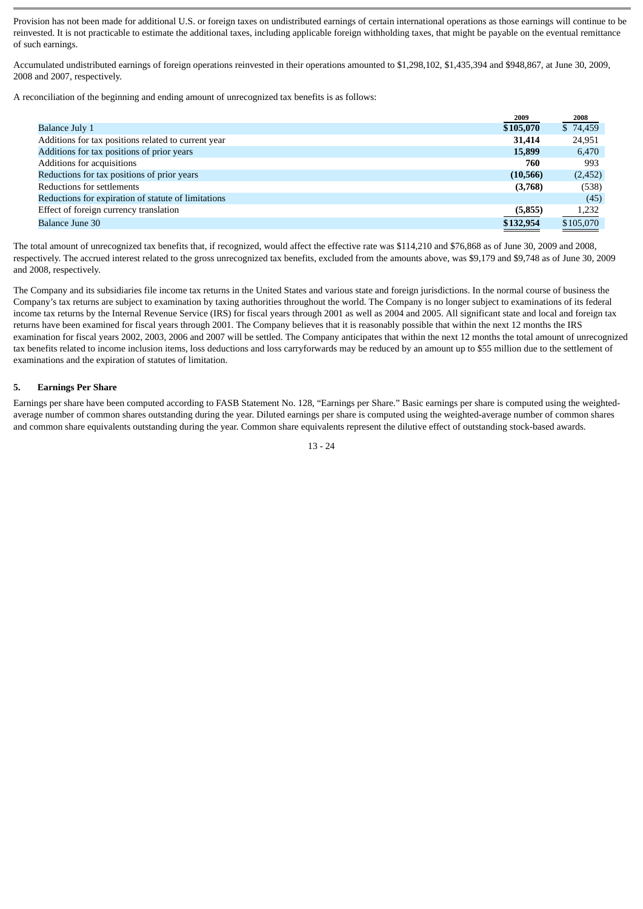Provision has not been made for additional U.S. or foreign taxes on undistributed earnings of certain international operations as those earnings will continue to be reinvested. It is not practicable to estimate the additional taxes, including applicable foreign withholding taxes, that might be payable on the eventual remittance of such earnings.

Accumulated undistributed earnings of foreign operations reinvested in their operations amounted to \$1,298,102, \$1,435,394 and \$948,867, at June 30, 2009, 2008 and 2007, respectively.

A reconciliation of the beginning and ending amount of unrecognized tax benefits is as follows:

|                                                     | 2009      | 2008      |
|-----------------------------------------------------|-----------|-----------|
| Balance July 1                                      | \$105,070 | \$74,459  |
| Additions for tax positions related to current year | 31,414    | 24,951    |
| Additions for tax positions of prior years          | 15,899    | 6,470     |
| Additions for acquisitions                          | 760       | 993       |
| Reductions for tax positions of prior years         | (10, 566) | (2,452)   |
| Reductions for settlements                          | (3,768)   | (538)     |
| Reductions for expiration of statute of limitations |           | (45)      |
| Effect of foreign currency translation              | (5, 855)  | 1,232     |
| Balance June 30                                     | \$132,954 | \$105,070 |
|                                                     |           |           |

The total amount of unrecognized tax benefits that, if recognized, would affect the effective rate was \$114,210 and \$76,868 as of June 30, 2009 and 2008, respectively. The accrued interest related to the gross unrecognized tax benefits, excluded from the amounts above, was \$9,179 and \$9,748 as of June 30, 2009 and 2008, respectively.

The Company and its subsidiaries file income tax returns in the United States and various state and foreign jurisdictions. In the normal course of business the Company's tax returns are subject to examination by taxing authorities throughout the world. The Company is no longer subject to examinations of its federal income tax returns by the Internal Revenue Service (IRS) for fiscal years through 2001 as well as 2004 and 2005. All significant state and local and foreign tax returns have been examined for fiscal years through 2001. The Company believes that it is reasonably possible that within the next 12 months the IRS examination for fiscal years 2002, 2003, 2006 and 2007 will be settled. The Company anticipates that within the next 12 months the total amount of unrecognized tax benefits related to income inclusion items, loss deductions and loss carryforwards may be reduced by an amount up to \$55 million due to the settlement of examinations and the expiration of statutes of limitation.

## **5. Earnings Per Share**

Earnings per share have been computed according to FASB Statement No. 128, "Earnings per Share." Basic earnings per share is computed using the weightedaverage number of common shares outstanding during the year. Diluted earnings per share is computed using the weighted-average number of common shares and common share equivalents outstanding during the year. Common share equivalents represent the dilutive effect of outstanding stock-based awards.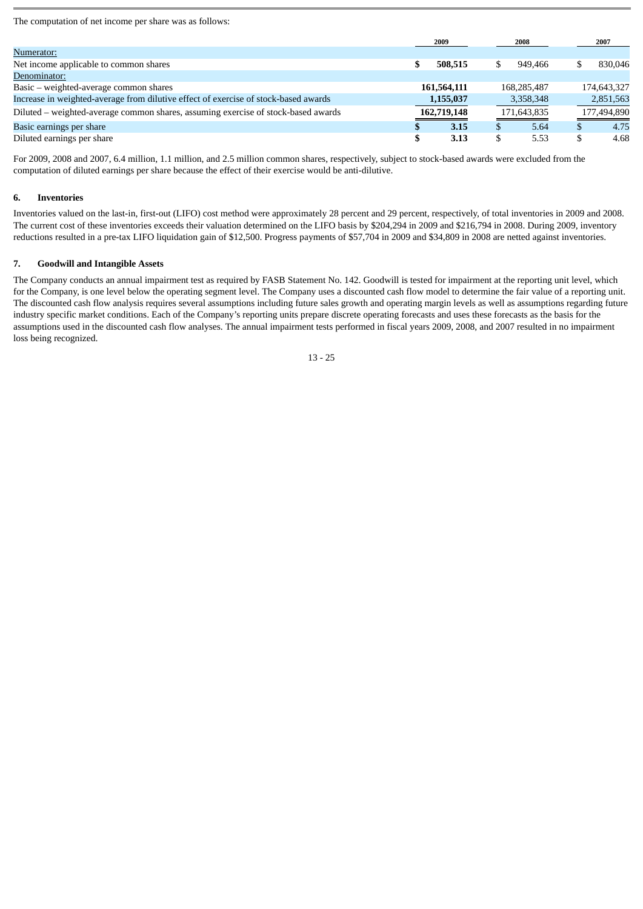The computation of net income per share was as follows:

|                                                                                     | 2009        | 2008        |   | 2007        |
|-------------------------------------------------------------------------------------|-------------|-------------|---|-------------|
| Numerator:                                                                          |             |             |   |             |
| Net income applicable to common shares                                              | 508,515     | 949.466     | S | 830.046     |
| Denominator:                                                                        |             |             |   |             |
| Basic – weighted-average common shares                                              | 161,564,111 | 168,285,487 |   | 174,643,327 |
| Increase in weighted-average from dilutive effect of exercise of stock-based awards | 1,155,037   | 3,358,348   |   | 2,851,563   |
| Diluted – weighted-average common shares, assuming exercise of stock-based awards   | 162,719,148 | 171,643,835 |   | 177,494,890 |
| Basic earnings per share                                                            | 3.15        | 5.64        | S | 4.75        |
| Diluted earnings per share                                                          | 3.13        | 5.53        |   | 4.68        |

For 2009, 2008 and 2007, 6.4 million, 1.1 million, and 2.5 million common shares, respectively, subject to stock-based awards were excluded from the computation of diluted earnings per share because the effect of their exercise would be anti-dilutive.

## **6. Inventories**

Inventories valued on the last-in, first-out (LIFO) cost method were approximately 28 percent and 29 percent, respectively, of total inventories in 2009 and 2008. The current cost of these inventories exceeds their valuation determined on the LIFO basis by \$204,294 in 2009 and \$216,794 in 2008. During 2009, inventory reductions resulted in a pre-tax LIFO liquidation gain of \$12,500. Progress payments of \$57,704 in 2009 and \$34,809 in 2008 are netted against inventories.

### **7. Goodwill and Intangible Assets**

The Company conducts an annual impairment test as required by FASB Statement No. 142. Goodwill is tested for impairment at the reporting unit level, which for the Company, is one level below the operating segment level. The Company uses a discounted cash flow model to determine the fair value of a reporting unit. The discounted cash flow analysis requires several assumptions including future sales growth and operating margin levels as well as assumptions regarding future industry specific market conditions. Each of the Company's reporting units prepare discrete operating forecasts and uses these forecasts as the basis for the assumptions used in the discounted cash flow analyses. The annual impairment tests performed in fiscal years 2009, 2008, and 2007 resulted in no impairment loss being recognized.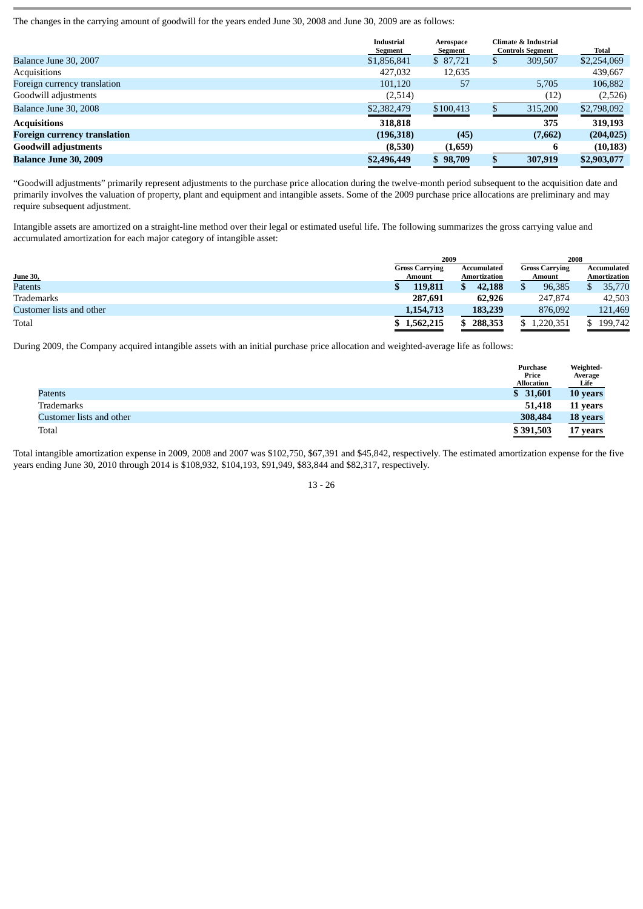The changes in the carrying amount of goodwill for the years ended June 30, 2008 and June 30, 2009 are as follows:

|                                     | <b>Industrial</b><br>Segment | Aerospace<br>Segment |   | Climate & Industrial<br><b>Controls Segment</b> | Total       |
|-------------------------------------|------------------------------|----------------------|---|-------------------------------------------------|-------------|
| Balance June 30, 2007               | \$1,856,841                  | \$87,721             | ъ | 309,507                                         | \$2,254,069 |
| Acquisitions                        | 427,032                      | 12,635               |   |                                                 | 439,667     |
| Foreign currency translation        | 101,120                      | 57                   |   | 5.705                                           | 106,882     |
| Goodwill adjustments                | (2,514)                      |                      |   | (12)                                            | (2,526)     |
| Balance June 30, 2008               | \$2,382,479                  | \$100,413            |   | 315,200                                         | \$2,798,092 |
| <b>Acquisitions</b>                 | 318,818                      |                      |   | 375                                             | 319,193     |
| <b>Foreign currency translation</b> | (196, 318)                   | (45)                 |   | (7,662)                                         | (204, 025)  |
| <b>Goodwill adjustments</b>         | (8,530)                      | (1,659)              |   | 6                                               | (10, 183)   |
| <b>Balance June 30, 2009</b>        | \$2,496,449                  | \$98,709             |   | 307,919                                         | \$2,903,077 |

"Goodwill adjustments" primarily represent adjustments to the purchase price allocation during the twelve-month period subsequent to the acquisition date and primarily involves the valuation of property, plant and equipment and intangible assets. Some of the 2009 purchase price allocations are preliminary and may require subsequent adjustment.

Intangible assets are amortized on a straight-line method over their legal or estimated useful life. The following summarizes the gross carrying value and accumulated amortization for each major category of intangible asset:

|                          |                       | 2009         |                       | 2008                |
|--------------------------|-----------------------|--------------|-----------------------|---------------------|
|                          | <b>Gross Carrying</b> | Accumulated  | <b>Gross Carrying</b> | <b>Accumulated</b>  |
| <b>June 30,</b>          | Amount                | Amortization | Amount                | <b>Amortization</b> |
| Patents                  | 119,811               | 42,188       | 96,385                | 35,770              |
| Trademarks               | 287,691               | 62,926       | 247,874               | 42,503              |
| Customer lists and other | 1,154,713             | 183,239      | 876.092               | 121,469             |
| Total                    | 1,562,215             | 288,353      | .220.351<br>¢.        | 199.742             |

During 2009, the Company acquired intangible assets with an initial purchase price allocation and weighted-average life as follows:

|                          | Purchase<br>Price         | <b>Weighted-</b><br>Average |
|--------------------------|---------------------------|-----------------------------|
|                          | <b>Allocation</b>         | Life                        |
| Patents                  | \$31,601                  | 10 years                    |
| Trademarks               | 51,418                    | 11 years                    |
| Customer lists and other | 308,484                   | 18 years                    |
| Total                    | \$391,503<br>____________ | 17 years<br>_____           |

Total intangible amortization expense in 2009, 2008 and 2007 was \$102,750, \$67,391 and \$45,842, respectively. The estimated amortization expense for the five years ending June 30, 2010 through 2014 is \$108,932, \$104,193, \$91,949, \$83,844 and \$82,317, respectively.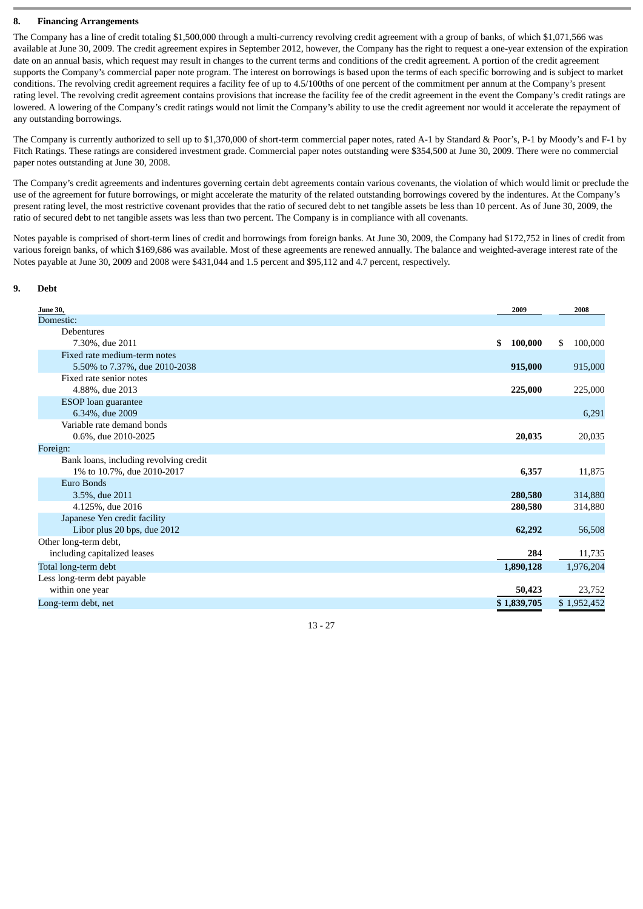### **8. Financing Arrangements**

The Company has a line of credit totaling \$1,500,000 through a multi-currency revolving credit agreement with a group of banks, of which \$1,071,566 was available at June 30, 2009. The credit agreement expires in September 2012, however, the Company has the right to request a one-year extension of the expiration date on an annual basis, which request may result in changes to the current terms and conditions of the credit agreement. A portion of the credit agreement supports the Company's commercial paper note program. The interest on borrowings is based upon the terms of each specific borrowing and is subject to market conditions. The revolving credit agreement requires a facility fee of up to 4.5/100ths of one percent of the commitment per annum at the Company's present rating level. The revolving credit agreement contains provisions that increase the facility fee of the credit agreement in the event the Company's credit ratings are lowered. A lowering of the Company's credit ratings would not limit the Company's ability to use the credit agreement nor would it accelerate the repayment of any outstanding borrowings.

The Company is currently authorized to sell up to \$1,370,000 of short-term commercial paper notes, rated A-1 by Standard & Poor's, P-1 by Moody's and F-1 by Fitch Ratings. These ratings are considered investment grade. Commercial paper notes outstanding were \$354,500 at June 30, 2009. There were no commercial paper notes outstanding at June 30, 2008.

The Company's credit agreements and indentures governing certain debt agreements contain various covenants, the violation of which would limit or preclude the use of the agreement for future borrowings, or might accelerate the maturity of the related outstanding borrowings covered by the indentures. At the Company's present rating level, the most restrictive covenant provides that the ratio of secured debt to net tangible assets be less than 10 percent. As of June 30, 2009, the ratio of secured debt to net tangible assets was less than two percent. The Company is in compliance with all covenants.

Notes payable is comprised of short-term lines of credit and borrowings from foreign banks. At June 30, 2009, the Company had \$172,752 in lines of credit from various foreign banks, of which \$169,686 was available. Most of these agreements are renewed annually. The balance and weighted-average interest rate of the Notes payable at June 30, 2009 and 2008 were \$431,044 and 1.5 percent and \$95,112 and 4.7 percent, respectively.

### **9. Debt**

| <b>June 30,</b>                        | 2009          | 2008          |
|----------------------------------------|---------------|---------------|
| Domestic:                              |               |               |
| Debentures                             |               |               |
| 7.30%, due 2011                        | \$<br>100,000 | 100,000<br>\$ |
| Fixed rate medium-term notes           |               |               |
| 5.50% to 7.37%, due 2010-2038          | 915,000       | 915,000       |
| Fixed rate senior notes                |               |               |
| 4.88%, due 2013                        | 225,000       | 225,000       |
| ESOP loan guarantee                    |               |               |
| 6.34%, due 2009                        |               | 6,291         |
| Variable rate demand bonds             |               |               |
| 0.6%, due 2010-2025                    | 20,035        | 20,035        |
| Foreign:                               |               |               |
| Bank loans, including revolving credit |               |               |
| 1% to 10.7%, due 2010-2017             | 6,357         | 11,875        |
| Euro Bonds                             |               |               |
| 3.5%, due 2011                         | 280,580       | 314,880       |
| 4.125%, due 2016                       | 280,580       | 314,880       |
| Japanese Yen credit facility           |               |               |
| Libor plus 20 bps, due 2012            | 62,292        | 56,508        |
| Other long-term debt,                  |               |               |
| including capitalized leases           | 284           | 11,735        |
| Total long-term debt                   | 1,890,128     | 1,976,204     |
| Less long-term debt payable            |               |               |
| within one year                        | 50,423        | 23,752        |
| Long-term debt, net                    | \$1,839,705   | \$1,952,452   |
|                                        |               |               |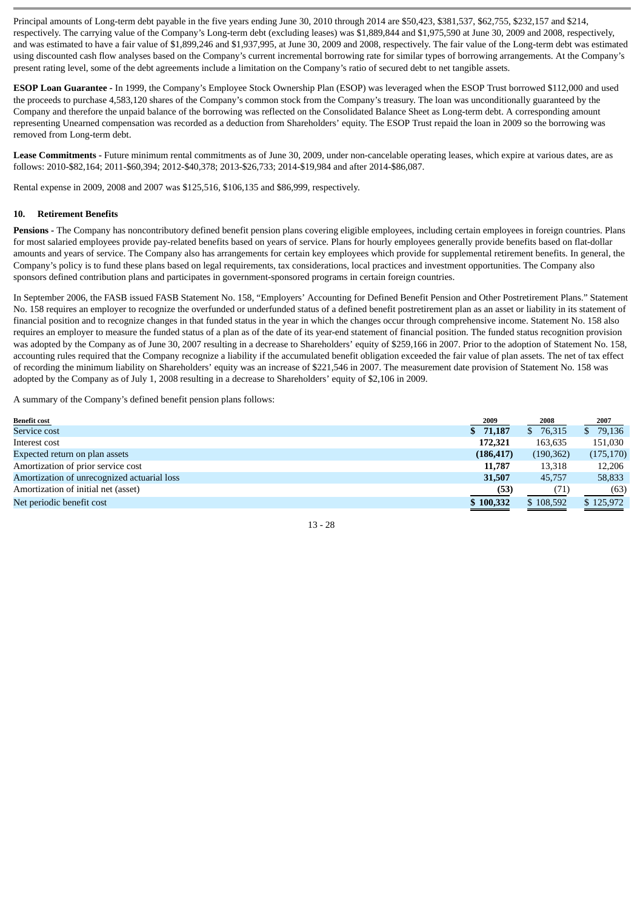Principal amounts of Long-term debt payable in the five years ending June 30, 2010 through 2014 are \$50,423, \$381,537, \$62,755, \$232,157 and \$214, respectively. The carrying value of the Company's Long-term debt (excluding leases) was \$1,889,844 and \$1,975,590 at June 30, 2009 and 2008, respectively, and was estimated to have a fair value of \$1,899,246 and \$1,937,995, at June 30, 2009 and 2008, respectively. The fair value of the Long-term debt was estimated using discounted cash flow analyses based on the Company's current incremental borrowing rate for similar types of borrowing arrangements. At the Company's present rating level, some of the debt agreements include a limitation on the Company's ratio of secured debt to net tangible assets.

**ESOP Loan Guarantee -** In 1999, the Company's Employee Stock Ownership Plan (ESOP) was leveraged when the ESOP Trust borrowed \$112,000 and used the proceeds to purchase 4,583,120 shares of the Company's common stock from the Company's treasury. The loan was unconditionally guaranteed by the Company and therefore the unpaid balance of the borrowing was reflected on the Consolidated Balance Sheet as Long-term debt. A corresponding amount representing Unearned compensation was recorded as a deduction from Shareholders' equity. The ESOP Trust repaid the loan in 2009 so the borrowing was removed from Long-term debt.

**Lease Commitments -** Future minimum rental commitments as of June 30, 2009, under non-cancelable operating leases, which expire at various dates, are as follows: 2010-\$82,164; 2011-\$60,394; 2012-\$40,378; 2013-\$26,733; 2014-\$19,984 and after 2014-\$86,087.

Rental expense in 2009, 2008 and 2007 was \$125,516, \$106,135 and \$86,999, respectively.

## **10. Retirement Benefits**

Pensions - The Company has noncontributory defined benefit pension plans covering eligible employees, including certain employees in foreign countries. Plans for most salaried employees provide pay-related benefits based on years of service. Plans for hourly employees generally provide benefits based on flat-dollar amounts and years of service. The Company also has arrangements for certain key employees which provide for supplemental retirement benefits. In general, the Company's policy is to fund these plans based on legal requirements, tax considerations, local practices and investment opportunities. The Company also sponsors defined contribution plans and participates in government-sponsored programs in certain foreign countries.

In September 2006, the FASB issued FASB Statement No. 158, "Employers' Accounting for Defined Benefit Pension and Other Postretirement Plans." Statement No. 158 requires an employer to recognize the overfunded or underfunded status of a defined benefit postretirement plan as an asset or liability in its statement of financial position and to recognize changes in that funded status in the year in which the changes occur through comprehensive income. Statement No. 158 also requires an employer to measure the funded status of a plan as of the date of its year-end statement of financial position. The funded status recognition provision was adopted by the Company as of June 30, 2007 resulting in a decrease to Shareholders' equity of \$259,166 in 2007. Prior to the adoption of Statement No. 158, accounting rules required that the Company recognize a liability if the accumulated benefit obligation exceeded the fair value of plan assets. The net of tax effect of recording the minimum liability on Shareholders' equity was an increase of \$221,546 in 2007. The measurement date provision of Statement No. 158 was adopted by the Company as of July 1, 2008 resulting in a decrease to Shareholders' equity of \$2,106 in 2009.

A summary of the Company's defined benefit pension plans follows:

| <b>Benefit cost</b>                         | 2009       | 2008       | 2007       |
|---------------------------------------------|------------|------------|------------|
| Service cost                                | \$71,187   | \$76,315   | 79,136     |
| Interest cost                               | 172,321    | 163,635    | 151,030    |
| Expected return on plan assets              | (186, 417) | (190, 362) | (175, 170) |
| Amortization of prior service cost          | 11,787     | 13,318     | 12,206     |
| Amortization of unrecognized actuarial loss | 31,507     | 45,757     | 58,833     |
| Amortization of initial net (asset)         | (53)       | (71)       | (63)       |
| Net periodic benefit cost                   | \$100,332  | \$108,592  | \$125,972  |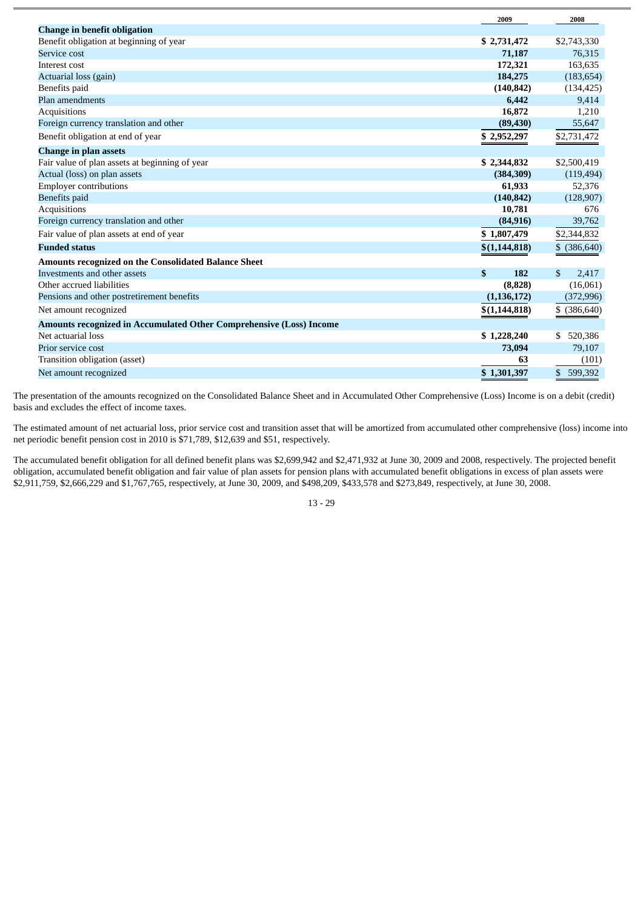|                                                                     | 2009                | 2008          |
|---------------------------------------------------------------------|---------------------|---------------|
| <b>Change in benefit obligation</b>                                 |                     |               |
| Benefit obligation at beginning of year                             | \$2,731,472         | \$2,743,330   |
| Service cost                                                        | 71,187              | 76,315        |
| Interest cost                                                       | 172,321             | 163,635       |
| Actuarial loss (gain)                                               | 184,275             | (183, 654)    |
| Benefits paid                                                       | (140, 842)          | (134, 425)    |
| Plan amendments                                                     | 6,442               | 9,414         |
| Acquisitions                                                        | 16,872              | 1,210         |
| Foreign currency translation and other                              | (89, 430)           | 55,647        |
| Benefit obligation at end of year                                   | \$2,952,297         | \$2,731,472   |
| <b>Change in plan assets</b>                                        |                     |               |
| Fair value of plan assets at beginning of year                      | \$2,344,832         | \$2,500,419   |
| Actual (loss) on plan assets                                        | (384, 309)          | (119, 494)    |
| <b>Employer contributions</b>                                       | 61,933              | 52,376        |
| Benefits paid                                                       | (140, 842)          | (128, 907)    |
| Acquisitions                                                        | 10,781              | 676           |
| Foreign currency translation and other                              | (84, 916)           | 39,762        |
| Fair value of plan assets at end of year                            | \$1,807,479         | \$2,344,832   |
| <b>Funded status</b>                                                | \$(1,144,818)       | $$$ (386,640) |
| <b>Amounts recognized on the Consolidated Balance Sheet</b>         |                     |               |
| Investments and other assets                                        | $\mathbf{s}$<br>182 | \$<br>2,417   |
| Other accrued liabilities                                           | (8,828)             | (16,061)      |
| Pensions and other postretirement benefits                          | (1, 136, 172)       | (372, 996)    |
| Net amount recognized                                               | \$(1,144,818)       | $$$ (386,640) |
| Amounts recognized in Accumulated Other Comprehensive (Loss) Income |                     |               |
| Net actuarial loss                                                  | \$1,228,240         | 520,386<br>\$ |
| Prior service cost                                                  | 73,094              | 79,107        |
| Transition obligation (asset)                                       | 63                  | (101)         |
| Net amount recognized                                               | \$1,301,397         | \$599,392     |
|                                                                     |                     |               |

The presentation of the amounts recognized on the Consolidated Balance Sheet and in Accumulated Other Comprehensive (Loss) Income is on a debit (credit) basis and excludes the effect of income taxes.

The estimated amount of net actuarial loss, prior service cost and transition asset that will be amortized from accumulated other comprehensive (loss) income into net periodic benefit pension cost in 2010 is \$71,789, \$12,639 and \$51, respectively.

The accumulated benefit obligation for all defined benefit plans was \$2,699,942 and \$2,471,932 at June 30, 2009 and 2008, respectively. The projected benefit obligation, accumulated benefit obligation and fair value of plan assets for pension plans with accumulated benefit obligations in excess of plan assets were \$2,911,759, \$2,666,229 and \$1,767,765, respectively, at June 30, 2009, and \$498,209, \$433,578 and \$273,849, respectively, at June 30, 2008.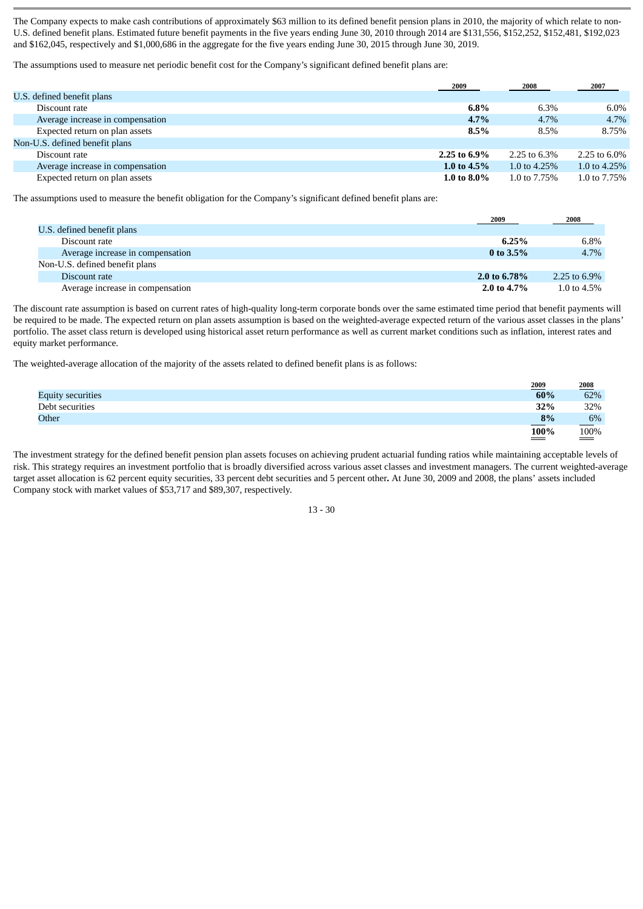The Company expects to make cash contributions of approximately \$63 million to its defined benefit pension plans in 2010, the majority of which relate to non-U.S. defined benefit plans. Estimated future benefit payments in the five years ending June 30, 2010 through 2014 are \$131,556, \$152,252, \$152,481, \$192,023 and \$162,045, respectively and \$1,000,686 in the aggregate for the five years ending June 30, 2015 through June 30, 2019.

The assumptions used to measure net periodic benefit cost for the Company's significant defined benefit plans are:

|                                  | 2009           | 2008            | 2007         |
|----------------------------------|----------------|-----------------|--------------|
| U.S. defined benefit plans       |                |                 |              |
| Discount rate                    | 6.8%           | 6.3%            | $6.0\%$      |
| Average increase in compensation | 4.7%           | $4.7\%$         | 4.7%         |
| Expected return on plan assets   | 8.5%           | 8.5%            | 8.75%        |
| Non-U.S. defined benefit plans   |                |                 |              |
| Discount rate                    | 2.25 to 6.9%   | 2.25 to 6.3%    | 2.25 to 6.0% |
| Average increase in compensation | 1.0 to $4.5\%$ | 1.0 to 4.25%    | 1.0 to 4.25% |
| Expected return on plan assets   | 1.0 to $8.0\%$ | 1.0 to $7.75\%$ | 1.0 to 7.75% |
|                                  |                |                 |              |

The assumptions used to measure the benefit obligation for the Company's significant defined benefit plans are:

|                                  | 2009         | 2008            |
|----------------------------------|--------------|-----------------|
| U.S. defined benefit plans       |              |                 |
| Discount rate                    | 6.25%        | 6.8%            |
| Average increase in compensation | 0 to $3.5\%$ | 4.7%            |
| Non-U.S. defined benefit plans   |              |                 |
| Discount rate                    | 2.0 to 6.78% | 2.25 to $6.9\%$ |
| Average increase in compensation | 2.0 to 4.7%  | 1.0 to $4.5\%$  |

The discount rate assumption is based on current rates of high-quality long-term corporate bonds over the same estimated time period that benefit payments will be required to be made. The expected return on plan assets assumption is based on the weighted-average expected return of the various asset classes in the plans' portfolio. The asset class return is developed using historical asset return performance as well as current market conditions such as inflation, interest rates and equity market performance.

The weighted-average allocation of the majority of the assets related to defined benefit plans is as follows:

|                          | 2009                                 | 2008           |
|--------------------------|--------------------------------------|----------------|
| <b>Equity securities</b> | 60%                                  | 62%            |
| Debt securities          | 32%                                  | 32%            |
| Other                    | 8%<br>the property of the control of | 6%             |
|                          | 100%                                 | $\sim$<br>100% |

The investment strategy for the defined benefit pension plan assets focuses on achieving prudent actuarial funding ratios while maintaining acceptable levels of risk. This strategy requires an investment portfolio that is broadly diversified across various asset classes and investment managers. The current weighted-average target asset allocation is 62 percent equity securities, 33 percent debt securities and 5 percent other**.** At June 30, 2009 and 2008, the plans' assets included Company stock with market values of \$53,717 and \$89,307, respectively.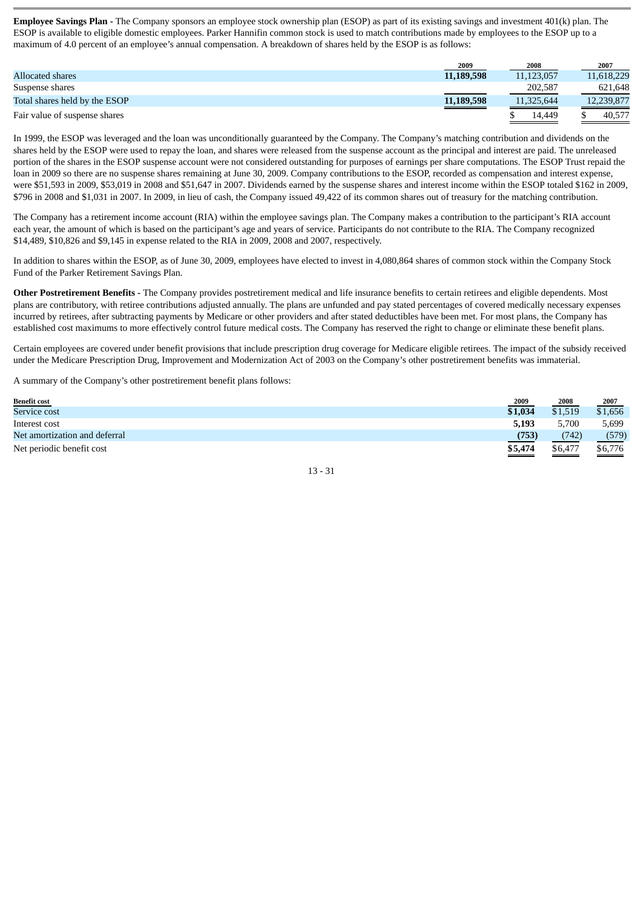**Employee Savings Plan -** The Company sponsors an employee stock ownership plan (ESOP) as part of its existing savings and investment 401(k) plan. The ESOP is available to eligible domestic employees. Parker Hannifin common stock is used to match contributions made by employees to the ESOP up to a maximum of 4.0 percent of an employee's annual compensation. A breakdown of shares held by the ESOP is as follows:

|                               | 2009       | 2008       | 2007       |
|-------------------------------|------------|------------|------------|
| Allocated shares              | 11,189,598 | 11,123,057 | 11,618,229 |
| Suspense shares               |            | 202,587    | 621,648    |
| Total shares held by the ESOP | 11,189,598 | 11.325.644 | 12,239,877 |
| Fair value of suspense shares |            | 14.449     | 40,577     |

In 1999, the ESOP was leveraged and the loan was unconditionally guaranteed by the Company. The Company's matching contribution and dividends on the shares held by the ESOP were used to repay the loan, and shares were released from the suspense account as the principal and interest are paid. The unreleased portion of the shares in the ESOP suspense account were not considered outstanding for purposes of earnings per share computations. The ESOP Trust repaid the loan in 2009 so there are no suspense shares remaining at June 30, 2009. Company contributions to the ESOP, recorded as compensation and interest expense, were \$51,593 in 2009, \$53,019 in 2008 and \$51,647 in 2007. Dividends earned by the suspense shares and interest income within the ESOP totaled \$162 in 2009, \$796 in 2008 and \$1,031 in 2007. In 2009, in lieu of cash, the Company issued 49,422 of its common shares out of treasury for the matching contribution.

The Company has a retirement income account (RIA) within the employee savings plan. The Company makes a contribution to the participant's RIA account each year, the amount of which is based on the participant's age and years of service. Participants do not contribute to the RIA. The Company recognized \$14,489, \$10,826 and \$9,145 in expense related to the RIA in 2009, 2008 and 2007, respectively.

In addition to shares within the ESOP, as of June 30, 2009, employees have elected to invest in 4,080,864 shares of common stock within the Company Stock Fund of the Parker Retirement Savings Plan.

**Other Postretirement Benefits -** The Company provides postretirement medical and life insurance benefits to certain retirees and eligible dependents. Most plans are contributory, with retiree contributions adjusted annually. The plans are unfunded and pay stated percentages of covered medically necessary expenses incurred by retirees, after subtracting payments by Medicare or other providers and after stated deductibles have been met. For most plans, the Company has established cost maximums to more effectively control future medical costs. The Company has reserved the right to change or eliminate these benefit plans.

Certain employees are covered under benefit provisions that include prescription drug coverage for Medicare eligible retirees. The impact of the subsidy received under the Medicare Prescription Drug, Improvement and Modernization Act of 2003 on the Company's other postretirement benefits was immaterial.

A summary of the Company's other postretirement benefit plans follows:

| <b>Benefit cost</b>           | 2009              | 2008    | 2007               |
|-------------------------------|-------------------|---------|--------------------|
| Service cost                  | \$1,034           | \$1,519 | \$1,656            |
| Interest cost                 | 5,193             | 5,700   | 5,699              |
| Net amortization and deferral | (753)             | (742)   | (579)              |
| Net periodic benefit cost     | \$5,474<br>______ | \$6,477 | \$6,776<br>_______ |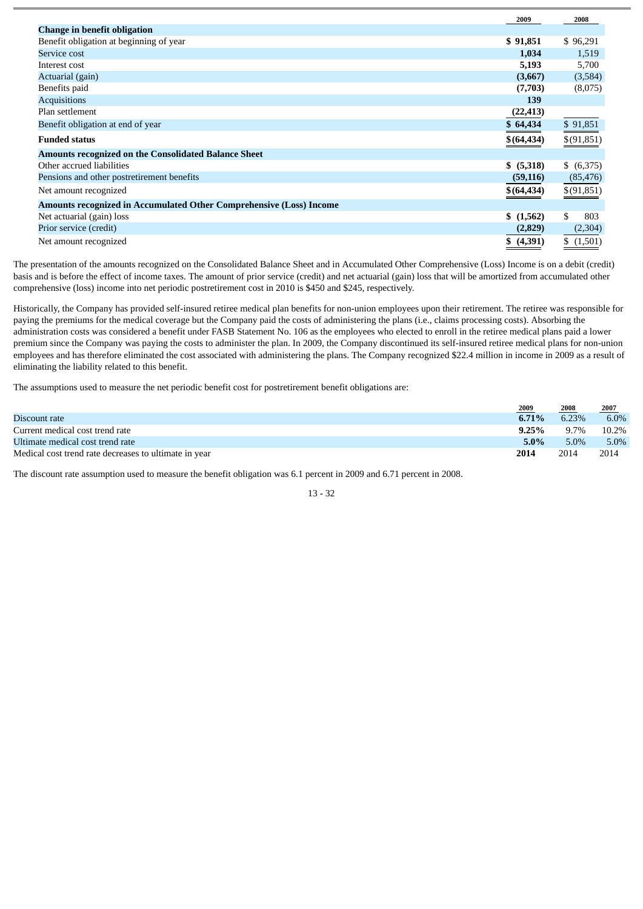|                                                                            | 2009         | 2008          |
|----------------------------------------------------------------------------|--------------|---------------|
| Change in benefit obligation                                               |              |               |
| Benefit obligation at beginning of year                                    | \$91,851     | \$96,291      |
| Service cost                                                               | 1,034        | 1,519         |
| Interest cost                                                              | 5,193        | 5,700         |
| Actuarial (gain)                                                           | (3,667)      | (3,584)       |
| Benefits paid                                                              | (7,703)      | (8,075)       |
| <b>Acquisitions</b>                                                        | 139          |               |
| Plan settlement                                                            | (22, 413)    |               |
| Benefit obligation at end of year                                          | \$64,434     | \$91,851      |
| <b>Funded status</b>                                                       | $$$ (64,434) | \$(91,851)    |
| <b>Amounts recognized on the Consolidated Balance Sheet</b>                |              |               |
| Other accrued liabilities                                                  | \$ (5,318)   | \$ (6,375)    |
| Pensions and other postretirement benefits                                 | (59, 116)    | (85, 476)     |
| Net amount recognized                                                      | \$(64,434)   | \$(91,851)    |
| <b>Amounts recognized in Accumulated Other Comprehensive (Loss) Income</b> |              |               |
| Net actuarial (gain) loss                                                  | \$(1,562)    | \$<br>803     |
| Prior service (credit)                                                     | (2,829)      | (2,304)       |
| Net amount recognized                                                      | \$(4,391)    | (1,501)<br>S. |

The presentation of the amounts recognized on the Consolidated Balance Sheet and in Accumulated Other Comprehensive (Loss) Income is on a debit (credit) basis and is before the effect of income taxes. The amount of prior service (credit) and net actuarial (gain) loss that will be amortized from accumulated other comprehensive (loss) income into net periodic postretirement cost in 2010 is \$450 and \$245, respectively.

Historically, the Company has provided self-insured retiree medical plan benefits for non-union employees upon their retirement. The retiree was responsible for paying the premiums for the medical coverage but the Company paid the costs of administering the plans (i.e., claims processing costs). Absorbing the administration costs was considered a benefit under FASB Statement No. 106 as the employees who elected to enroll in the retiree medical plans paid a lower premium since the Company was paying the costs to administer the plan. In 2009, the Company discontinued its self-insured retiree medical plans for non-union employees and has therefore eliminated the cost associated with administering the plans. The Company recognized \$22.4 million in income in 2009 as a result of eliminating the liability related to this benefit.

The assumptions used to measure the net periodic benefit cost for postretirement benefit obligations are:

|                                                       | 2009    | 2008  | 2007    |
|-------------------------------------------------------|---------|-------|---------|
| Discount rate                                         | 6.71%   | 6.23% | $6.0\%$ |
| Current medical cost trend rate                       | 9.25%   | 9.7%  | 10.2%   |
| Ultimate medical cost trend rate                      | $5.0\%$ | 5.0%  | $5.0\%$ |
| Medical cost trend rate decreases to ultimate in year | 2014    | 2014  | 2014    |

The discount rate assumption used to measure the benefit obligation was 6.1 percent in 2009 and 6.71 percent in 2008.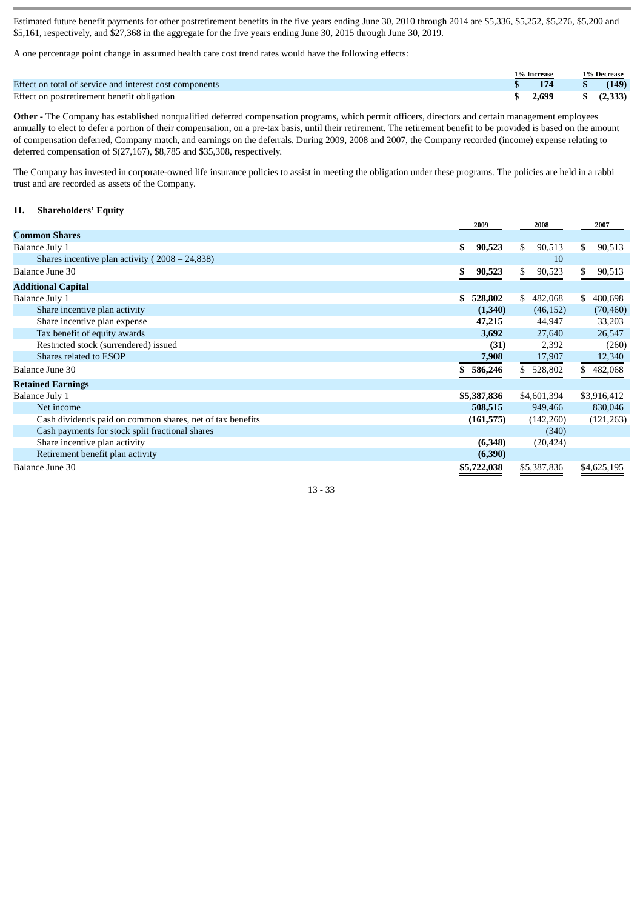Estimated future benefit payments for other postretirement benefits in the five years ending June 30, 2010 through 2014 are \$5,336, \$5,252, \$5,276, \$5,200 and \$5,161, respectively, and \$27,368 in the aggregate for the five years ending June 30, 2015 through June 30, 2019.

A one percentage point change in assumed health care cost trend rates would have the following effects:

|                                                         | 1% Increase    | 1% Decrease           |
|---------------------------------------------------------|----------------|-----------------------|
| Effect on total of service and interest cost components | $\sqrt{5}$ 174 | $\frac{1}{2}$ (149)   |
| Effect on postretirement benefit obligation             | \$2,699        | $\frac{1}{2}$ (2,333) |

**Other -** The Company has established nonqualified deferred compensation programs, which permit officers, directors and certain management employees annually to elect to defer a portion of their compensation, on a pre-tax basis, until their retirement. The retirement benefit to be provided is based on the amount of compensation deferred, Company match, and earnings on the deferrals. During 2009, 2008 and 2007, the Company recorded (income) expense relating to deferred compensation of \$(27,167), \$8,785 and \$35,308, respectively.

The Company has invested in corporate-owned life insurance policies to assist in meeting the obligation under these programs. The policies are held in a rabbi trust and are recorded as assets of the Company.

## **11. Shareholders' Equity**

|                                                           | 2009          | 2008          | 2007          |
|-----------------------------------------------------------|---------------|---------------|---------------|
| <b>Common Shares</b>                                      |               |               |               |
| Balance July 1                                            | \$<br>90,523  | \$<br>90,513  | 90,513<br>\$  |
| Shares incentive plan activity $(2008 - 24,838)$          |               | 10            |               |
| Balance June 30                                           | 90,523<br>\$  | 90,523        | 90,513<br>\$. |
| <b>Additional Capital</b>                                 |               |               |               |
| Balance July 1                                            | \$<br>528,802 | \$<br>482,068 | 480,698<br>S. |
| Share incentive plan activity                             | (1,340)       | (46, 152)     | (70, 460)     |
| Share incentive plan expense                              | 47,215        | 44,947        | 33,203        |
| Tax benefit of equity awards                              | 3,692         | 27,640        | 26,547        |
| Restricted stock (surrendered) issued                     | (31)          | 2,392         | (260)         |
| Shares related to ESOP                                    | 7,908         | 17,907        | 12,340        |
| Balance June 30                                           | 586,246<br>S. | \$528,802     | \$482,068     |
| <b>Retained Earnings</b>                                  |               |               |               |
| Balance July 1                                            | \$5,387,836   | \$4,601,394   | \$3,916,412   |
| Net income                                                | 508,515       | 949,466       | 830,046       |
| Cash dividends paid on common shares, net of tax benefits | (161, 575)    | (142,260)     | (121, 263)    |
| Cash payments for stock split fractional shares           |               | (340)         |               |
| Share incentive plan activity                             | (6,348)       | (20, 424)     |               |
| Retirement benefit plan activity                          | (6,390)       |               |               |
| Balance June 30                                           | \$5,722,038   | \$5,387,836   | \$4,625,195   |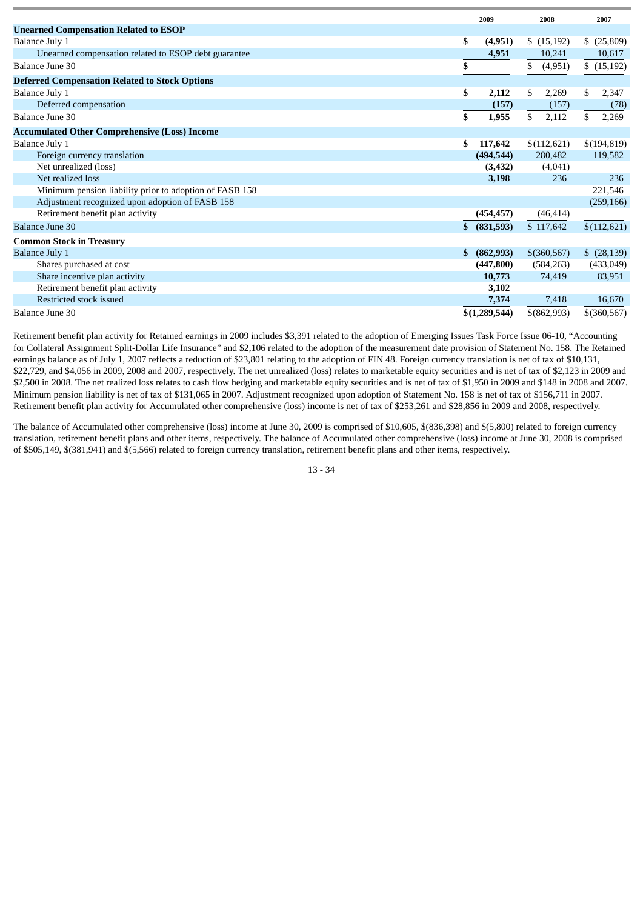|                                                         |    | 2009          | 2008          |              | 2007          |
|---------------------------------------------------------|----|---------------|---------------|--------------|---------------|
| <b>Unearned Compensation Related to ESOP</b>            |    |               |               |              |               |
| Balance July 1                                          | \$ | (4, 951)      | \$(15,192)    |              | $$$ (25,809)  |
| Unearned compensation related to ESOP debt guarantee    |    | 4,951         | 10,241        |              | 10,617        |
| Balance June 30                                         | \$ |               | \$<br>(4,951) |              | \$ (15,192)   |
| <b>Deferred Compensation Related to Stock Options</b>   |    |               |               |              |               |
| Balance July 1                                          | \$ | 2,112         | \$<br>2,269   | \$           | 2,347         |
| Deferred compensation                                   |    | (157)         | (157)         |              | (78)          |
| Balance June 30                                         |    | 1,955         | \$<br>2,112   | $\mathbb{S}$ | 2,269         |
| <b>Accumulated Other Comprehensive (Loss) Income</b>    |    |               |               |              |               |
| Balance July 1                                          | \$ | 117,642       | \$(112,621)   |              | \$(194,819)   |
| Foreign currency translation                            |    | (494, 544)    | 280,482       |              | 119,582       |
| Net unrealized (loss)                                   |    | (3, 432)      | (4,041)       |              |               |
| Net realized loss                                       |    | 3,198         | 236           |              | 236           |
| Minimum pension liability prior to adoption of FASB 158 |    |               |               |              | 221,546       |
| Adjustment recognized upon adoption of FASB 158         |    |               |               |              | (259, 166)    |
| Retirement benefit plan activity                        |    | (454, 457)    | (46, 414)     |              |               |
| Balance June 30                                         | \$ | (831,593)     | \$117,642     |              | \$(112,621)   |
| <b>Common Stock in Treasury</b>                         |    |               |               |              |               |
| <b>Balance July 1</b>                                   | S. | (862,993)     | \$(360,567)   |              | (28, 139)     |
| Shares purchased at cost                                |    | (447,800)     | (584, 263)    |              | (433,049)     |
| Share incentive plan activity                           |    | 10,773        | 74,419        |              | 83,951        |
| Retirement benefit plan activity                        |    | 3,102         |               |              |               |
| Restricted stock issued                                 |    | 7,374         | 7,418         |              | 16,670        |
| Balance June 30                                         |    | \$(1,289,544) | \$(862,993)   |              | $$$ (360,567) |

Retirement benefit plan activity for Retained earnings in 2009 includes \$3,391 related to the adoption of Emerging Issues Task Force Issue 06-10, "Accounting for Collateral Assignment Split-Dollar Life Insurance" and \$2,106 related to the adoption of the measurement date provision of Statement No. 158. The Retained earnings balance as of July 1, 2007 reflects a reduction of \$23,801 relating to the adoption of FIN 48. Foreign currency translation is net of tax of \$10,131, \$22,729, and \$4,056 in 2009, 2008 and 2007, respectively. The net unrealized (loss) relates to marketable equity securities and is net of tax of \$2,123 in 2009 and \$2,500 in 2008. The net realized loss relates to cash flow hedging and marketable equity securities and is net of tax of \$1,950 in 2009 and \$148 in 2008 and 2007. Minimum pension liability is net of tax of \$131,065 in 2007. Adjustment recognized upon adoption of Statement No. 158 is net of tax of \$156,711 in 2007. Retirement benefit plan activity for Accumulated other comprehensive (loss) income is net of tax of \$253,261 and \$28,856 in 2009 and 2008, respectively.

The balance of Accumulated other comprehensive (loss) income at June 30, 2009 is comprised of \$10,605, \$(836,398) and \$(5,800) related to foreign currency translation, retirement benefit plans and other items, respectively. The balance of Accumulated other comprehensive (loss) income at June 30, 2008 is comprised of \$505,149, \$(381,941) and \$(5,566) related to foreign currency translation, retirement benefit plans and other items, respectively.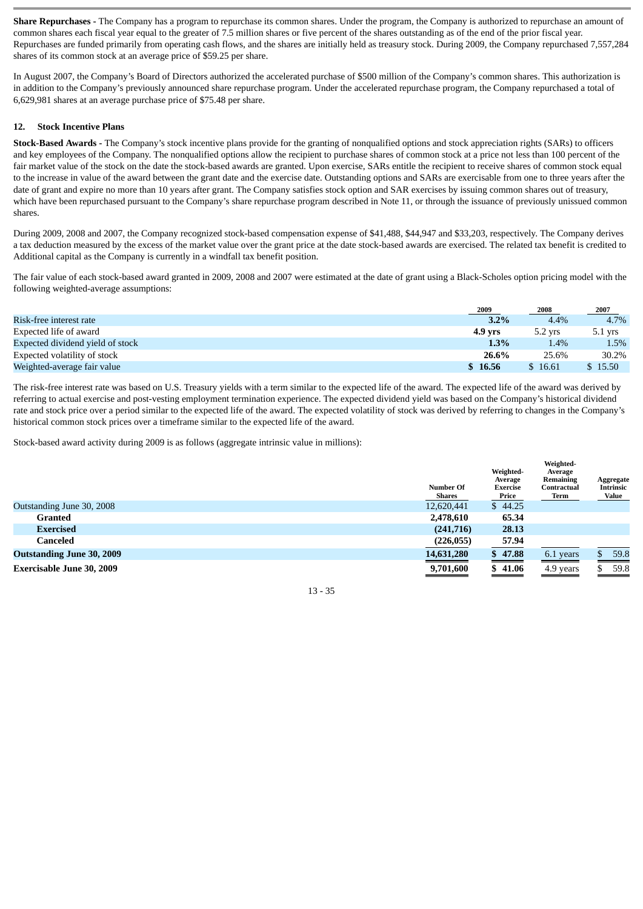**Share Repurchases -** The Company has a program to repurchase its common shares. Under the program, the Company is authorized to repurchase an amount of common shares each fiscal year equal to the greater of 7.5 million shares or five percent of the shares outstanding as of the end of the prior fiscal year. Repurchases are funded primarily from operating cash flows, and the shares are initially held as treasury stock. During 2009, the Company repurchased 7,557,284 shares of its common stock at an average price of \$59.25 per share.

In August 2007, the Company's Board of Directors authorized the accelerated purchase of \$500 million of the Company's common shares. This authorization is in addition to the Company's previously announced share repurchase program. Under the accelerated repurchase program, the Company repurchased a total of 6,629,981 shares at an average purchase price of \$75.48 per share.

## **12. Stock Incentive Plans**

**Stock-Based Awards -** The Company's stock incentive plans provide for the granting of nonqualified options and stock appreciation rights (SARs) to officers and key employees of the Company. The nonqualified options allow the recipient to purchase shares of common stock at a price not less than 100 percent of the fair market value of the stock on the date the stock-based awards are granted. Upon exercise, SARs entitle the recipient to receive shares of common stock equal to the increase in value of the award between the grant date and the exercise date. Outstanding options and SARs are exercisable from one to three years after the date of grant and expire no more than 10 years after grant. The Company satisfies stock option and SAR exercises by issuing common shares out of treasury, which have been repurchased pursuant to the Company's share repurchase program described in Note 11, or through the issuance of previously unissued common shares.

During 2009, 2008 and 2007, the Company recognized stock-based compensation expense of \$41,488, \$44,947 and \$33,203, respectively. The Company derives a tax deduction measured by the excess of the market value over the grant price at the date stock-based awards are exercised. The related tax benefit is credited to Additional capital as the Company is currently in a windfall tax benefit position.

The fair value of each stock-based award granted in 2009, 2008 and 2007 were estimated at the date of grant using a Black-Scholes option pricing model with the following weighted-average assumptions:

|                                  | 2009              | 2008      | 2007      |
|----------------------------------|-------------------|-----------|-----------|
| Risk-free interest rate          | $3.2\%$           | 4.4%      | 4.7%      |
| Expected life of award           | $4.9 \text{ vrs}$ | $5.2$ vrs | $5.1$ vrs |
| Expected dividend vield of stock | 1.3%              | 1.4%      | 1.5%      |
| Expected volatility of stock     | 26.6%             | 25.6%     | 30.2%     |
| Weighted-average fair value      | \$16.56           | \$16.61   | \$15.50   |

The risk-free interest rate was based on U.S. Treasury yields with a term similar to the expected life of the award. The expected life of the award was derived by referring to actual exercise and post-vesting employment termination experience. The expected dividend yield was based on the Company's historical dividend rate and stock price over a period similar to the expected life of the award. The expected volatility of stock was derived by referring to changes in the Company's historical common stock prices over a timeframe similar to the expected life of the award.

Stock-based award activity during 2009 is as follows (aggregate intrinsic value in millions):

|                                  | Number Of<br>Shares | Weighted-<br>Average<br><b>Exercise</b><br>Price | Weighted-<br>Average<br>Remaining<br>Contractual<br>Term | Aggregate<br>Intrinsic<br>Value |
|----------------------------------|---------------------|--------------------------------------------------|----------------------------------------------------------|---------------------------------|
| Outstanding June 30, 2008        | 12,620,441          | \$44.25                                          |                                                          |                                 |
| <b>Granted</b>                   | 2,478,610           | 65.34                                            |                                                          |                                 |
| <b>Exercised</b>                 | (241,716)           | 28.13                                            |                                                          |                                 |
| Canceled                         | (226, 055)          | 57.94                                            |                                                          |                                 |
| <b>Outstanding June 30, 2009</b> | 14,631,280          | \$47.88                                          | 6.1 years                                                | 59.8<br>a.                      |
| <b>Exercisable June 30, 2009</b> | 9,701,600           | \$41.06                                          | 4.9 years                                                | 59.8                            |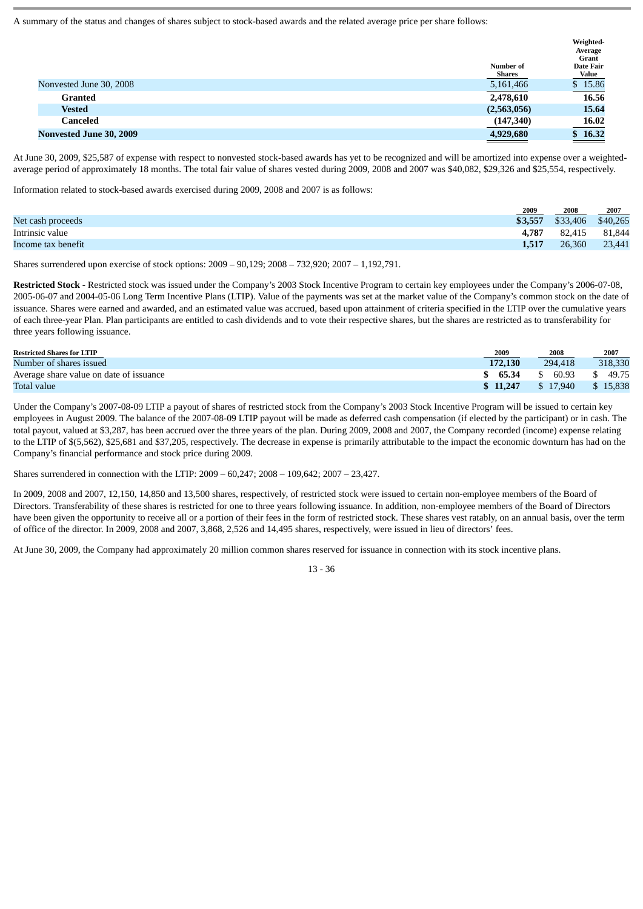A summary of the status and changes of shares subject to stock-based awards and the related average price per share follows:

|                                | Number of<br><b>Shares</b> | Weighted-<br>Average<br>Grant<br>Date Fair<br><b>Value</b> |
|--------------------------------|----------------------------|------------------------------------------------------------|
| Nonvested June 30, 2008        | 5,161,466                  | \$15.86                                                    |
| Granted                        | 2,478,610                  | 16.56                                                      |
| Vested                         | (2,563,056)                | 15.64                                                      |
| Canceled                       | (147, 340)                 | 16.02                                                      |
| <b>Nonvested June 30, 2009</b> | 4,929,680                  | \$16.32                                                    |

At June 30, 2009, \$25,587 of expense with respect to nonvested stock-based awards has yet to be recognized and will be amortized into expense over a weightedaverage period of approximately 18 months. The total fair value of shares vested during 2009, 2008 and 2007 was \$40,082, \$29,326 and \$25,554, respectively.

Information related to stock-based awards exercised during 2009, 2008 and 2007 is as follows:

|                    | 2009    | 2008     | 2007     |
|--------------------|---------|----------|----------|
| Net cash proceeds  | \$3,557 | \$33,406 | \$40,265 |
| Intrinsic value    | 4,787   | 82,415   | 81.844   |
| Income tax benefit | 1,517   | 26,360   | 23,441   |

Shares surrendered upon exercise of stock options: 2009 – 90,129; 2008 – 732,920; 2007 – 1,192,791.

**Restricted Stock -** Restricted stock was issued under the Company's 2003 Stock Incentive Program to certain key employees under the Company's 2006-07-08, 2005-06-07 and 2004-05-06 Long Term Incentive Plans (LTIP). Value of the payments was set at the market value of the Company's common stock on the date of issuance. Shares were earned and awarded, and an estimated value was accrued, based upon attainment of criteria specified in the LTIP over the cumulative years of each three-year Plan. Plan participants are entitled to cash dividends and to vote their respective shares, but the shares are restricted as to transferability for three years following issuance.

| <b>Restricted Shares for LTIP</b>       | 2009     | 2008                    | 2007    |
|-----------------------------------------|----------|-------------------------|---------|
| Number of shares issued                 | 172,130  | 294,418                 | 318,330 |
| Average share value on date of issuance |          | 65.34 \$ 60.93 \$ 49.75 |         |
| Total value                             | \$11,247 | \$17,940 \$15,838       |         |

Under the Company's 2007-08-09 LTIP a payout of shares of restricted stock from the Company's 2003 Stock Incentive Program will be issued to certain key employees in August 2009. The balance of the 2007-08-09 LTIP payout will be made as deferred cash compensation (if elected by the participant) or in cash. The total payout, valued at \$3,287, has been accrued over the three years of the plan. During 2009, 2008 and 2007, the Company recorded (income) expense relating to the LTIP of \$(5,562), \$25,681 and \$37,205, respectively. The decrease in expense is primarily attributable to the impact the economic downturn has had on the Company's financial performance and stock price during 2009.

Shares surrendered in connection with the LTIP: 2009 – 60,247; 2008 – 109,642; 2007 – 23,427.

In 2009, 2008 and 2007, 12,150, 14,850 and 13,500 shares, respectively, of restricted stock were issued to certain non-employee members of the Board of Directors. Transferability of these shares is restricted for one to three years following issuance. In addition, non-employee members of the Board of Directors have been given the opportunity to receive all or a portion of their fees in the form of restricted stock. These shares vest ratably, on an annual basis, over the term of office of the director. In 2009, 2008 and 2007, 3,868, 2,526 and 14,495 shares, respectively, were issued in lieu of directors' fees.

At June 30, 2009, the Company had approximately 20 million common shares reserved for issuance in connection with its stock incentive plans.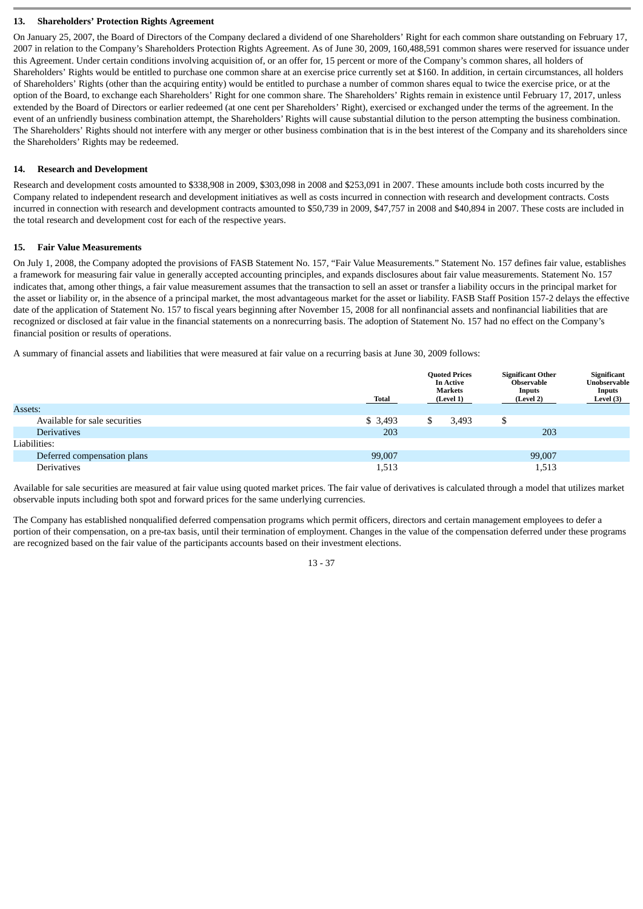## **13. Shareholders' Protection Rights Agreement**

On January 25, 2007, the Board of Directors of the Company declared a dividend of one Shareholders' Right for each common share outstanding on February 17, 2007 in relation to the Company's Shareholders Protection Rights Agreement. As of June 30, 2009, 160,488,591 common shares were reserved for issuance under this Agreement. Under certain conditions involving acquisition of, or an offer for, 15 percent or more of the Company's common shares, all holders of Shareholders' Rights would be entitled to purchase one common share at an exercise price currently set at \$160. In addition, in certain circumstances, all holders of Shareholders' Rights (other than the acquiring entity) would be entitled to purchase a number of common shares equal to twice the exercise price, or at the option of the Board, to exchange each Shareholders' Right for one common share. The Shareholders' Rights remain in existence until February 17, 2017, unless extended by the Board of Directors or earlier redeemed (at one cent per Shareholders' Right), exercised or exchanged under the terms of the agreement. In the event of an unfriendly business combination attempt, the Shareholders' Rights will cause substantial dilution to the person attempting the business combination. The Shareholders' Rights should not interfere with any merger or other business combination that is in the best interest of the Company and its shareholders since the Shareholders' Rights may be redeemed.

## **14. Research and Development**

Research and development costs amounted to \$338,908 in 2009, \$303,098 in 2008 and \$253,091 in 2007. These amounts include both costs incurred by the Company related to independent research and development initiatives as well as costs incurred in connection with research and development contracts. Costs incurred in connection with research and development contracts amounted to \$50,739 in 2009, \$47,757 in 2008 and \$40,894 in 2007. These costs are included in the total research and development cost for each of the respective years.

### **15. Fair Value Measurements**

On July 1, 2008, the Company adopted the provisions of FASB Statement No. 157, "Fair Value Measurements." Statement No. 157 defines fair value, establishes a framework for measuring fair value in generally accepted accounting principles, and expands disclosures about fair value measurements. Statement No. 157 indicates that, among other things, a fair value measurement assumes that the transaction to sell an asset or transfer a liability occurs in the principal market for the asset or liability or, in the absence of a principal market, the most advantageous market for the asset or liability. FASB Staff Position 157-2 delays the effective date of the application of Statement No. 157 to fiscal years beginning after November 15, 2008 for all nonfinancial assets and nonfinancial liabilities that are recognized or disclosed at fair value in the financial statements on a nonrecurring basis. The adoption of Statement No. 157 had no effect on the Company's financial position or results of operations.

A summary of financial assets and liabilities that were measured at fair value on a recurring basis at June 30, 2009 follows:

|                               | Total   | <b>Quoted Prices</b><br><b>In Active</b><br>Markets<br>(Level 1) | <b>Significant Other</b><br><b>Observable</b><br><b>Inputs</b><br>(Level 2) | Significant<br><b>Unobservable</b><br><b>Inputs</b><br>Level $(3)$ |
|-------------------------------|---------|------------------------------------------------------------------|-----------------------------------------------------------------------------|--------------------------------------------------------------------|
| Assets:                       |         |                                                                  |                                                                             |                                                                    |
| Available for sale securities | \$3,493 | \$<br>3,493                                                      | \$                                                                          |                                                                    |
| <b>Derivatives</b>            | 203     |                                                                  | 203                                                                         |                                                                    |
| Liabilities:                  |         |                                                                  |                                                                             |                                                                    |
| Deferred compensation plans   | 99,007  |                                                                  | 99,007                                                                      |                                                                    |
| <b>Derivatives</b>            | 1,513   |                                                                  | 1,513                                                                       |                                                                    |

Available for sale securities are measured at fair value using quoted market prices. The fair value of derivatives is calculated through a model that utilizes market observable inputs including both spot and forward prices for the same underlying currencies.

The Company has established nonqualified deferred compensation programs which permit officers, directors and certain management employees to defer a portion of their compensation, on a pre-tax basis, until their termination of employment. Changes in the value of the compensation deferred under these programs are recognized based on the fair value of the participants accounts based on their investment elections.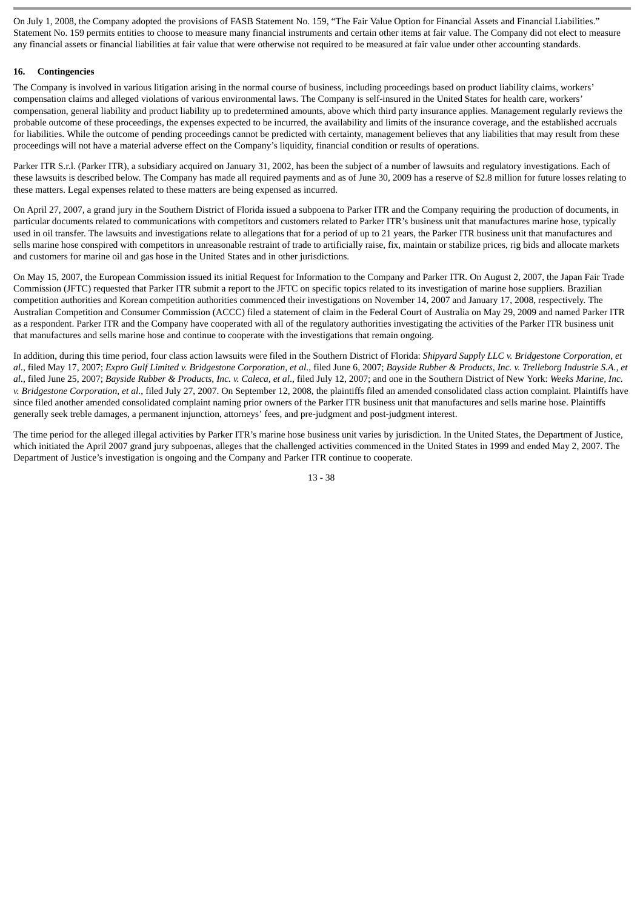On July 1, 2008, the Company adopted the provisions of FASB Statement No. 159, "The Fair Value Option for Financial Assets and Financial Liabilities." Statement No. 159 permits entities to choose to measure many financial instruments and certain other items at fair value. The Company did not elect to measure any financial assets or financial liabilities at fair value that were otherwise not required to be measured at fair value under other accounting standards.

## **16. Contingencies**

The Company is involved in various litigation arising in the normal course of business, including proceedings based on product liability claims, workers' compensation claims and alleged violations of various environmental laws. The Company is self-insured in the United States for health care, workers' compensation, general liability and product liability up to predetermined amounts, above which third party insurance applies. Management regularly reviews the probable outcome of these proceedings, the expenses expected to be incurred, the availability and limits of the insurance coverage, and the established accruals for liabilities. While the outcome of pending proceedings cannot be predicted with certainty, management believes that any liabilities that may result from these proceedings will not have a material adverse effect on the Company's liquidity, financial condition or results of operations.

Parker ITR S.r.l. (Parker ITR), a subsidiary acquired on January 31, 2002, has been the subject of a number of lawsuits and regulatory investigations. Each of these lawsuits is described below. The Company has made all required payments and as of June 30, 2009 has a reserve of \$2.8 million for future losses relating to these matters. Legal expenses related to these matters are being expensed as incurred.

On April 27, 2007, a grand jury in the Southern District of Florida issued a subpoena to Parker ITR and the Company requiring the production of documents, in particular documents related to communications with competitors and customers related to Parker ITR's business unit that manufactures marine hose, typically used in oil transfer. The lawsuits and investigations relate to allegations that for a period of up to 21 years, the Parker ITR business unit that manufactures and sells marine hose conspired with competitors in unreasonable restraint of trade to artificially raise, fix, maintain or stabilize prices, rig bids and allocate markets and customers for marine oil and gas hose in the United States and in other jurisdictions.

On May 15, 2007, the European Commission issued its initial Request for Information to the Company and Parker ITR. On August 2, 2007, the Japan Fair Trade Commission (JFTC) requested that Parker ITR submit a report to the JFTC on specific topics related to its investigation of marine hose suppliers. Brazilian competition authorities and Korean competition authorities commenced their investigations on November 14, 2007 and January 17, 2008, respectively. The Australian Competition and Consumer Commission (ACCC) filed a statement of claim in the Federal Court of Australia on May 29, 2009 and named Parker ITR as a respondent. Parker ITR and the Company have cooperated with all of the regulatory authorities investigating the activities of the Parker ITR business unit that manufactures and sells marine hose and continue to cooperate with the investigations that remain ongoing.

In addition, during this time period, four class action lawsuits were filed in the Southern District of Florida: *Shipyard Supply LLC v. Bridgestone Corporation, et al.*, filed May 17, 2007; *Expro Gulf Limited v. Bridgestone Corporation, et al.*, filed June 6, 2007; *Bayside Rubber & Products, Inc. v. Trelleborg Industrie S.A., et al.*, filed June 25, 2007; *Bayside Rubber & Products, Inc. v. Caleca, et al*., filed July 12, 2007; and one in the Southern District of New York: *Weeks Marine, Inc. v. Bridgestone Corporation, et al.*, filed July 27, 2007. On September 12, 2008, the plaintiffs filed an amended consolidated class action complaint. Plaintiffs have since filed another amended consolidated complaint naming prior owners of the Parker ITR business unit that manufactures and sells marine hose. Plaintiffs generally seek treble damages, a permanent injunction, attorneys' fees, and pre-judgment and post-judgment interest.

The time period for the alleged illegal activities by Parker ITR's marine hose business unit varies by jurisdiction. In the United States, the Department of Justice, which initiated the April 2007 grand jury subpoenas, alleges that the challenged activities commenced in the United States in 1999 and ended May 2, 2007. The Department of Justice's investigation is ongoing and the Company and Parker ITR continue to cooperate.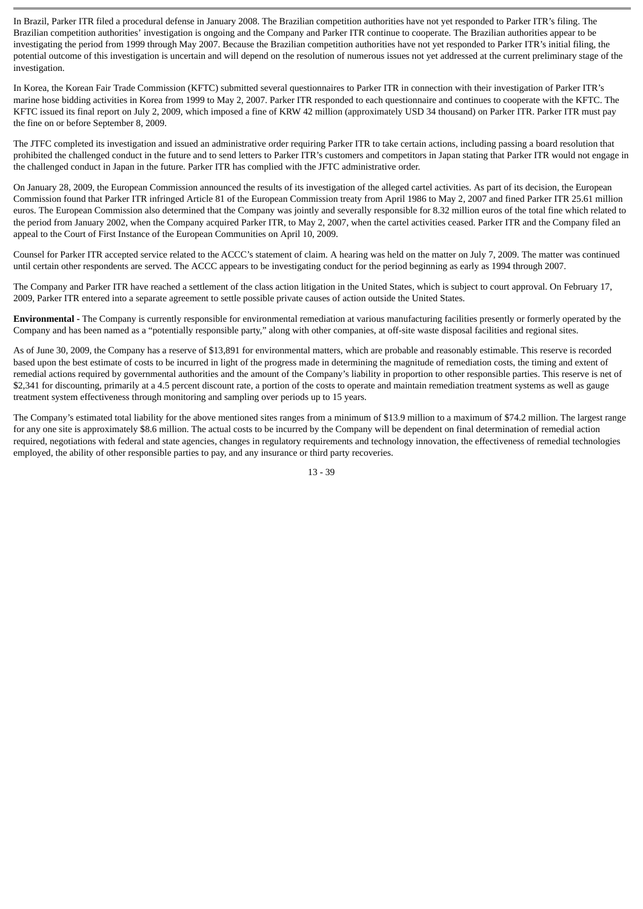In Brazil, Parker ITR filed a procedural defense in January 2008. The Brazilian competition authorities have not yet responded to Parker ITR's filing. The Brazilian competition authorities' investigation is ongoing and the Company and Parker ITR continue to cooperate. The Brazilian authorities appear to be investigating the period from 1999 through May 2007. Because the Brazilian competition authorities have not yet responded to Parker ITR's initial filing, the potential outcome of this investigation is uncertain and will depend on the resolution of numerous issues not yet addressed at the current preliminary stage of the investigation.

In Korea, the Korean Fair Trade Commission (KFTC) submitted several questionnaires to Parker ITR in connection with their investigation of Parker ITR's marine hose bidding activities in Korea from 1999 to May 2, 2007. Parker ITR responded to each questionnaire and continues to cooperate with the KFTC. The KFTC issued its final report on July 2, 2009, which imposed a fine of KRW 42 million (approximately USD 34 thousand) on Parker ITR. Parker ITR must pay the fine on or before September 8, 2009.

The JTFC completed its investigation and issued an administrative order requiring Parker ITR to take certain actions, including passing a board resolution that prohibited the challenged conduct in the future and to send letters to Parker ITR's customers and competitors in Japan stating that Parker ITR would not engage in the challenged conduct in Japan in the future. Parker ITR has complied with the JFTC administrative order.

On January 28, 2009, the European Commission announced the results of its investigation of the alleged cartel activities. As part of its decision, the European Commission found that Parker ITR infringed Article 81 of the European Commission treaty from April 1986 to May 2, 2007 and fined Parker ITR 25.61 million euros. The European Commission also determined that the Company was jointly and severally responsible for 8.32 million euros of the total fine which related to the period from January 2002, when the Company acquired Parker ITR, to May 2, 2007, when the cartel activities ceased. Parker ITR and the Company filed an appeal to the Court of First Instance of the European Communities on April 10, 2009.

Counsel for Parker ITR accepted service related to the ACCC's statement of claim. A hearing was held on the matter on July 7, 2009. The matter was continued until certain other respondents are served. The ACCC appears to be investigating conduct for the period beginning as early as 1994 through 2007.

The Company and Parker ITR have reached a settlement of the class action litigation in the United States, which is subject to court approval. On February 17, 2009, Parker ITR entered into a separate agreement to settle possible private causes of action outside the United States.

**Environmental -** The Company is currently responsible for environmental remediation at various manufacturing facilities presently or formerly operated by the Company and has been named as a "potentially responsible party," along with other companies, at off-site waste disposal facilities and regional sites.

As of June 30, 2009, the Company has a reserve of \$13,891 for environmental matters, which are probable and reasonably estimable. This reserve is recorded based upon the best estimate of costs to be incurred in light of the progress made in determining the magnitude of remediation costs, the timing and extent of remedial actions required by governmental authorities and the amount of the Company's liability in proportion to other responsible parties. This reserve is net of \$2,341 for discounting, primarily at a 4.5 percent discount rate, a portion of the costs to operate and maintain remediation treatment systems as well as gauge treatment system effectiveness through monitoring and sampling over periods up to 15 years.

The Company's estimated total liability for the above mentioned sites ranges from a minimum of \$13.9 million to a maximum of \$74.2 million. The largest range for any one site is approximately \$8.6 million. The actual costs to be incurred by the Company will be dependent on final determination of remedial action required, negotiations with federal and state agencies, changes in regulatory requirements and technology innovation, the effectiveness of remedial technologies employed, the ability of other responsible parties to pay, and any insurance or third party recoveries.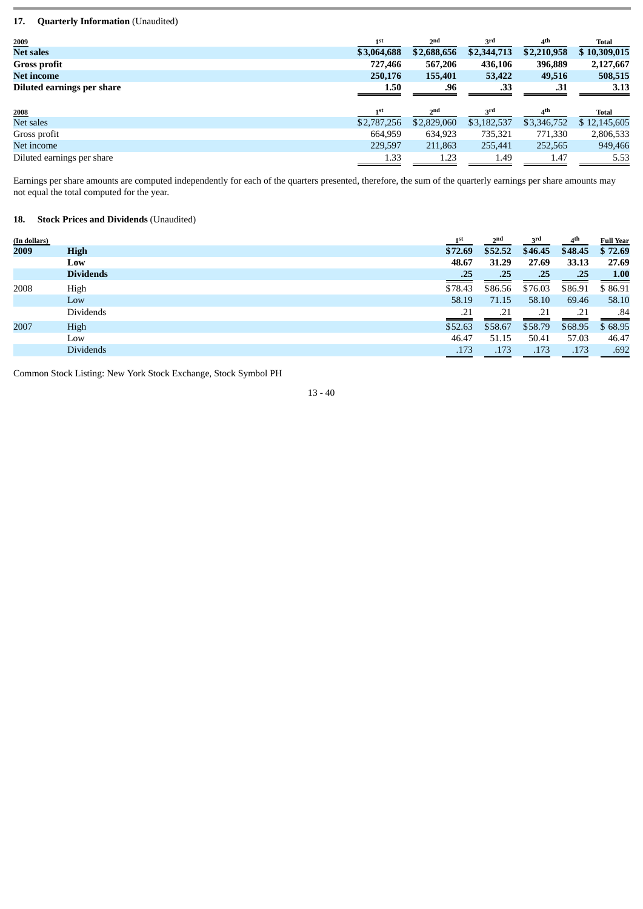# **17. Quarterly Information** (Unaudited)

| 2009<br><b>Net sales</b>          | 1 <sup>st</sup><br>\$3,064,688 | <sub>2</sub> nd<br>\$2,688,656 | 3rd<br>\$2,344,713 | 4 <sup>th</sup><br>\$2,210,958 | Total<br>\$10,309,015 |
|-----------------------------------|--------------------------------|--------------------------------|--------------------|--------------------------------|-----------------------|
| <b>Gross profit</b>               | 727,466                        | 567,206                        | 436,106            | 396,889                        | 2,127,667             |
| <b>Net income</b>                 | 250,176                        | 155,401                        | 53,422             | 49,516                         | 508,515               |
| Diluted earnings per share        | 1.50                           | .96                            | .33                | .31                            | 3.13                  |
|                                   |                                |                                |                    |                                |                       |
|                                   | 1 <sup>st</sup>                | <sub>2</sub> nd                | 3rd                | 4 <sup>th</sup>                | Total                 |
|                                   | \$2,787,256                    | \$2,829,060                    | \$3,182,537        | \$3,346,752                    | \$12,145,605          |
| 2008<br>Net sales<br>Gross profit | 664,959                        | 634,923                        | 735,321            | 771,330                        | 2,806,533             |
| Net income                        | 229,597                        | 211,863                        | 255,441            | 252,565                        | 949,466               |

Earnings per share amounts are computed independently for each of the quarters presented, therefore, the sum of the quarterly earnings per share amounts may not equal the total computed for the year.

# **18. Stock Prices and Dividends** (Unaudited)

| (In dollars) |                  | 1 <sup>st</sup> | 2 <sub>nd</sub> | 3 <sup>rd</sup> | 4 <sup>th</sup> | <b>Full Year</b> |
|--------------|------------------|-----------------|-----------------|-----------------|-----------------|------------------|
| 2009         | <b>High</b>      | \$72.69         | \$52.52         | \$46.45         | \$48.45         | \$72.69          |
|              | Low              | 48.67           | 31.29           | 27.69           | 33.13           | 27.69            |
|              | <b>Dividends</b> | .25             | .25             | .25             | .25             | 1.00             |
| 2008         | High             | \$78.43         | \$86.56         | \$76.03         | \$86.91         | \$86.91          |
|              | Low              | 58.19           | 71.15           | 58.10           | 69.46           | 58.10            |
|              | Dividends        | .21             | .21             | .21             | .21             | .84              |
| 2007         | High             | \$52.63         | \$58.67         | \$58.79         | \$68.95         | \$68.95          |
|              | Low              | 46.47           | 51.15           | 50.41           | 57.03           | 46.47            |
|              | <b>Dividends</b> | .173            | .173            | .173            | .173            | .692             |

Common Stock Listing: New York Stock Exchange, Stock Symbol PH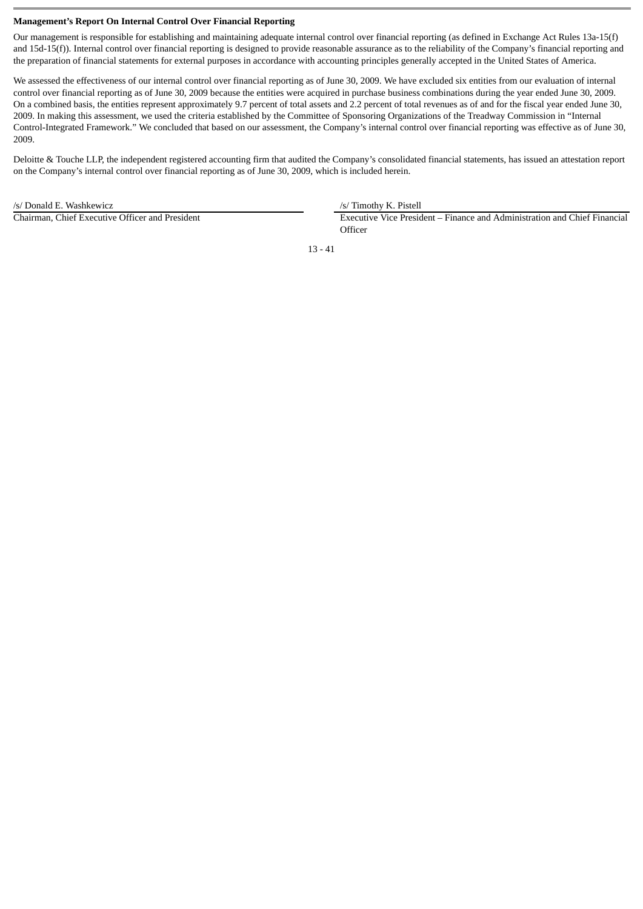#### **Management's Report On Internal Control Over Financial Reporting**

Our management is responsible for establishing and maintaining adequate internal control over financial reporting (as defined in Exchange Act Rules 13a-15(f) and 15d-15(f)). Internal control over financial reporting is designed to provide reasonable assurance as to the reliability of the Company's financial reporting and the preparation of financial statements for external purposes in accordance with accounting principles generally accepted in the United States of America.

We assessed the effectiveness of our internal control over financial reporting as of June 30, 2009. We have excluded six entities from our evaluation of internal control over financial reporting as of June 30, 2009 because the entities were acquired in purchase business combinations during the year ended June 30, 2009. On a combined basis, the entities represent approximately 9.7 percent of total assets and 2.2 percent of total revenues as of and for the fiscal year ended June 30, 2009. In making this assessment, we used the criteria established by the Committee of Sponsoring Organizations of the Treadway Commission in "Internal Control-Integrated Framework." We concluded that based on our assessment, the Company's internal control over financial reporting was effective as of June 30, 2009.

Deloitte & Touche LLP, the independent registered accounting firm that audited the Company's consolidated financial statements, has issued an attestation report on the Company's internal control over financial reporting as of June 30, 2009, which is included herein.

/s/ Donald E. Washkewicz /s/ Timothy K. Pistell

Chairman, Chief Executive Officer and President **Executive Vice President – Finance and Administration and Chief Financial Officer**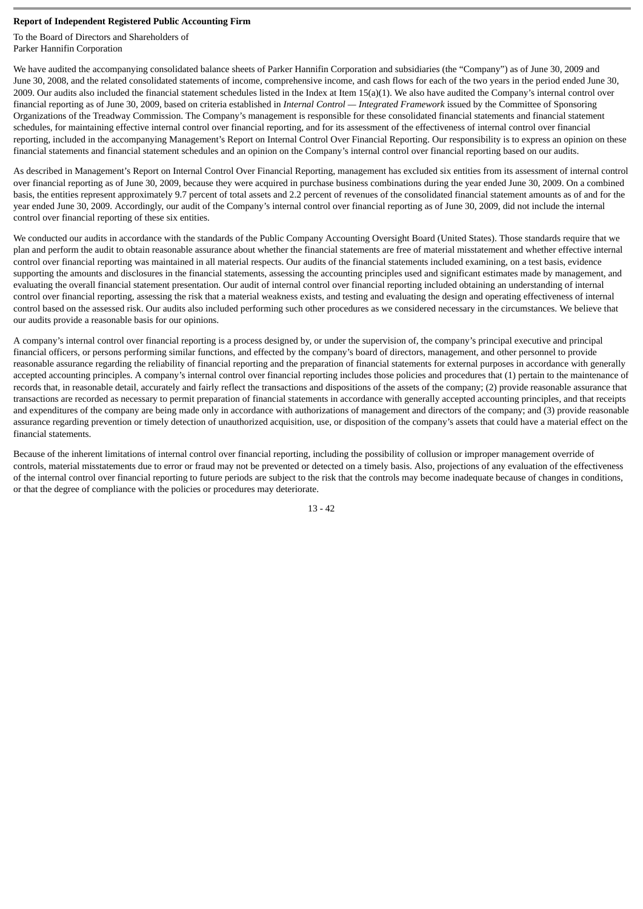#### **Report of Independent Registered Public Accounting Firm**

To the Board of Directors and Shareholders of Parker Hannifin Corporation

We have audited the accompanying consolidated balance sheets of Parker Hannifin Corporation and subsidiaries (the "Company") as of June 30, 2009 and June 30, 2008, and the related consolidated statements of income, comprehensive income, and cash flows for each of the two years in the period ended June 30, 2009. Our audits also included the financial statement schedules listed in the Index at Item 15(a)(1). We also have audited the Company's internal control over financial reporting as of June 30, 2009, based on criteria established in *Internal Control — Integrated Framework* issued by the Committee of Sponsoring Organizations of the Treadway Commission. The Company's management is responsible for these consolidated financial statements and financial statement schedules, for maintaining effective internal control over financial reporting, and for its assessment of the effectiveness of internal control over financial reporting, included in the accompanying Management's Report on Internal Control Over Financial Reporting. Our responsibility is to express an opinion on these financial statements and financial statement schedules and an opinion on the Company's internal control over financial reporting based on our audits.

As described in Management's Report on Internal Control Over Financial Reporting, management has excluded six entities from its assessment of internal control over financial reporting as of June 30, 2009, because they were acquired in purchase business combinations during the year ended June 30, 2009. On a combined basis, the entities represent approximately 9.7 percent of total assets and 2.2 percent of revenues of the consolidated financial statement amounts as of and for the year ended June 30, 2009. Accordingly, our audit of the Company's internal control over financial reporting as of June 30, 2009, did not include the internal control over financial reporting of these six entities.

We conducted our audits in accordance with the standards of the Public Company Accounting Oversight Board (United States). Those standards require that we plan and perform the audit to obtain reasonable assurance about whether the financial statements are free of material misstatement and whether effective internal control over financial reporting was maintained in all material respects. Our audits of the financial statements included examining, on a test basis, evidence supporting the amounts and disclosures in the financial statements, assessing the accounting principles used and significant estimates made by management, and evaluating the overall financial statement presentation. Our audit of internal control over financial reporting included obtaining an understanding of internal control over financial reporting, assessing the risk that a material weakness exists, and testing and evaluating the design and operating effectiveness of internal control based on the assessed risk. Our audits also included performing such other procedures as we considered necessary in the circumstances. We believe that our audits provide a reasonable basis for our opinions.

A company's internal control over financial reporting is a process designed by, or under the supervision of, the company's principal executive and principal financial officers, or persons performing similar functions, and effected by the company's board of directors, management, and other personnel to provide reasonable assurance regarding the reliability of financial reporting and the preparation of financial statements for external purposes in accordance with generally accepted accounting principles. A company's internal control over financial reporting includes those policies and procedures that (1) pertain to the maintenance of records that, in reasonable detail, accurately and fairly reflect the transactions and dispositions of the assets of the company; (2) provide reasonable assurance that transactions are recorded as necessary to permit preparation of financial statements in accordance with generally accepted accounting principles, and that receipts and expenditures of the company are being made only in accordance with authorizations of management and directors of the company; and (3) provide reasonable assurance regarding prevention or timely detection of unauthorized acquisition, use, or disposition of the company's assets that could have a material effect on the financial statements.

Because of the inherent limitations of internal control over financial reporting, including the possibility of collusion or improper management override of controls, material misstatements due to error or fraud may not be prevented or detected on a timely basis. Also, projections of any evaluation of the effectiveness of the internal control over financial reporting to future periods are subject to the risk that the controls may become inadequate because of changes in conditions, or that the degree of compliance with the policies or procedures may deteriorate.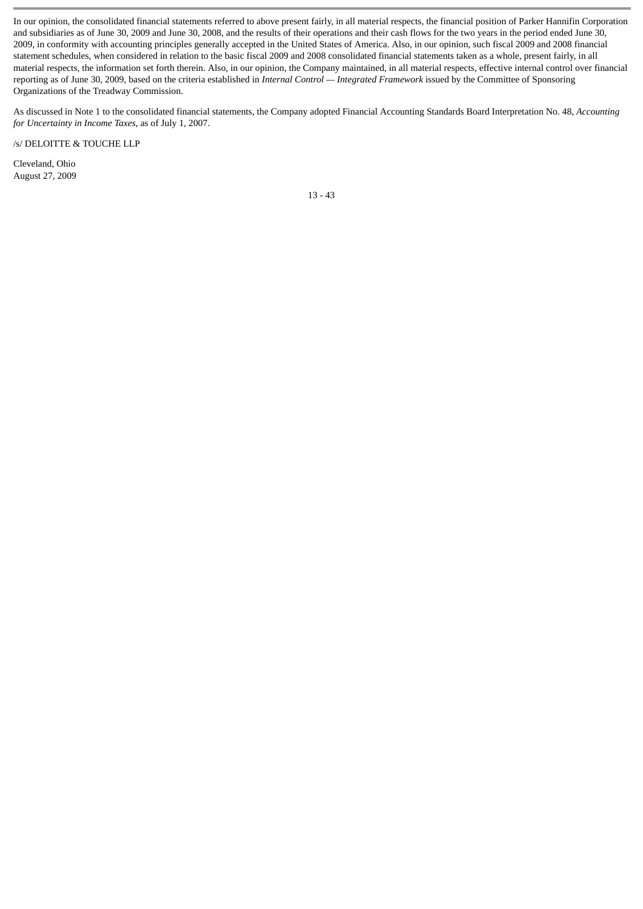In our opinion, the consolidated financial statements referred to above present fairly, in all material respects, the financial position of Parker Hannifin Corporation and subsidiaries as of June 30, 2009 and June 30, 2008, and the results of their operations and their cash flows for the two years in the period ended June 30, 2009, in conformity with accounting principles generally accepted in the United States of America. Also, in our opinion, such fiscal 2009 and 2008 financial statement schedules, when considered in relation to the basic fiscal 2009 and 2008 consolidated financial statements taken as a whole, present fairly, in all material respects, the information set forth therein. Also, in our opinion, the Company maintained, in all material respects, effective internal control over financial reporting as of June 30, 2009, based on the criteria established in *Internal Control — Integrated Framework* issued by the Committee of Sponsoring Organizations of the Treadway Commission.

As discussed in Note 1 to the consolidated financial statements, the Company adopted Financial Accounting Standards Board Interpretation No. 48, *Accounting for Uncertainty in Income Taxes*, as of July 1, 2007.

/s/ DELOITTE & TOUCHE LLP

Cleveland, Ohio August 27, 2009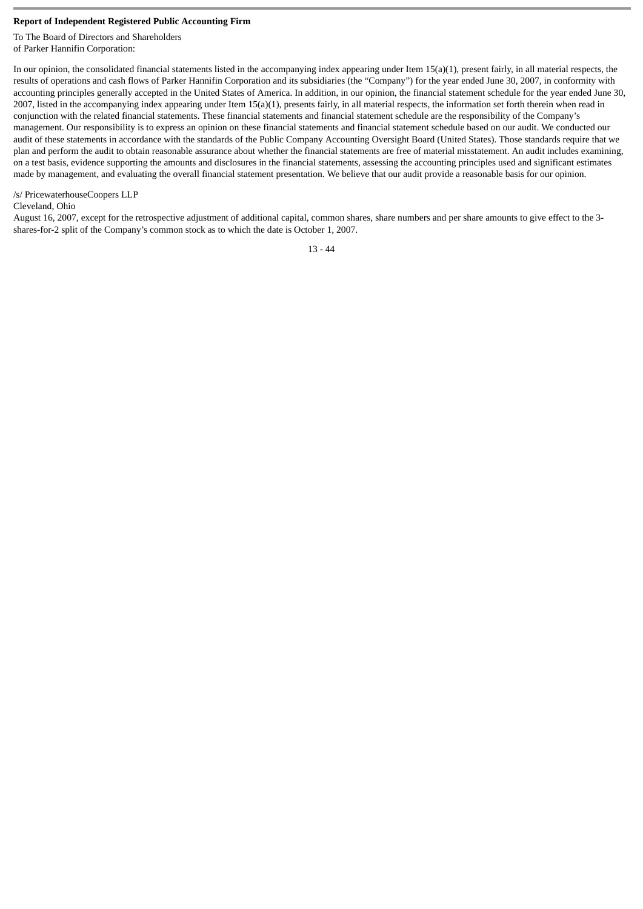#### **Report of Independent Registered Public Accounting Firm**

To The Board of Directors and Shareholders of Parker Hannifin Corporation:

In our opinion, the consolidated financial statements listed in the accompanying index appearing under Item  $15(a)(1)$ , present fairly, in all material respects, the results of operations and cash flows of Parker Hannifin Corporation and its subsidiaries (the "Company") for the year ended June 30, 2007, in conformity with accounting principles generally accepted in the United States of America. In addition, in our opinion, the financial statement schedule for the year ended June 30, 2007, listed in the accompanying index appearing under Item 15(a)(1), presents fairly, in all material respects, the information set forth therein when read in conjunction with the related financial statements. These financial statements and financial statement schedule are the responsibility of the Company's management. Our responsibility is to express an opinion on these financial statements and financial statement schedule based on our audit. We conducted our audit of these statements in accordance with the standards of the Public Company Accounting Oversight Board (United States). Those standards require that we plan and perform the audit to obtain reasonable assurance about whether the financial statements are free of material misstatement. An audit includes examining, on a test basis, evidence supporting the amounts and disclosures in the financial statements, assessing the accounting principles used and significant estimates made by management, and evaluating the overall financial statement presentation. We believe that our audit provide a reasonable basis for our opinion.

## /s/ PricewaterhouseCoopers LLP

#### Cleveland, Ohio

August 16, 2007, except for the retrospective adjustment of additional capital, common shares, share numbers and per share amounts to give effect to the 3 shares-for-2 split of the Company's common stock as to which the date is October 1, 2007.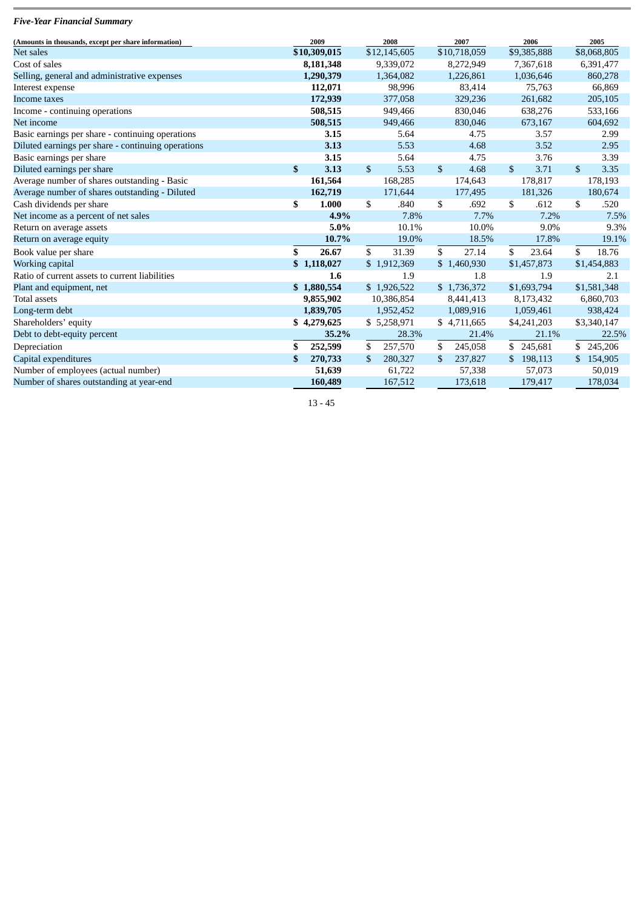# *Five-Year Financial Summary*

| (Amounts in thousands, except per share information) | 2009          | 2008          |              | 2007         |              | 2006        |              | 2005        |
|------------------------------------------------------|---------------|---------------|--------------|--------------|--------------|-------------|--------------|-------------|
| Net sales                                            | \$10,309,015  | \$12,145,605  |              | \$10,718,059 |              | \$9,385,888 |              | \$8,068,805 |
| Cost of sales                                        | 8,181,348     | 9,339,072     |              | 8,272,949    |              | 7,367,618   |              | 6,391,477   |
| Selling, general and administrative expenses         | 1,290,379     | 1,364,082     |              | 1,226,861    |              | 1,036,646   |              | 860,278     |
| Interest expense                                     | 112,071       | 98,996        |              | 83,414       |              | 75,763      |              | 66,869      |
| Income taxes                                         | 172,939       | 377,058       |              | 329,236      |              | 261,682     |              | 205,105     |
| Income - continuing operations                       | 508,515       | 949,466       |              | 830,046      |              | 638,276     |              | 533,166     |
| Net income                                           | 508,515       | 949,466       |              | 830,046      |              | 673,167     |              | 604,692     |
| Basic earnings per share - continuing operations     | 3.15          | 5.64          |              | 4.75         |              | 3.57        |              | 2.99        |
| Diluted earnings per share - continuing operations   | 3.13          | 5.53          |              | 4.68         |              | 3.52        |              | 2.95        |
| Basic earnings per share                             | 3.15          | 5.64          |              | 4.75         |              | 3.76        |              | 3.39        |
| Diluted earnings per share                           | \$<br>3.13    | \$<br>5.53    | $\mathbb{S}$ | 4.68         | $\mathbb{S}$ | 3.71        | $\mathbf{s}$ | 3.35        |
| Average number of shares outstanding - Basic         | 161,564       | 168,285       |              | 174,643      |              | 178,817     |              | 178,193     |
| Average number of shares outstanding - Diluted       | 162,719       | 171,644       |              | 177,495      |              | 181,326     |              | 180,674     |
| Cash dividends per share                             | \$<br>1.000   | \$<br>.840    | \$           | .692         | \$           | .612        | \$           | .520        |
| Net income as a percent of net sales                 | 4.9%          | 7.8%          |              | 7.7%         |              | 7.2%        |              | 7.5%        |
| Return on average assets                             | 5.0%          | 10.1%         |              | 10.0%        |              | 9.0%        |              | 9.3%        |
| Return on average equity                             | 10.7%         | 19.0%         |              | 18.5%        |              | 17.8%       |              | 19.1%       |
| Book value per share                                 | \$<br>26.67   | \$<br>31.39   | \$           | 27.14        | \$           | 23.64       | \$           | 18.76       |
| Working capital                                      | \$1,118,027   | \$1,912,369   |              | \$1,460,930  |              | \$1,457,873 |              | \$1,454,883 |
| Ratio of current assets to current liabilities       | 1.6           | 1.9           |              | 1.8          |              | 1.9         |              | 2.1         |
| Plant and equipment, net                             | \$1,880,554   | \$1,926,522   |              | \$1,736,372  |              | \$1,693,794 |              | \$1,581,348 |
| Total assets                                         | 9,855,902     | 10,386,854    |              | 8,441,413    |              | 8,173,432   |              | 6,860,703   |
| Long-term debt                                       | 1,839,705     | 1,952,452     |              | 1,089,916    |              | 1,059,461   |              | 938,424     |
| Shareholders' equity                                 | \$4,279,625   | \$5,258,971   |              | \$4,711,665  |              | \$4,241,203 |              | \$3,340,147 |
| Debt to debt-equity percent                          | 35.2%         | 28.3%         |              | 21.4%        |              | 21.1%       |              | 22.5%       |
| Depreciation                                         | \$<br>252,599 | \$<br>257,570 | \$           | 245,058      |              | \$245,681   |              | \$245,206   |
| Capital expenditures                                 | \$<br>270,733 | \$<br>280,327 | \$           | 237,827      |              | \$ 198,113  |              | \$154,905   |
| Number of employees (actual number)                  | 51,639        | 61,722        |              | 57,338       |              | 57,073      |              | 50,019      |
| Number of shares outstanding at year-end             | 160,489       | 167,512       |              | 173,618      |              | 179,417     |              | 178,034     |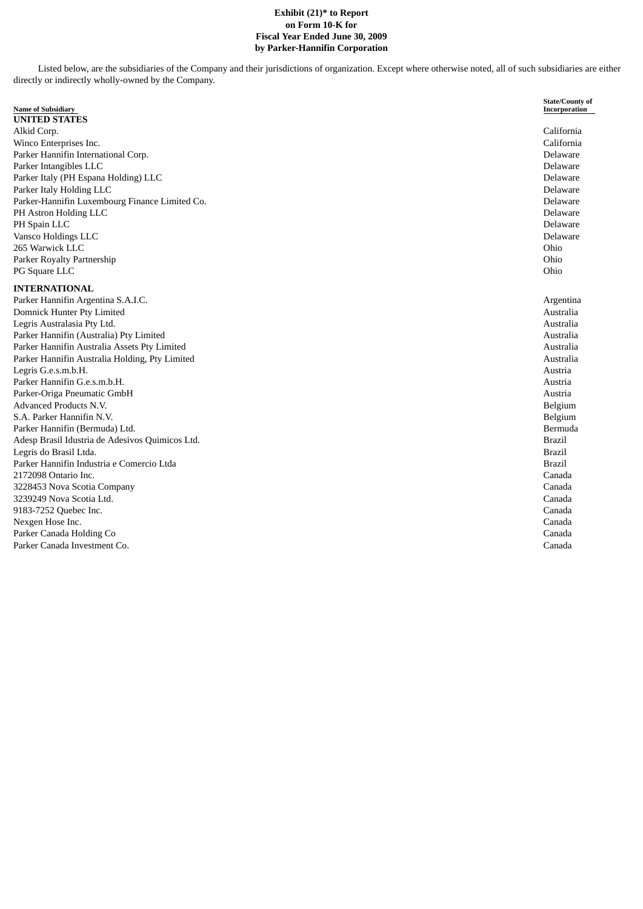# **Exhibit (21)\* to Report on Form 10-K for Fiscal Year Ended June 30, 2009 by Parker-Hannifin Corporation**

Listed below, are the subsidiaries of the Company and their jurisdictions of organization. Except where otherwise noted, all of such subsidiaries are either directly or indirectly wholly-owned by the Company.

| <b>Name of Subsidiary</b>                       | <b>State/County of</b><br>Incorporation |
|-------------------------------------------------|-----------------------------------------|
| <b>UNITED STATES</b>                            |                                         |
| Alkid Corp.                                     | California                              |
| Winco Enterprises Inc.                          | California                              |
| Parker Hannifin International Corp.             | Delaware                                |
| Parker Intangibles LLC                          | Delaware                                |
| Parker Italy (PH Espana Holding) LLC            | Delaware                                |
| Parker Italy Holding LLC                        | Delaware                                |
| Parker-Hannifin Luxembourg Finance Limited Co.  | Delaware                                |
| PH Astron Holding LLC                           | Delaware                                |
| PH Spain LLC                                    | Delaware                                |
| Vansco Holdings LLC                             | Delaware                                |
| 265 Warwick LLC                                 | Ohio                                    |
| Parker Royalty Partnership                      | Ohio                                    |
| PG Square LLC                                   | Ohio                                    |
|                                                 |                                         |
| <b>INTERNATIONAL</b>                            |                                         |
| Parker Hannifin Argentina S.A.I.C.              | Argentina                               |
| Domnick Hunter Pty Limited                      | Australia                               |
| Legris Australasia Pty Ltd.                     | Australia                               |
| Parker Hannifin (Australia) Pty Limited         | Australia                               |
| Parker Hannifin Australia Assets Pty Limited    | Australia                               |
| Parker Hannifin Australia Holding, Pty Limited  | Australia                               |
| Legris G.e.s.m.b.H.                             | Austria                                 |
| Parker Hannifin G.e.s.m.b.H.                    | Austria                                 |
| Parker-Origa Pneumatic GmbH                     | Austria                                 |
| Advanced Products N.V.                          | Belgium                                 |
| S.A. Parker Hannifin N.V.                       | Belgium                                 |
| Parker Hannifin (Bermuda) Ltd.                  | Bermuda                                 |
| Adesp Brasil Idustria de Adesivos Quimicos Ltd. | <b>Brazil</b>                           |
| Legris do Brasil Ltda.                          | Brazil                                  |
| Parker Hannifin Industria e Comercio Ltda       | Brazil                                  |
| 2172098 Ontario Inc.                            | Canada                                  |
| 3228453 Nova Scotia Company                     | Canada                                  |
| 3239249 Nova Scotia Ltd.                        | Canada                                  |
| 9183-7252 Quebec Inc.                           | Canada                                  |
| Nexgen Hose Inc.                                | Canada                                  |
| Parker Canada Holding Co                        | Canada                                  |
| Parker Canada Investment Co.                    | Canada                                  |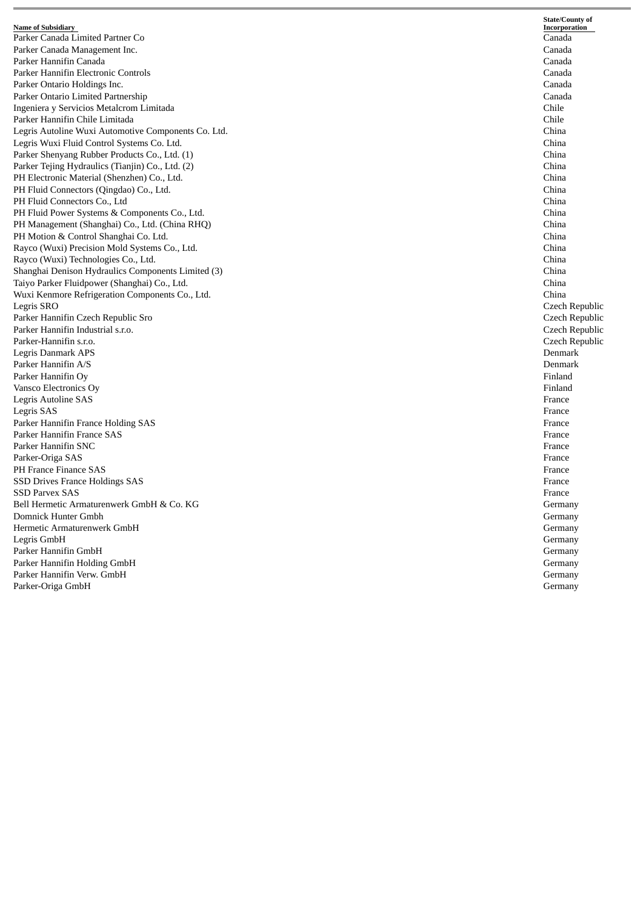| <b>Name of Subsidiary</b>                                        | <b>State/County of</b><br>Incorporation |
|------------------------------------------------------------------|-----------------------------------------|
| Parker Canada Limited Partner Co                                 | Canada                                  |
| Parker Canada Management Inc.                                    | Canada                                  |
| Parker Hannifin Canada                                           | Canada                                  |
| Parker Hannifin Electronic Controls                              | Canada                                  |
| Parker Ontario Holdings Inc.                                     | Canada                                  |
| Parker Ontario Limited Partnership                               | Canada                                  |
| Ingeniera y Servicios Metalcrom Limitada                         | Chile                                   |
| Parker Hannifin Chile Limitada                                   | Chile                                   |
| Legris Autoline Wuxi Automotive Components Co. Ltd.              | China                                   |
| Legris Wuxi Fluid Control Systems Co. Ltd.                       | China                                   |
| Parker Shenyang Rubber Products Co., Ltd. (1)                    | China                                   |
| Parker Tejing Hydraulics (Tianjin) Co., Ltd. (2)                 | China                                   |
| PH Electronic Material (Shenzhen) Co., Ltd.                      | China                                   |
| PH Fluid Connectors (Qingdao) Co., Ltd.                          | China                                   |
| PH Fluid Connectors Co., Ltd                                     | China                                   |
| PH Fluid Power Systems & Components Co., Ltd.                    | China                                   |
| PH Management (Shanghai) Co., Ltd. (China RHQ)                   | China                                   |
| PH Motion & Control Shanghai Co. Ltd.                            | China                                   |
| Rayco (Wuxi) Precision Mold Systems Co., Ltd.                    | China                                   |
| Rayco (Wuxi) Technologies Co., Ltd.                              | China                                   |
| Shanghai Denison Hydraulics Components Limited (3)               | China                                   |
| Taiyo Parker Fluidpower (Shanghai) Co., Ltd.                     | China                                   |
| Wuxi Kenmore Refrigeration Components Co., Ltd.                  | China                                   |
| Legris SRO                                                       | Czech Republic                          |
| Parker Hannifin Czech Republic Sro                               | Czech Republic                          |
| Parker Hannifin Industrial s.r.o.                                | Czech Republic                          |
| Parker-Hannifin s.r.o.                                           | Czech Republic                          |
| Legris Danmark APS                                               | Denmark                                 |
| Parker Hannifin A/S                                              | Denmark                                 |
| Parker Hannifin Oy                                               | Finland                                 |
| Vansco Electronics Oy                                            | Finland                                 |
|                                                                  | France                                  |
| Legris Autoline SAS                                              |                                         |
| Legris SAS                                                       | France                                  |
| Parker Hannifin France Holding SAS<br>Parker Hannifin France SAS | France                                  |
| Parker Hannifin SNC                                              | France                                  |
| Parker-Origa SAS                                                 | France                                  |
|                                                                  | France                                  |
| PH France Finance SAS                                            | France                                  |
| SSD Drives France Holdings SAS                                   | France                                  |
| <b>SSD Parvex SAS</b>                                            | France<br>Germany                       |
| Bell Hermetic Armaturenwerk GmbH & Co. KG<br>Domnick Hunter Gmbh |                                         |
|                                                                  | Germany                                 |
| Hermetic Armaturenwerk GmbH                                      | Germany                                 |
| Legris GmbH                                                      | Germany                                 |
| Parker Hannifin GmbH                                             | Germany                                 |
| Parker Hannifin Holding GmbH                                     | Germany                                 |
| Parker Hannifin Verw. GmbH                                       | Germany                                 |
| Parker-Origa GmbH                                                | Germany                                 |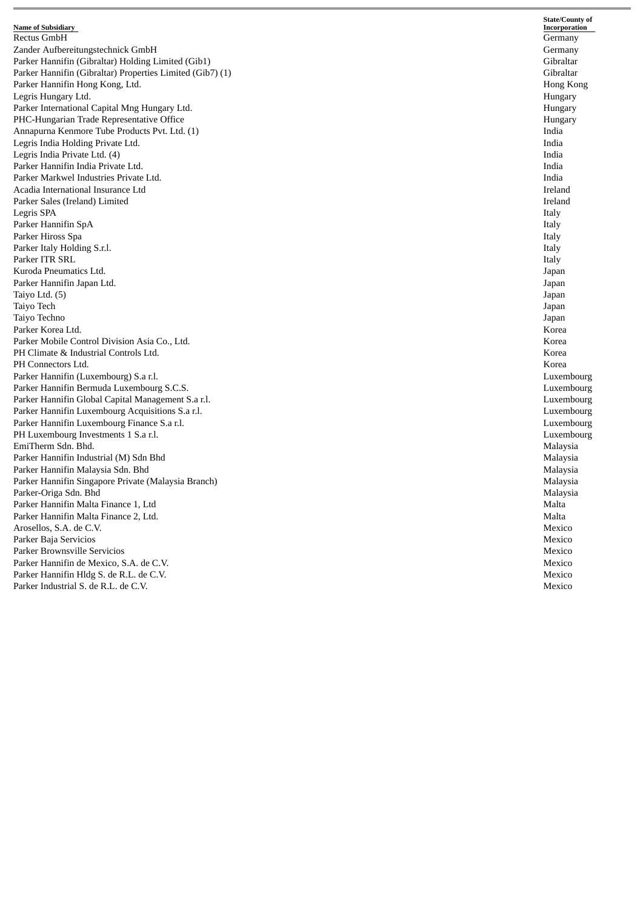**Name of Subsidiary** Rectus GmbH Germany Zander Aufbereitungstechnick GmbH Germany Parker Hannifin (Gibraltar) Holding Limited (Gib1) Gibraltar Gibraltar Gibraltar Gibraltar Gibraltar Gibraltar Parker Hannifin (Gibraltar) Properties Limited (Gib7) (1) Gibraltar Gibraltar Gibraltar Gibraltar Gibraltar Gibraltar Parker Hannifin Hong Kong, Ltd. **Hong Kong, Ltd.** Hong Kong Number 2014, The State of the State of the State of T Legris Hungary Ltd. **Hungary Ltd.** Hungary Ltd. **Hungary Ltd.** Hungary Ltd. **Hungary Ltd.** Hungary Ltd. **Hungary Ltd. Hungary Ltd. Hungary Ltd. Hungary Ltd. Hungary Ltd. Hungary Ltd. Hungary Ltd. Hungary Ltd.** Parker International Capital Mng Hungary Ltd. **Hungary Ltd.** Hungary Ltd. **Hungary Ltd.** Hungary Ltd. **Hungary Ltd.** Hungary Ltd. **Hungary Ltd.** Hungary Ltd. **Hungary Ltd. Hungary Ltd.** All all all all all all all all al PHC-Hungarian Trade Representative Office **Hungary Hungary Hungary Hungary Hungary Hungary Hungary Hungary** Annapurna Kenmore Tube Products Pvt. Ltd. (1) Solution Contract Contract Contract Contract Contract Contract Contract Contract Contract Contract Contract Contract Contract Contract Contract Contract Contract Contract Contr Legris India Holding Private Ltd. India Legris India Private Ltd. (4) India **India** Private Ltd. (4) India **India** India **India** India **India** India India India India India India India India India India India India India India India India India India India India Parker Hannifin India Private Ltd. India Parker Markwel Industries Private Ltd. India and the state of the state of the state of the state of the India Acadia International Insurance Ltd **Ireland** Parker Sales (Ireland) Limited Ireland and Ireland Ireland Ireland Ireland Ireland Ireland Ireland Ireland Ireland Ireland Ireland Ireland Ireland Ireland Ireland Ireland Ireland Ireland Ireland Ireland Ireland Ireland Ire Legris SPA **Italy** Parker Hannifin SpA Italy Parker Hiross Spa **Italy** Parker Italy Holding S.r.l. Italy Parker ITR SRL Italy Kuroda Pneumatics Ltd. Japan Parker Hannifin Japan Ltd. Japan University of the State of the State of the State of the State of the State of the State of the State of the State of the State of the State of the State of the State of the State of the St Taiyo Ltd. (5) Shaqan Markov Loo Markov Loo Markov Loo Markov Japan Japan Japan Japan Japan Japan Japan Japan J Taiyo Tech Japan Taiyo Techno Japan Parker Korea Ltd. Korea Parker Mobile Control Division Asia Co., Ltd. **Korea** Communication Asia Co., Ltd. Korea Communication Asia Co., Ltd. Korea Communication Asia Co., Ltd. **Korea** Communication Asia Co., Ltd. **Korea** Communication Asia Co., PH Climate & Industrial Controls Ltd. Korea PH Connectors Ltd. Korea Parker Hannifin (Luxembourg) S.a r.l. Parker Hannifin Bermuda Luxembourg S.C.S. Parker Hannifin Global Capital Management S.a r.l. Parker Hannifin Luxembourg Acquisitions S.a r.l. Parker Hannifin Luxembourg Finance S.a r.l. PH Luxembourg Investments 1 S.a r.l. EmiTherm Sdn. Bhd. Malaysia Parker Hannifin Industrial (M) Sdn Bhd Malaysia and Malaysia and Malaysia and Malaysia and Malaysia and Malaysia Parker Hannifin Malaysia Sdn. Bhd Malaysia Sdn. Bhd Malaysia ann an t-aisgeachas anns an t-aisgeachas anns an Malaysia Parker Hannifin Singapore Private (Malaysia Branch) **Malaysia** Malaysia Branch) Malaysia Parker-Origa Sdn. Bhd<br>Parker Hannifin Malta Finance 1. Ltd Parker Hannifin Malta Finance 1, Ltd Parker Hannifin Malta Finance 2, Ltd. Malta and the control of the control of the control of the control of the control of the control of the control of the control of the control of the control of the control of the contr Arosellos, S.A. de C.V. Mexico Parker Baja Servicios Mexico Parker Brownsville Servicios Mexico Parker Hannifin de Mexico, S.A. de C.V. Mexico Parker Hannifin Hldg S. de R.L. de C.V. Mexico Parker Industrial S. de R.L. de C.V. Mexico

**State/County of Incorporation** Luxembourg Luxembourg Luxembourg Luxembourg Luxembourg Luxembourg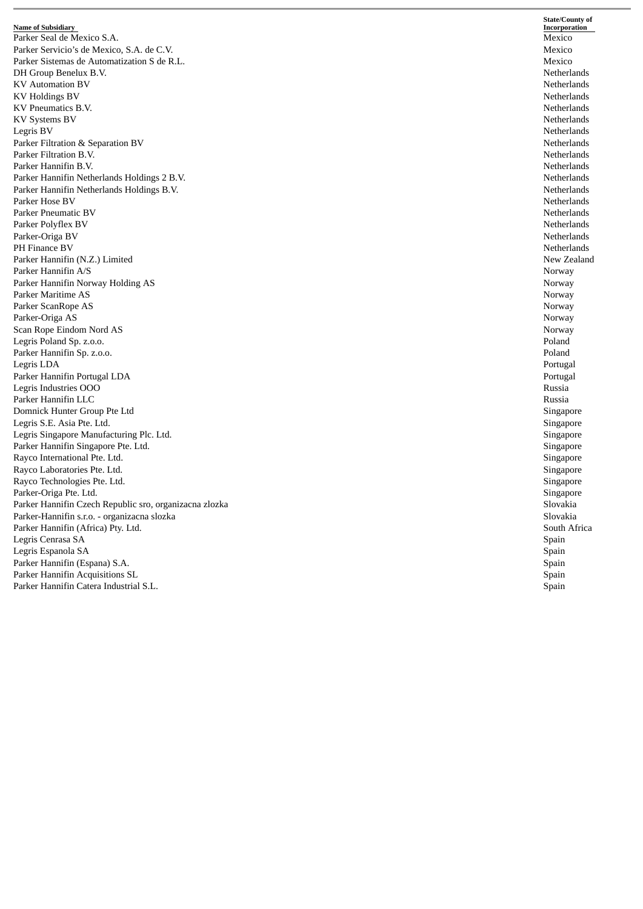**Name of Subsidiary** Parker Seal de Mexico S.A. Mexico Parker Servicio's de Mexico, S.A. de C.V. **Mexico** Parker Sistemas de Automatization S de R.L. Mexico DH Group Benelux B.V. Netherlands KV Automation BV Netherlands KV Holdings BV Netherlands KV Pneumatics B.V. Netherlands KV Systems BV Netherlands Legris BV Netherlands Parker Filtration & Separation BV Netherlands Parker Filtration B.V. Netherlands Parker Hannifin B.V. Netherlands Parker Hannifin Netherlands Holdings 2 B.V. Netherlands Parker Hannifin Netherlands Holdings B.V. Netherlands Parker Hose BV Netherlands and the second second second second second second second second second second second second second second second second second second second second second second second second second second secon Parker Pneumatic BV Netherlands Parker Polyflex BV Netherlands Parker-Origa BV Netherlands PH Finance BV Netherlands and the set of the set of the set of the set of the set of the set of the set of the set of the set of the set of the set of the set of the set of the set of the set of the set of the set of the s Parker Hannifin (N.Z.) Limited New Zealand Parker Hannifin A/S Norway Parker Hannifin Norway Holding AS Norway and the state of the state of the state of the state of the state of the state of the state of the state of the state of the state of the state of the state of the state of the stat Parker Maritime AS Norway Parker ScanRope AS Norway Parker-Origa AS Norway Scan Rope Eindom Nord AS Norway Legris Poland Sp. z.o.o. Poland Parker Hannifin Sp. z.o.o. Poland Legris LDA Portugal Parker Hannifin Portugal LDA **Portugal COA** Legris Industries OOO Russia Parker Hannifin LLC **Russia Domnick Hunter Group Pte Ltd** Singapore Legris S.E. Asia Pte. Ltd. Singapore Legris Singapore Manufacturing Plc. Ltd. Singapore Singapore Parker Hannifin Singapore Pte. Ltd. Singapore  $\blacksquare$ Rayco International Pte. Ltd. Singapore Rayco Laboratories Pte. Ltd. Singapore Rayco Technologies Pte. Ltd. Singapore Parker-Origa Pte. Ltd. Singapore<br>Parker Hannifin Czech Republic sro. organizacna zlozka e status status status status status status status slovakia Parker Hannifin Czech Republic sro, organizacna zlozka Parker-Hannifin s.r.o. - organizacna slozka Slovakia Slovakia Slovakia Slovakia Slovakia Slovakia Slovakia Slovakia Parker Hannifin (Africa) Pty. Ltd. South Africa **Legris Cenrasa SA** Spain Legris Espanola SA Spain Parker Hannifin (Espana) S.A. Spain Parker Hannifin Acquisitions SL Spain Parker Hannifin Catera Industrial S.L. Spain

**State/County of Incorporation**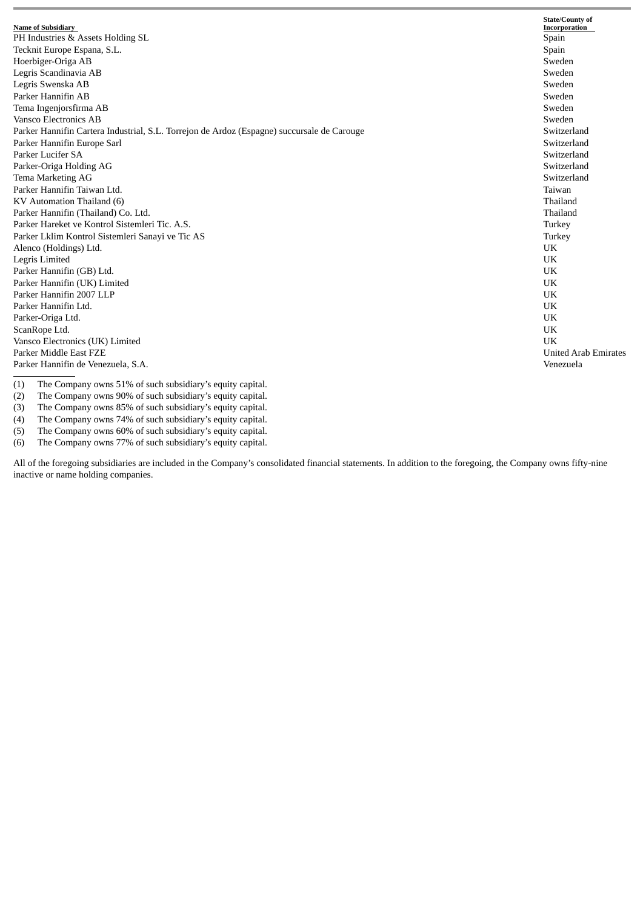|                                                                                            | <b>State/County of</b>      |
|--------------------------------------------------------------------------------------------|-----------------------------|
| <b>Name of Subsidiary</b>                                                                  | Incorporation               |
| PH Industries & Assets Holding SL                                                          | Spain                       |
| Tecknit Europe Espana, S.L.                                                                | Spain                       |
| Hoerbiger-Origa AB                                                                         | Sweden                      |
| Legris Scandinavia AB                                                                      | Sweden                      |
| Legris Swenska AB                                                                          | Sweden                      |
| Parker Hannifin AB                                                                         | Sweden                      |
| Tema Ingenjorsfirma AB                                                                     | Sweden                      |
| Vansco Electronics AB                                                                      | Sweden                      |
| Parker Hannifin Cartera Industrial, S.L. Torrejon de Ardoz (Espagne) succursale de Carouge | Switzerland                 |
| Parker Hannifin Europe Sarl                                                                | Switzerland                 |
| Parker Lucifer SA                                                                          | Switzerland                 |
| Parker-Origa Holding AG                                                                    | Switzerland                 |
| Tema Marketing AG                                                                          | Switzerland                 |
| Parker Hannifin Taiwan Ltd.                                                                | Taiwan                      |
| KV Automation Thailand (6)                                                                 | Thailand                    |
| Parker Hannifin (Thailand) Co. Ltd.                                                        | Thailand                    |
| Parker Hareket ve Kontrol Sistemleri Tic. A.S.                                             | Turkey                      |
| Parker Lklim Kontrol Sistemleri Sanayi ve Tic AS                                           | Turkey                      |
| Alenco (Holdings) Ltd.                                                                     | UK                          |
| Legris Limited                                                                             | UK                          |
| Parker Hannifin (GB) Ltd.                                                                  | UK                          |
| Parker Hannifin (UK) Limited                                                               | UK                          |
| Parker Hannifin 2007 LLP                                                                   | UK                          |
| Parker Hannifin Ltd.                                                                       | UK                          |
| Parker-Origa Ltd.                                                                          | UK                          |
| ScanRope Ltd.                                                                              | UK                          |
| Vansco Electronics (UK) Limited                                                            | UK                          |
| Parker Middle East FZE                                                                     | <b>United Arab Emirates</b> |
| Parker Hannifin de Venezuela, S.A.                                                         | Venezuela                   |
| The Company owns 51% of such subsidiary's equity capital.<br>(1)                           |                             |
| The Company owns 90% of such subsidiary's equity capital.<br>(2)                           |                             |

(3) The Company owns 85% of such subsidiary's equity capital.

(4) The Company owns 74% of such subsidiary's equity capital.<br>
(5) The Company owns 60% of such subsidiary's equity capital. The Company owns 60% of such subsidiary's equity capital.

(6) The Company owns 77% of such subsidiary's equity capital.

All of the foregoing subsidiaries are included in the Company's consolidated financial statements. In addition to the foregoing, the Company owns fifty-nine inactive or name holding companies.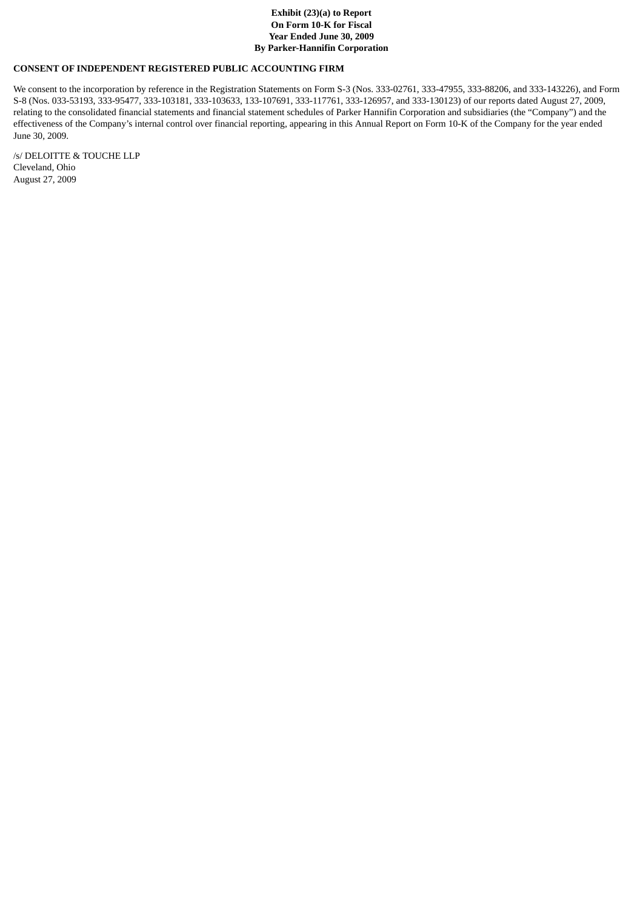#### **Exhibit (23)(a) to Report On Form 10-K for Fiscal Year Ended June 30, 2009 By Parker-Hannifin Corporation**

# **CONSENT OF INDEPENDENT REGISTERED PUBLIC ACCOUNTING FIRM**

We consent to the incorporation by reference in the Registration Statements on Form S-3 (Nos. 333-02761, 333-47955, 333-88206, and 333-143226), and Form S-8 (Nos. 033-53193, 333-95477, 333-103181, 333-103633, 133-107691, 333-117761, 333-126957, and 333-130123) of our reports dated August 27, 2009, relating to the consolidated financial statements and financial statement schedules of Parker Hannifin Corporation and subsidiaries (the "Company") and the effectiveness of the Company's internal control over financial reporting, appearing in this Annual Report on Form 10-K of the Company for the year ended June 30, 2009.

/s/ DELOITTE & TOUCHE LLP Cleveland, Ohio August 27, 2009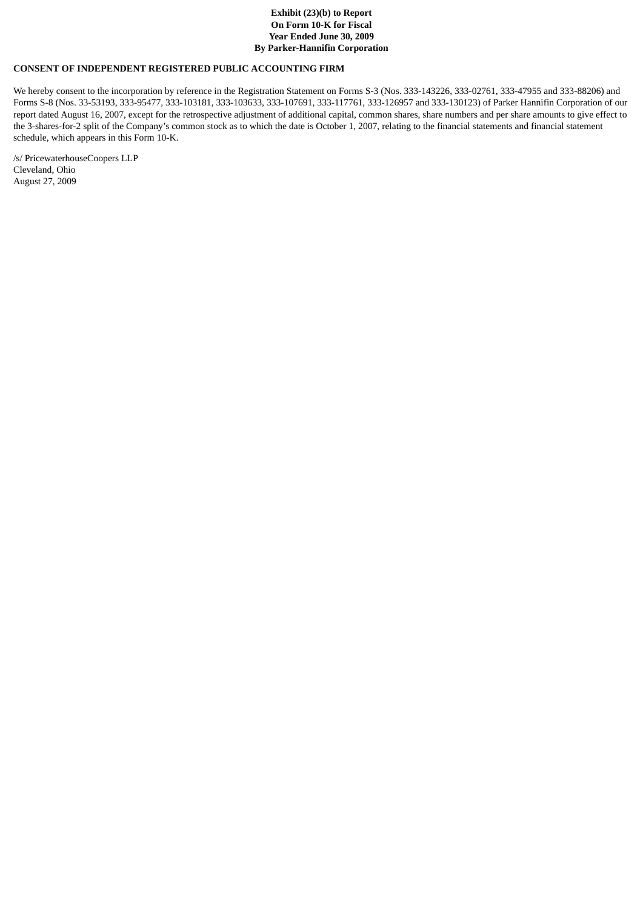#### **Exhibit (23)(b) to Report On Form 10-K for Fiscal Year Ended June 30, 2009 By Parker-Hannifin Corporation**

# **CONSENT OF INDEPENDENT REGISTERED PUBLIC ACCOUNTING FIRM**

We hereby consent to the incorporation by reference in the Registration Statement on Forms S-3 (Nos. 333-143226, 333-02761, 333-47955 and 333-88206) and Forms S-8 (Nos. 33-53193, 333-95477, 333-103181, 333-103633, 333-107691, 333-117761, 333-126957 and 333-130123) of Parker Hannifin Corporation of our report dated August 16, 2007, except for the retrospective adjustment of additional capital, common shares, share numbers and per share amounts to give effect to the 3-shares-for-2 split of the Company's common stock as to which the date is October 1, 2007, relating to the financial statements and financial statement schedule, which appears in this Form 10-K.

/s/ PricewaterhouseCoopers LLP Cleveland, Ohio August 27, 2009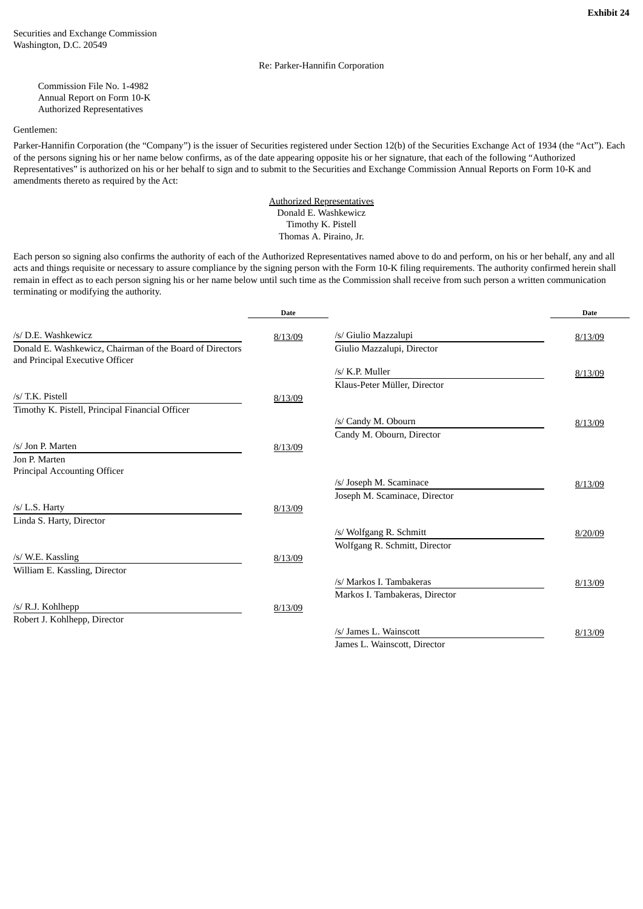### Re: Parker-Hannifin Corporation

Commission File No. 1-4982 Annual Report on Form 10-K Authorized Representatives

#### Gentlemen:

Parker-Hannifin Corporation (the "Company") is the issuer of Securities registered under Section 12(b) of the Securities Exchange Act of 1934 (the "Act"). Each of the persons signing his or her name below confirms, as of the date appearing opposite his or her signature, that each of the following "Authorized Representatives" is authorized on his or her behalf to sign and to submit to the Securities and Exchange Commission Annual Reports on Form 10-K and amendments thereto as required by the Act:

> Authorized Representatives Donald E. Washkewicz Timothy K. Pistell Thomas A. Piraino, Jr.

Each person so signing also confirms the authority of each of the Authorized Representatives named above to do and perform, on his or her behalf, any and all acts and things requisite or necessary to assure compliance by the signing person with the Form 10-K filing requirements. The authority confirmed herein shall remain in effect as to each person signing his or her name below until such time as the Commission shall receive from such person a written communication terminating or modifying the authority.

|                                                                                             | <b>Date</b> |                                        | <b>Date</b> |
|---------------------------------------------------------------------------------------------|-------------|----------------------------------------|-------------|
| /s/ D.E. Washkewicz                                                                         | 8/13/09     | /s/ Giulio Mazzalupi                   | 8/13/09     |
| Donald E. Washkewicz, Chairman of the Board of Directors<br>and Principal Executive Officer |             | Giulio Mazzalupi, Director             |             |
|                                                                                             |             | $/s/K.P.$ Muller                       | 8/13/09     |
|                                                                                             |             | Klaus-Peter Müller, Director           |             |
| /s/ T.K. Pistell                                                                            | 8/13/09     |                                        |             |
| Timothy K. Pistell, Principal Financial Officer                                             |             |                                        |             |
|                                                                                             |             | /s/ Candy M. Obourn                    | 8/13/09     |
|                                                                                             |             | Candy M. Obourn, Director              |             |
| /s/ Jon P. Marten                                                                           | 8/13/09     |                                        |             |
| Jon P. Marten                                                                               |             |                                        |             |
| Principal Accounting Officer                                                                |             |                                        |             |
|                                                                                             |             | /s/ Joseph M. Scaminace                | 8/13/09     |
|                                                                                             |             | Joseph M. Scaminace, Director          |             |
| /s/ L.S. Harty                                                                              | 8/13/09     |                                        |             |
| Linda S. Harty, Director                                                                    |             |                                        |             |
|                                                                                             |             | /s/ Wolfgang R. Schmitt                | 8/20/09     |
|                                                                                             |             | Wolfgang R. Schmitt, Director          |             |
| /s/ W.E. Kassling                                                                           | 8/13/09     |                                        |             |
| William E. Kassling, Director                                                               |             |                                        |             |
|                                                                                             |             | /s/ Markos I. Tambakeras               | 8/13/09     |
|                                                                                             |             | Markos I. Tambakeras, Director         |             |
| /s/ R.J. Kohlhepp                                                                           | 8/13/09     |                                        |             |
| Robert J. Kohlhepp, Director                                                                |             |                                        |             |
|                                                                                             |             | /s/ James L. Wainscott                 | 8/13/09     |
|                                                                                             |             | $T = T + T$<br>$\cdots$ $\mathbf{r}$ . |             |

James L. Wainscott, Director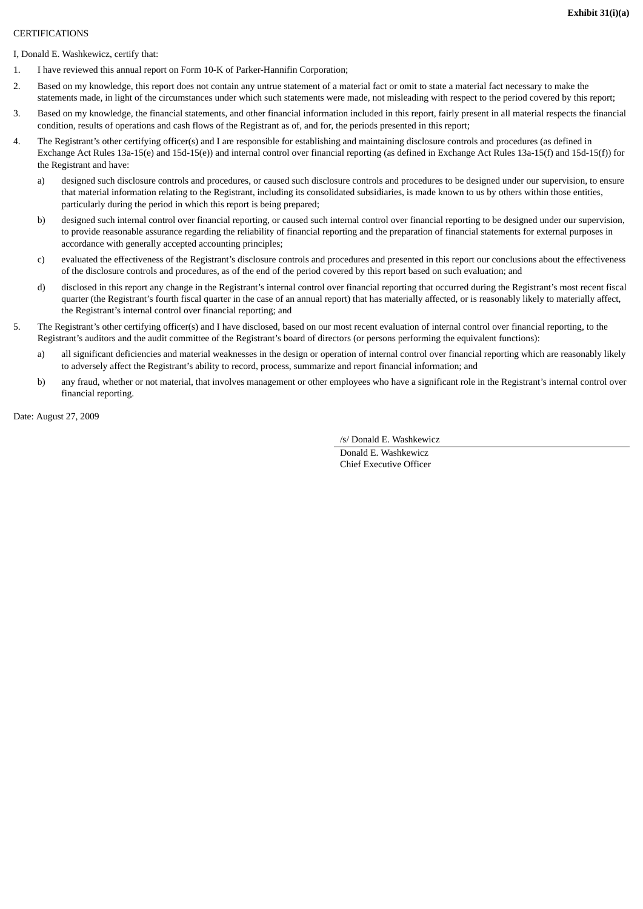#### **CERTIFICATIONS**

I, Donald E. Washkewicz, certify that:

- 1. I have reviewed this annual report on Form 10-K of Parker-Hannifin Corporation;
- 2. Based on my knowledge, this report does not contain any untrue statement of a material fact or omit to state a material fact necessary to make the statements made, in light of the circumstances under which such statements were made, not misleading with respect to the period covered by this report;
- 3. Based on my knowledge, the financial statements, and other financial information included in this report, fairly present in all material respects the financial condition, results of operations and cash flows of the Registrant as of, and for, the periods presented in this report;
- 4. The Registrant's other certifying officer(s) and I are responsible for establishing and maintaining disclosure controls and procedures (as defined in Exchange Act Rules 13a-15(e) and 15d-15(e)) and internal control over financial reporting (as defined in Exchange Act Rules 13a-15(f) and 15d-15(f)) for the Registrant and have:
	- a) designed such disclosure controls and procedures, or caused such disclosure controls and procedures to be designed under our supervision, to ensure that material information relating to the Registrant, including its consolidated subsidiaries, is made known to us by others within those entities, particularly during the period in which this report is being prepared;
	- b) designed such internal control over financial reporting, or caused such internal control over financial reporting to be designed under our supervision, to provide reasonable assurance regarding the reliability of financial reporting and the preparation of financial statements for external purposes in accordance with generally accepted accounting principles;
	- c) evaluated the effectiveness of the Registrant's disclosure controls and procedures and presented in this report our conclusions about the effectiveness of the disclosure controls and procedures, as of the end of the period covered by this report based on such evaluation; and
	- d) disclosed in this report any change in the Registrant's internal control over financial reporting that occurred during the Registrant's most recent fiscal quarter (the Registrant's fourth fiscal quarter in the case of an annual report) that has materially affected, or is reasonably likely to materially affect, the Registrant's internal control over financial reporting; and
- 5. The Registrant's other certifying officer(s) and I have disclosed, based on our most recent evaluation of internal control over financial reporting, to the Registrant's auditors and the audit committee of the Registrant's board of directors (or persons performing the equivalent functions):
	- a) all significant deficiencies and material weaknesses in the design or operation of internal control over financial reporting which are reasonably likely to adversely affect the Registrant's ability to record, process, summarize and report financial information; and
	- b) any fraud, whether or not material, that involves management or other employees who have a significant role in the Registrant's internal control over financial reporting.

Date: August 27, 2009

/s/ Donald E. Washkewicz

Donald E. Washkewicz Chief Executive Officer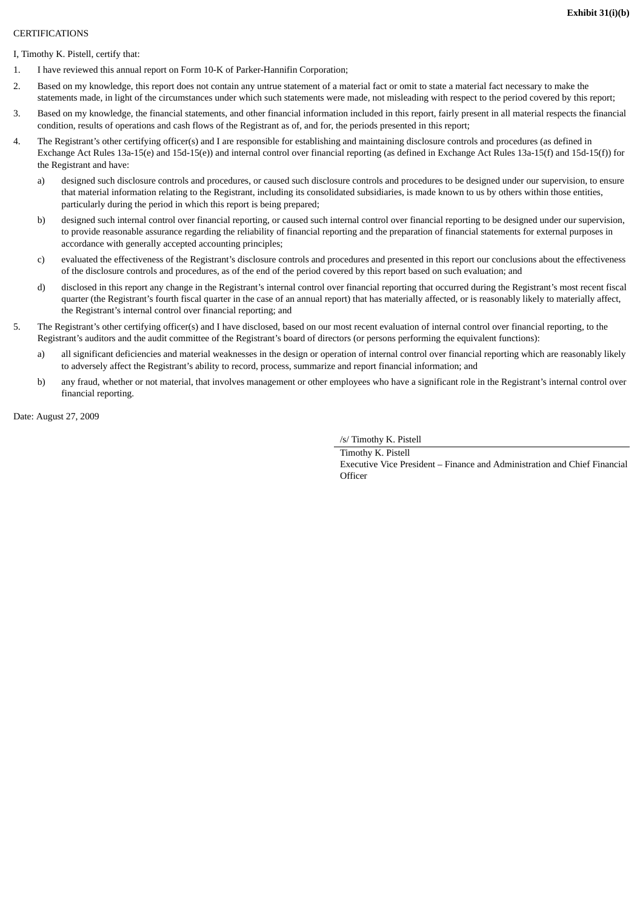#### **CERTIFICATIONS**

I, Timothy K. Pistell, certify that:

- 1. I have reviewed this annual report on Form 10-K of Parker-Hannifin Corporation;
- 2. Based on my knowledge, this report does not contain any untrue statement of a material fact or omit to state a material fact necessary to make the statements made, in light of the circumstances under which such statements were made, not misleading with respect to the period covered by this report;
- 3. Based on my knowledge, the financial statements, and other financial information included in this report, fairly present in all material respects the financial condition, results of operations and cash flows of the Registrant as of, and for, the periods presented in this report;
- 4. The Registrant's other certifying officer(s) and I are responsible for establishing and maintaining disclosure controls and procedures (as defined in Exchange Act Rules 13a-15(e) and 15d-15(e)) and internal control over financial reporting (as defined in Exchange Act Rules 13a-15(f) and 15d-15(f)) for the Registrant and have:
	- a) designed such disclosure controls and procedures, or caused such disclosure controls and procedures to be designed under our supervision, to ensure that material information relating to the Registrant, including its consolidated subsidiaries, is made known to us by others within those entities, particularly during the period in which this report is being prepared;
	- b) designed such internal control over financial reporting, or caused such internal control over financial reporting to be designed under our supervision, to provide reasonable assurance regarding the reliability of financial reporting and the preparation of financial statements for external purposes in accordance with generally accepted accounting principles;
	- c) evaluated the effectiveness of the Registrant's disclosure controls and procedures and presented in this report our conclusions about the effectiveness of the disclosure controls and procedures, as of the end of the period covered by this report based on such evaluation; and
	- d) disclosed in this report any change in the Registrant's internal control over financial reporting that occurred during the Registrant's most recent fiscal quarter (the Registrant's fourth fiscal quarter in the case of an annual report) that has materially affected, or is reasonably likely to materially affect, the Registrant's internal control over financial reporting; and
- 5. The Registrant's other certifying officer(s) and I have disclosed, based on our most recent evaluation of internal control over financial reporting, to the Registrant's auditors and the audit committee of the Registrant's board of directors (or persons performing the equivalent functions):
	- a) all significant deficiencies and material weaknesses in the design or operation of internal control over financial reporting which are reasonably likely to adversely affect the Registrant's ability to record, process, summarize and report financial information; and
	- b) any fraud, whether or not material, that involves management or other employees who have a significant role in the Registrant's internal control over financial reporting.

Date: August 27, 2009

/s/ Timothy K. Pistell

Timothy K. Pistell Executive Vice President – Finance and Administration and Chief Financial **Officer**